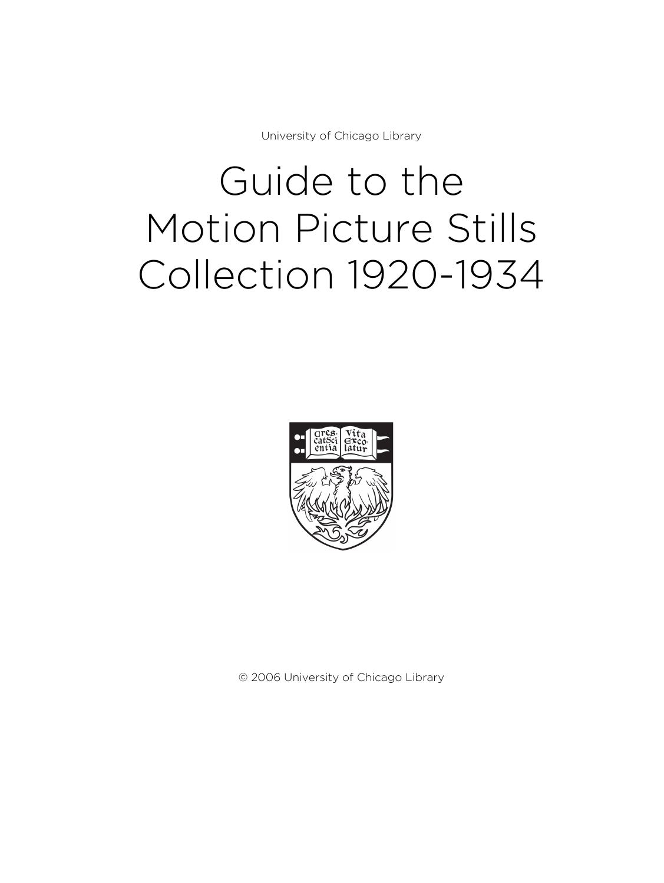University of Chicago Library

# Guide to the Motion Picture Stills Collection 1920-1934



© 2006 University of Chicago Library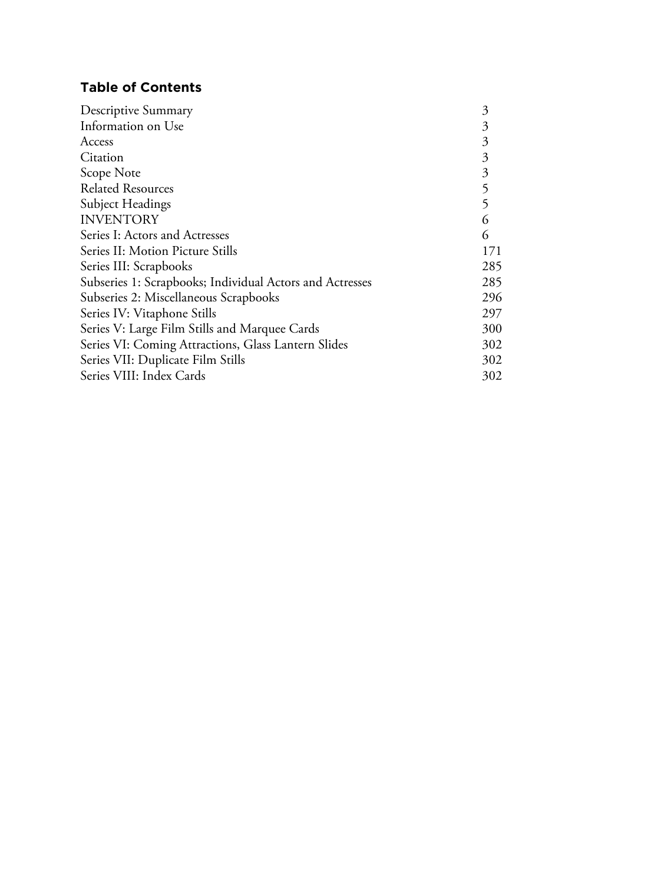# **Table of Contents**

| Descriptive Summary                                      | 3   |
|----------------------------------------------------------|-----|
| Information on Use                                       | 3   |
| Access                                                   | 3   |
| Citation                                                 | 3   |
| Scope Note                                               | 3   |
| <b>Related Resources</b>                                 | 5   |
| Subject Headings                                         | 5   |
| <b>INVENTORY</b>                                         | 6   |
| Series I: Actors and Actresses                           | 6   |
| Series II: Motion Picture Stills                         | 171 |
| Series III: Scrapbooks                                   | 285 |
| Subseries 1: Scrapbooks; Individual Actors and Actresses | 285 |
| Subseries 2: Miscellaneous Scrapbooks                    | 296 |
| Series IV: Vitaphone Stills                              | 297 |
| Series V: Large Film Stills and Marquee Cards            | 300 |
| Series VI: Coming Attractions, Glass Lantern Slides      | 302 |
| Series VII: Duplicate Film Stills                        | 302 |
| Series VIII: Index Cards                                 | 302 |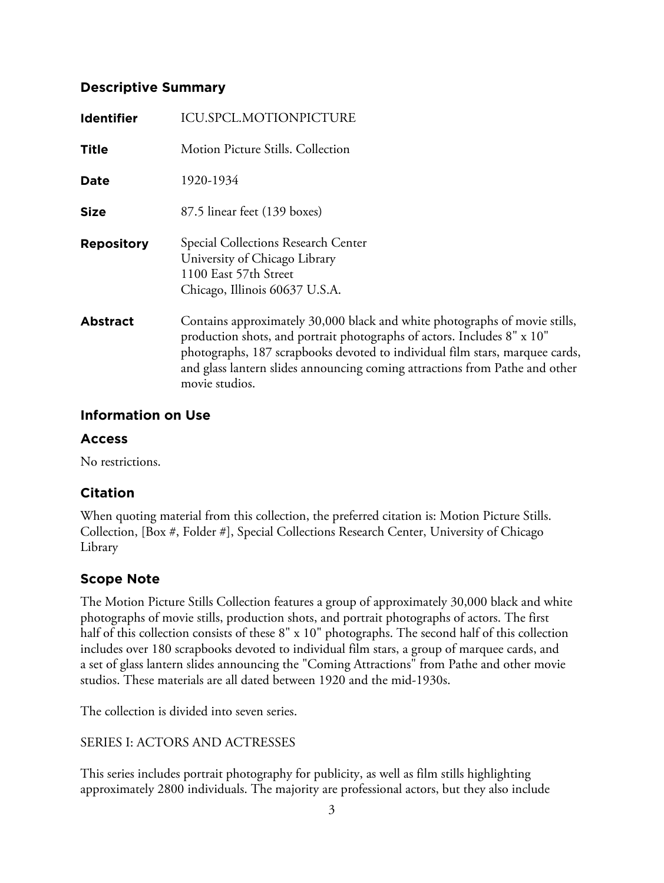#### **Descriptive Summary**

| <b>Identifier</b> | ICU.SPCL.MOTIONPICTURE                                                                                                                                                                                                                                                                                                                 |
|-------------------|----------------------------------------------------------------------------------------------------------------------------------------------------------------------------------------------------------------------------------------------------------------------------------------------------------------------------------------|
| <b>Title</b>      | Motion Picture Stills. Collection                                                                                                                                                                                                                                                                                                      |
| <b>Date</b>       | 1920-1934                                                                                                                                                                                                                                                                                                                              |
| Size              | 87.5 linear feet (139 boxes)                                                                                                                                                                                                                                                                                                           |
| <b>Repository</b> | Special Collections Research Center<br>University of Chicago Library<br>1100 East 57th Street<br>Chicago, Illinois 60637 U.S.A.                                                                                                                                                                                                        |
| <b>Abstract</b>   | Contains approximately 30,000 black and white photographs of movie stills,<br>production shots, and portrait photographs of actors. Includes 8" x 10"<br>photographs, 187 scrapbooks devoted to individual film stars, marquee cards,<br>and glass lantern slides announcing coming attractions from Pathe and other<br>movie studios. |

#### **Information on Use**

#### **Access**

No restrictions.

#### **Citation**

When quoting material from this collection, the preferred citation is: Motion Picture Stills. Collection, [Box #, Folder #], Special Collections Research Center, University of Chicago Library

## **Scope Note**

The Motion Picture Stills Collection features a group of approximately 30,000 black and white photographs of movie stills, production shots, and portrait photographs of actors. The first half of this collection consists of these 8" x 10" photographs. The second half of this collection includes over 180 scrapbooks devoted to individual film stars, a group of marquee cards, and a set of glass lantern slides announcing the "Coming Attractions" from Pathe and other movie studios. These materials are all dated between 1920 and the mid-1930s.

The collection is divided into seven series.

#### SERIES I: ACTORS AND ACTRESSES

This series includes portrait photography for publicity, as well as film stills highlighting approximately 2800 individuals. The majority are professional actors, but they also include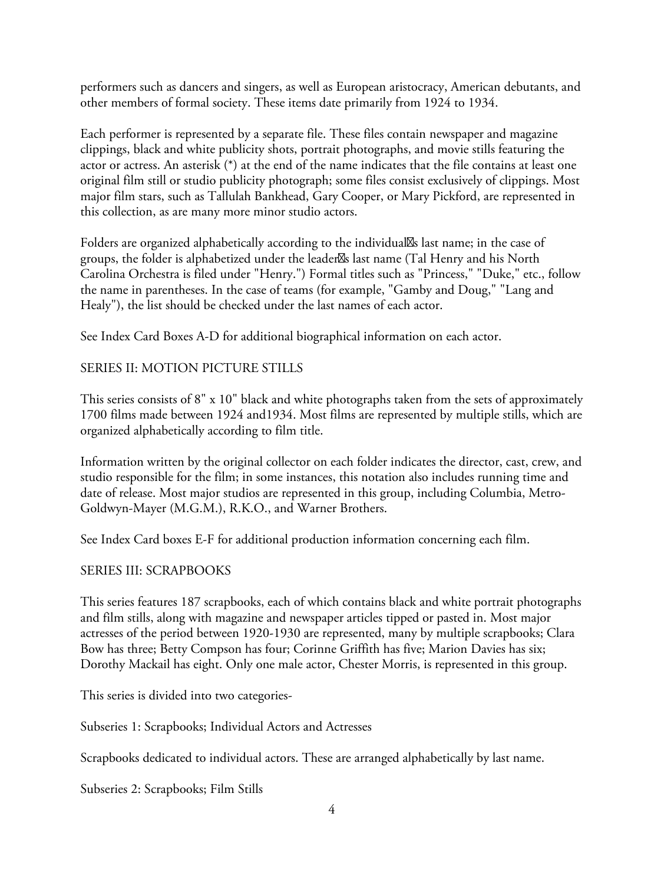performers such as dancers and singers, as well as European aristocracy, American debutants, and other members of formal society. These items date primarily from 1924 to 1934.

Each performer is represented by a separate file. These files contain newspaper and magazine clippings, black and white publicity shots, portrait photographs, and movie stills featuring the actor or actress. An asterisk (\*) at the end of the name indicates that the file contains at least one original film still or studio publicity photograph; some files consist exclusively of clippings. Most major film stars, such as Tallulah Bankhead, Gary Cooper, or Mary Pickford, are represented in this collection, as are many more minor studio actors.

Folders are organized alphabetically according to the individual<sup>8</sup> last name; in the case of groups, the folder is alphabetized under the leader<sup>88</sup>s last name (Tal Henry and his North Carolina Orchestra is filed under "Henry.") Formal titles such as "Princess," "Duke," etc., follow the name in parentheses. In the case of teams (for example, "Gamby and Doug," "Lang and Healy"), the list should be checked under the last names of each actor.

See Index Card Boxes A-D for additional biographical information on each actor.

#### SERIES II: MOTION PICTURE STILLS

This series consists of 8" x 10" black and white photographs taken from the sets of approximately 1700 films made between 1924 and1934. Most films are represented by multiple stills, which are organized alphabetically according to film title.

Information written by the original collector on each folder indicates the director, cast, crew, and studio responsible for the film; in some instances, this notation also includes running time and date of release. Most major studios are represented in this group, including Columbia, Metro-Goldwyn-Mayer (M.G.M.), R.K.O., and Warner Brothers.

See Index Card boxes E-F for additional production information concerning each film.

#### SERIES III: SCRAPBOOKS

This series features 187 scrapbooks, each of which contains black and white portrait photographs and film stills, along with magazine and newspaper articles tipped or pasted in. Most major actresses of the period between 1920-1930 are represented, many by multiple scrapbooks; Clara Bow has three; Betty Compson has four; Corinne Griffith has five; Marion Davies has six; Dorothy Mackail has eight. Only one male actor, Chester Morris, is represented in this group.

This series is divided into two categories-

Subseries 1: Scrapbooks; Individual Actors and Actresses

Scrapbooks dedicated to individual actors. These are arranged alphabetically by last name.

Subseries 2: Scrapbooks; Film Stills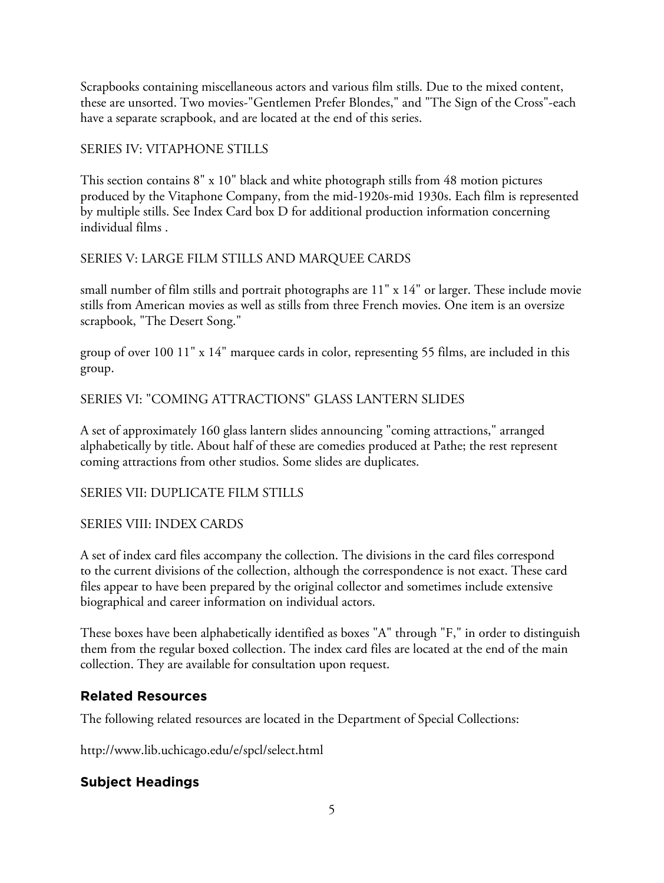Scrapbooks containing miscellaneous actors and various film stills. Due to the mixed content, these are unsorted. Two movies-"Gentlemen Prefer Blondes," and "The Sign of the Cross"-each have a separate scrapbook, and are located at the end of this series.

#### SERIES IV: VITAPHONE STILLS

This section contains 8" x 10" black and white photograph stills from 48 motion pictures produced by the Vitaphone Company, from the mid-1920s-mid 1930s. Each film is represented by multiple stills. See Index Card box D for additional production information concerning individual films .

#### SERIES V: LARGE FILM STILLS AND MARQUEE CARDS

small number of film stills and portrait photographs are 11" x 14" or larger. These include movie stills from American movies as well as stills from three French movies. One item is an oversize scrapbook, "The Desert Song."

group of over 100 11" x 14" marquee cards in color, representing 55 films, are included in this group.

#### SERIES VI: "COMING ATTRACTIONS" GLASS LANTERN SLIDES

A set of approximately 160 glass lantern slides announcing "coming attractions," arranged alphabetically by title. About half of these are comedies produced at Pathe; the rest represent coming attractions from other studios. Some slides are duplicates.

#### SERIES VII: DUPLICATE FILM STILLS

#### SERIES VIII: INDEX CARDS

A set of index card files accompany the collection. The divisions in the card files correspond to the current divisions of the collection, although the correspondence is not exact. These card files appear to have been prepared by the original collector and sometimes include extensive biographical and career information on individual actors.

These boxes have been alphabetically identified as boxes "A" through "F," in order to distinguish them from the regular boxed collection. The index card files are located at the end of the main collection. They are available for consultation upon request.

#### **Related Resources**

The following related resources are located in the Department of Special Collections:

http://www.lib.uchicago.edu/e/spcl/select.html

## **Subject Headings**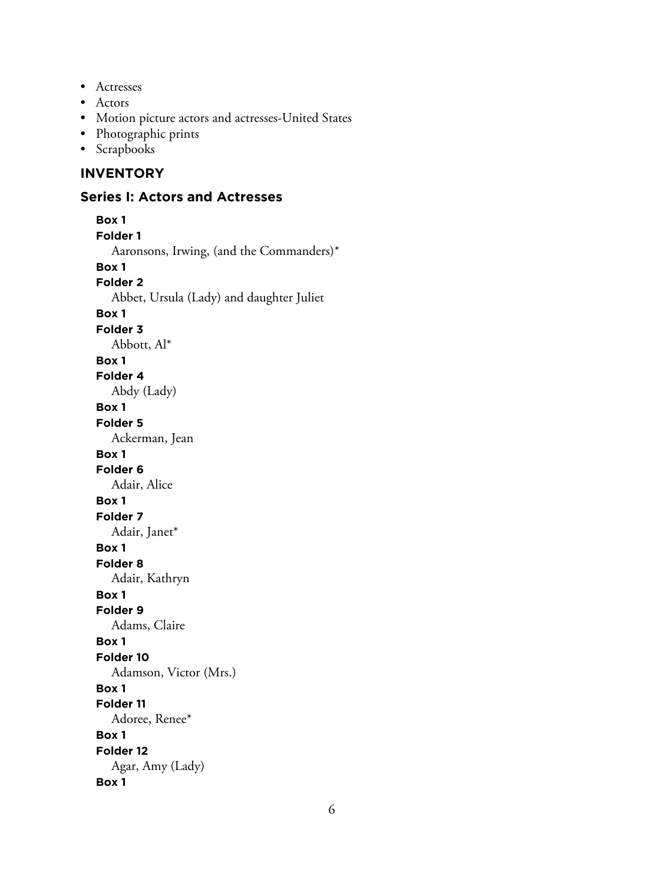- Actresses
- Actors
- Motion picture actors and actresses-United States
- Photographic prints
- Scrapbooks

#### **INVENTORY**

#### **Series I: Actors and Actresses**

```
Box 1
Folder 1
  Aaronsons, Irwing, (and the Commanders)*
Box 1
Folder 2
  Abbet, Ursula (Lady) and daughter Juliet
Box 1
Folder 3
  Abbott, Al*
Box 1
Folder 4
  Abdy (Lady)
Box 1
Folder 5
  Ackerman, Jean
Box 1
Folder 6
  Adair, Alice
Box 1
Folder 7
  Adair, Janet*
Box 1
Folder 8
  Adair, Kathryn
Box 1
Folder 9
  Adams, Claire
Box 1
Folder 10
  Adamson, Victor (Mrs.)
Box 1
Folder 11
  Adoree, Renee*
Box 1
Folder 12
  Agar, Amy (Lady)
Box 1
```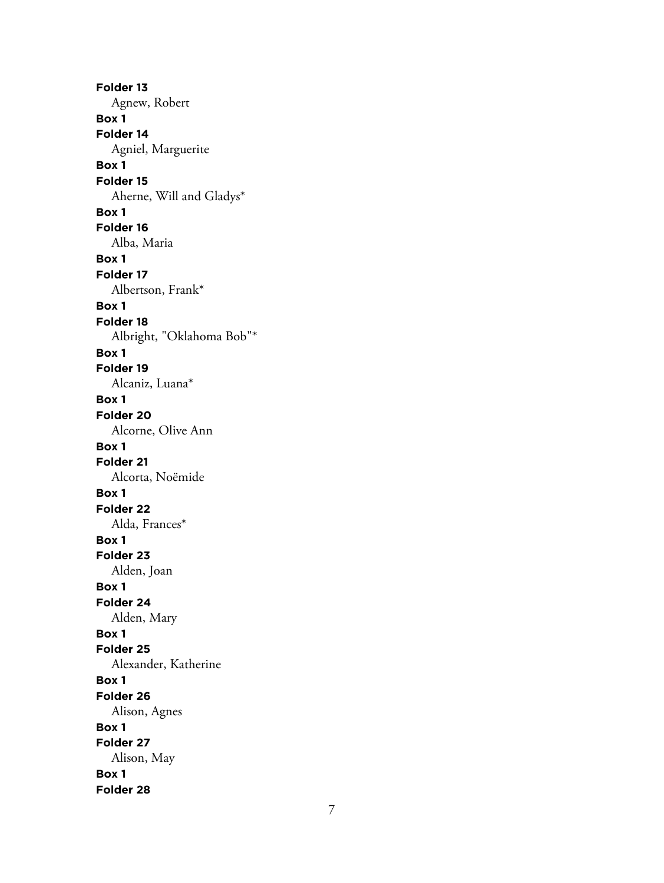**Folder 13** Agnew, Robert **Box 1 Folder 14** Agniel, Marguerite **Box 1 Folder 15** Aherne, Will and Gladys\* **Box 1 Folder 16** Alba, Maria **Box 1 Folder 17** Albertson, Frank\* **Box 1 Folder 18** Albright, "Oklahoma Bob"\* **Box 1 Folder 19** Alcaniz, Luana\* **Box 1 Folder 20** Alcorne, Olive Ann **Box 1 Folder 21** Alcorta, Noëmide **Box 1 Folder 22** Alda, Frances\* **Box 1 Folder 23** Alden, Joan **Box 1 Folder 24** Alden, Mary **Box 1 Folder 25** Alexander, Katherine **Box 1 Folder 26** Alison, Agnes **Box 1 Folder 27** Alison, May **Box 1 Folder 28**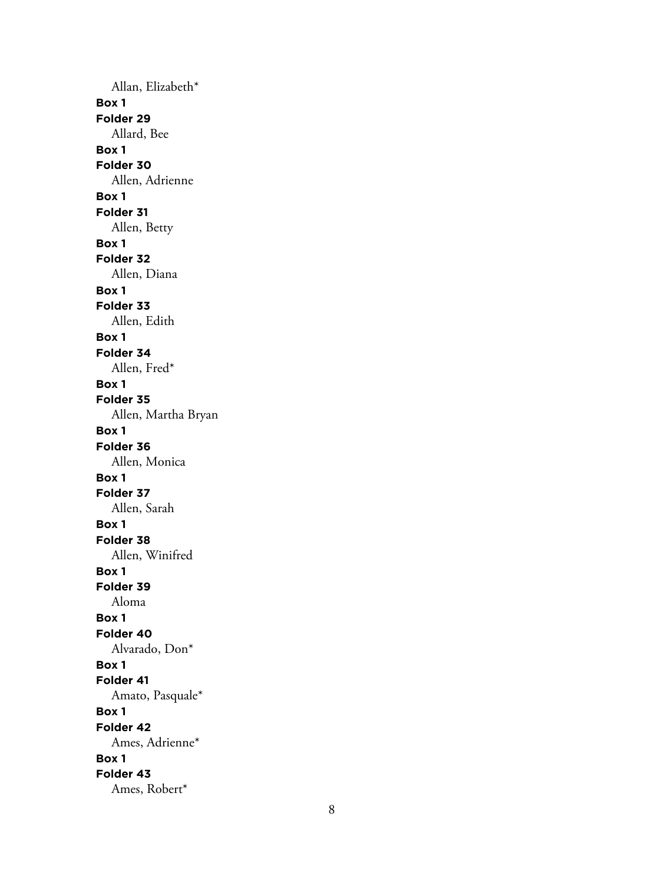Allan, Elizabeth\* **Box 1 Folder 29** Allard, Bee **Box 1 Folder 30** Allen, Adrienne **Box 1 Folder 31** Allen, Betty **Box 1 Folder 32** Allen, Diana **Box 1 Folder 33** Allen, Edith **Box 1 Folder 34** Allen, Fred\* **Box 1 Folder 35** Allen, Martha Bryan **Box 1 Folder 36** Allen, Monica **Box 1 Folder 37** Allen, Sarah **Box 1 Folder 38** Allen, Winifred **Box 1 Folder 39** Aloma **Box 1 Folder 40** Alvarado, Don\* **Box 1 Folder 41** Amato, Pasquale\* **Box 1 Folder 42** Ames, Adrienne\* **Box 1 Folder 43** Ames, Robert\*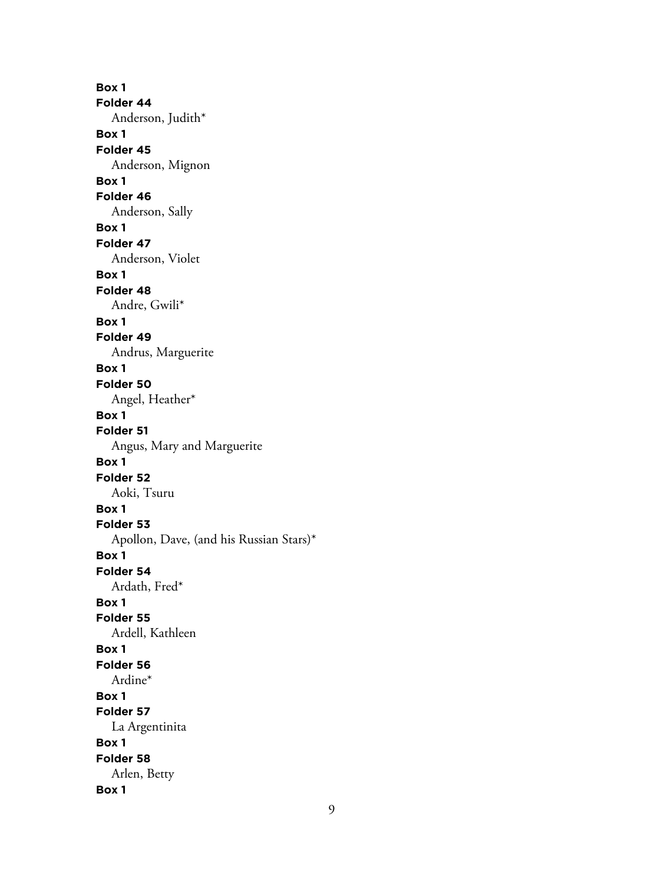**Box 1 Folder 44** Anderson, Judith\* **Box 1 Folder 45** Anderson, Mignon **Box 1 Folder 46** Anderson, Sally **Box 1 Folder 47** Anderson, Violet **Box 1 Folder 48** Andre, Gwili\* **Box 1 Folder 49** Andrus, Marguerite **Box 1 Folder 50** Angel, Heather\* **Box 1 Folder 51** Angus, Mary and Marguerite **Box 1 Folder 52** Aoki, Tsuru **Box 1 Folder 53** Apollon, Dave, (and his Russian Stars)\* **Box 1 Folder 54** Ardath, Fred\* **Box 1 Folder 55** Ardell, Kathleen **Box 1 Folder 56** Ardine\* **Box 1 Folder 57** La Argentinita **Box 1 Folder 58** Arlen, Betty **Box 1**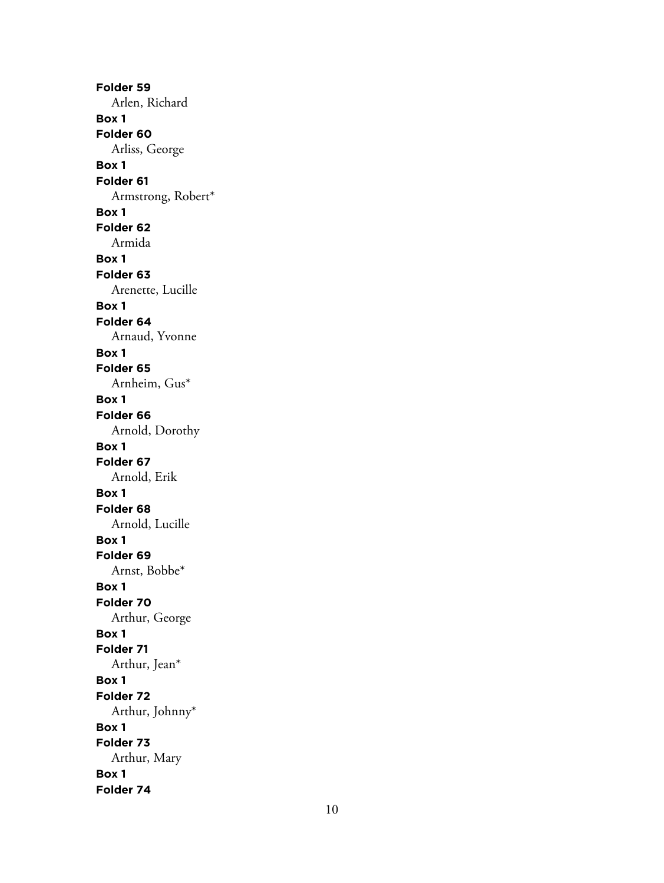**Folder 59** Arlen, Richard **Box 1 Folder 60** Arliss, George **Box 1 Folder 61** Armstrong, Robert\* **Box 1 Folder 62** Armida **Box 1 Folder 63** Arenette, Lucille **Box 1 Folder 64** Arnaud, Yvonne **Box 1 Folder 65** Arnheim, Gus\* **Box 1 Folder 66** Arnold, Dorothy **Box 1 Folder 67** Arnold, Erik **Box 1 Folder 68** Arnold, Lucille **Box 1 Folder 69** Arnst, Bobbe\* **Box 1 Folder 70** Arthur, George **Box 1 Folder 71** Arthur, Jean\* **Box 1 Folder 72** Arthur, Johnny\* **Box 1 Folder 73** Arthur, Mary **Box 1 Folder 74**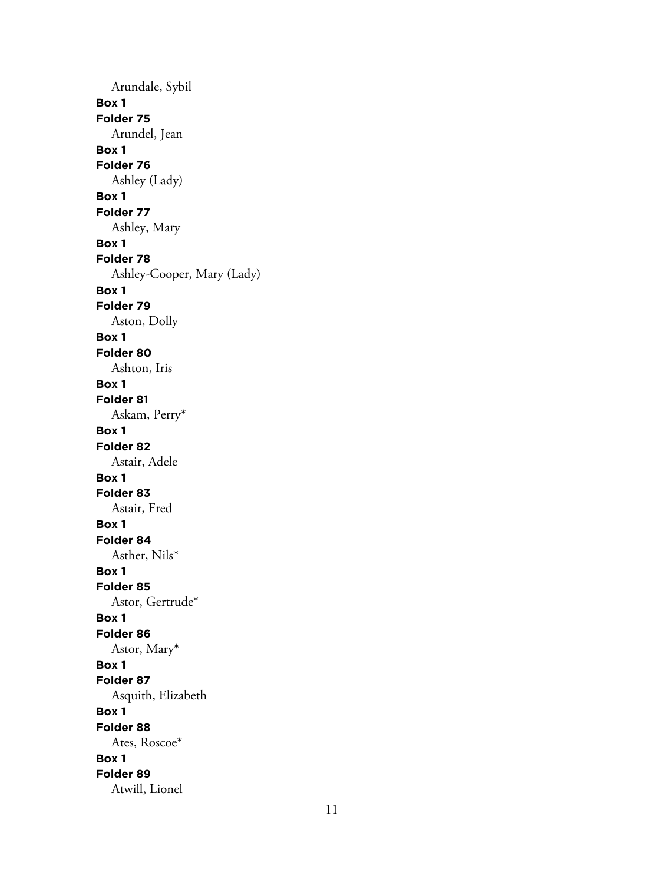Arundale, Sybil **Box 1 Folder 75** Arundel, Jean **Box 1 Folder 76** Ashley (Lady) **Box 1 Folder 77** Ashley, Mary **Box 1 Folder 78** Ashley-Cooper, Mary (Lady) **Box 1 Folder 79** Aston, Dolly **Box 1 Folder 80** Ashton, Iris **Box 1 Folder 81** Askam, Perry\* **Box 1 Folder 82** Astair, Adele **Box 1 Folder 83** Astair, Fred **Box 1 Folder 84** Asther, Nils\* **Box 1 Folder 85** Astor, Gertrude\* **Box 1 Folder 86** Astor, Mary\* **Box 1 Folder 87** Asquith, Elizabeth **Box 1 Folder 88** Ates, Roscoe\* **Box 1 Folder 89** Atwill, Lionel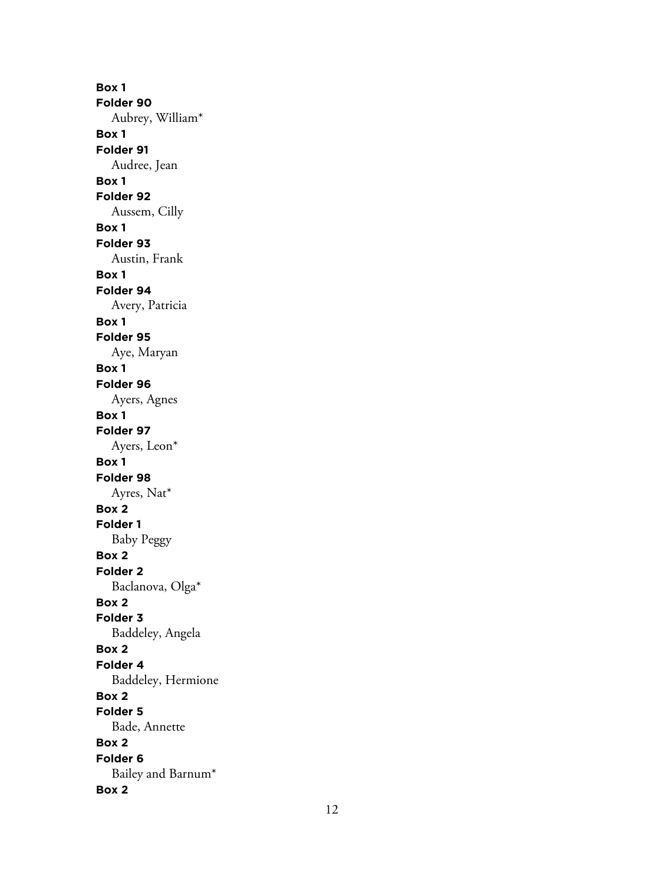**Box 1 Folder 90** Aubrey, William\* **Box 1 Folder 91** Audree, Jean **Box 1 Folder 92** Aussem, Cilly **Box 1 Folder 93** Austin, Frank **Box 1 Folder 94** Avery, Patricia **Box 1 Folder 95** Aye, Maryan **Box 1 Folder 96** Ayers, Agnes **Box 1 Folder 97** Ayers, Leon\* **Box 1 Folder 98** Ayres, Nat\* **Box 2 Folder 1** Baby Peggy **Box 2 Folder 2** Baclanova, Olga\* **Box 2 Folder 3** Baddeley, Angela **Box 2 Folder 4** Baddeley, Hermione **Box 2 Folder 5** Bade, Annette **Box 2 Folder 6** Bailey and Barnum\* **Box 2**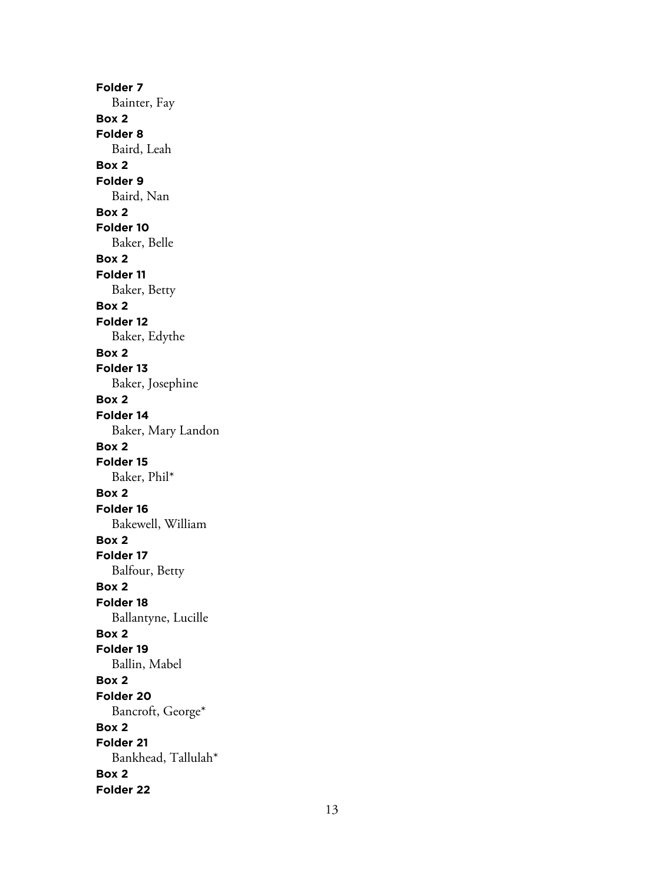**Folder 7** Bainter, Fay **Box 2 Folder 8** Baird, Leah **Box 2 Folder 9** Baird, Nan **Box 2 Folder 10** Baker, Belle **Box 2 Folder 11** Baker, Betty **Box 2 Folder 12** Baker, Edythe **Box 2 Folder 13** Baker, Josephine **Box 2 Folder 14** Baker, Mary Landon **Box 2 Folder 15** Baker, Phil\* **Box 2 Folder 16** Bakewell, William **Box 2 Folder 17** Balfour, Betty **Box 2 Folder 18** Ballantyne, Lucille **Box 2 Folder 19** Ballin, Mabel **Box 2 Folder 20** Bancroft, George\* **Box 2 Folder 21** Bankhead, Tallulah\* **Box 2 Folder 22**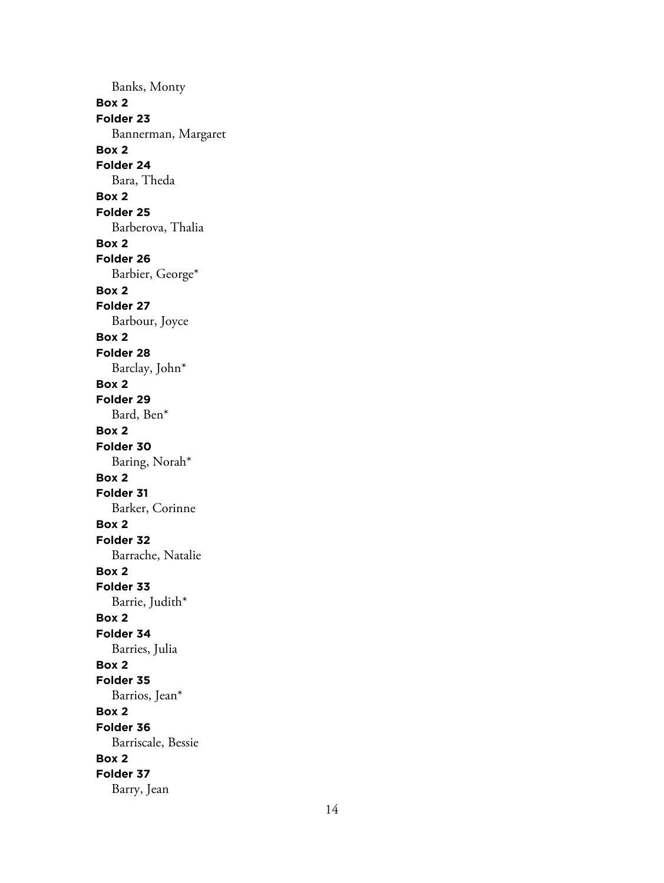Banks, Monty **Box 2 Folder 23** Bannerman, Margaret **Box 2 Folder 24** Bara, Theda **Box 2 Folder 25** Barberova, Thalia **Box 2 Folder 26** Barbier, George\* **Box 2 Folder 27** Barbour, Joyce **Box 2 Folder 28** Barclay, John\* **Box 2 Folder 29** Bard, Ben\* **Box 2 Folder 30** Baring, Norah\* **Box 2 Folder 31** Barker, Corinne **Box 2 Folder 32** Barrache, Natalie **Box 2 Folder 33** Barrie, Judith\* **Box 2 Folder 34** Barries, Julia **Box 2 Folder 35** Barrios, Jean\* **Box 2 Folder 36** Barriscale, Bessie **Box 2 Folder 37** Barry, Jean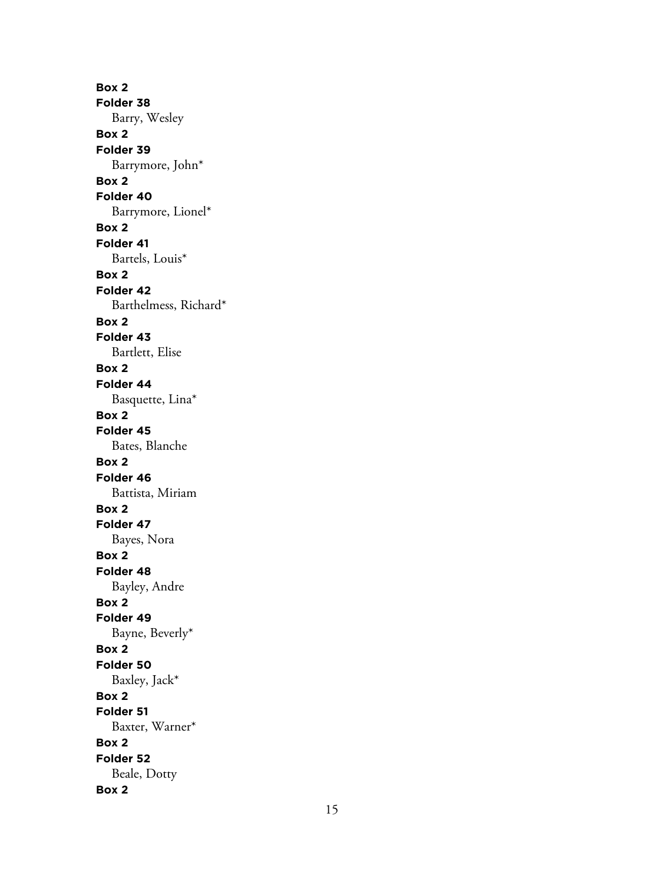**Box 2 Folder 38** Barry, Wesley **Box 2 Folder 39** Barrymore, John\* **Box 2 Folder 40** Barrymore, Lionel\* **Box 2 Folder 41** Bartels, Louis\* **Box 2 Folder 42** Barthelmess, Richard\* **Box 2 Folder 43** Bartlett, Elise **Box 2 Folder 44** Basquette, Lina\* **Box 2 Folder 45** Bates, Blanche **Box 2 Folder 46** Battista, Miriam **Box 2 Folder 47** Bayes, Nora **Box 2 Folder 48** Bayley, Andre **Box 2 Folder 49** Bayne, Beverly\* **Box 2 Folder 50** Baxley, Jack\* **Box 2 Folder 51** Baxter, Warner\* **Box 2 Folder 52** Beale, Dotty **Box 2**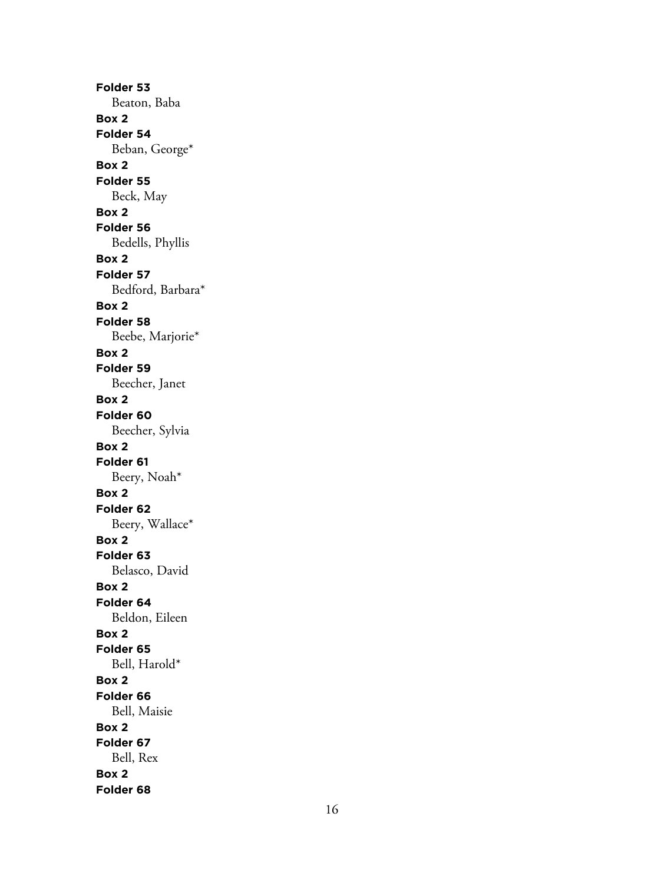**Folder 53** Beaton, Baba **Box 2 Folder 54** Beban, George\* **Box 2 Folder 55** Beck, May **Box 2 Folder 56** Bedells, Phyllis **Box 2 Folder 57** Bedford, Barbara\* **Box 2 Folder 58** Beebe, Marjorie\* **Box 2 Folder 59** Beecher, Janet **Box 2 Folder 60** Beecher, Sylvia **Box 2 Folder 61** Beery, Noah\* **Box 2 Folder 62** Beery, Wallace\* **Box 2 Folder 63** Belasco, David **Box 2 Folder 64** Beldon, Eileen **Box 2 Folder 65** Bell, Harold\* **Box 2 Folder 66** Bell, Maisie **Box 2 Folder 67** Bell, Rex **Box 2 Folder 68**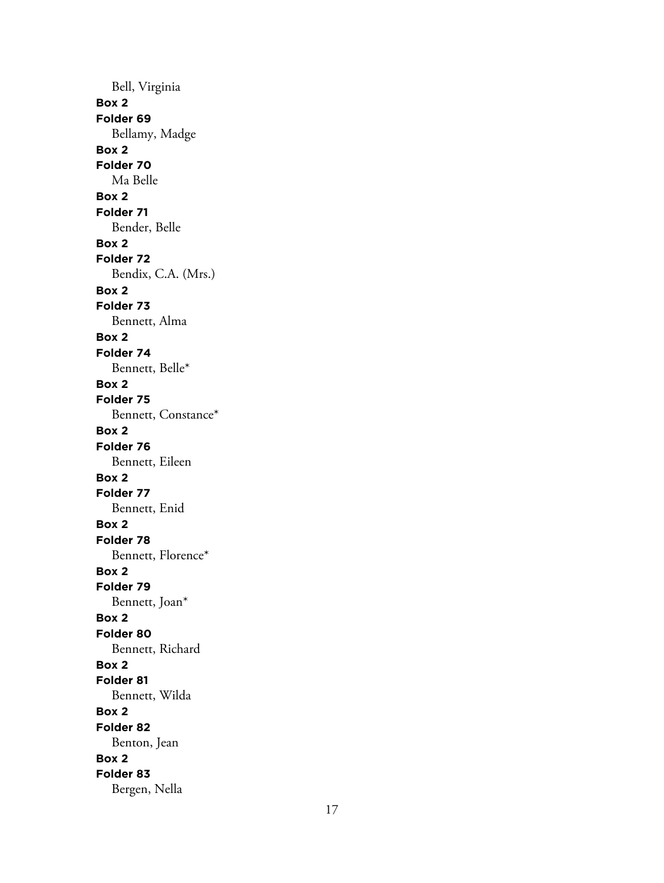Bell, Virginia **Box 2 Folder 69** Bellamy, Madge **Box 2 Folder 70** Ma Belle **Box 2 Folder 71** Bender, Belle **Box 2 Folder 72** Bendix, C.A. (Mrs.) **Box 2 Folder 73** Bennett, Alma **Box 2 Folder 74** Bennett, Belle\* **Box 2 Folder 75** Bennett, Constance\* **Box 2 Folder 76** Bennett, Eileen **Box 2 Folder 77** Bennett, Enid **Box 2 Folder 78** Bennett, Florence\* **Box 2 Folder 79** Bennett, Joan\* **Box 2 Folder 80** Bennett, Richard **Box 2 Folder 81** Bennett, Wilda **Box 2 Folder 82** Benton, Jean **Box 2 Folder 83** Bergen, Nella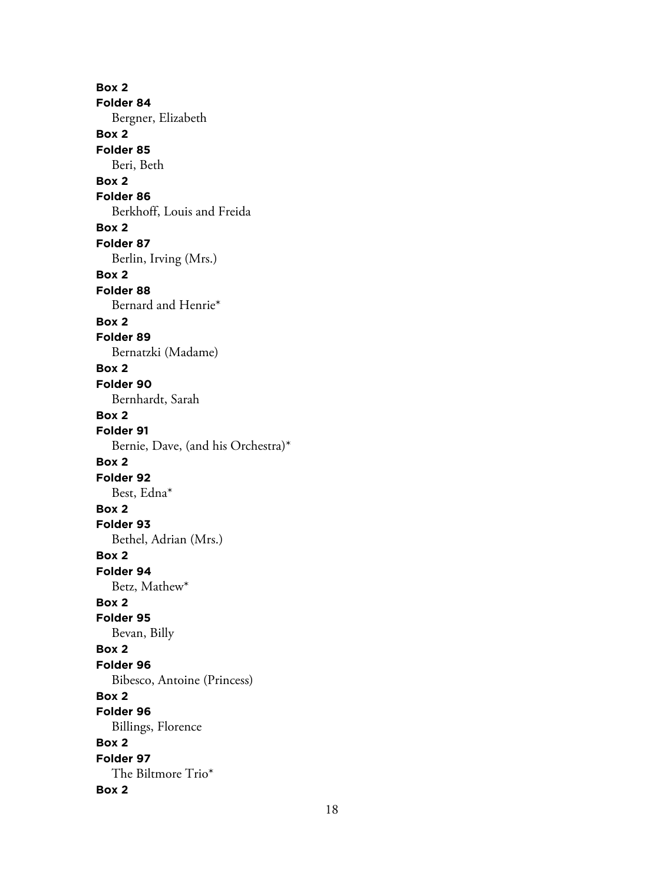**Box 2 Folder 84** Bergner, Elizabeth **Box 2 Folder 85** Beri, Beth **Box 2 Folder 86** Berkhoff, Louis and Freida **Box 2 Folder 87** Berlin, Irving (Mrs.) **Box 2 Folder 88** Bernard and Henrie\* **Box 2 Folder 89** Bernatzki (Madame) **Box 2 Folder 90** Bernhardt, Sarah **Box 2 Folder 91** Bernie, Dave, (and his Orchestra)\* **Box 2 Folder 92** Best, Edna\* **Box 2 Folder 93** Bethel, Adrian (Mrs.) **Box 2 Folder 94** Betz, Mathew\* **Box 2 Folder 95** Bevan, Billy **Box 2 Folder 96** Bibesco, Antoine (Princess) **Box 2 Folder 96** Billings, Florence **Box 2 Folder 97** The Biltmore Trio\* **Box 2**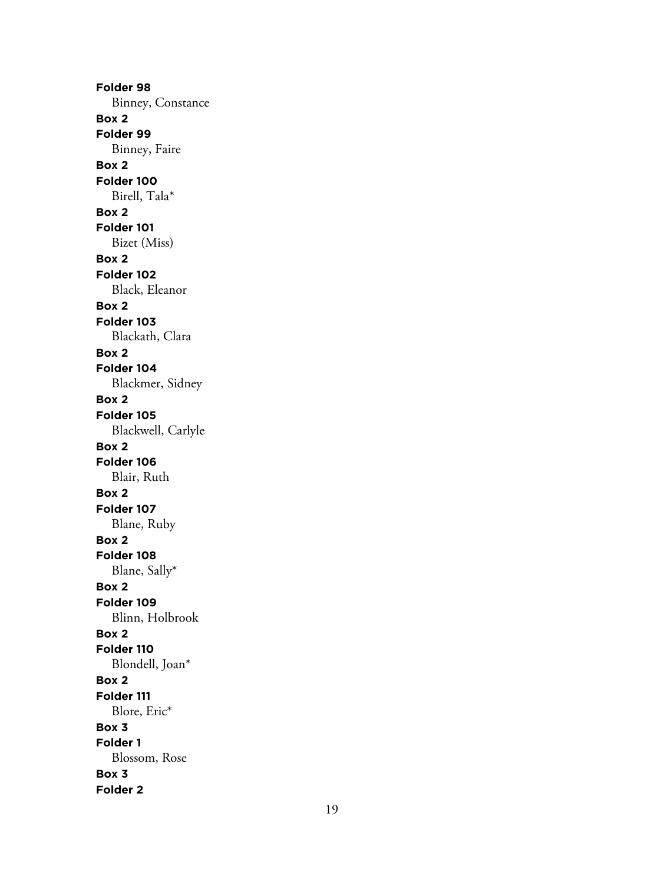**Folder 98** Binney, Constance **Box 2 Folder 99** Binney, Faire **Box 2 Folder 100** Birell, Tala\* **Box 2 Folder 101** Bizet (Miss) **Box 2 Folder 102** Black, Eleanor **Box 2 Folder 103** Blackath, Clara **Box 2 Folder 104** Blackmer, Sidney **Box 2 Folder 105** Blackwell, Carlyle **Box 2 Folder 106** Blair, Ruth **Box 2 Folder 107** Blane, Ruby **Box 2 Folder 108** Blane, Sally\* **Box 2 Folder 109** Blinn, Holbrook **Box 2 Folder 110** Blondell, Joan\* **Box 2 Folder 111** Blore, Eric\* **Box 3 Folder 1** Blossom, Rose **Box 3 Folder 2**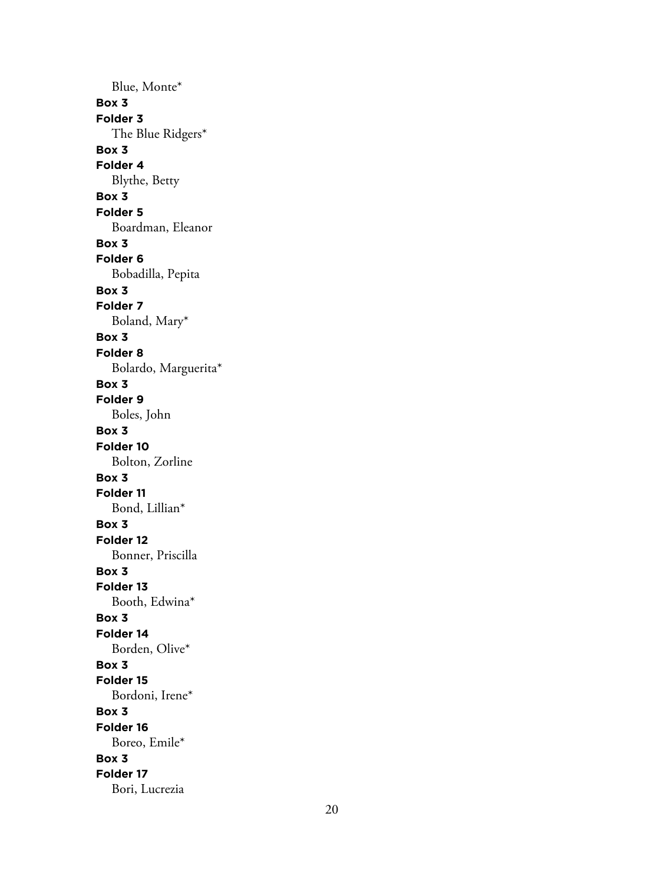Blue, Monte\* **Box 3 Folder 3** The Blue Ridgers\* **Box 3 Folder 4** Blythe, Betty **Box 3 Folder 5** Boardman, Eleanor **Box 3 Folder 6** Bobadilla, Pepita **Box 3 Folder 7** Boland, Mary\* **Box 3 Folder 8** Bolardo, Marguerita\* **Box 3 Folder 9** Boles, John **Box 3 Folder 10** Bolton, Zorline **Box 3 Folder 11** Bond, Lillian\* **Box 3 Folder 12** Bonner, Priscilla **Box 3 Folder 13** Booth, Edwina\* **Box 3 Folder 14** Borden, Olive\* **Box 3 Folder 15** Bordoni, Irene\* **Box 3 Folder 16** Boreo, Emile\* **Box 3 Folder 17** Bori, Lucrezia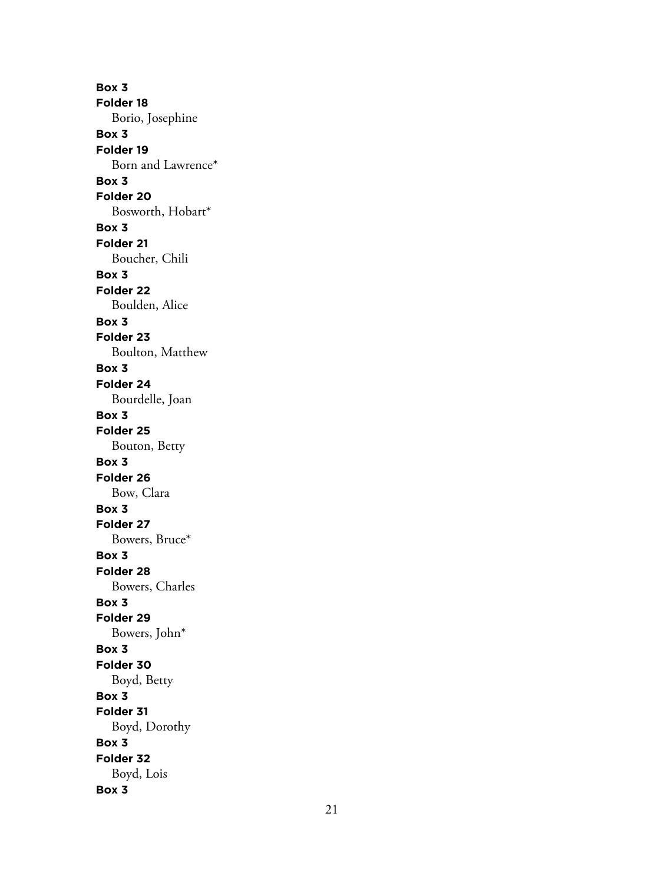**Box 3 Folder 18** Borio, Josephine **Box 3 Folder 19** Born and Lawrence\* **Box 3 Folder 20** Bosworth, Hobart\* **Box 3 Folder 21** Boucher, Chili **Box 3 Folder 22** Boulden, Alice **Box 3 Folder 23** Boulton, Matthew **Box 3 Folder 24** Bourdelle, Joan **Box 3 Folder 25** Bouton, Betty **Box 3 Folder 26** Bow, Clara **Box 3 Folder 27** Bowers, Bruce\* **Box 3 Folder 28** Bowers, Charles **Box 3 Folder 29** Bowers, John\* **Box 3 Folder 30** Boyd, Betty **Box 3 Folder 31** Boyd, Dorothy **Box 3 Folder 32** Boyd, Lois **Box 3**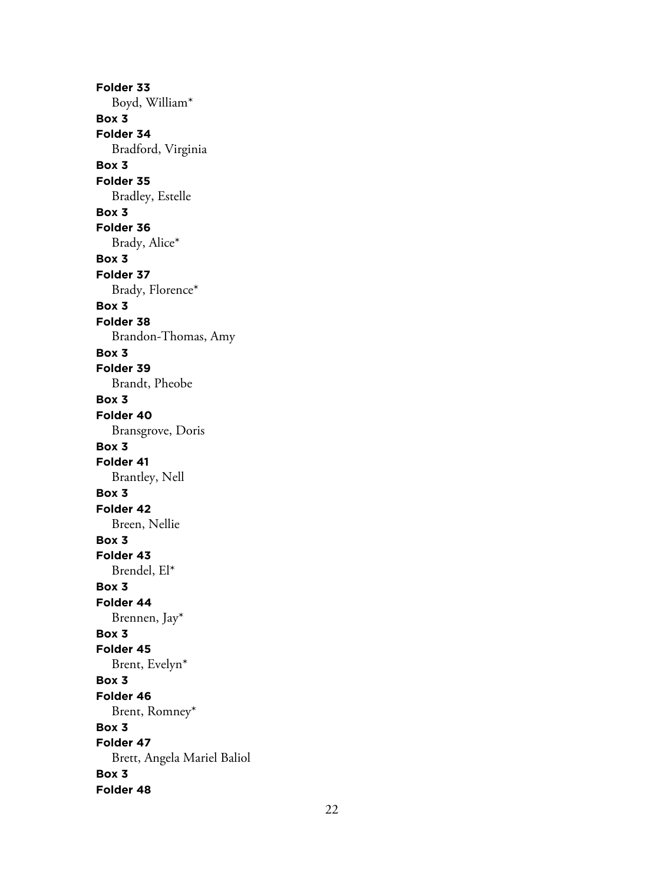**Folder 33** Boyd, William\* **Box 3 Folder 34** Bradford, Virginia **Box 3 Folder 35** Bradley, Estelle **Box 3 Folder 36** Brady, Alice\* **Box 3 Folder 37** Brady, Florence\* **Box 3 Folder 38** Brandon-Thomas, Amy **Box 3 Folder 39** Brandt, Pheobe **Box 3 Folder 40** Bransgrove, Doris **Box 3 Folder 41** Brantley, Nell **Box 3 Folder 42** Breen, Nellie **Box 3 Folder 43** Brendel, El\* **Box 3 Folder 44** Brennen, Jay\* **Box 3 Folder 45** Brent, Evelyn\* **Box 3 Folder 46** Brent, Romney\* **Box 3 Folder 47** Brett, Angela Mariel Baliol **Box 3 Folder 48**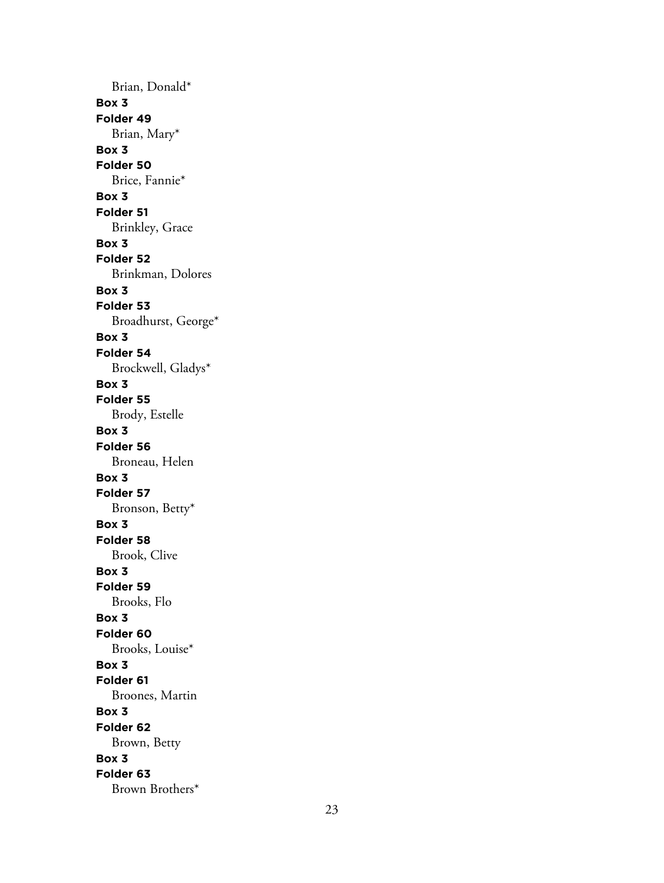Brian, Donald\* **Box 3 Folder 49** Brian, Mary\* **Box 3 Folder 50** Brice, Fannie\* **Box 3 Folder 51** Brinkley, Grace **Box 3 Folder 52** Brinkman, Dolores **Box 3 Folder 53** Broadhurst, George\* **Box 3 Folder 54** Brockwell, Gladys\* **Box 3 Folder 55** Brody, Estelle **Box 3 Folder 56** Broneau, Helen **Box 3 Folder 57** Bronson, Betty\* **Box 3 Folder 58** Brook, Clive **Box 3 Folder 59** Brooks, Flo **Box 3 Folder 60** Brooks, Louise\* **Box 3 Folder 61** Broones, Martin **Box 3 Folder 62** Brown, Betty **Box 3 Folder 63** Brown Brothers\*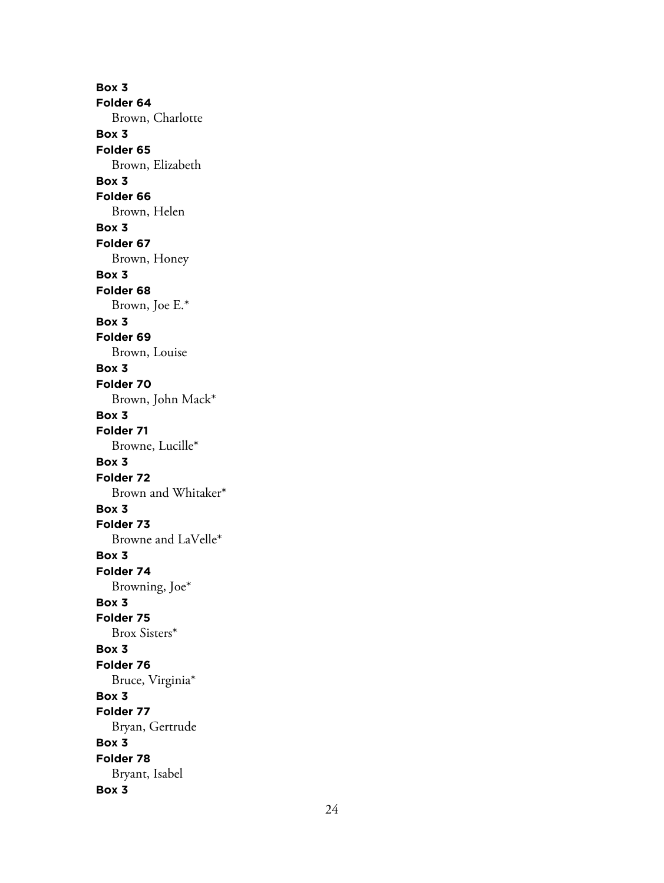**Box 3 Folder 64** Brown, Charlotte **Box 3 Folder 65** Brown, Elizabeth **Box 3 Folder 66** Brown, Helen **Box 3 Folder 67** Brown, Honey **Box 3 Folder 68** Brown, Joe E.\* **Box 3 Folder 69** Brown, Louise **Box 3 Folder 70** Brown, John Mack\* **Box 3 Folder 71** Browne, Lucille\* **Box 3 Folder 72** Brown and Whitaker\* **Box 3 Folder 73** Browne and LaVelle\* **Box 3 Folder 74** Browning, Joe\* **Box 3 Folder 75** Brox Sisters\* **Box 3 Folder 76** Bruce, Virginia\* **Box 3 Folder 77** Bryan, Gertrude **Box 3 Folder 78** Bryant, Isabel **Box 3**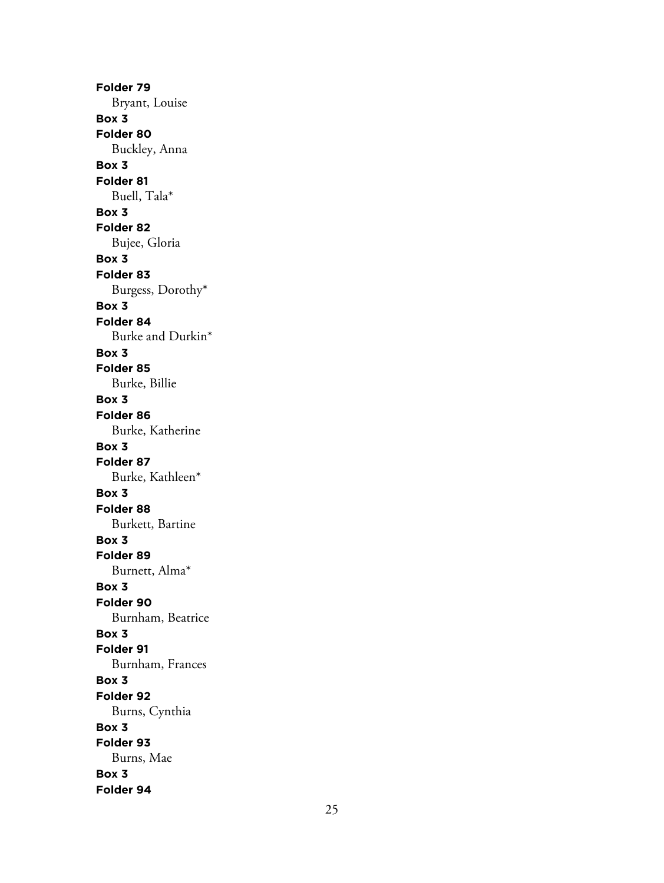**Folder 79** Bryant, Louise **Box 3 Folder 80** Buckley, Anna **Box 3 Folder 81** Buell, Tala\* **Box 3 Folder 82** Bujee, Gloria **Box 3 Folder 83** Burgess, Dorothy\* **Box 3 Folder 84** Burke and Durkin\* **Box 3 Folder 85** Burke, Billie **Box 3 Folder 86** Burke, Katherine **Box 3 Folder 87** Burke, Kathleen\* **Box 3 Folder 88** Burkett, Bartine **Box 3 Folder 89** Burnett, Alma\* **Box 3 Folder 90** Burnham, Beatrice **Box 3 Folder 91** Burnham, Frances **Box 3 Folder 92** Burns, Cynthia **Box 3 Folder 93** Burns, Mae **Box 3 Folder 94**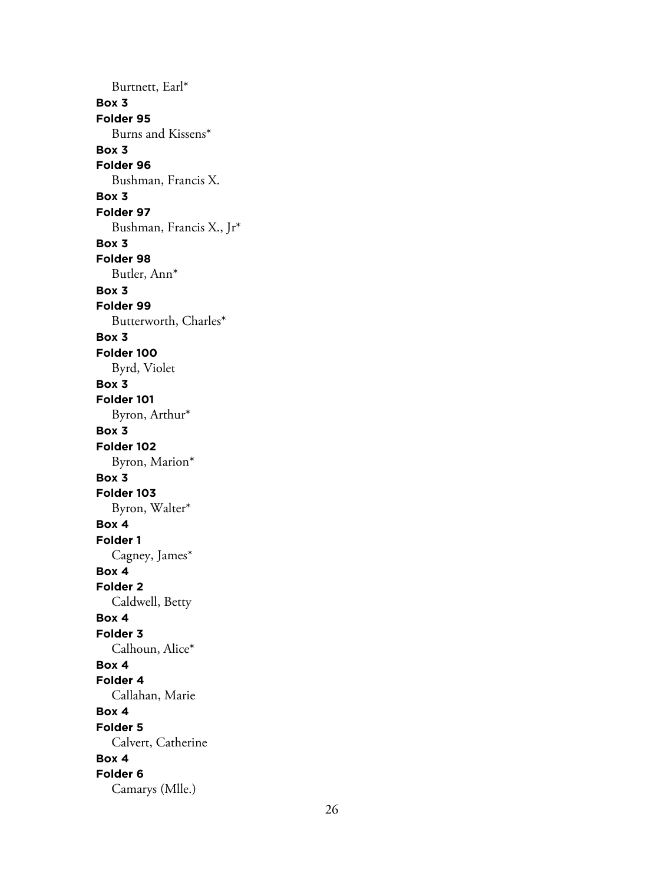Burtnett, Earl\* **Box 3 Folder 95** Burns and Kissens\* **Box 3 Folder 96** Bushman, Francis X. **Box 3 Folder 97** Bushman, Francis X., Jr\* **Box 3 Folder 98** Butler, Ann\* **Box 3 Folder 99** Butterworth, Charles\* **Box 3 Folder 100** Byrd, Violet **Box 3 Folder 101** Byron, Arthur\* **Box 3 Folder 102** Byron, Marion\* **Box 3 Folder 103** Byron, Walter\* **Box 4 Folder 1** Cagney, James\* **Box 4 Folder 2** Caldwell, Betty **Box 4 Folder 3** Calhoun, Alice\* **Box 4 Folder 4** Callahan, Marie **Box 4 Folder 5** Calvert, Catherine **Box 4 Folder 6** Camarys (Mlle.)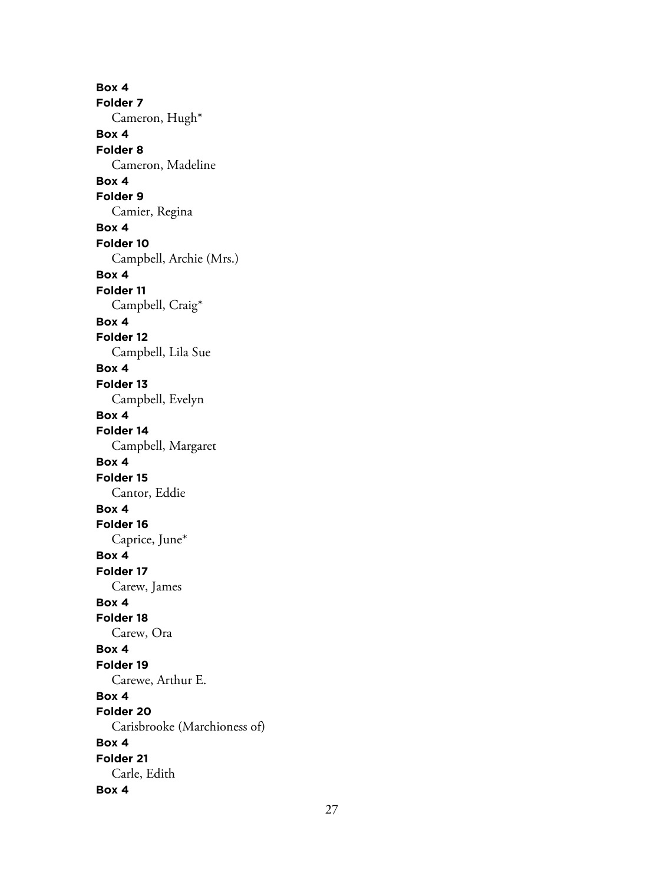**Box 4 Folder 7** Cameron, Hugh\* **Box 4 Folder 8** Cameron, Madeline **Box 4 Folder 9** Camier, Regina **Box 4 Folder 10** Campbell, Archie (Mrs.) **Box 4 Folder 11** Campbell, Craig\* **Box 4 Folder 12** Campbell, Lila Sue **Box 4 Folder 13** Campbell, Evelyn **Box 4 Folder 14** Campbell, Margaret **Box 4 Folder 15** Cantor, Eddie **Box 4 Folder 16** Caprice, June\* **Box 4 Folder 17** Carew, James **Box 4 Folder 18** Carew, Ora **Box 4 Folder 19** Carewe, Arthur E. **Box 4 Folder 20** Carisbrooke (Marchioness of) **Box 4 Folder 21** Carle, Edith **Box 4**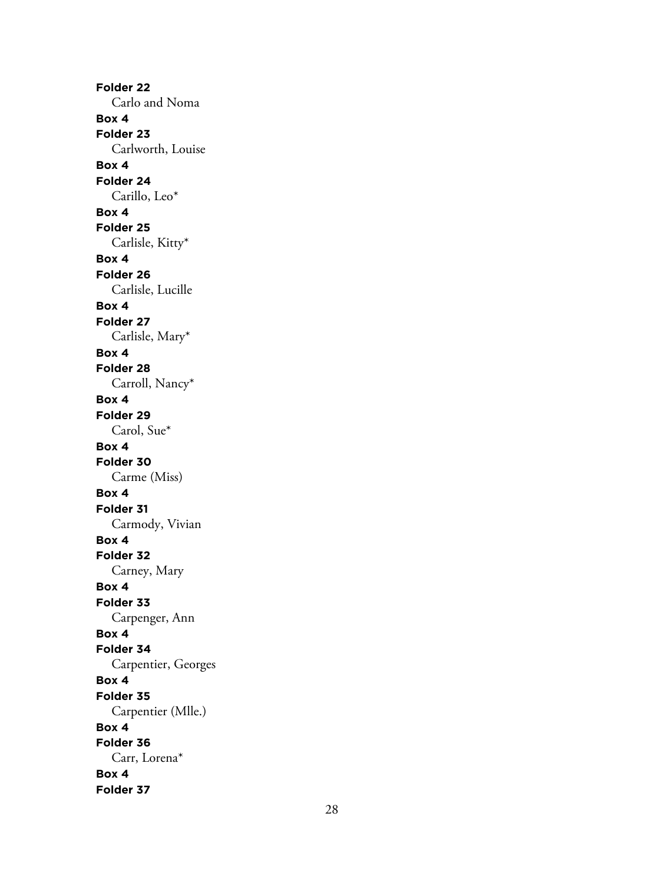**Folder 22** Carlo and Noma **Box 4 Folder 23** Carlworth, Louise **Box 4 Folder 24** Carillo, Leo\* **Box 4 Folder 25** Carlisle, Kitty\* **Box 4 Folder 26** Carlisle, Lucille **Box 4 Folder 27** Carlisle, Mary\* **Box 4 Folder 28** Carroll, Nancy\* **Box 4 Folder 29** Carol, Sue\* **Box 4 Folder 30** Carme (Miss) **Box 4 Folder 31** Carmody, Vivian **Box 4 Folder 32** Carney, Mary **Box 4 Folder 33** Carpenger, Ann **Box 4 Folder 34** Carpentier, Georges **Box 4 Folder 35** Carpentier (Mlle.) **Box 4 Folder 36** Carr, Lorena\* **Box 4 Folder 37**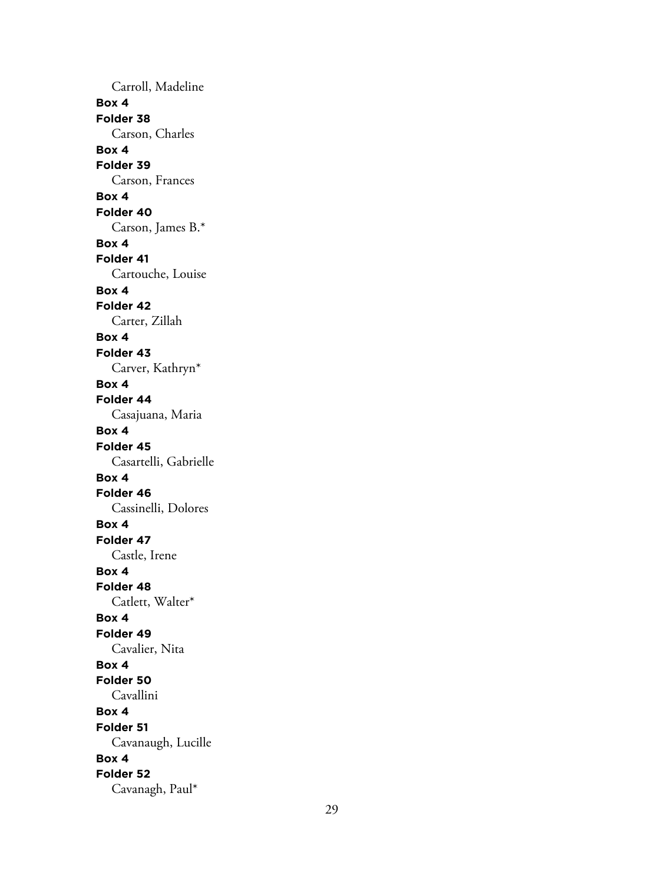Carroll, Madeline **Box 4 Folder 38** Carson, Charles **Box 4 Folder 39** Carson, Frances **Box 4 Folder 40** Carson, James B.\* **Box 4 Folder 41** Cartouche, Louise **Box 4 Folder 42** Carter, Zillah **Box 4 Folder 43** Carver, Kathryn\* **Box 4 Folder 44** Casajuana, Maria **Box 4 Folder 45** Casartelli, Gabrielle **Box 4 Folder 46** Cassinelli, Dolores **Box 4 Folder 47** Castle, Irene **Box 4 Folder 48** Catlett, Walter\* **Box 4 Folder 49** Cavalier, Nita **Box 4 Folder 50** Cavallini **Box 4 Folder 51** Cavanaugh, Lucille **Box 4 Folder 52** Cavanagh, Paul\*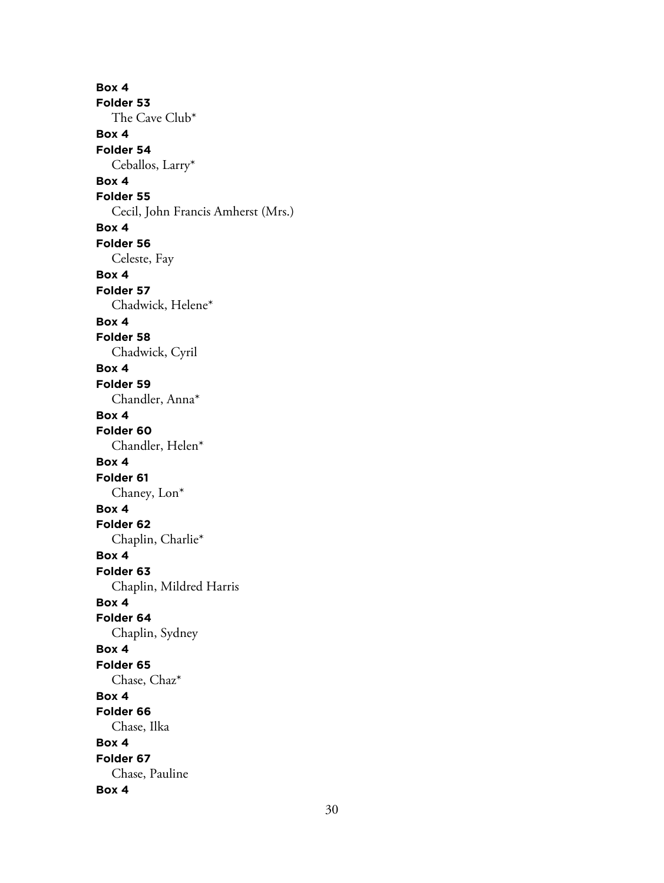**Box 4 Folder 53** The Cave Club\* **Box 4 Folder 54** Ceballos, Larry\* **Box 4 Folder 55** Cecil, John Francis Amherst (Mrs.) **Box 4 Folder 56** Celeste, Fay **Box 4 Folder 57** Chadwick, Helene\* **Box 4 Folder 58** Chadwick, Cyril **Box 4 Folder 59** Chandler, Anna\* **Box 4 Folder 60** Chandler, Helen\* **Box 4 Folder 61** Chaney, Lon\* **Box 4 Folder 62** Chaplin, Charlie\* **Box 4 Folder 63** Chaplin, Mildred Harris **Box 4 Folder 64** Chaplin, Sydney **Box 4 Folder 65** Chase, Chaz\* **Box 4 Folder 66** Chase, Ilka **Box 4 Folder 67** Chase, Pauline **Box 4**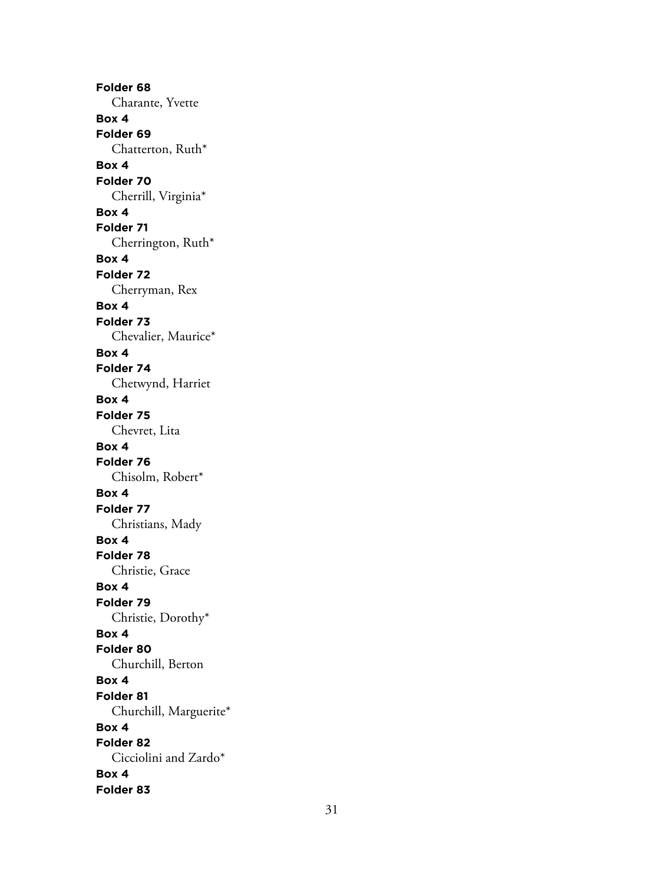**Folder 68** Charante, Yvette **Box 4 Folder 69** Chatterton, Ruth\* **Box 4 Folder 70** Cherrill, Virginia\* **Box 4 Folder 71** Cherrington, Ruth\* **Box 4 Folder 72** Cherryman, Rex **Box 4 Folder 73** Chevalier, Maurice\* **Box 4 Folder 74** Chetwynd, Harriet **Box 4 Folder 75** Chevret, Lita **Box 4 Folder 76** Chisolm, Robert\* **Box 4 Folder 77** Christians, Mady **Box 4 Folder 78** Christie, Grace **Box 4 Folder 79** Christie, Dorothy\* **Box 4 Folder 80** Churchill, Berton **Box 4 Folder 81** Churchill, Marguerite\* **Box 4 Folder 82** Cicciolini and Zardo\* **Box 4 Folder 83**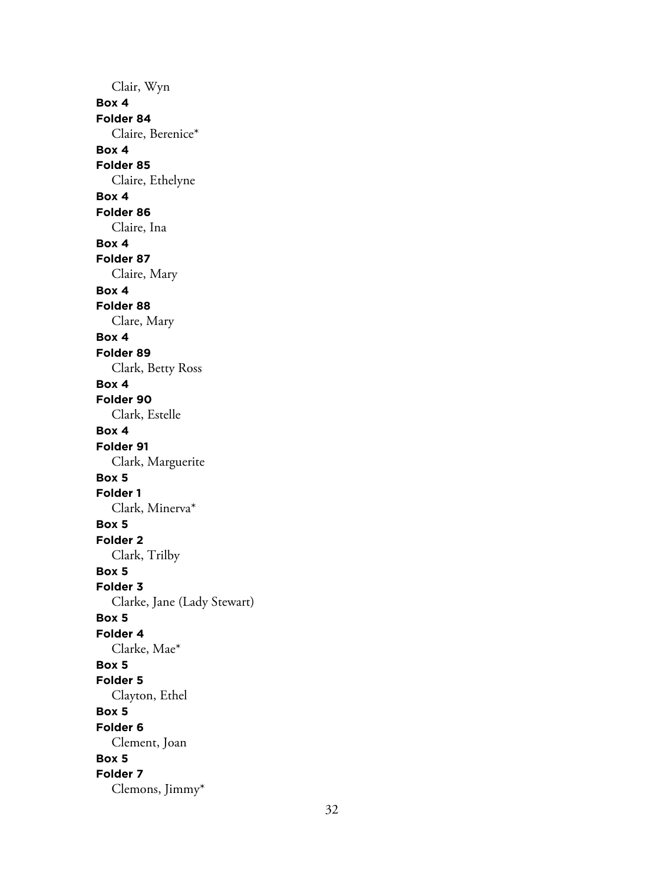Clair, Wyn **Box 4 Folder 84** Claire, Berenice\* **Box 4 Folder 85** Claire, Ethelyne **Box 4 Folder 86** Claire, Ina **Box 4 Folder 87** Claire, Mary **Box 4 Folder 88** Clare, Mary **Box 4 Folder 89** Clark, Betty Ross **Box 4 Folder 90** Clark, Estelle **Box 4 Folder 91** Clark, Marguerite **Box 5 Folder 1** Clark, Minerva\* **Box 5 Folder 2** Clark, Trilby **Box 5 Folder 3** Clarke, Jane (Lady Stewart) **Box 5 Folder 4** Clarke, Mae\* **Box 5 Folder 5** Clayton, Ethel **Box 5 Folder 6** Clement, Joan **Box 5 Folder 7** Clemons, Jimmy\*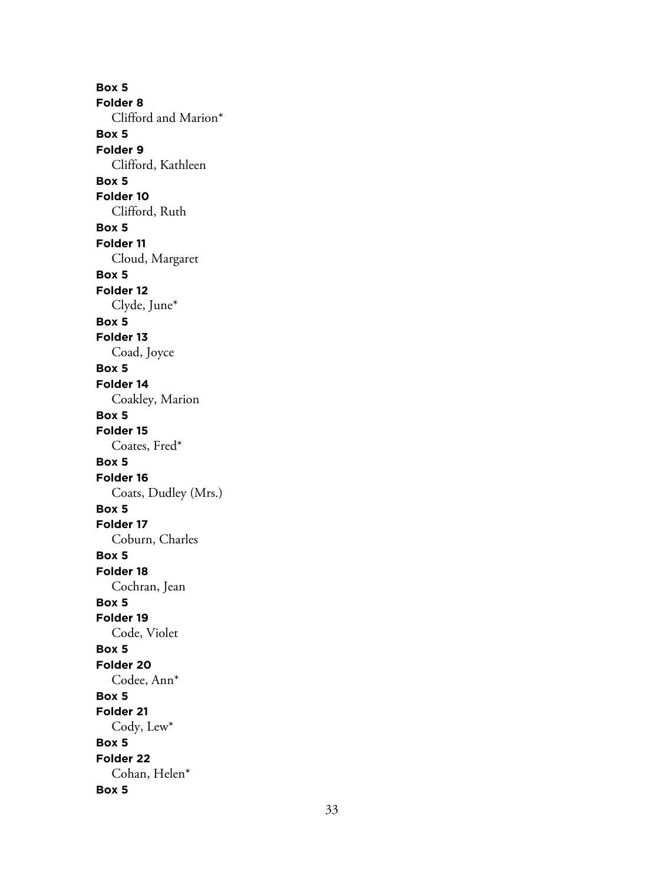**Box 5 Folder 8** Clifford and Marion\* **Box 5 Folder 9** Clifford, Kathleen **Box 5 Folder 10** Clifford, Ruth **Box 5 Folder 11** Cloud, Margaret **Box 5 Folder 12** Clyde, June\* **Box 5 Folder 13** Coad, Joyce **Box 5 Folder 14** Coakley, Marion **Box 5 Folder 15** Coates, Fred\* **Box 5 Folder 16** Coats, Dudley (Mrs.) **Box 5 Folder 17** Coburn, Charles **Box 5 Folder 18** Cochran, Jean **Box 5 Folder 19** Code, Violet **Box 5 Folder 20** Codee, Ann\* **Box 5 Folder 21** Cody, Lew\* **Box 5 Folder 22** Cohan, Helen\* **Box 5**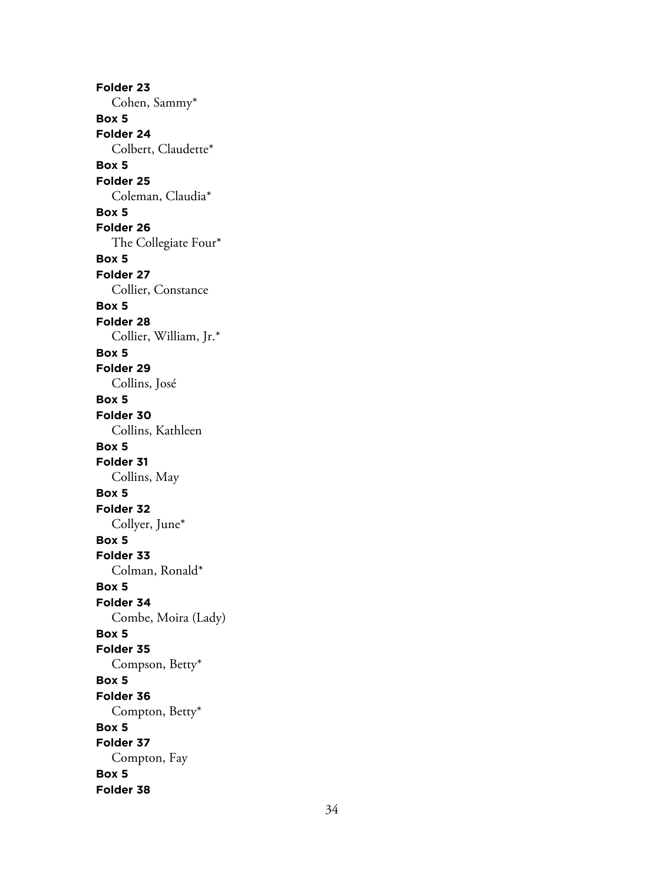**Folder 23** Cohen, Sammy\* **Box 5 Folder 24** Colbert, Claudette\* **Box 5 Folder 25** Coleman, Claudia\* **Box 5 Folder 26** The Collegiate Four\* **Box 5 Folder 27** Collier, Constance **Box 5 Folder 28** Collier, William, Jr.\* **Box 5 Folder 29** Collins, José **Box 5 Folder 30** Collins, Kathleen **Box 5 Folder 31** Collins, May **Box 5 Folder 32** Collyer, June\* **Box 5 Folder 33** Colman, Ronald\* **Box 5 Folder 34** Combe, Moira (Lady) **Box 5 Folder 35** Compson, Betty\* **Box 5 Folder 36** Compton, Betty\* **Box 5 Folder 37** Compton, Fay **Box 5 Folder 38**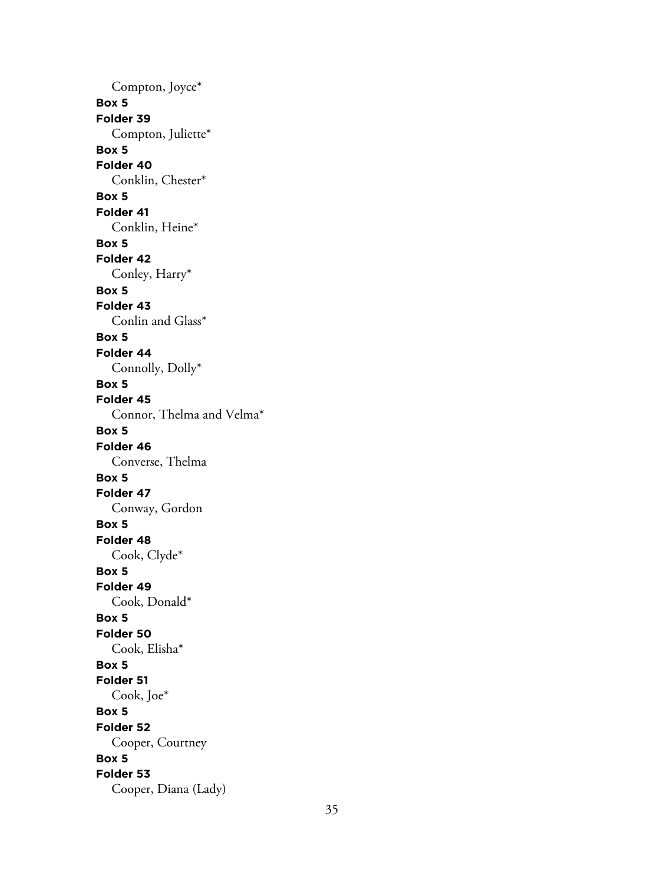Compton, Joyce\* **Box 5 Folder 39** Compton, Juliette\* **Box 5 Folder 40** Conklin, Chester\* **Box 5 Folder 41** Conklin, Heine\* **Box 5 Folder 42** Conley, Harry\* **Box 5 Folder 43** Conlin and Glass\* **Box 5 Folder 44** Connolly, Dolly\* **Box 5 Folder 45** Connor, Thelma and Velma\* **Box 5 Folder 46** Converse, Thelma **Box 5 Folder 47** Conway, Gordon **Box 5 Folder 48** Cook, Clyde\* **Box 5 Folder 49** Cook, Donald\* **Box 5 Folder 50** Cook, Elisha\* **Box 5 Folder 51** Cook, Joe\* **Box 5 Folder 52** Cooper, Courtney **Box 5 Folder 53** Cooper, Diana (Lady)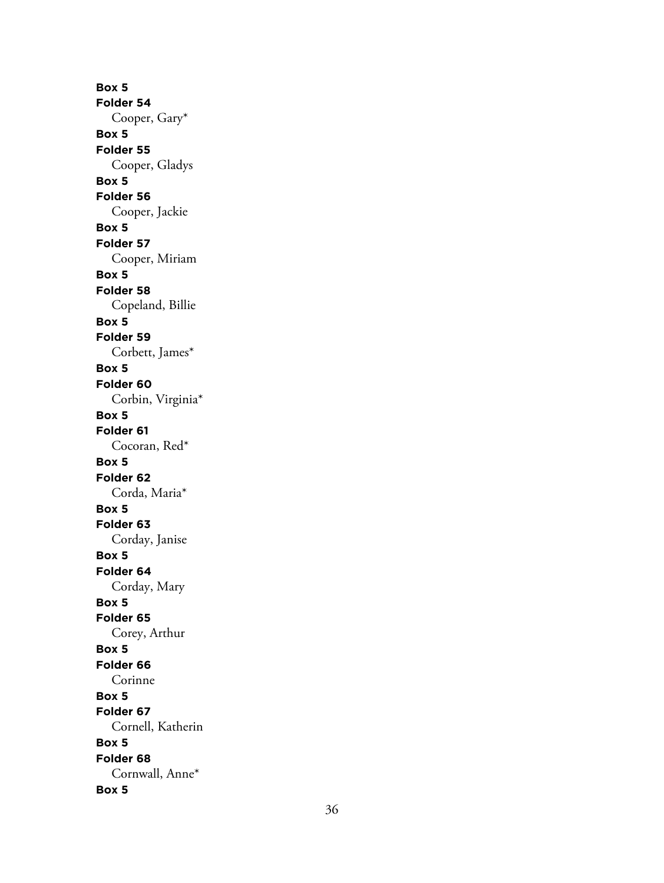**Box 5 Folder 54** Cooper, Gary\* **Box 5 Folder 55** Cooper, Gladys **Box 5 Folder 56** Cooper, Jackie **Box 5 Folder 57** Cooper, Miriam **Box 5 Folder 58** Copeland, Billie **Box 5 Folder 59** Corbett, James\* **Box 5 Folder 60** Corbin, Virginia\* **Box 5 Folder 61** Cocoran, Red\* **Box 5 Folder 62** Corda, Maria\* **Box 5 Folder 63** Corday, Janise **Box 5 Folder 64** Corday, Mary **Box 5 Folder 65** Corey, Arthur **Box 5 Folder 66** Corinne **Box 5 Folder 67** Cornell, Katherin **Box 5 Folder 68** Cornwall, Anne\* **Box 5**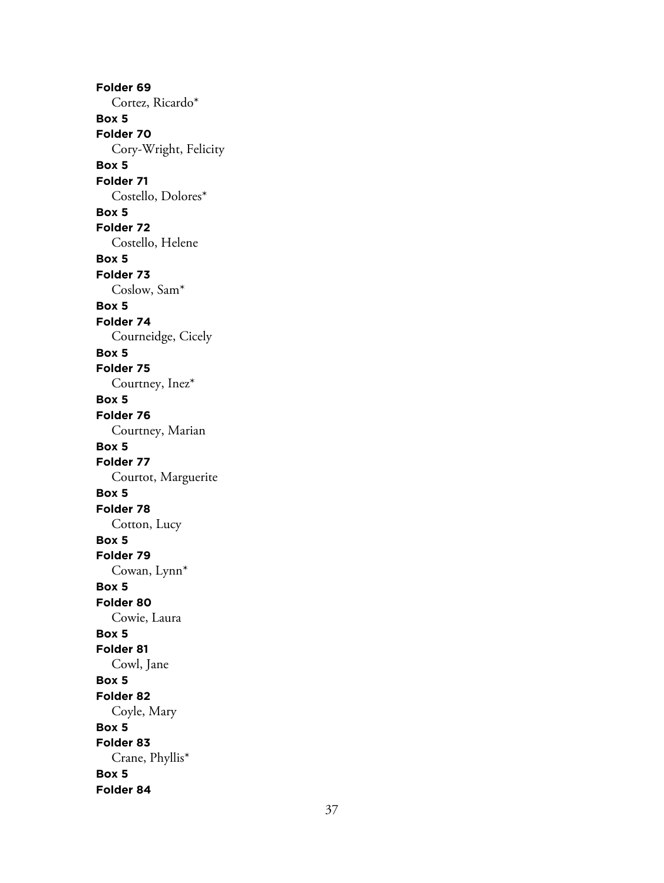**Folder 69** Cortez, Ricardo\* **Box 5 Folder 70** Cory-Wright, Felicity **Box 5 Folder 71** Costello, Dolores\* **Box 5 Folder 72** Costello, Helene **Box 5 Folder 73** Coslow, Sam\* **Box 5 Folder 74** Courneidge, Cicely **Box 5 Folder 75** Courtney, Inez\* **Box 5 Folder 76** Courtney, Marian **Box 5 Folder 77** Courtot, Marguerite **Box 5 Folder 78** Cotton, Lucy **Box 5 Folder 79** Cowan, Lynn\* **Box 5 Folder 80** Cowie, Laura **Box 5 Folder 81** Cowl, Jane **Box 5 Folder 82** Coyle, Mary **Box 5 Folder 83** Crane, Phyllis\* **Box 5 Folder 84**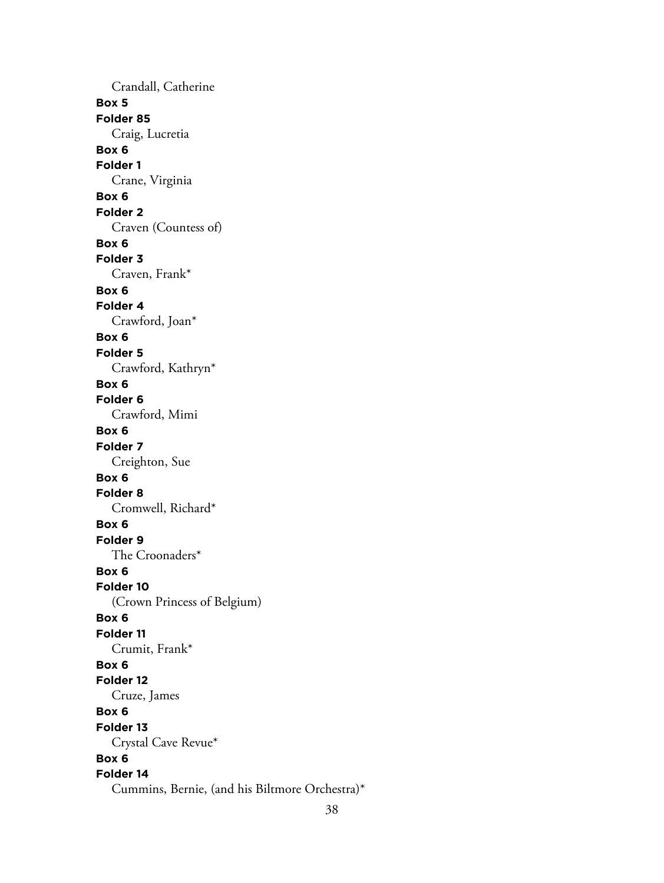Crandall, Catherine **Box 5 Folder 85** Craig, Lucretia **Box 6 Folder 1** Crane, Virginia **Box 6 Folder 2** Craven (Countess of) **Box 6 Folder 3** Craven, Frank\* **Box 6 Folder 4** Crawford, Joan\* **Box 6 Folder 5** Crawford, Kathryn\* **Box 6 Folder 6** Crawford, Mimi **Box 6 Folder 7** Creighton, Sue **Box 6 Folder 8** Cromwell, Richard\* **Box 6 Folder 9** The Croonaders\* **Box 6 Folder 10** (Crown Princess of Belgium) **Box 6 Folder 11** Crumit, Frank\* **Box 6 Folder 12** Cruze, James **Box 6 Folder 13** Crystal Cave Revue\* **Box 6 Folder 14** Cummins, Bernie, (and his Biltmore Orchestra)\*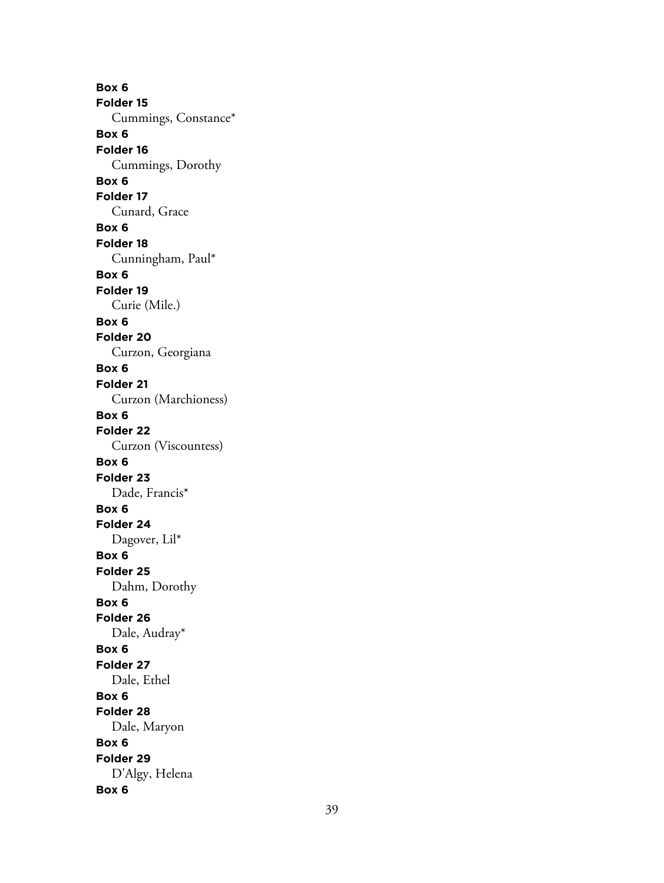**Box 6 Folder 15** Cummings, Constance\* **Box 6 Folder 16** Cummings, Dorothy **Box 6 Folder 17** Cunard, Grace **Box 6 Folder 18** Cunningham, Paul\* **Box 6 Folder 19** Curie (Mile.) **Box 6 Folder 20** Curzon, Georgiana **Box 6 Folder 21** Curzon (Marchioness) **Box 6 Folder 22** Curzon (Viscountess) **Box 6 Folder 23** Dade, Francis\* **Box 6 Folder 24** Dagover, Lil\* **Box 6 Folder 25** Dahm, Dorothy **Box 6 Folder 26** Dale, Audray\* **Box 6 Folder 27** Dale, Ethel **Box 6 Folder 28** Dale, Maryon **Box 6 Folder 29** D'Algy, Helena **Box 6**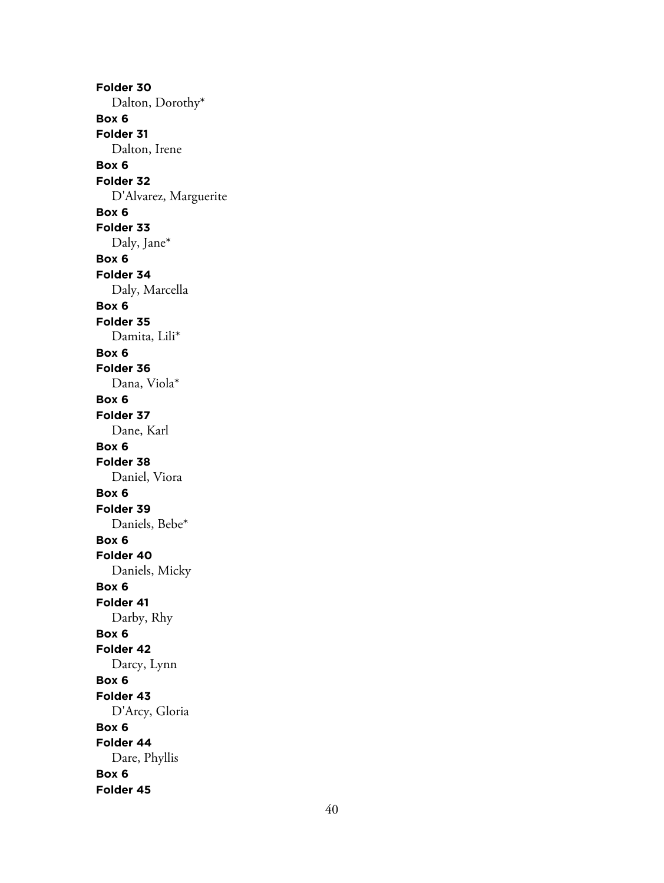**Folder 30** Dalton, Dorothy\* **Box 6 Folder 31** Dalton, Irene **Box 6 Folder 32** D'Alvarez, Marguerite **Box 6 Folder 33** Daly, Jane\* **Box 6 Folder 34** Daly, Marcella **Box 6 Folder 35** Damita, Lili\* **Box 6 Folder 36** Dana, Viola\* **Box 6 Folder 37** Dane, Karl **Box 6 Folder 38** Daniel, Viora **Box 6 Folder 39** Daniels, Bebe\* **Box 6 Folder 40** Daniels, Micky **Box 6 Folder 41** Darby, Rhy **Box 6 Folder 42** Darcy, Lynn **Box 6 Folder 43** D'Arcy, Gloria **Box 6 Folder 44** Dare, Phyllis **Box 6 Folder 45**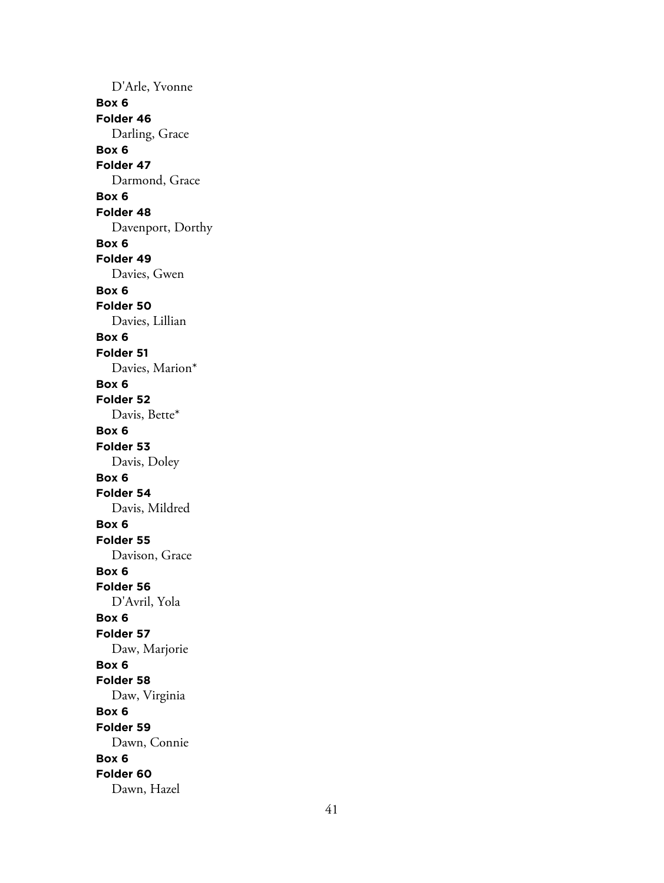D'Arle, Yvonne **Box 6 Folder 46** Darling, Grace **Box 6 Folder 47** Darmond, Grace **Box 6 Folder 48** Davenport, Dorthy **Box 6 Folder 49** Davies, Gwen **Box 6 Folder 50** Davies, Lillian **Box 6 Folder 51** Davies, Marion\* **Box 6 Folder 52** Davis, Bette\* **Box 6 Folder 53** Davis, Doley **Box 6 Folder 54** Davis, Mildred **Box 6 Folder 55** Davison, Grace **Box 6 Folder 56** D'Avril, Yola **Box 6 Folder 57** Daw, Marjorie **Box 6 Folder 58** Daw, Virginia **Box 6 Folder 59** Dawn, Connie **Box 6 Folder 60** Dawn, Hazel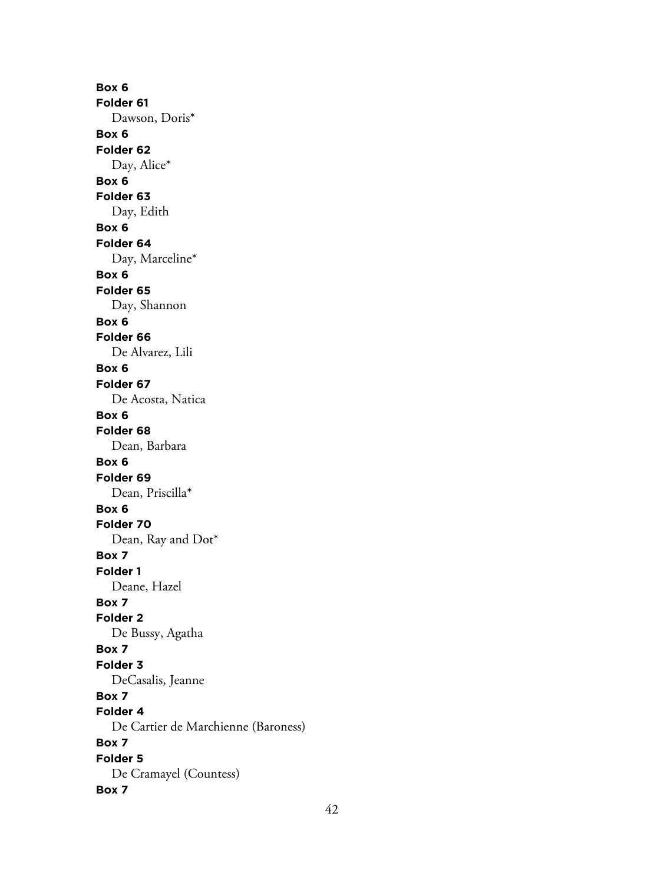**Box 6 Folder 61** Dawson, Doris\* **Box 6 Folder 62** Day, Alice\* **Box 6 Folder 63** Day, Edith **Box 6 Folder 64** Day, Marceline\* **Box 6 Folder 65** Day, Shannon **Box 6 Folder 66** De Alvarez, Lili **Box 6 Folder 67** De Acosta, Natica **Box 6 Folder 68** Dean, Barbara **Box 6 Folder 69** Dean, Priscilla\* **Box 6 Folder 70** Dean, Ray and Dot\* **Box 7 Folder 1** Deane, Hazel **Box 7 Folder 2** De Bussy, Agatha **Box 7 Folder 3** DeCasalis, Jeanne **Box 7 Folder 4** De Cartier de Marchienne (Baroness) **Box 7 Folder 5** De Cramayel (Countess) **Box 7**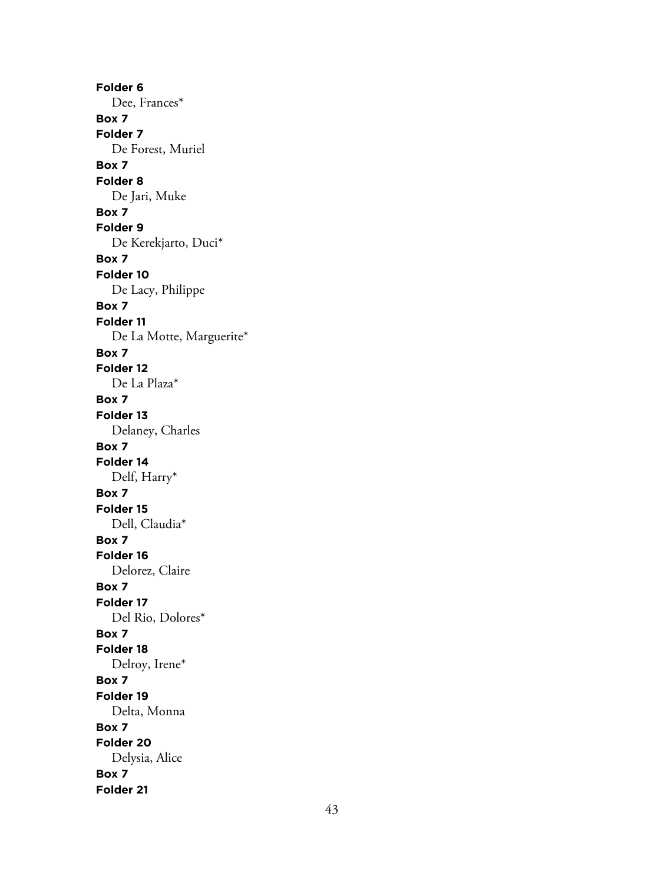**Folder 6** Dee, Frances\* **Box 7 Folder 7** De Forest, Muriel **Box 7 Folder 8** De Jari, Muke **Box 7 Folder 9** De Kerekjarto, Duci\* **Box 7 Folder 10** De Lacy, Philippe **Box 7 Folder 11** De La Motte, Marguerite\* **Box 7 Folder 12** De La Plaza\* **Box 7 Folder 13** Delaney, Charles **Box 7 Folder 14** Delf, Harry\* **Box 7 Folder 15** Dell, Claudia\* **Box 7 Folder 16** Delorez, Claire **Box 7 Folder 17** Del Rio, Dolores\* **Box 7 Folder 18** Delroy, Irene\* **Box 7 Folder 19** Delta, Monna **Box 7 Folder 20** Delysia, Alice **Box 7 Folder 21**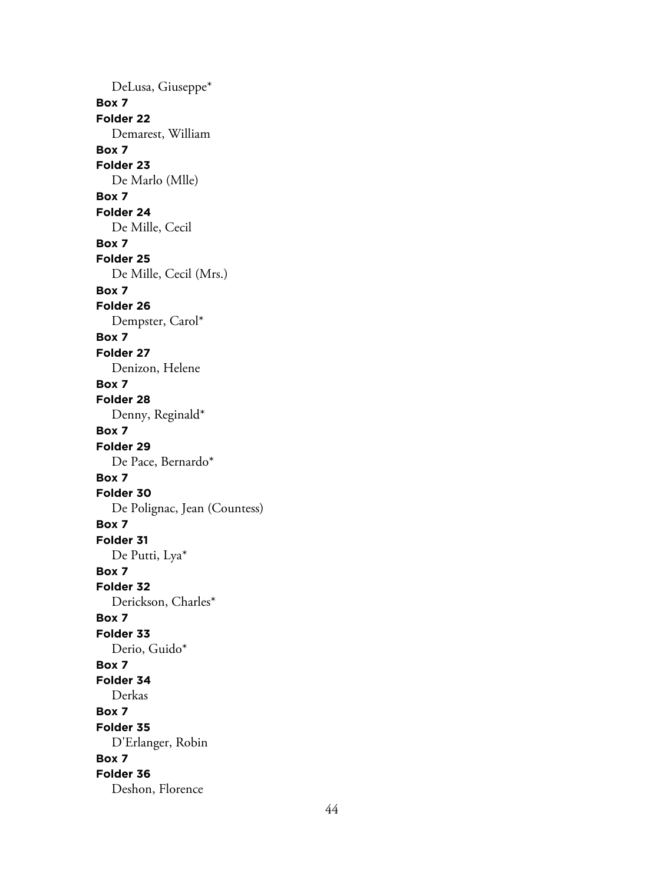DeLusa, Giuseppe\* **Box 7 Folder 22** Demarest, William **Box 7 Folder 23** De Marlo (Mlle) **Box 7 Folder 24** De Mille, Cecil **Box 7 Folder 25** De Mille, Cecil (Mrs.) **Box 7 Folder 26** Dempster, Carol\* **Box 7 Folder 27** Denizon, Helene **Box 7 Folder 28** Denny, Reginald\* **Box 7 Folder 29** De Pace, Bernardo\* **Box 7 Folder 30** De Polignac, Jean (Countess) **Box 7 Folder 31** De Putti, Lya\* **Box 7 Folder 32** Derickson, Charles\* **Box 7 Folder 33** Derio, Guido\* **Box 7 Folder 34** Derkas **Box 7 Folder 35** D'Erlanger, Robin **Box 7 Folder 36** Deshon, Florence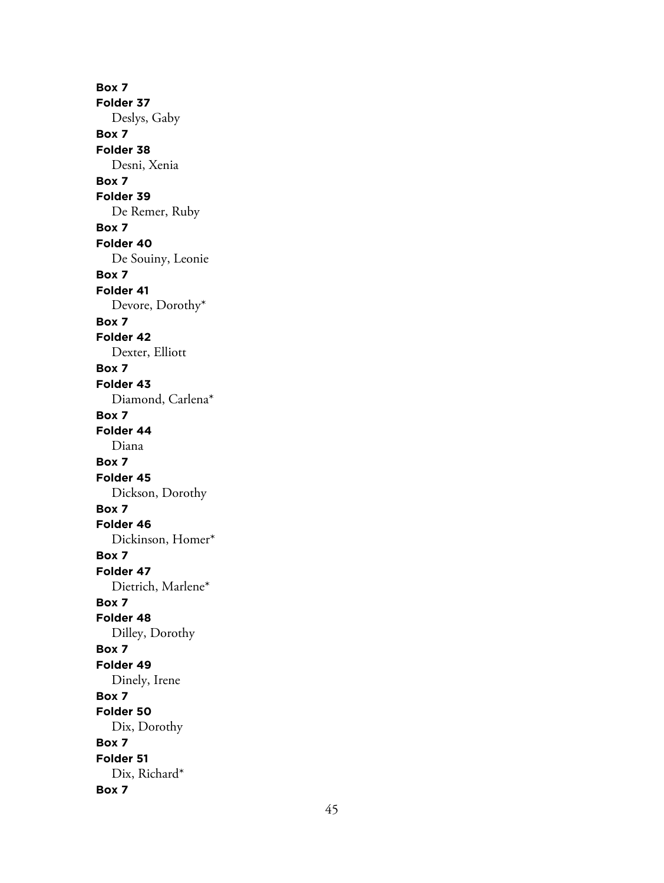**Box 7 Folder 37** Deslys, Gaby **Box 7 Folder 38** Desni, Xenia **Box 7 Folder 39** De Remer, Ruby **Box 7 Folder 40** De Souiny, Leonie **Box 7 Folder 41** Devore, Dorothy\* **Box 7 Folder 42** Dexter, Elliott **Box 7 Folder 43** Diamond, Carlena\* **Box 7 Folder 44** Diana **Box 7 Folder 45** Dickson, Dorothy **Box 7 Folder 46** Dickinson, Homer\* **Box 7 Folder 47** Dietrich, Marlene\* **Box 7 Folder 48** Dilley, Dorothy **Box 7 Folder 49** Dinely, Irene **Box 7 Folder 50** Dix, Dorothy **Box 7 Folder 51** Dix, Richard\* **Box 7**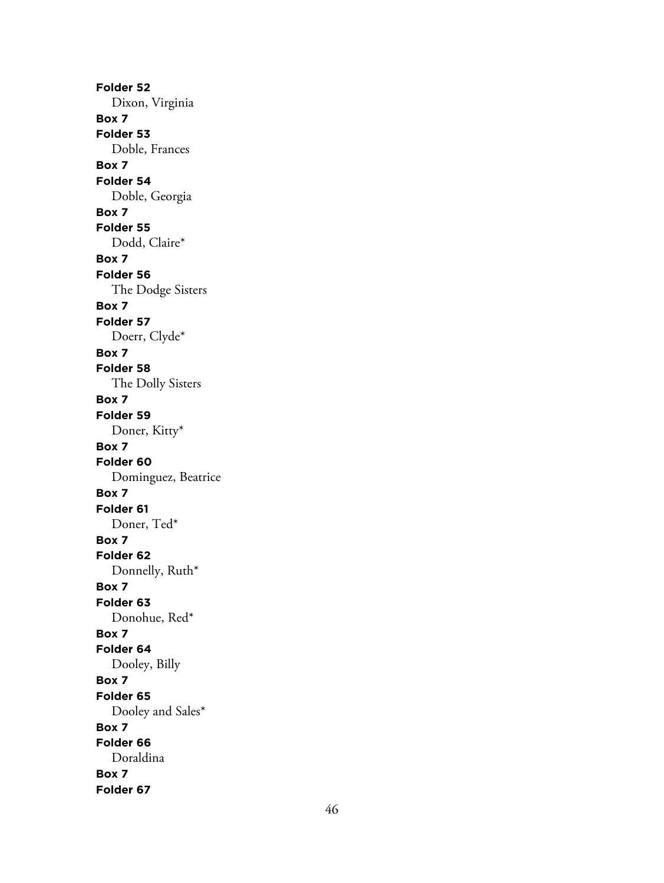**Folder 52** Dixon, Virginia **Box 7 Folder 53** Doble, Frances **Box 7 Folder 54** Doble, Georgia **Box 7 Folder 55** Dodd, Claire\* **Box 7 Folder 56** The Dodge Sisters **Box 7 Folder 57** Doerr, Clyde\* **Box 7 Folder 58** The Dolly Sisters **Box 7 Folder 59** Doner, Kitty\* **Box 7 Folder 60** Dominguez, Beatrice **Box 7 Folder 61** Doner, Ted\* **Box 7 Folder 62** Donnelly, Ruth\* **Box 7 Folder 63** Donohue, Red\* **Box 7 Folder 64** Dooley, Billy **Box 7 Folder 65** Dooley and Sales\* **Box 7 Folder 66** Doraldina **Box 7 Folder 67**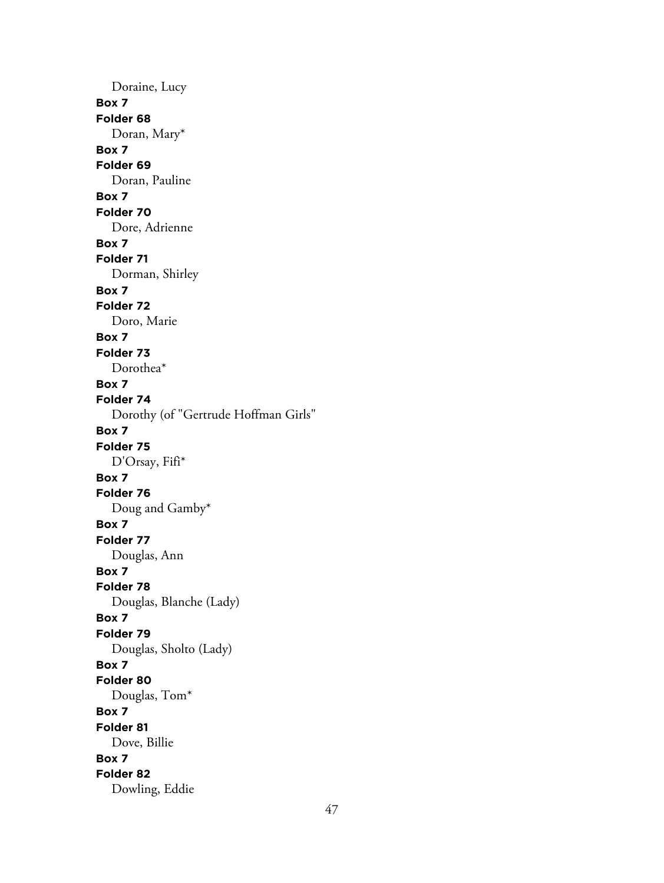Doraine, Lucy **Box 7 Folder 68** Doran, Mary\* **Box 7 Folder 69** Doran, Pauline **Box 7 Folder 70** Dore, Adrienne **Box 7 Folder 71** Dorman, Shirley **Box 7 Folder 72** Doro, Marie **Box 7 Folder 73** Dorothea\* **Box 7 Folder 74** Dorothy (of "Gertrude Hoffman Girls" **Box 7 Folder 75** D'Orsay, Fifi\* **Box 7 Folder 76** Doug and Gamby\* **Box 7 Folder 77** Douglas, Ann **Box 7 Folder 78** Douglas, Blanche (Lady) **Box 7 Folder 79** Douglas, Sholto (Lady) **Box 7 Folder 80** Douglas, Tom\* **Box 7 Folder 81** Dove, Billie **Box 7 Folder 82** Dowling, Eddie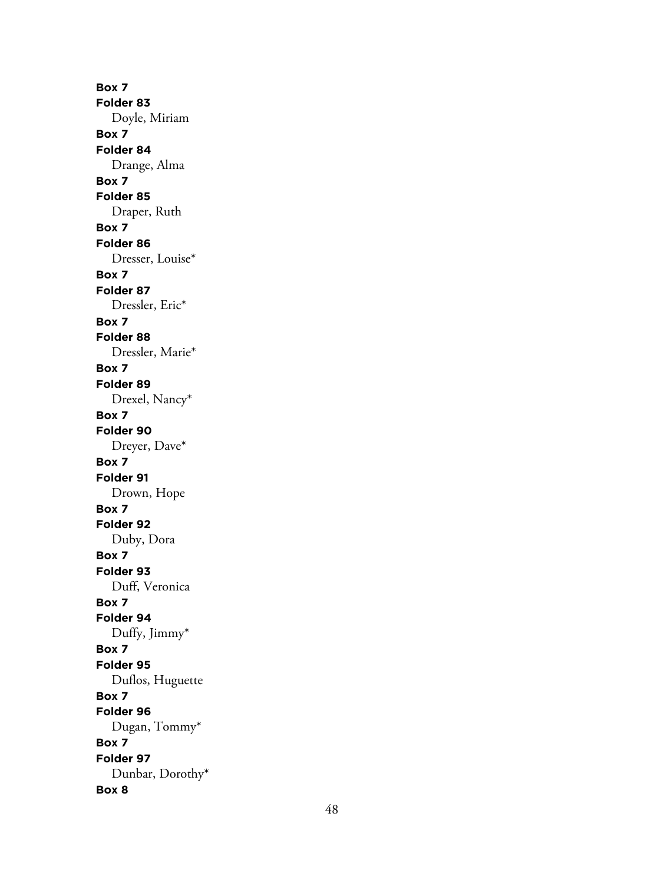**Box 7 Folder 83** Doyle, Miriam **Box 7 Folder 84** Drange, Alma **Box 7 Folder 85** Draper, Ruth **Box 7 Folder 86** Dresser, Louise\* **Box 7 Folder 87** Dressler, Eric\* **Box 7 Folder 88** Dressler, Marie\* **Box 7 Folder 89** Drexel, Nancy\* **Box 7 Folder 90** Dreyer, Dave\* **Box 7 Folder 91** Drown, Hope **Box 7 Folder 92** Duby, Dora **Box 7 Folder 93** Duff, Veronica **Box 7 Folder 94** Duffy, Jimmy\* **Box 7 Folder 95** Duflos, Huguette **Box 7 Folder 96** Dugan, Tommy\* **Box 7 Folder 97** Dunbar, Dorothy\* **Box 8**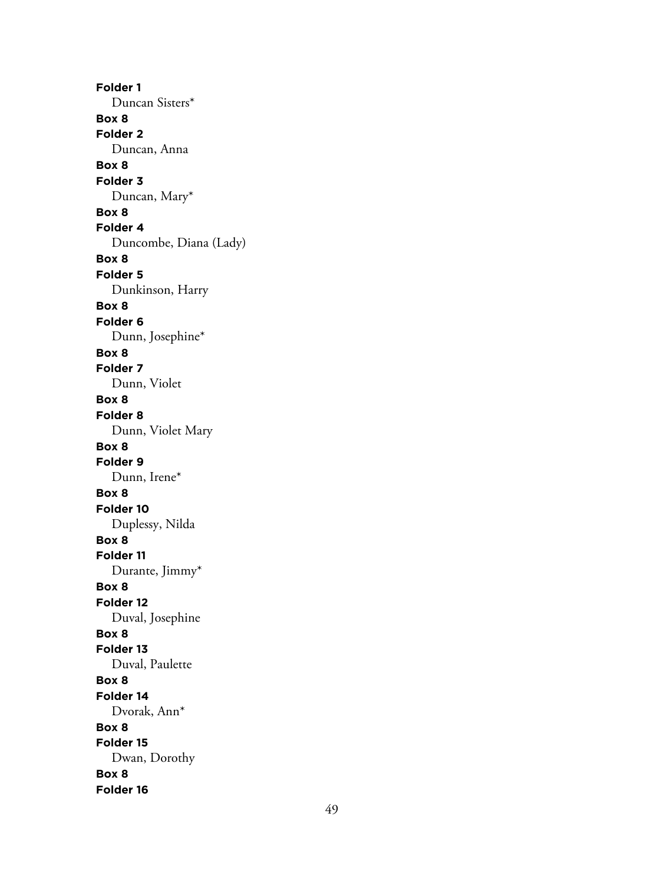**Folder 1** Duncan Sisters\* **Box 8 Folder 2** Duncan, Anna **Box 8 Folder 3** Duncan, Mary\* **Box 8 Folder 4** Duncombe, Diana (Lady) **Box 8 Folder 5** Dunkinson, Harry **Box 8 Folder 6** Dunn, Josephine\* **Box 8 Folder 7** Dunn, Violet **Box 8 Folder 8** Dunn, Violet Mary **Box 8 Folder 9** Dunn, Irene\* **Box 8 Folder 10** Duplessy, Nilda **Box 8 Folder 11** Durante, Jimmy\* **Box 8 Folder 12** Duval, Josephine **Box 8 Folder 13** Duval, Paulette **Box 8 Folder 14** Dvorak, Ann\* **Box 8 Folder 15** Dwan, Dorothy **Box 8 Folder 16**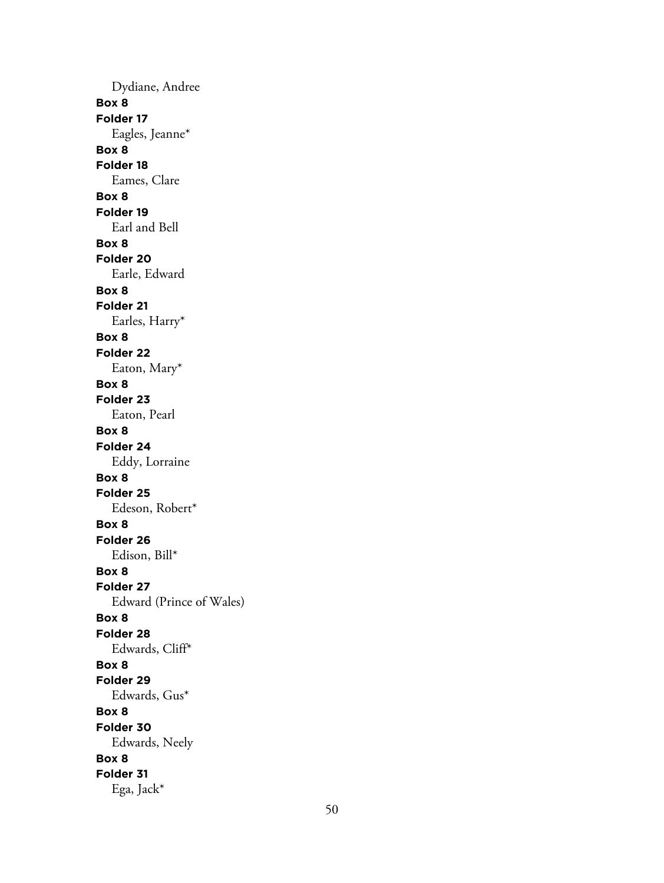Dydiane, Andree **Box 8 Folder 17** Eagles, Jeanne\* **Box 8 Folder 18** Eames, Clare **Box 8 Folder 19** Earl and Bell **Box 8 Folder 20** Earle, Edward **Box 8 Folder 21** Earles, Harry\* **Box 8 Folder 22** Eaton, Mary\* **Box 8 Folder 23** Eaton, Pearl **Box 8 Folder 24** Eddy, Lorraine **Box 8 Folder 25** Edeson, Robert\* **Box 8 Folder 26** Edison, Bill\* **Box 8 Folder 27** Edward (Prince of Wales) **Box 8 Folder 28** Edwards, Cliff\* **Box 8 Folder 29** Edwards, Gus\* **Box 8 Folder 30** Edwards, Neely **Box 8 Folder 31** Ega, Jack\*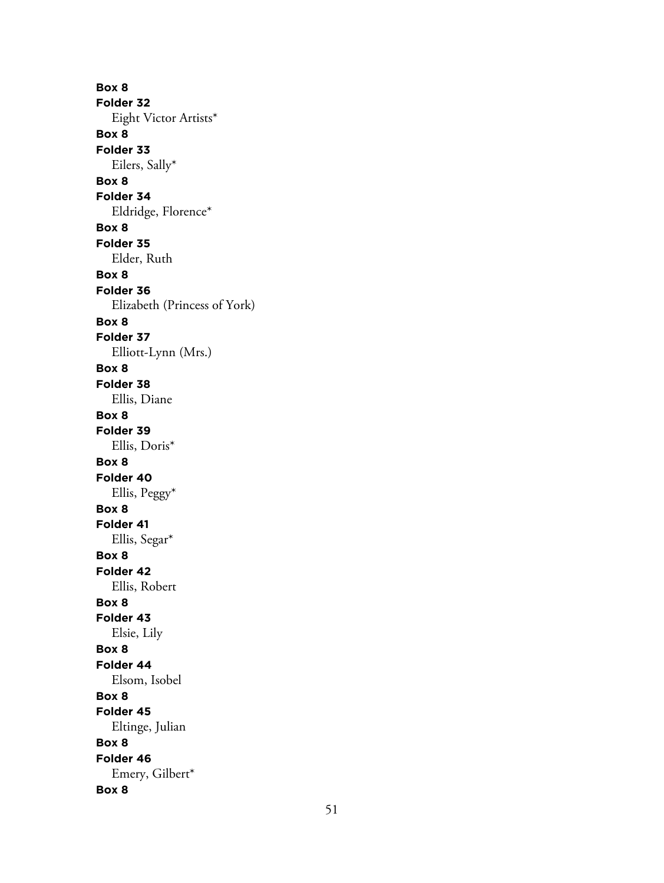**Box 8 Folder 32** Eight Victor Artists\* **Box 8 Folder 33** Eilers, Sally\* **Box 8 Folder 34** Eldridge, Florence\* **Box 8 Folder 35** Elder, Ruth **Box 8 Folder 36** Elizabeth (Princess of York) **Box 8 Folder 37** Elliott-Lynn (Mrs.) **Box 8 Folder 38** Ellis, Diane **Box 8 Folder 39** Ellis, Doris\* **Box 8 Folder 40** Ellis, Peggy\* **Box 8 Folder 41** Ellis, Segar\* **Box 8 Folder 42** Ellis, Robert **Box 8 Folder 43** Elsie, Lily **Box 8 Folder 44** Elsom, Isobel **Box 8 Folder 45** Eltinge, Julian **Box 8 Folder 46** Emery, Gilbert\* **Box 8**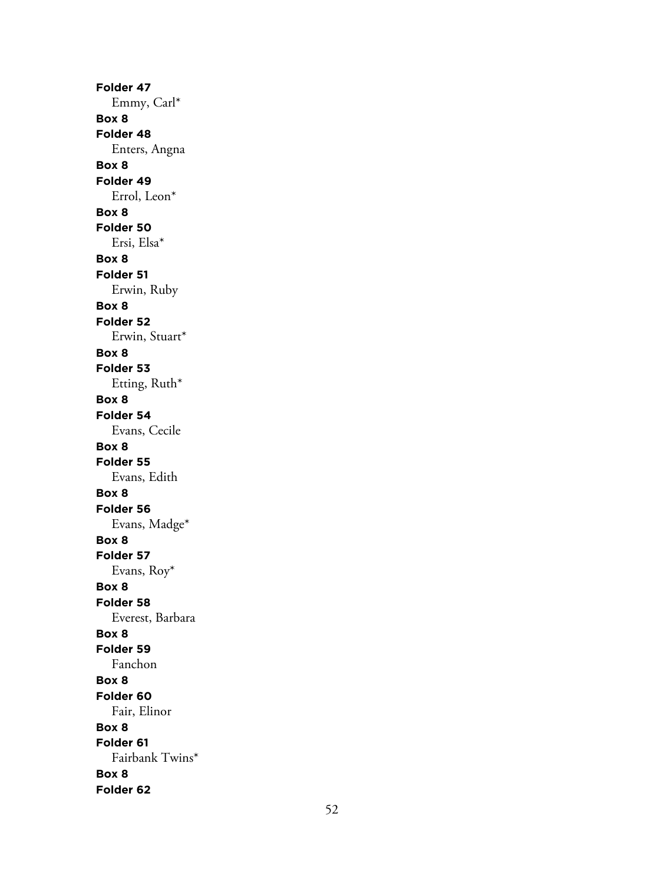**Folder 47** Emmy, Carl\* **Box 8 Folder 48** Enters, Angna **Box 8 Folder 49** Errol, Leon\* **Box 8 Folder 50** Ersi, Elsa\* **Box 8 Folder 51** Erwin, Ruby **Box 8 Folder 52** Erwin, Stuart\* **Box 8 Folder 53** Etting, Ruth\* **Box 8 Folder 54** Evans, Cecile **Box 8 Folder 55** Evans, Edith **Box 8 Folder 56** Evans, Madge\* **Box 8 Folder 57** Evans, Roy\* **Box 8 Folder 58** Everest, Barbara **Box 8 Folder 59** Fanchon **Box 8 Folder 60** Fair, Elinor **Box 8 Folder 61** Fairbank Twins\* **Box 8 Folder 62**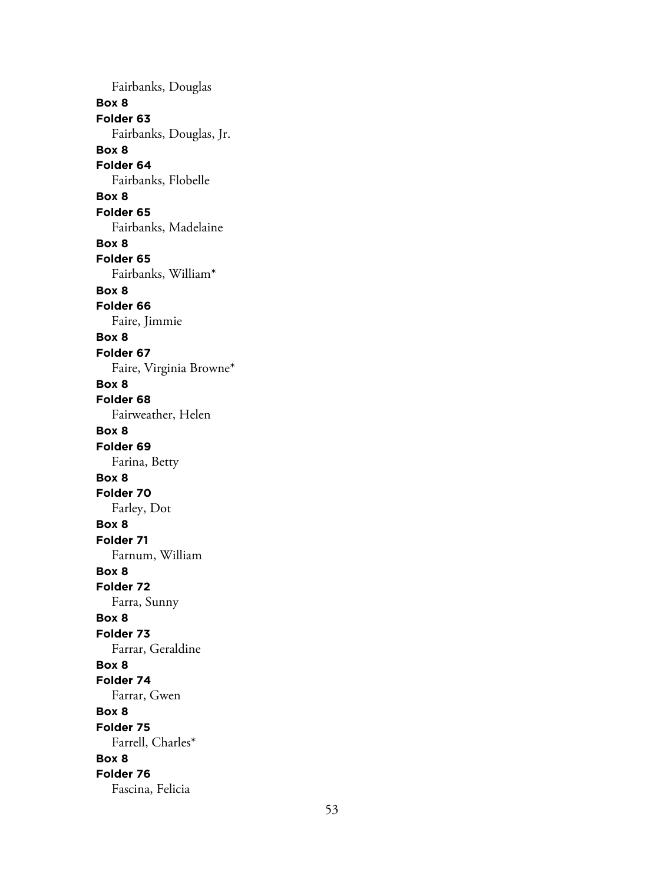Fairbanks, Douglas **Box 8 Folder 63** Fairbanks, Douglas, Jr. **Box 8 Folder 64** Fairbanks, Flobelle **Box 8 Folder 65** Fairbanks, Madelaine **Box 8 Folder 65** Fairbanks, William\* **Box 8 Folder 66** Faire, Jimmie **Box 8 Folder 67** Faire, Virginia Browne\* **Box 8 Folder 68** Fairweather, Helen **Box 8 Folder 69** Farina, Betty **Box 8 Folder 70** Farley, Dot **Box 8 Folder 71** Farnum, William **Box 8 Folder 72** Farra, Sunny **Box 8 Folder 73** Farrar, Geraldine **Box 8 Folder 74** Farrar, Gwen **Box 8 Folder 75** Farrell, Charles\* **Box 8 Folder 76** Fascina, Felicia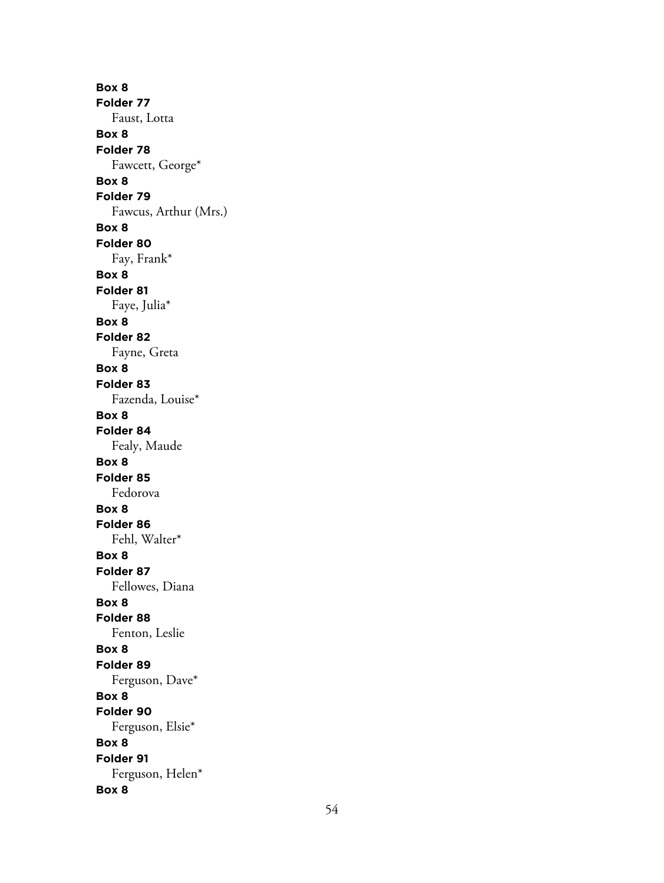**Box 8 Folder 77** Faust, Lotta **Box 8 Folder 78** Fawcett, George\* **Box 8 Folder 79** Fawcus, Arthur (Mrs.) **Box 8 Folder 80** Fay, Frank\* **Box 8 Folder 81** Faye, Julia\* **Box 8 Folder 82** Fayne, Greta **Box 8 Folder 83** Fazenda, Louise\* **Box 8 Folder 84** Fealy, Maude **Box 8 Folder 85** Fedorova **Box 8 Folder 86** Fehl, Walter\* **Box 8 Folder 87** Fellowes, Diana **Box 8 Folder 88** Fenton, Leslie **Box 8 Folder 89** Ferguson, Dave\* **Box 8 Folder 90** Ferguson, Elsie\* **Box 8 Folder 91** Ferguson, Helen\* **Box 8**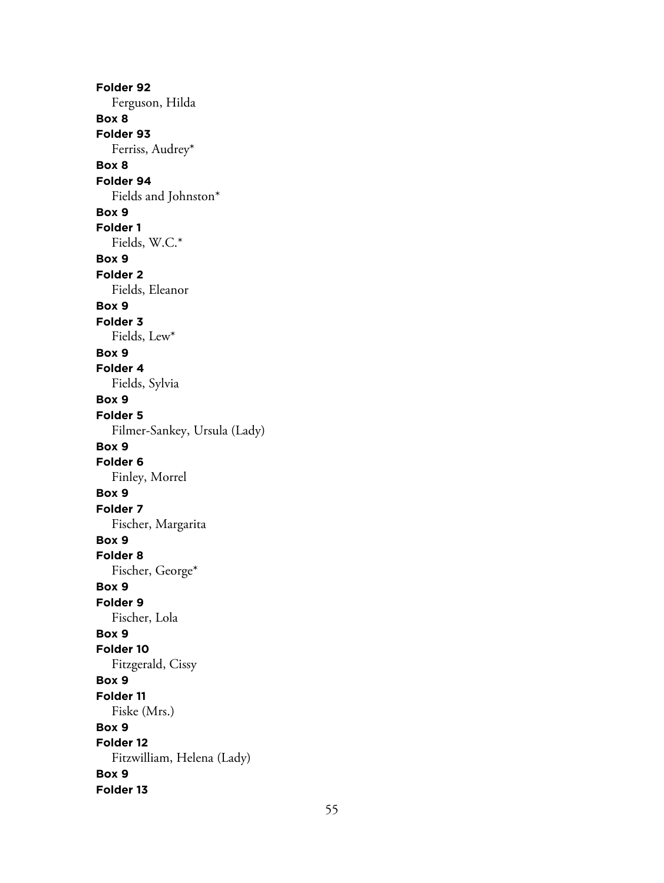**Folder 92** Ferguson, Hilda **Box 8 Folder 93** Ferriss, Audrey\* **Box 8 Folder 94** Fields and Johnston\* **Box 9 Folder 1** Fields, W.C.\* **Box 9 Folder 2** Fields, Eleanor **Box 9 Folder 3** Fields, Lew\* **Box 9 Folder 4** Fields, Sylvia **Box 9 Folder 5** Filmer-Sankey, Ursula (Lady) **Box 9 Folder 6** Finley, Morrel **Box 9 Folder 7** Fischer, Margarita **Box 9 Folder 8** Fischer, George\* **Box 9 Folder 9** Fischer, Lola **Box 9 Folder 10** Fitzgerald, Cissy **Box 9 Folder 11** Fiske (Mrs.) **Box 9 Folder 12** Fitzwilliam, Helena (Lady) **Box 9 Folder 13**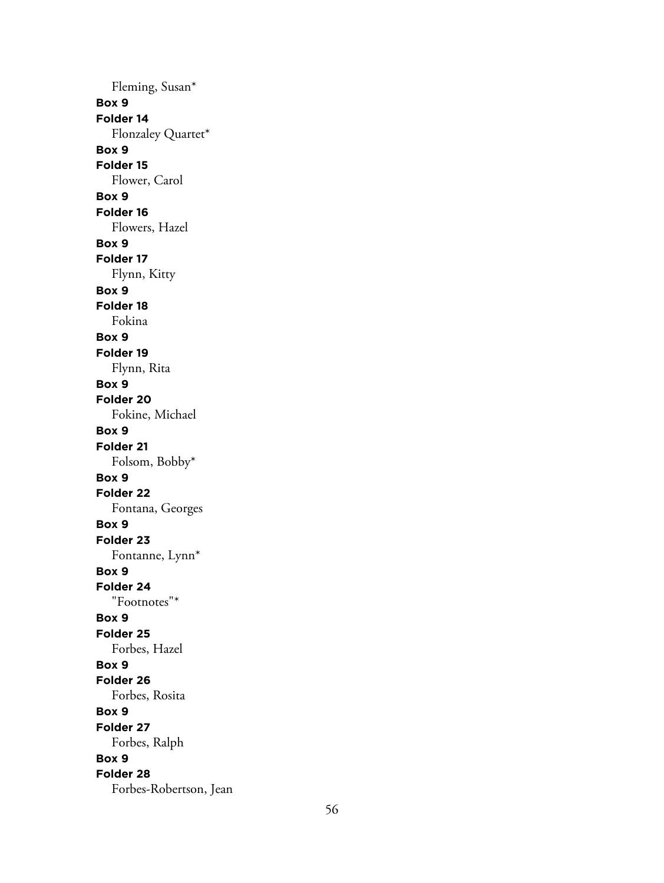Fleming, Susan\* **Box 9 Folder 14** Flonzaley Quartet\* **Box 9 Folder 15** Flower, Carol **Box 9 Folder 16** Flowers, Hazel **Box 9 Folder 17** Flynn, Kitty **Box 9 Folder 18** Fokina **Box 9 Folder 19** Flynn, Rita **Box 9 Folder 20** Fokine, Michael **Box 9 Folder 21** Folsom, Bobby\* **Box 9 Folder 22** Fontana, Georges **Box 9 Folder 23** Fontanne, Lynn\* **Box 9 Folder 24** "Footnotes"\* **Box 9 Folder 25** Forbes, Hazel **Box 9 Folder 26** Forbes, Rosita **Box 9 Folder 27** Forbes, Ralph **Box 9 Folder 28** Forbes-Robertson, Jean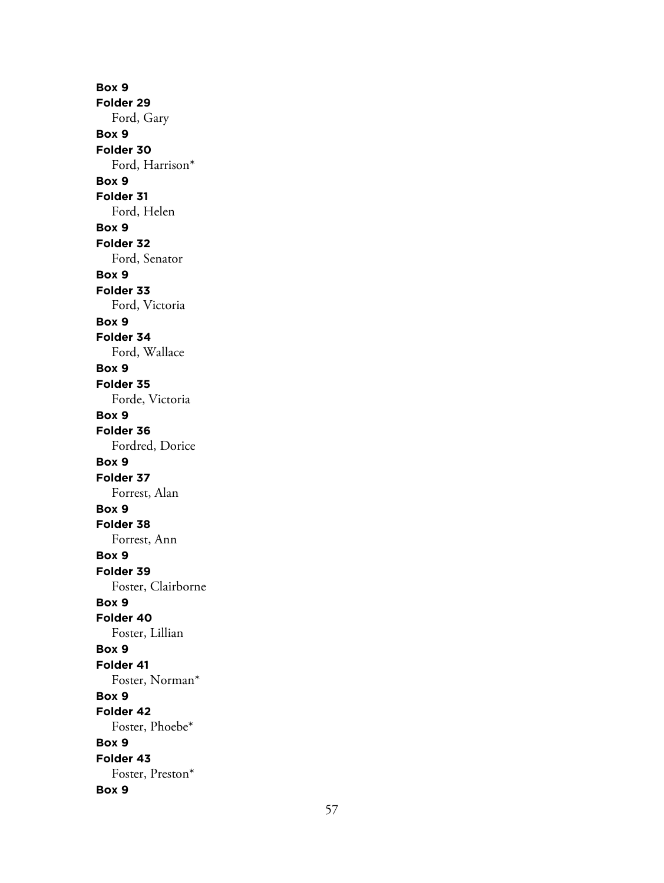**Box 9 Folder 29** Ford, Gary **Box 9 Folder 30** Ford, Harrison\* **Box 9 Folder 31** Ford, Helen **Box 9 Folder 32** Ford, Senator **Box 9 Folder 33** Ford, Victoria **Box 9 Folder 34** Ford, Wallace **Box 9 Folder 35** Forde, Victoria **Box 9 Folder 36** Fordred, Dorice **Box 9 Folder 37** Forrest, Alan **Box 9 Folder 38** Forrest, Ann **Box 9 Folder 39** Foster, Clairborne **Box 9 Folder 40** Foster, Lillian **Box 9 Folder 41** Foster, Norman\* **Box 9 Folder 42** Foster, Phoebe\* **Box 9 Folder 43** Foster, Preston\* **Box 9**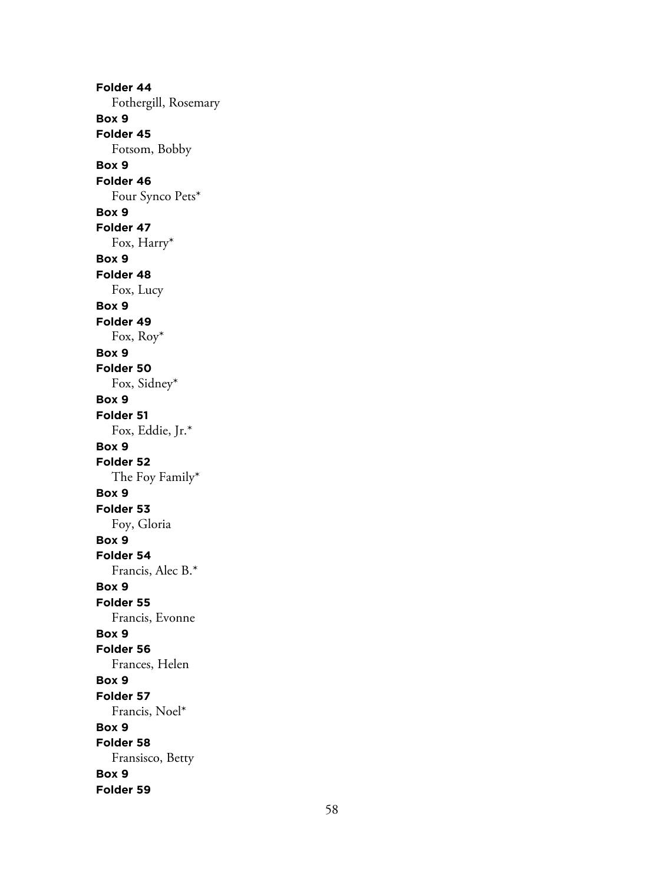**Folder 44** Fothergill, Rosemary **Box 9 Folder 45** Fotsom, Bobby **Box 9 Folder 46** Four Synco Pets\* **Box 9 Folder 47** Fox, Harry\* **Box 9 Folder 48** Fox, Lucy **Box 9 Folder 49** Fox, Roy\* **Box 9 Folder 50** Fox, Sidney\* **Box 9 Folder 51** Fox, Eddie, Jr.\* **Box 9 Folder 52** The Foy Family\* **Box 9 Folder 53** Foy, Gloria **Box 9 Folder 54** Francis, Alec B.\* **Box 9 Folder 55** Francis, Evonne **Box 9 Folder 56** Frances, Helen **Box 9 Folder 57** Francis, Noel\* **Box 9 Folder 58** Fransisco, Betty **Box 9 Folder 59**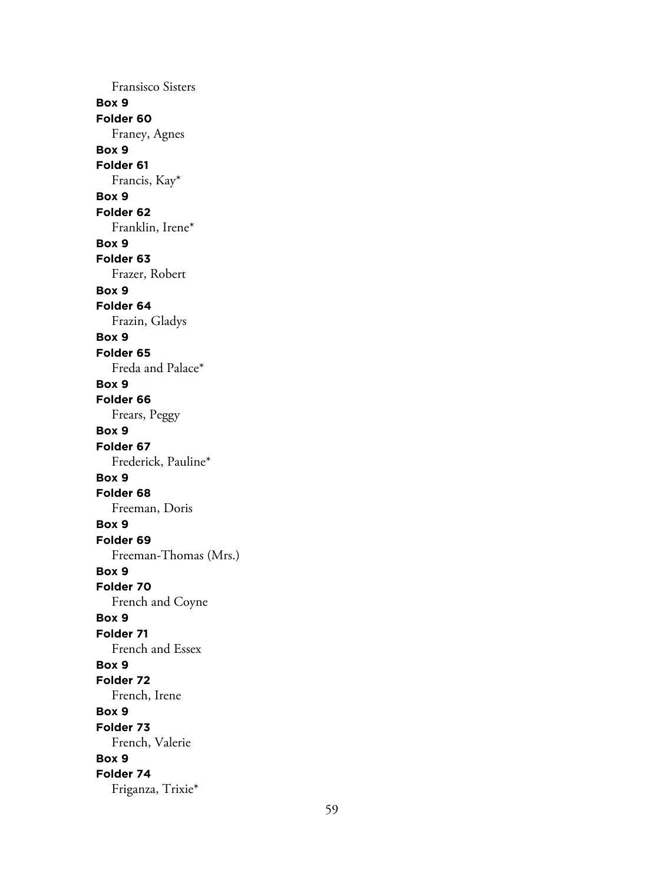Fransisco Sisters **Box 9 Folder 60** Franey, Agnes **Box 9 Folder 61** Francis, Kay\* **Box 9 Folder 62** Franklin, Irene\* **Box 9 Folder 63** Frazer, Robert **Box 9 Folder 64** Frazin, Gladys **Box 9 Folder 65** Freda and Palace\* **Box 9 Folder 66** Frears, Peggy **Box 9 Folder 67** Frederick, Pauline\* **Box 9 Folder 68** Freeman, Doris **Box 9 Folder 69** Freeman-Thomas (Mrs.) **Box 9 Folder 70** French and Coyne **Box 9 Folder 71** French and Essex **Box 9 Folder 72** French, Irene **Box 9 Folder 73** French, Valerie **Box 9 Folder 74** Friganza, Trixie\*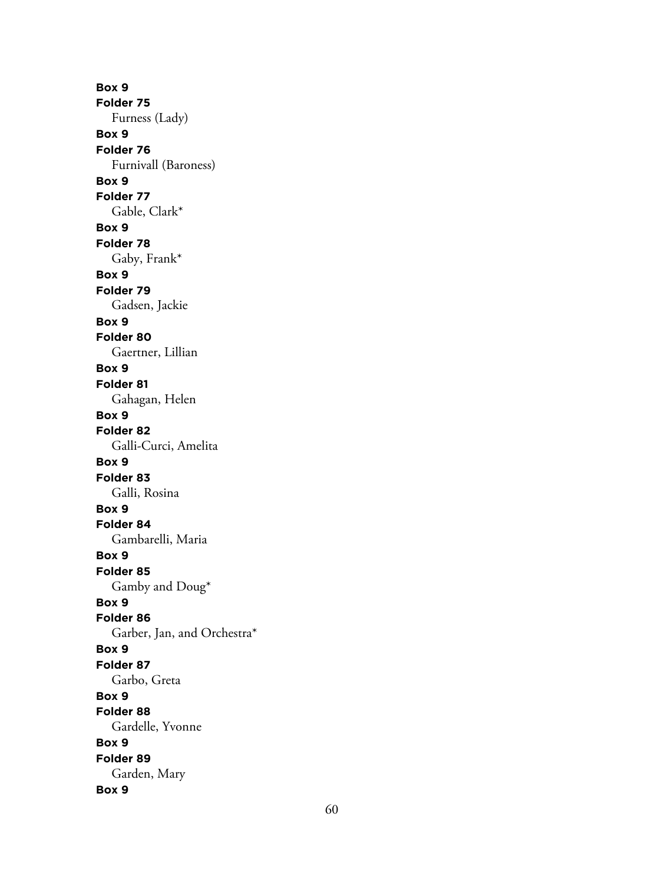**Box 9 Folder 75** Furness (Lady) **Box 9 Folder 76** Furnivall (Baroness) **Box 9 Folder 77** Gable, Clark\* **Box 9 Folder 78** Gaby, Frank\* **Box 9 Folder 79** Gadsen, Jackie **Box 9 Folder 80** Gaertner, Lillian **Box 9 Folder 81** Gahagan, Helen **Box 9 Folder 82** Galli-Curci, Amelita **Box 9 Folder 83** Galli, Rosina **Box 9 Folder 84** Gambarelli, Maria **Box 9 Folder 85** Gamby and Doug\* **Box 9 Folder 86** Garber, Jan, and Orchestra\* **Box 9 Folder 87** Garbo, Greta **Box 9 Folder 88** Gardelle, Yvonne **Box 9 Folder 89** Garden, Mary **Box 9**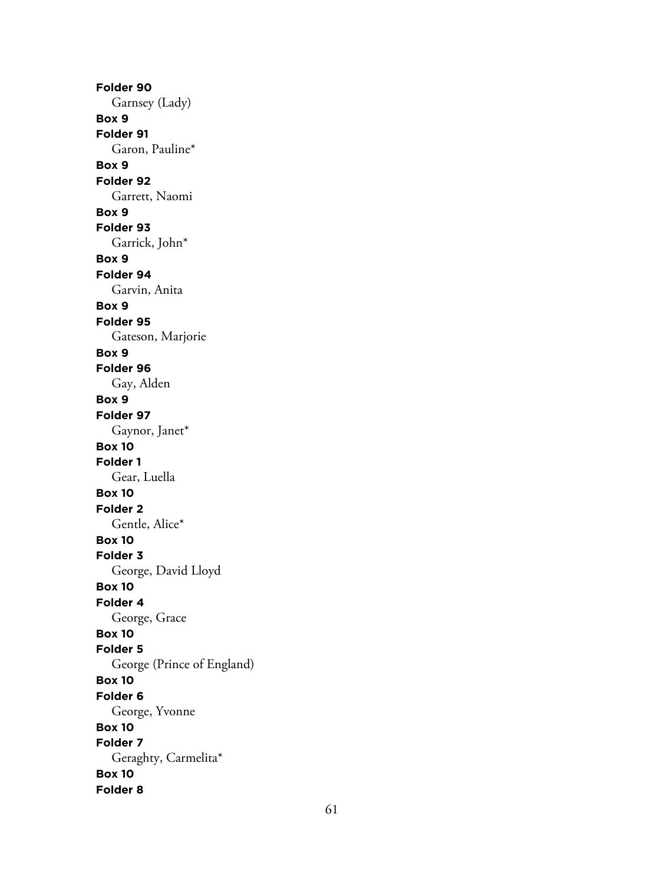**Folder 90** Garnsey (Lady) **Box 9 Folder 91** Garon, Pauline\* **Box 9 Folder 92** Garrett, Naomi **Box 9 Folder 93** Garrick, John\* **Box 9 Folder 94** Garvin, Anita **Box 9 Folder 95** Gateson, Marjorie **Box 9 Folder 96** Gay, Alden **Box 9 Folder 97** Gaynor, Janet\* **Box 10 Folder 1** Gear, Luella **Box 10 Folder 2** Gentle, Alice\* **Box 10 Folder 3** George, David Lloyd **Box 10 Folder 4** George, Grace **Box 10 Folder 5** George (Prince of England) **Box 10 Folder 6** George, Yvonne **Box 10 Folder 7** Geraghty, Carmelita\* **Box 10 Folder 8**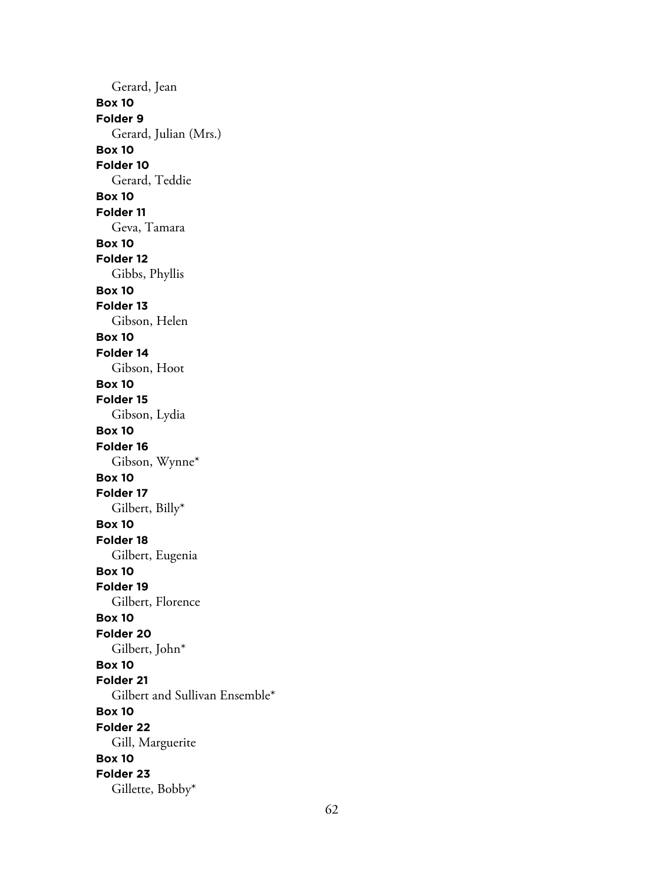Gerard, Jean **Box 10 Folder 9** Gerard, Julian (Mrs.) **Box 10 Folder 10** Gerard, Teddie **Box 10 Folder 11** Geva, Tamara **Box 10 Folder 12** Gibbs, Phyllis **Box 10 Folder 13** Gibson, Helen **Box 10 Folder 14** Gibson, Hoot **Box 10 Folder 15** Gibson, Lydia **Box 10 Folder 16** Gibson, Wynne\* **Box 10 Folder 17** Gilbert, Billy\* **Box 10 Folder 18** Gilbert, Eugenia **Box 10 Folder 19** Gilbert, Florence **Box 10 Folder 20** Gilbert, John\* **Box 10 Folder 21** Gilbert and Sullivan Ensemble\* **Box 10 Folder 22** Gill, Marguerite **Box 10 Folder 23** Gillette, Bobby\*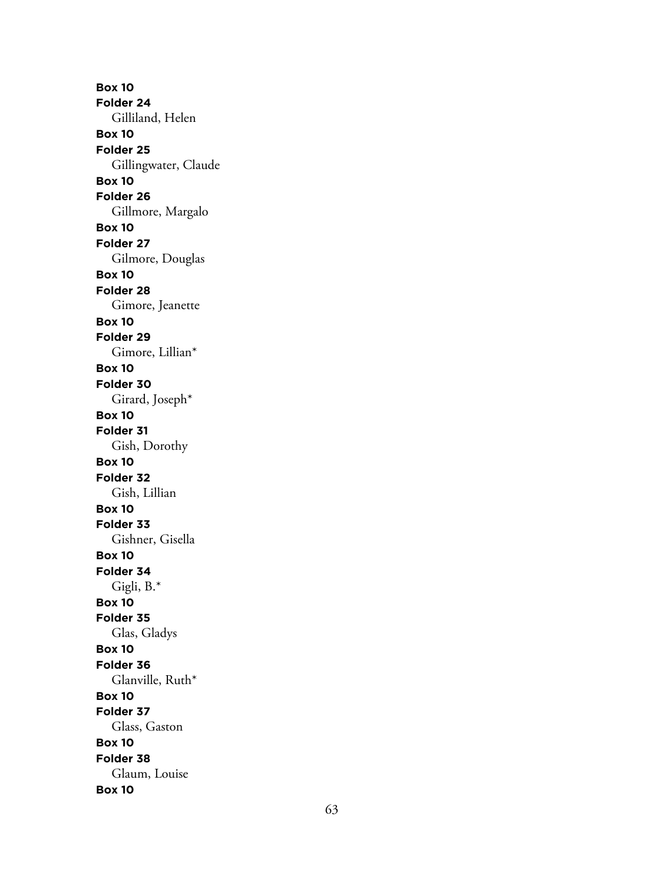**Box 10 Folder 24** Gilliland, Helen **Box 10 Folder 25** Gillingwater, Claude **Box 10 Folder 26** Gillmore, Margalo **Box 10 Folder 27** Gilmore, Douglas **Box 10 Folder 28** Gimore, Jeanette **Box 10 Folder 29** Gimore, Lillian\* **Box 10 Folder 30** Girard, Joseph\* **Box 10 Folder 31** Gish, Dorothy **Box 10 Folder 32** Gish, Lillian **Box 10 Folder 33** Gishner, Gisella **Box 10 Folder 34** Gigli, B.\* **Box 10 Folder 35** Glas, Gladys **Box 10 Folder 36** Glanville, Ruth\* **Box 10 Folder 37** Glass, Gaston **Box 10 Folder 38** Glaum, Louise **Box 10**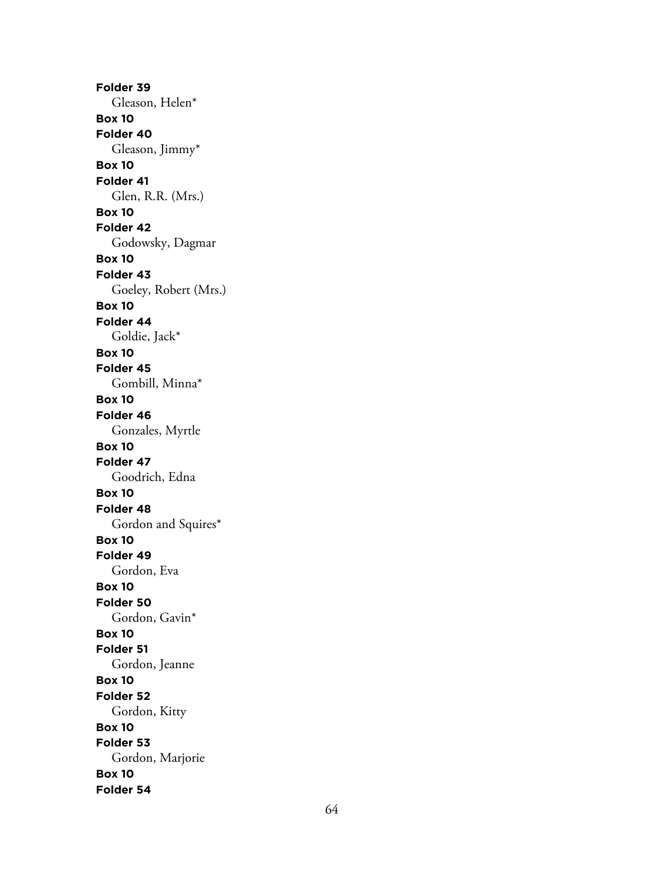**Folder 39** Gleason, Helen\* **Box 10 Folder 40** Gleason, Jimmy\* **Box 10 Folder 41** Glen, R.R. (Mrs.) **Box 10 Folder 42** Godowsky, Dagmar **Box 10 Folder 43** Goeley, Robert (Mrs.) **Box 10 Folder 44** Goldie, Jack\* **Box 10 Folder 45** Gombill, Minna\* **Box 10 Folder 46** Gonzales, Myrtle **Box 10 Folder 47** Goodrich, Edna **Box 10 Folder 48** Gordon and Squires\* **Box 10 Folder 49** Gordon, Eva **Box 10 Folder 50** Gordon, Gavin\* **Box 10 Folder 51** Gordon, Jeanne **Box 10 Folder 52** Gordon, Kitty **Box 10 Folder 53** Gordon, Marjorie **Box 10 Folder 54**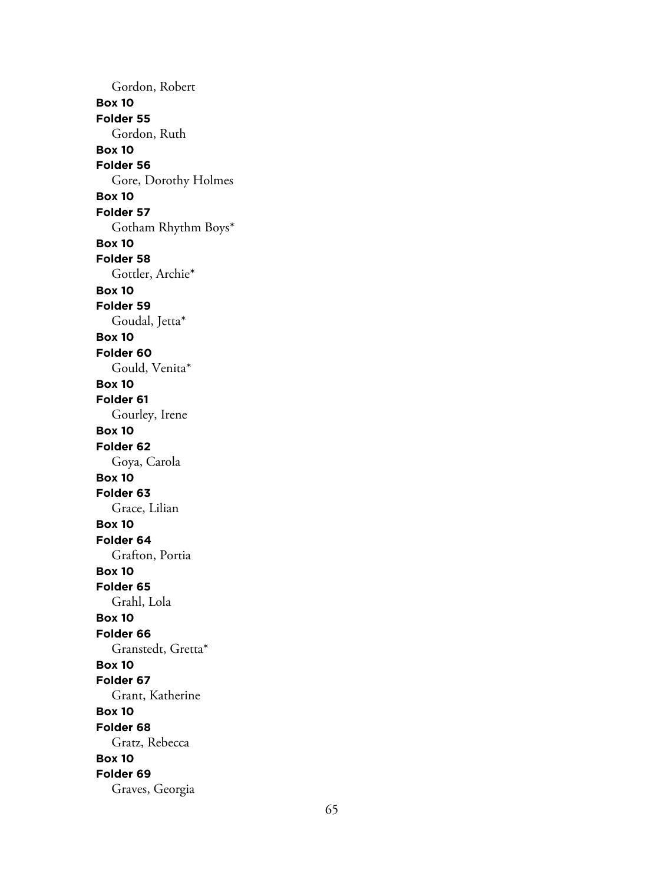Gordon, Robert **Box 10 Folder 55** Gordon, Ruth **Box 10 Folder 56** Gore, Dorothy Holmes **Box 10 Folder 57** Gotham Rhythm Boys\* **Box 10 Folder 58** Gottler, Archie\* **Box 10 Folder 59** Goudal, Jetta\* **Box 10 Folder 60** Gould, Venita\* **Box 10 Folder 61** Gourley, Irene **Box 10 Folder 62** Goya, Carola **Box 10 Folder 63** Grace, Lilian **Box 10 Folder 64** Grafton, Portia **Box 10 Folder 65** Grahl, Lola **Box 10 Folder 66** Granstedt, Gretta\* **Box 10 Folder 67** Grant, Katherine **Box 10 Folder 68** Gratz, Rebecca **Box 10 Folder 69** Graves, Georgia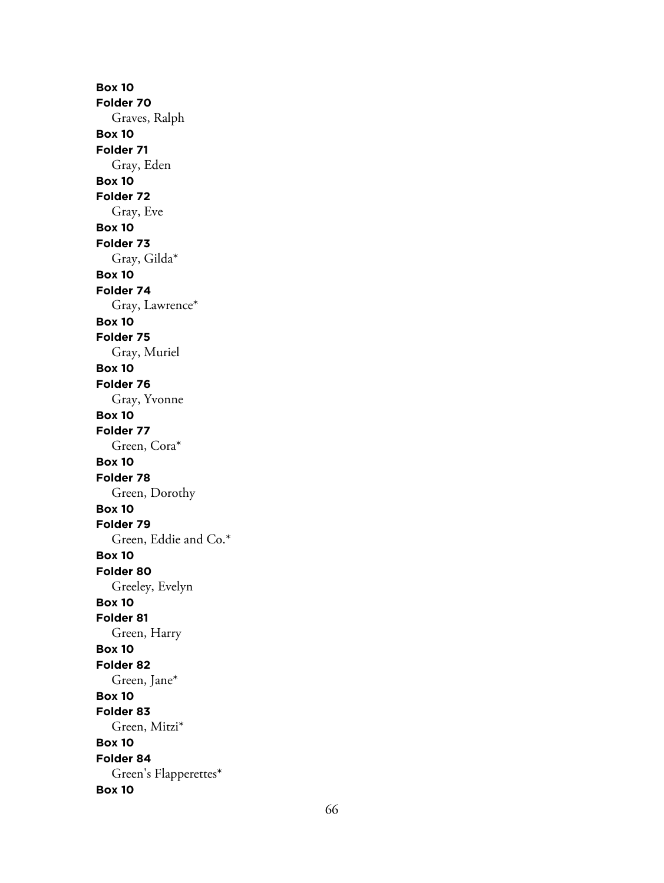**Box 10 Folder 70** Graves, Ralph **Box 10 Folder 71** Gray, Eden **Box 10 Folder 72** Gray, Eve **Box 10 Folder 73** Gray, Gilda\* **Box 10 Folder 74** Gray, Lawrence\* **Box 10 Folder 75** Gray, Muriel **Box 10 Folder 76** Gray, Yvonne **Box 10 Folder 77** Green, Cora\* **Box 10 Folder 78** Green, Dorothy **Box 10 Folder 79** Green, Eddie and Co.\* **Box 10 Folder 80** Greeley, Evelyn **Box 10 Folder 81** Green, Harry **Box 10 Folder 82** Green, Jane\* **Box 10 Folder 83** Green, Mitzi\* **Box 10 Folder 84** Green's Flapperettes\* **Box 10**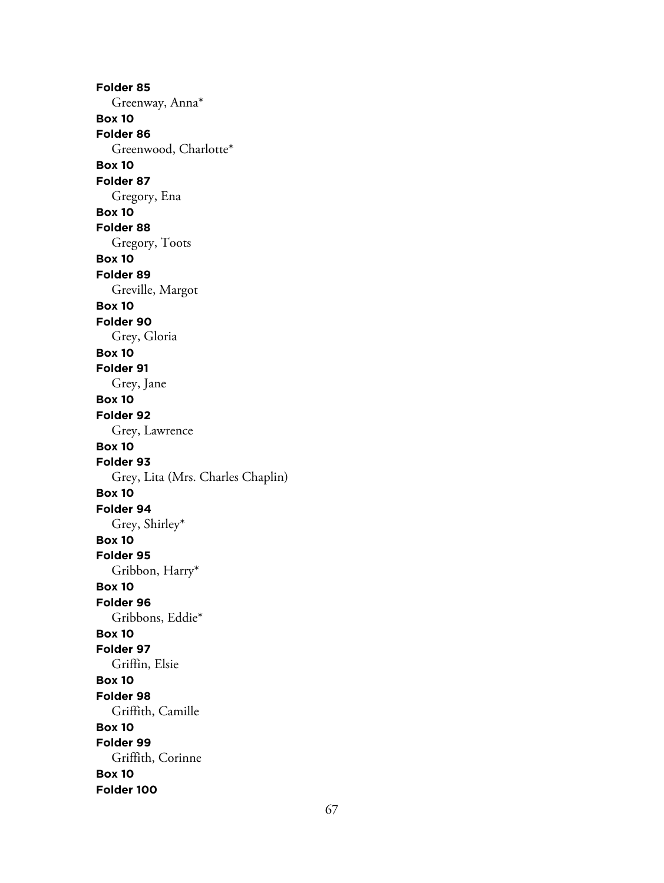**Folder 85** Greenway, Anna\* **Box 10 Folder 86** Greenwood, Charlotte\* **Box 10 Folder 87** Gregory, Ena **Box 10 Folder 88** Gregory, Toots **Box 10 Folder 89** Greville, Margot **Box 10 Folder 90** Grey, Gloria **Box 10 Folder 91** Grey, Jane **Box 10 Folder 92** Grey, Lawrence **Box 10 Folder 93** Grey, Lita (Mrs. Charles Chaplin) **Box 10 Folder 94** Grey, Shirley\* **Box 10 Folder 95** Gribbon, Harry\* **Box 10 Folder 96** Gribbons, Eddie\* **Box 10 Folder 97** Griffin, Elsie **Box 10 Folder 98** Griffith, Camille **Box 10 Folder 99** Griffith, Corinne **Box 10 Folder 100**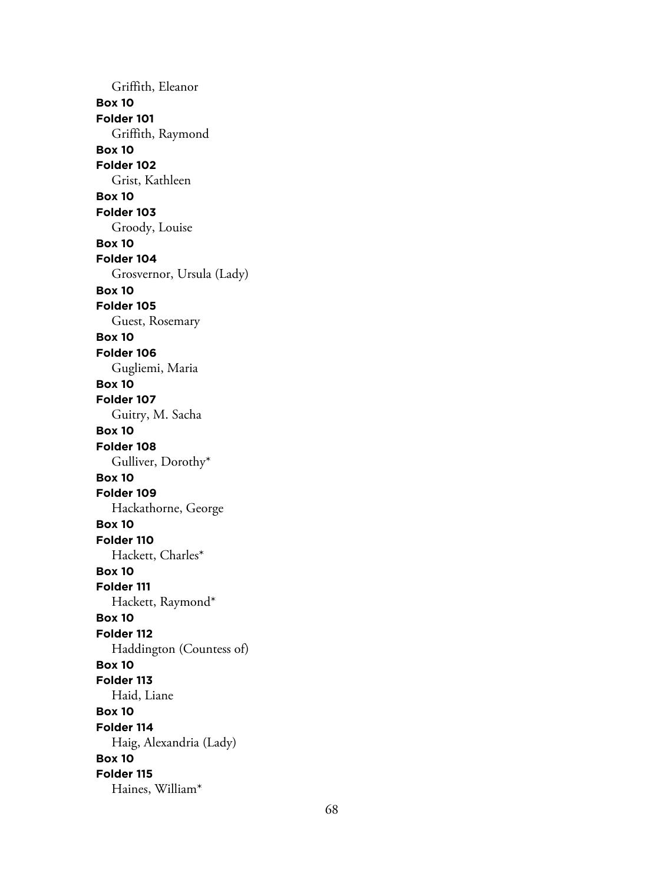Griffith, Eleanor **Box 10 Folder 101** Griffith, Raymond **Box 10 Folder 102** Grist, Kathleen **Box 10 Folder 103** Groody, Louise **Box 10 Folder 104** Grosvernor, Ursula (Lady) **Box 10 Folder 105** Guest, Rosemary **Box 10 Folder 106** Gugliemi, Maria **Box 10 Folder 107** Guitry, M. Sacha **Box 10 Folder 108** Gulliver, Dorothy\* **Box 10 Folder 109** Hackathorne, George **Box 10 Folder 110** Hackett, Charles\* **Box 10 Folder 111** Hackett, Raymond\* **Box 10 Folder 112** Haddington (Countess of) **Box 10 Folder 113** Haid, Liane **Box 10 Folder 114** Haig, Alexandria (Lady) **Box 10 Folder 115** Haines, William\*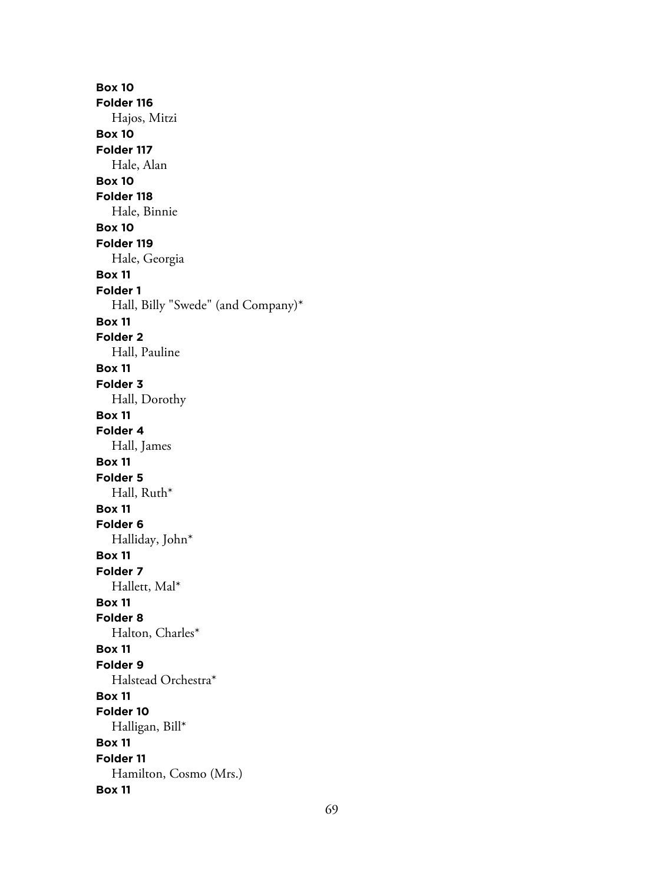**Box 10 Folder 116** Hajos, Mitzi **Box 10 Folder 117** Hale, Alan **Box 10 Folder 118** Hale, Binnie **Box 10 Folder 119** Hale, Georgia **Box 11 Folder 1** Hall, Billy "Swede" (and Company)\* **Box 11 Folder 2** Hall, Pauline **Box 11 Folder 3** Hall, Dorothy **Box 11 Folder 4** Hall, James **Box 11 Folder 5** Hall, Ruth\* **Box 11 Folder 6** Halliday, John\* **Box 11 Folder 7** Hallett, Mal\* **Box 11 Folder 8** Halton, Charles\* **Box 11 Folder 9** Halstead Orchestra\* **Box 11 Folder 10** Halligan, Bill\* **Box 11 Folder 11** Hamilton, Cosmo (Mrs.) **Box 11**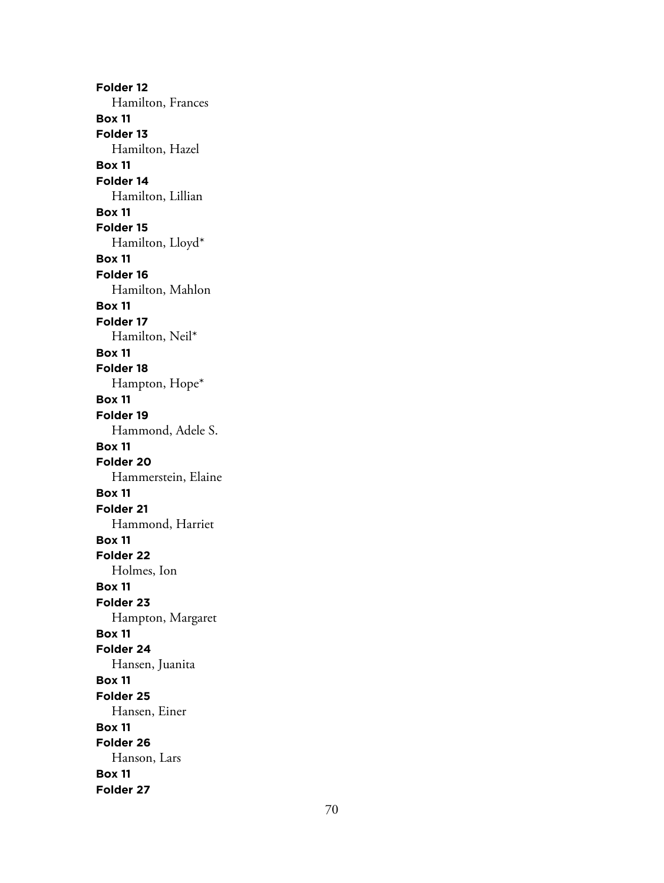**Folder 12** Hamilton, Frances **Box 11 Folder 13** Hamilton, Hazel **Box 11 Folder 14** Hamilton, Lillian **Box 11 Folder 15** Hamilton, Lloyd\* **Box 11 Folder 16** Hamilton, Mahlon **Box 11 Folder 17** Hamilton, Neil\* **Box 11 Folder 18** Hampton, Hope\* **Box 11 Folder 19** Hammond, Adele S. **Box 11 Folder 20** Hammerstein, Elaine **Box 11 Folder 21** Hammond, Harriet **Box 11 Folder 22** Holmes, Ion **Box 11 Folder 23** Hampton, Margaret **Box 11 Folder 24** Hansen, Juanita **Box 11 Folder 25** Hansen, Einer **Box 11 Folder 26** Hanson, Lars **Box 11 Folder 27**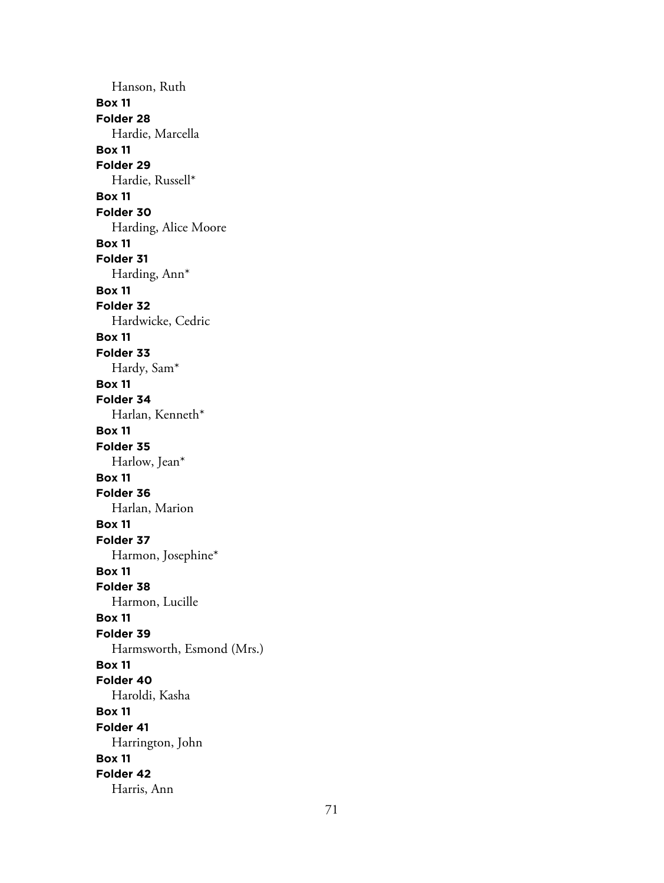Hanson, Ruth **Box 11 Folder 28** Hardie, Marcella **Box 11 Folder 29** Hardie, Russell\* **Box 11 Folder 30** Harding, Alice Moore **Box 11 Folder 31** Harding, Ann\* **Box 11 Folder 32** Hardwicke, Cedric **Box 11 Folder 33** Hardy, Sam\* **Box 11 Folder 34** Harlan, Kenneth\* **Box 11 Folder 35** Harlow, Jean\* **Box 11 Folder 36** Harlan, Marion **Box 11 Folder 37** Harmon, Josephine\* **Box 11 Folder 38** Harmon, Lucille **Box 11 Folder 39** Harmsworth, Esmond (Mrs.) **Box 11 Folder 40** Haroldi, Kasha **Box 11 Folder 41** Harrington, John **Box 11 Folder 42** Harris, Ann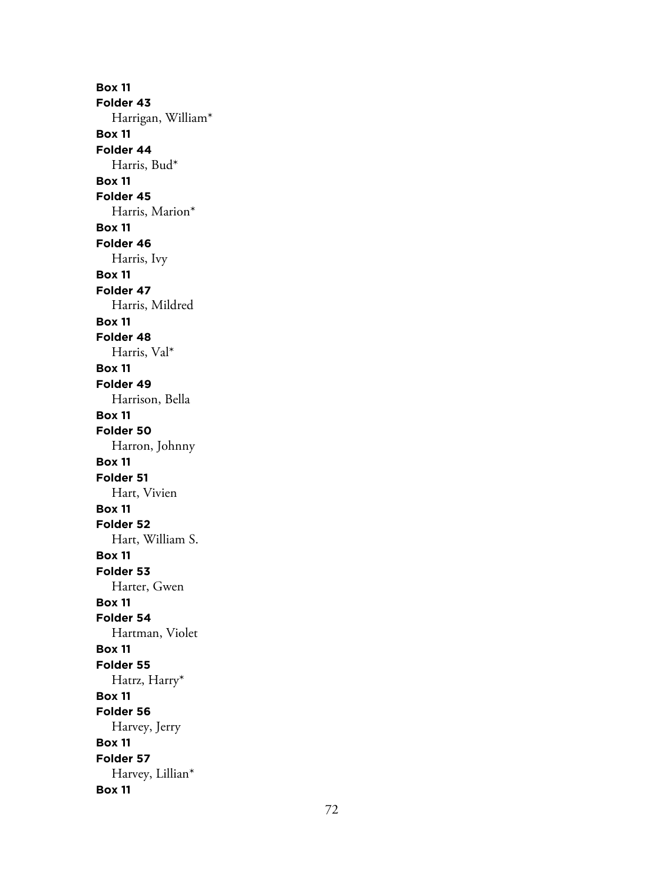**Box 11 Folder 43** Harrigan, William\* **Box 11 Folder 44** Harris, Bud\* **Box 11 Folder 45** Harris, Marion\* **Box 11 Folder 46** Harris, Ivy **Box 11 Folder 47** Harris, Mildred **Box 11 Folder 48** Harris, Val\* **Box 11 Folder 49** Harrison, Bella **Box 11 Folder 50** Harron, Johnny **Box 11 Folder 51** Hart, Vivien **Box 11 Folder 52** Hart, William S. **Box 11 Folder 53** Harter, Gwen **Box 11 Folder 54** Hartman, Violet **Box 11 Folder 55** Hatrz, Harry\* **Box 11 Folder 56** Harvey, Jerry **Box 11 Folder 57** Harvey, Lillian\* **Box 11**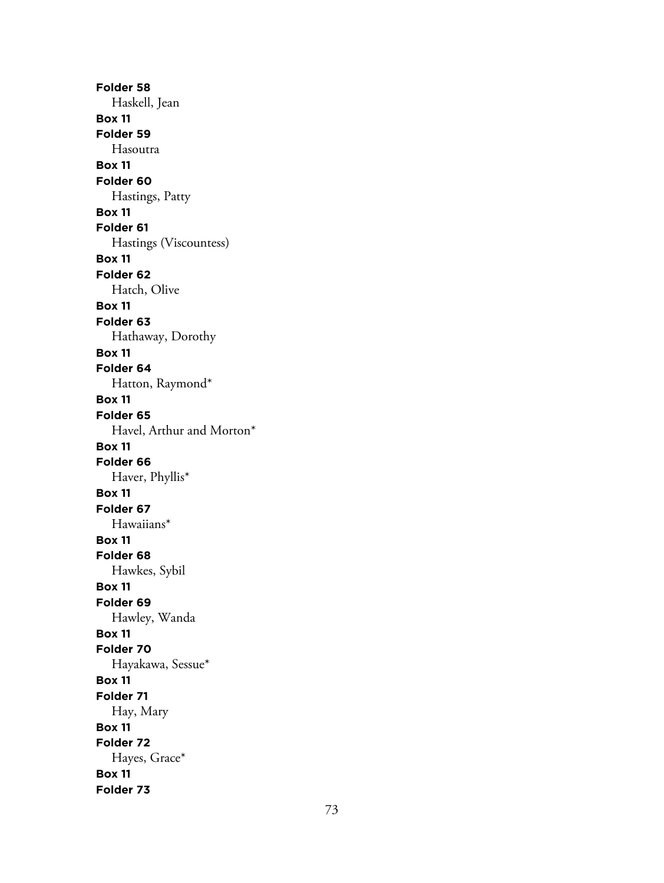**Folder 58** Haskell, Jean **Box 11 Folder 59** Hasoutra **Box 11 Folder 60** Hastings, Patty **Box 11 Folder 61** Hastings (Viscountess) **Box 11 Folder 62** Hatch, Olive **Box 11 Folder 63** Hathaway, Dorothy **Box 11 Folder 64** Hatton, Raymond\* **Box 11 Folder 65** Havel, Arthur and Morton\* **Box 11 Folder 66** Haver, Phyllis\* **Box 11 Folder 67** Hawaiians\* **Box 11 Folder 68** Hawkes, Sybil **Box 11 Folder 69** Hawley, Wanda **Box 11 Folder 70** Hayakawa, Sessue\* **Box 11 Folder 71** Hay, Mary **Box 11 Folder 72** Hayes, Grace\* **Box 11 Folder 73**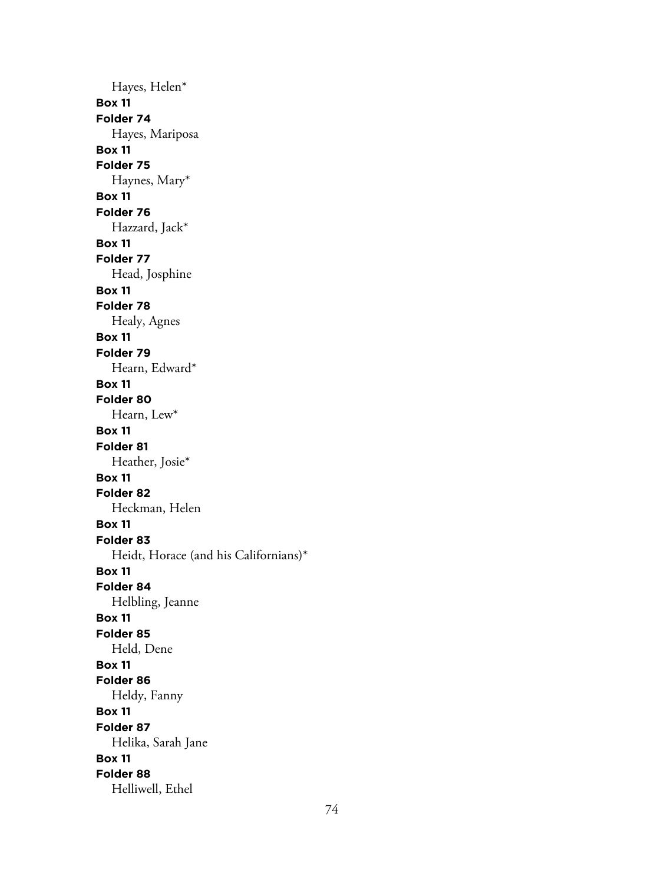Hayes, Helen\* **Box 11 Folder 74** Hayes, Mariposa **Box 11 Folder 75** Haynes, Mary\* **Box 11 Folder 76** Hazzard, Jack\* **Box 11 Folder 77** Head, Josphine **Box 11 Folder 78** Healy, Agnes **Box 11 Folder 79** Hearn, Edward\* **Box 11 Folder 80** Hearn, Lew\* **Box 11 Folder 81** Heather, Josie\* **Box 11 Folder 82** Heckman, Helen **Box 11 Folder 83** Heidt, Horace (and his Californians)\* **Box 11 Folder 84** Helbling, Jeanne **Box 11 Folder 85** Held, Dene **Box 11 Folder 86** Heldy, Fanny **Box 11 Folder 87** Helika, Sarah Jane **Box 11 Folder 88** Helliwell, Ethel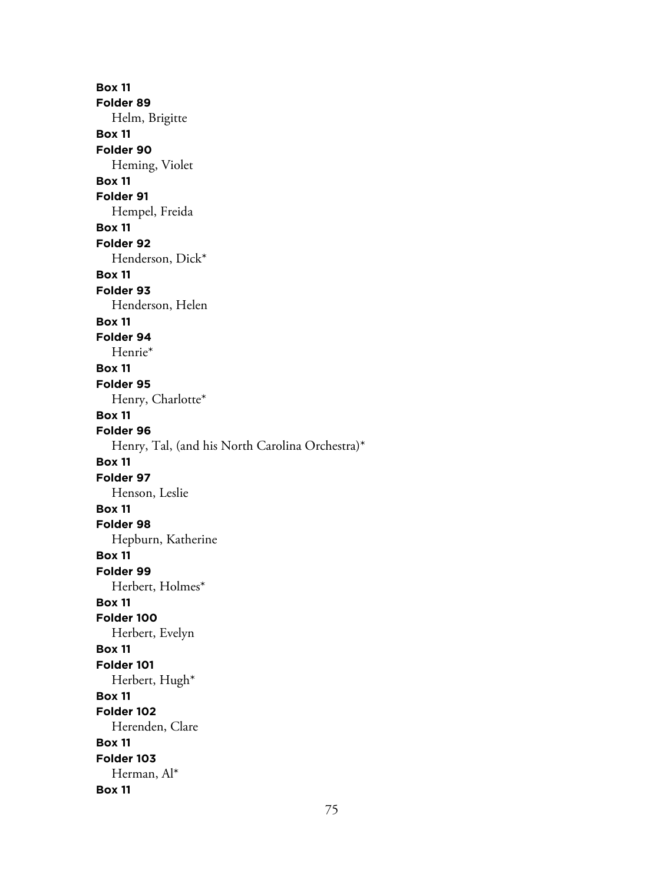**Box 11 Folder 89** Helm, Brigitte **Box 11 Folder 90** Heming, Violet **Box 11 Folder 91** Hempel, Freida **Box 11 Folder 92** Henderson, Dick\* **Box 11 Folder 93** Henderson, Helen **Box 11 Folder 94** Henrie\* **Box 11 Folder 95** Henry, Charlotte\* **Box 11 Folder 96** Henry, Tal, (and his North Carolina Orchestra)\* **Box 11 Folder 97** Henson, Leslie **Box 11 Folder 98** Hepburn, Katherine **Box 11 Folder 99** Herbert, Holmes\* **Box 11 Folder 100** Herbert, Evelyn **Box 11 Folder 101** Herbert, Hugh\* **Box 11 Folder 102** Herenden, Clare **Box 11 Folder 103** Herman, Al\* **Box 11**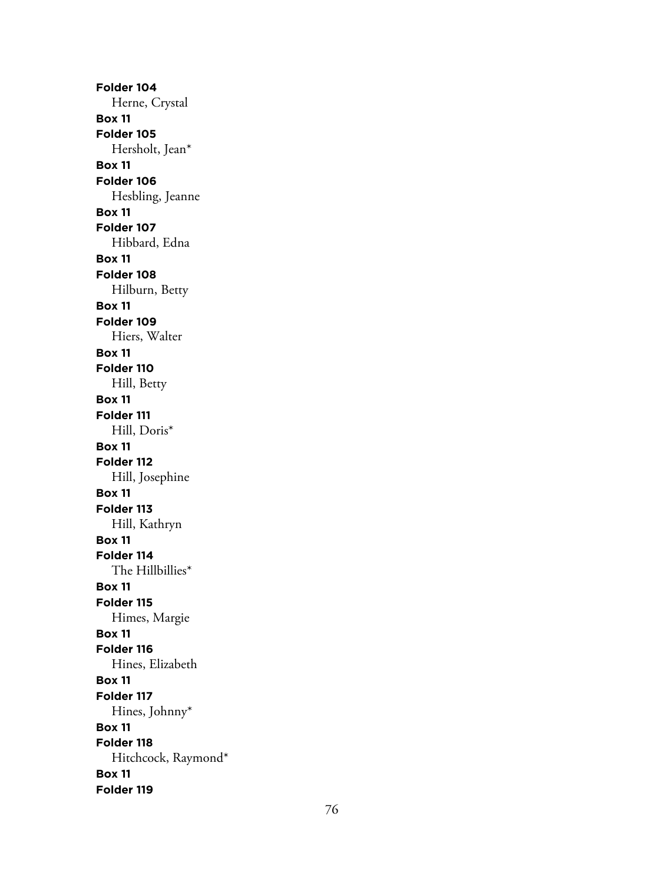**Folder 104** Herne, Crystal **Box 11 Folder 105** Hersholt, Jean\* **Box 11 Folder 106** Hesbling, Jeanne **Box 11 Folder 107** Hibbard, Edna **Box 11 Folder 108** Hilburn, Betty **Box 11 Folder 109** Hiers, Walter **Box 11 Folder 110** Hill, Betty **Box 11 Folder 111** Hill, Doris\* **Box 11 Folder 112** Hill, Josephine **Box 11 Folder 113** Hill, Kathryn **Box 11 Folder 114** The Hillbillies\* **Box 11 Folder 115** Himes, Margie **Box 11 Folder 116** Hines, Elizabeth **Box 11 Folder 117** Hines, Johnny\* **Box 11 Folder 118** Hitchcock, Raymond\* **Box 11 Folder 119**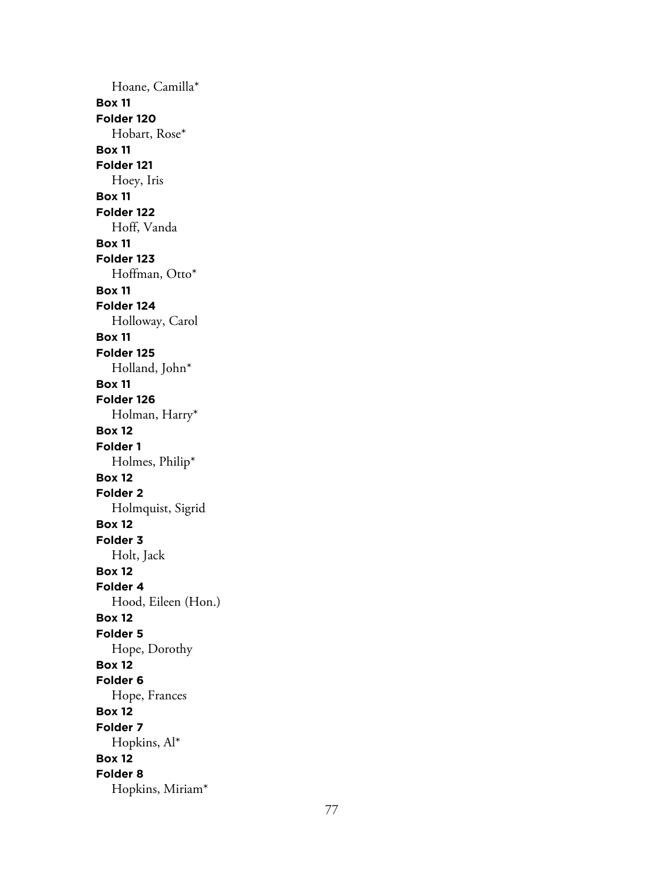Hoane, Camilla\* **Box 11 Folder 120** Hobart, Rose\* **Box 11 Folder 121** Hoey, Iris **Box 11 Folder 122** Hoff, Vanda **Box 11 Folder 123** Hoffman, Otto\* **Box 11 Folder 124** Holloway, Carol **Box 11 Folder 125** Holland, John\* **Box 11 Folder 126** Holman, Harry\* **Box 12 Folder 1** Holmes, Philip\* **Box 12 Folder 2** Holmquist, Sigrid **Box 12 Folder 3** Holt, Jack **Box 12 Folder 4** Hood, Eileen (Hon.) **Box 12 Folder 5** Hope, Dorothy **Box 12 Folder 6** Hope, Frances **Box 12 Folder 7** Hopkins, Al\* **Box 12 Folder 8** Hopkins, Miriam\*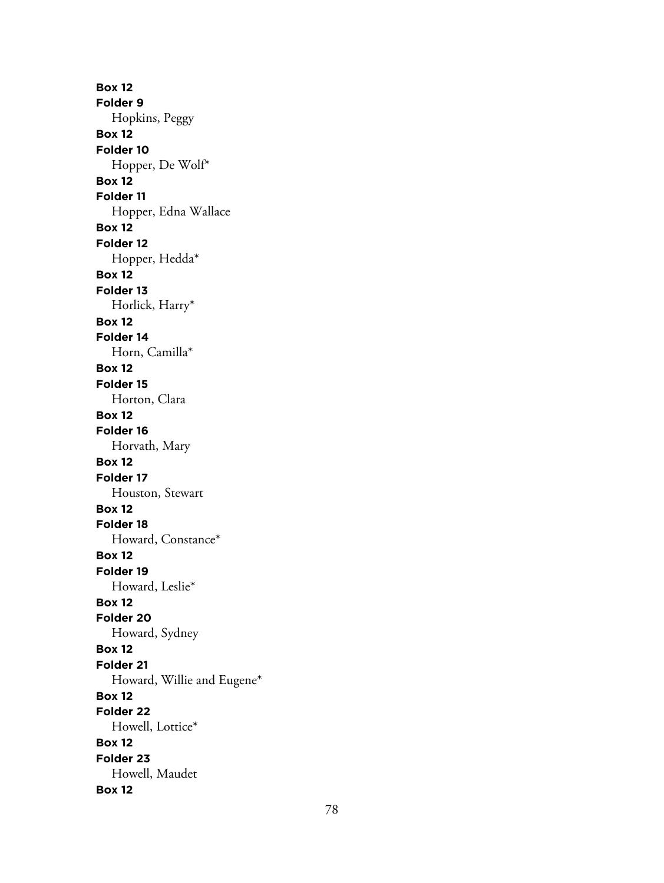**Box 12 Folder 9** Hopkins, Peggy **Box 12 Folder 10** Hopper, De Wolf\* **Box 12 Folder 11** Hopper, Edna Wallace **Box 12 Folder 12** Hopper, Hedda\* **Box 12 Folder 13** Horlick, Harry\* **Box 12 Folder 14** Horn, Camilla\* **Box 12 Folder 15** Horton, Clara **Box 12 Folder 16** Horvath, Mary **Box 12 Folder 17** Houston, Stewart **Box 12 Folder 18** Howard, Constance\* **Box 12 Folder 19** Howard, Leslie\* **Box 12 Folder 20** Howard, Sydney **Box 12 Folder 21** Howard, Willie and Eugene\* **Box 12 Folder 22** Howell, Lottice\* **Box 12 Folder 23** Howell, Maudet **Box 12**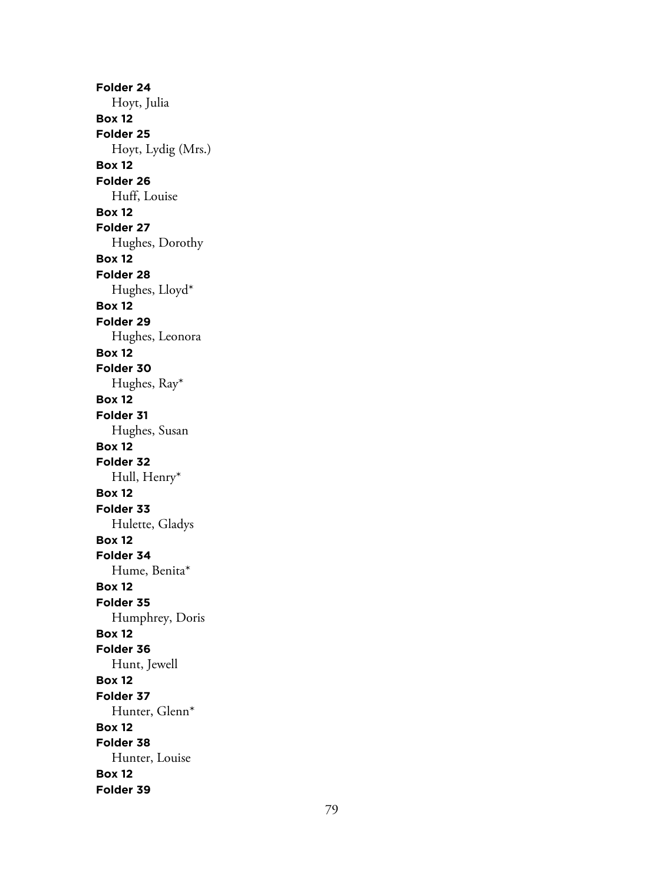**Folder 24** Hoyt, Julia **Box 12 Folder 25** Hoyt, Lydig (Mrs.) **Box 12 Folder 26** Huff, Louise **Box 12 Folder 27** Hughes, Dorothy **Box 12 Folder 28** Hughes, Lloyd\* **Box 12 Folder 29** Hughes, Leonora **Box 12 Folder 30** Hughes, Ray\* **Box 12 Folder 31** Hughes, Susan **Box 12 Folder 32** Hull, Henry\* **Box 12 Folder 33** Hulette, Gladys **Box 12 Folder 34** Hume, Benita\* **Box 12 Folder 35** Humphrey, Doris **Box 12 Folder 36** Hunt, Jewell **Box 12 Folder 37** Hunter, Glenn\* **Box 12 Folder 38** Hunter, Louise **Box 12 Folder 39**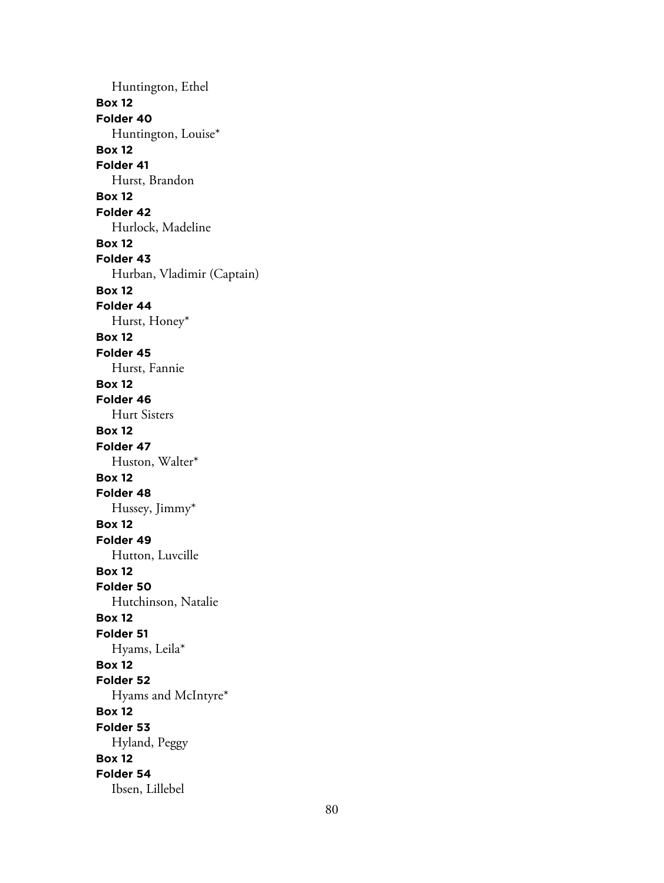Huntington, Ethel **Box 12 Folder 40** Huntington, Louise\* **Box 12 Folder 41** Hurst, Brandon **Box 12 Folder 42** Hurlock, Madeline **Box 12 Folder 43** Hurban, Vladimir (Captain) **Box 12 Folder 44** Hurst, Honey\* **Box 12 Folder 45** Hurst, Fannie **Box 12 Folder 46** Hurt Sisters **Box 12 Folder 47** Huston, Walter\* **Box 12 Folder 48** Hussey, Jimmy\* **Box 12 Folder 49** Hutton, Luvcille **Box 12 Folder 50** Hutchinson, Natalie **Box 12 Folder 51** Hyams, Leila\* **Box 12 Folder 52** Hyams and McIntyre\* **Box 12 Folder 53** Hyland, Peggy **Box 12 Folder 54** Ibsen, Lillebel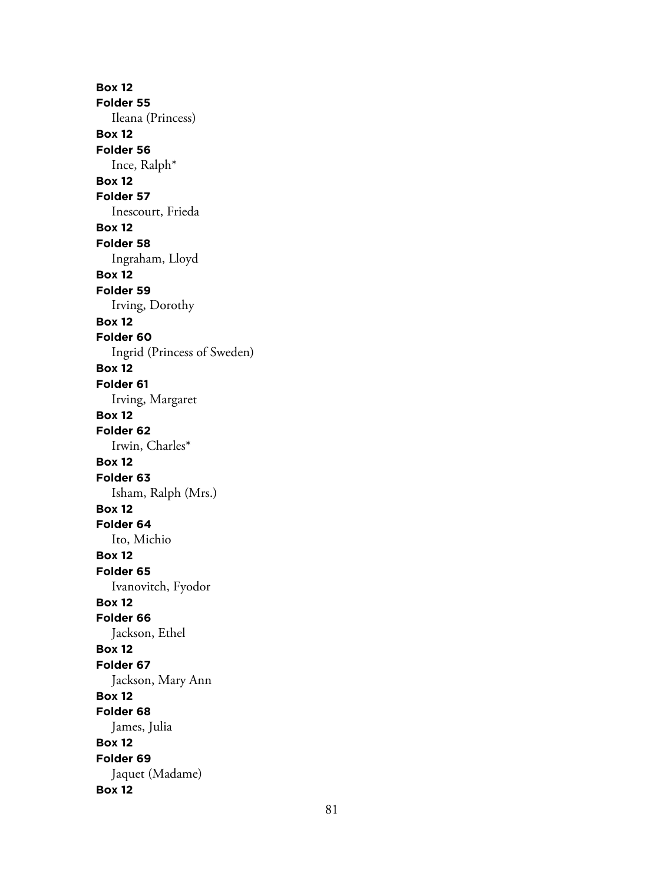**Box 12 Folder 55** Ileana (Princess) **Box 12 Folder 56** Ince, Ralph\* **Box 12 Folder 57** Inescourt, Frieda **Box 12 Folder 58** Ingraham, Lloyd **Box 12 Folder 59** Irving, Dorothy **Box 12 Folder 60** Ingrid (Princess of Sweden) **Box 12 Folder 61** Irving, Margaret **Box 12 Folder 62** Irwin, Charles\* **Box 12 Folder 63** Isham, Ralph (Mrs.) **Box 12 Folder 64** Ito, Michio **Box 12 Folder 65** Ivanovitch, Fyodor **Box 12 Folder 66** Jackson, Ethel **Box 12 Folder 67** Jackson, Mary Ann **Box 12 Folder 68** James, Julia **Box 12 Folder 69** Jaquet (Madame) **Box 12**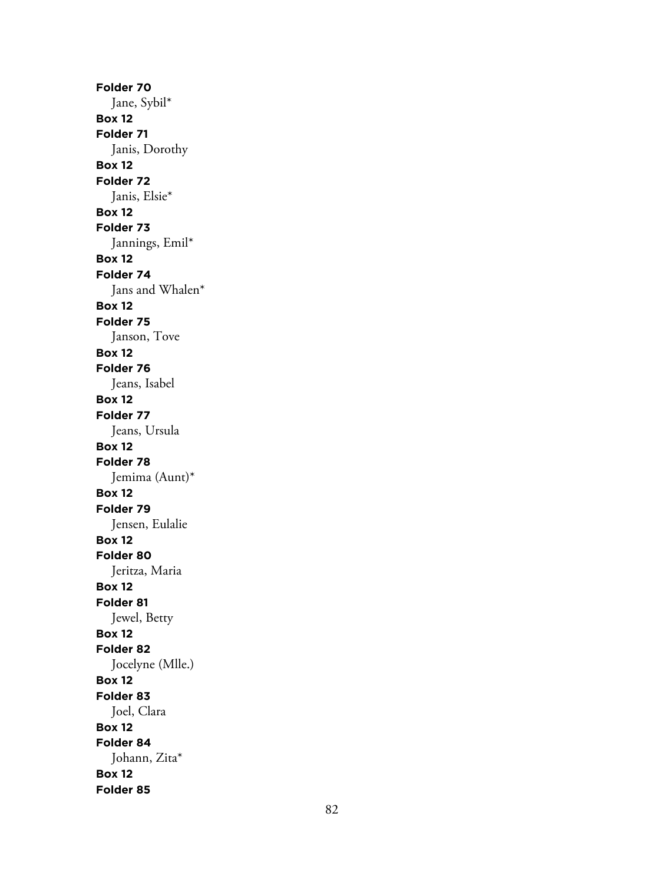**Folder 70** Jane, Sybil\* **Box 12 Folder 71** Janis, Dorothy **Box 12 Folder 72** Janis, Elsie\* **Box 12 Folder 73** Jannings, Emil\* **Box 12 Folder 74** Jans and Whalen\* **Box 12 Folder 75** Janson, Tove **Box 12 Folder 76** Jeans, Isabel **Box 12 Folder 77** Jeans, Ursula **Box 12 Folder 78** Jemima (Aunt)\* **Box 12 Folder 79** Jensen, Eulalie **Box 12 Folder 80** Jeritza, Maria **Box 12 Folder 81** Jewel, Betty **Box 12 Folder 82** Jocelyne (Mlle.) **Box 12 Folder 83** Joel, Clara **Box 12 Folder 84** Johann, Zita\* **Box 12 Folder 85**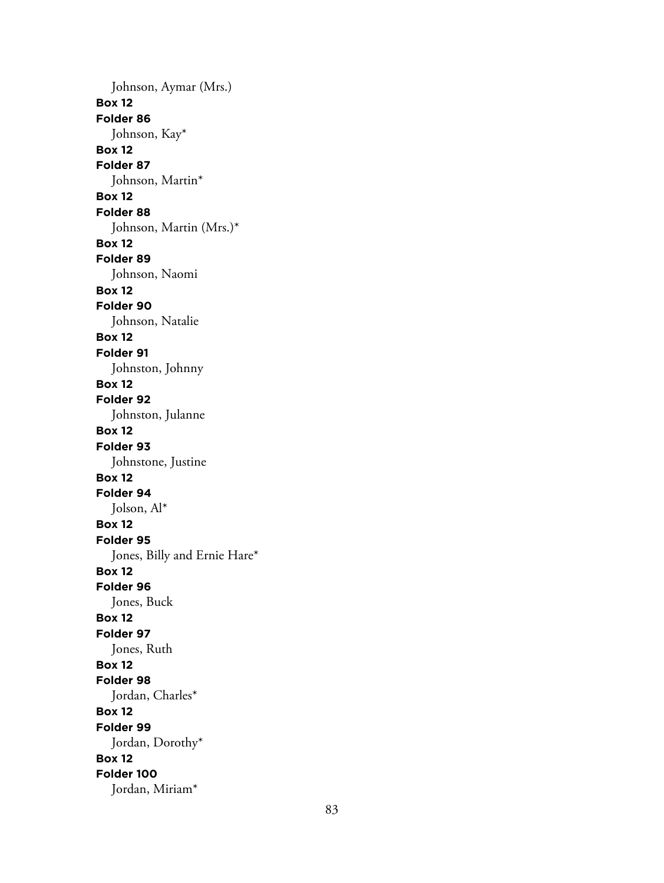Johnson, Aymar (Mrs.) **Box 12 Folder 86** Johnson, Kay\* **Box 12 Folder 87** Johnson, Martin\* **Box 12 Folder 88** Johnson, Martin (Mrs.)\* **Box 12 Folder 89** Johnson, Naomi **Box 12 Folder 90** Johnson, Natalie **Box 12 Folder 91** Johnston, Johnny **Box 12 Folder 92** Johnston, Julanne **Box 12 Folder 93** Johnstone, Justine **Box 12 Folder 94** Jolson, Al\* **Box 12 Folder 95** Jones, Billy and Ernie Hare\* **Box 12 Folder 96** Jones, Buck **Box 12 Folder 97** Jones, Ruth **Box 12 Folder 98** Jordan, Charles\* **Box 12 Folder 99** Jordan, Dorothy\* **Box 12 Folder 100** Jordan, Miriam\*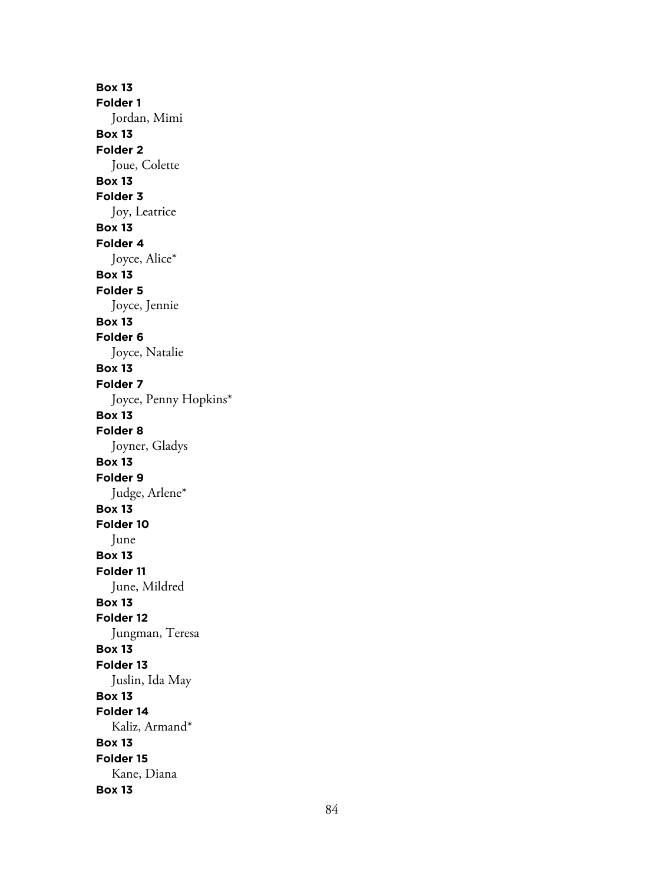**Box 13 Folder 1** Jordan, Mimi **Box 13 Folder 2** Joue, Colette **Box 13 Folder 3** Joy, Leatrice **Box 13 Folder 4** Joyce, Alice\* **Box 13 Folder 5** Joyce, Jennie **Box 13 Folder 6** Joyce, Natalie **Box 13 Folder 7** Joyce, Penny Hopkins\* **Box 13 Folder 8** Joyner, Gladys **Box 13 Folder 9** Judge, Arlene\* **Box 13 Folder 10** June **Box 13 Folder 11** June, Mildred **Box 13 Folder 12** Jungman, Teresa **Box 13 Folder 13** Juslin, Ida May **Box 13 Folder 14** Kaliz, Armand\* **Box 13 Folder 15** Kane, Diana **Box 13**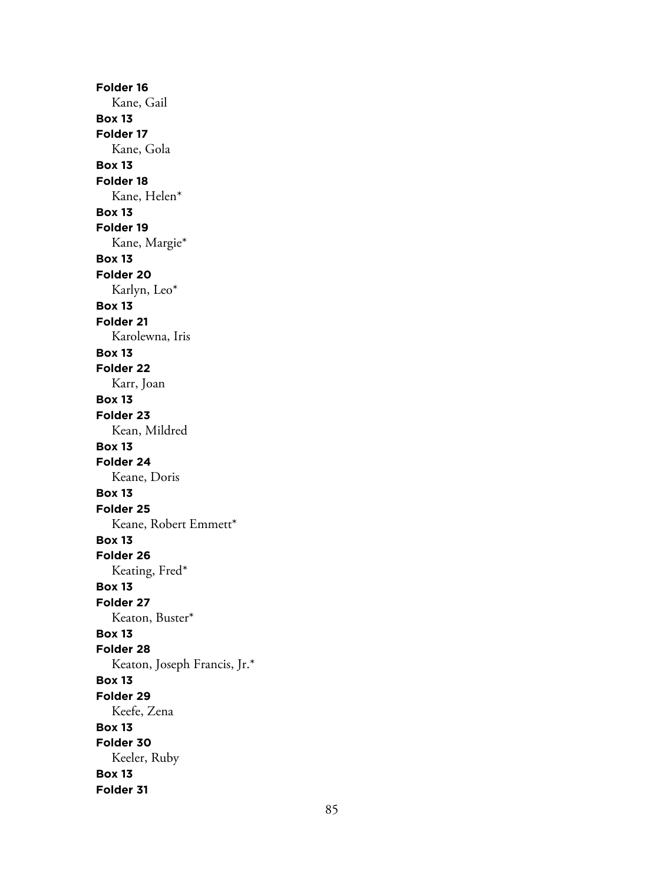**Folder 16** Kane, Gail **Box 13 Folder 17** Kane, Gola **Box 13 Folder 18** Kane, Helen\* **Box 13 Folder 19** Kane, Margie\* **Box 13 Folder 20** Karlyn, Leo\* **Box 13 Folder 21** Karolewna, Iris **Box 13 Folder 22** Karr, Joan **Box 13 Folder 23** Kean, Mildred **Box 13 Folder 24** Keane, Doris **Box 13 Folder 25** Keane, Robert Emmett\* **Box 13 Folder 26** Keating, Fred\* **Box 13 Folder 27** Keaton, Buster\* **Box 13 Folder 28** Keaton, Joseph Francis, Jr.\* **Box 13 Folder 29** Keefe, Zena **Box 13 Folder 30** Keeler, Ruby **Box 13 Folder 31**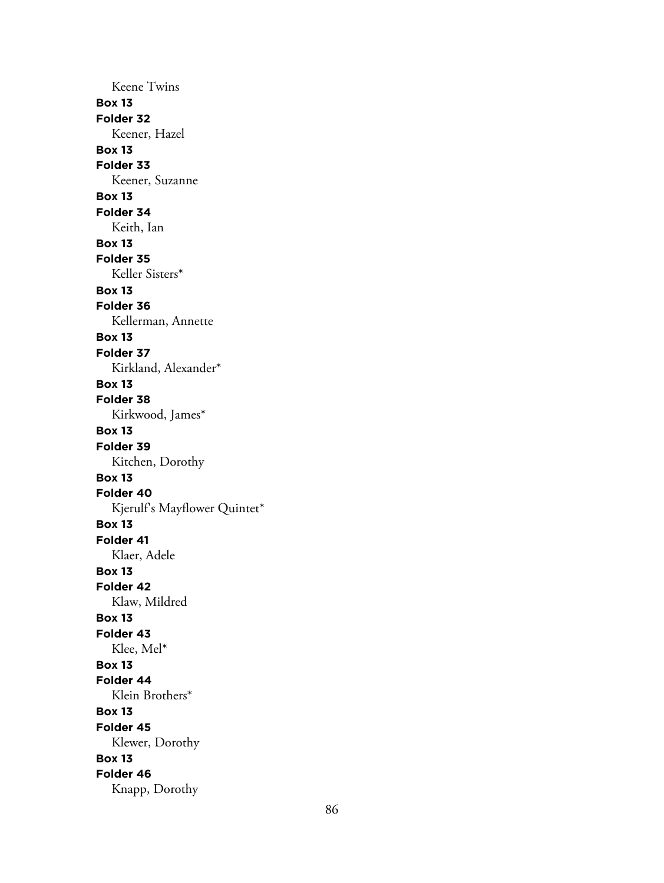Keene Twins **Box 13 Folder 32** Keener, Hazel **Box 13 Folder 33** Keener, Suzanne **Box 13 Folder 34** Keith, Ian **Box 13 Folder 35** Keller Sisters\* **Box 13 Folder 36** Kellerman, Annette **Box 13 Folder 37** Kirkland, Alexander\* **Box 13 Folder 38** Kirkwood, James\* **Box 13 Folder 39** Kitchen, Dorothy **Box 13 Folder 40** Kjerulf's Mayflower Quintet\* **Box 13 Folder 41** Klaer, Adele **Box 13 Folder 42** Klaw, Mildred **Box 13 Folder 43** Klee, Mel\* **Box 13 Folder 44** Klein Brothers\* **Box 13 Folder 45** Klewer, Dorothy **Box 13 Folder 46** Knapp, Dorothy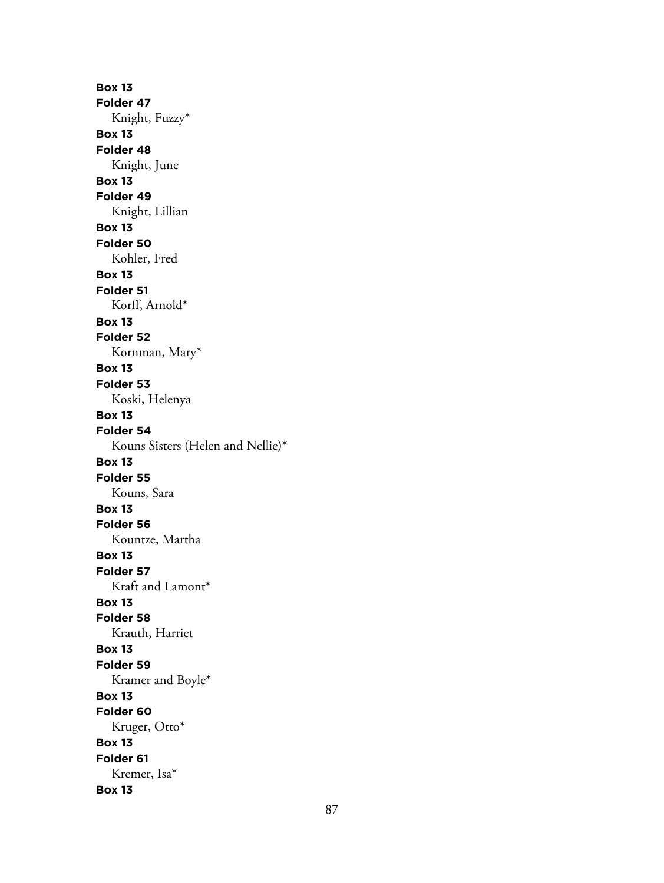**Box 13 Folder 47** Knight, Fuzzy\* **Box 13 Folder 48** Knight, June **Box 13 Folder 49** Knight, Lillian **Box 13 Folder 50** Kohler, Fred **Box 13 Folder 51** Korff, Arnold\* **Box 13 Folder 52** Kornman, Mary\* **Box 13 Folder 53** Koski, Helenya **Box 13 Folder 54** Kouns Sisters (Helen and Nellie)\* **Box 13 Folder 55** Kouns, Sara **Box 13 Folder 56** Kountze, Martha **Box 13 Folder 57** Kraft and Lamont\* **Box 13 Folder 58** Krauth, Harriet **Box 13 Folder 59** Kramer and Boyle\* **Box 13 Folder 60** Kruger, Otto\* **Box 13 Folder 61** Kremer, Isa\* **Box 13**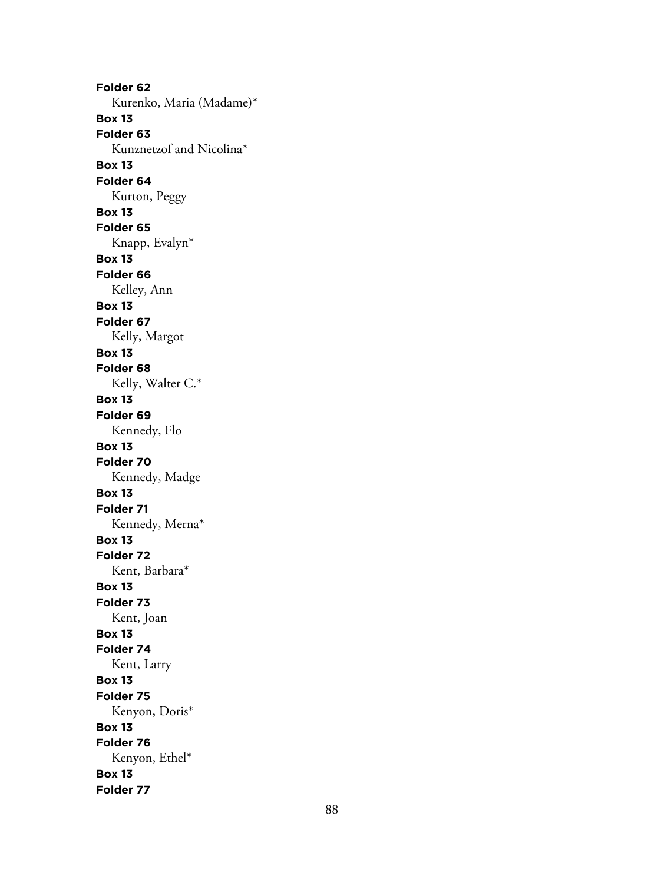**Folder 62** Kurenko, Maria (Madame)\* **Box 13 Folder 63** Kunznetzof and Nicolina\* **Box 13 Folder 64** Kurton, Peggy **Box 13 Folder 65** Knapp, Evalyn\* **Box 13 Folder 66** Kelley, Ann **Box 13 Folder 67** Kelly, Margot **Box 13 Folder 68** Kelly, Walter C.\* **Box 13 Folder 69** Kennedy, Flo **Box 13 Folder 70** Kennedy, Madge **Box 13 Folder 71** Kennedy, Merna\* **Box 13 Folder 72** Kent, Barbara\* **Box 13 Folder 73** Kent, Joan **Box 13 Folder 74** Kent, Larry **Box 13 Folder 75** Kenyon, Doris\* **Box 13 Folder 76** Kenyon, Ethel\* **Box 13 Folder 77**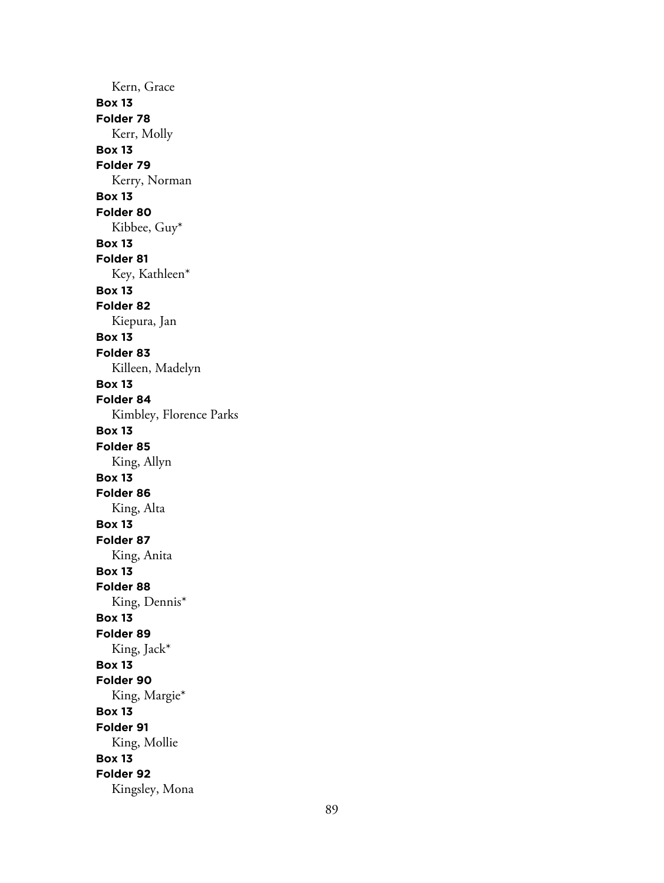Kern, Grace **Box 13 Folder 78** Kerr, Molly **Box 13 Folder 79** Kerry, Norman **Box 13 Folder 80** Kibbee, Guy\* **Box 13 Folder 81** Key, Kathleen\* **Box 13 Folder 82** Kiepura, Jan **Box 13 Folder 83** Killeen, Madelyn **Box 13 Folder 84** Kimbley, Florence Parks **Box 13 Folder 85** King, Allyn **Box 13 Folder 86** King, Alta **Box 13 Folder 87** King, Anita **Box 13 Folder 88** King, Dennis\* **Box 13 Folder 89** King, Jack\* **Box 13 Folder 90** King, Margie\* **Box 13 Folder 91** King, Mollie **Box 13 Folder 92** Kingsley, Mona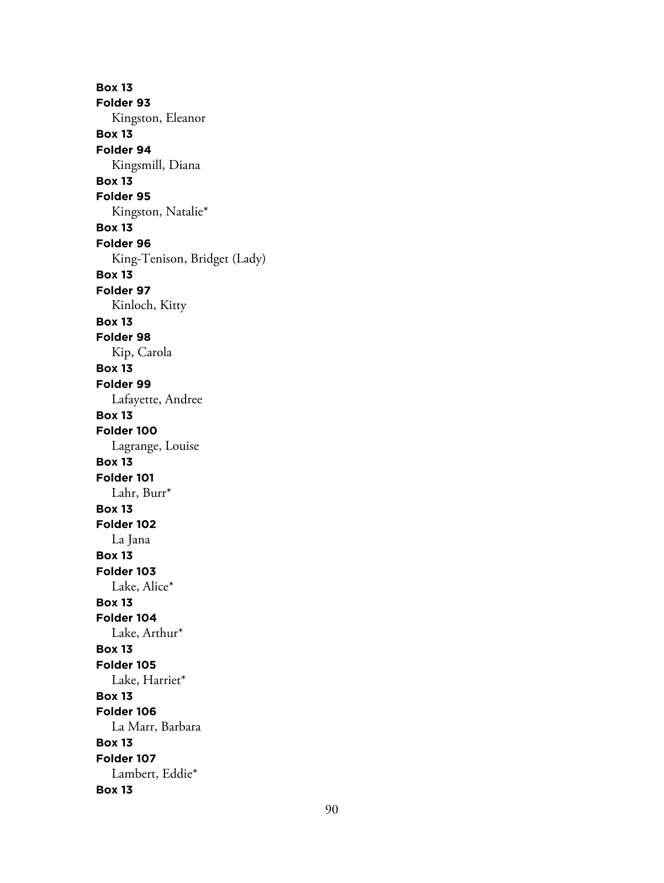**Box 13 Folder 93** Kingston, Eleanor **Box 13 Folder 94** Kingsmill, Diana **Box 13 Folder 95** Kingston, Natalie\* **Box 13 Folder 96** King-Tenison, Bridget (Lady) **Box 13 Folder 97** Kinloch, Kitty **Box 13 Folder 98** Kip, Carola **Box 13 Folder 99** Lafayette, Andree **Box 13 Folder 100** Lagrange, Louise **Box 13 Folder 101** Lahr, Burr\* **Box 13 Folder 102** La Jana **Box 13 Folder 103** Lake, Alice\* **Box 13 Folder 104** Lake, Arthur\* **Box 13 Folder 105** Lake, Harriet\* **Box 13 Folder 106** La Marr, Barbara **Box 13 Folder 107** Lambert, Eddie\* **Box 13**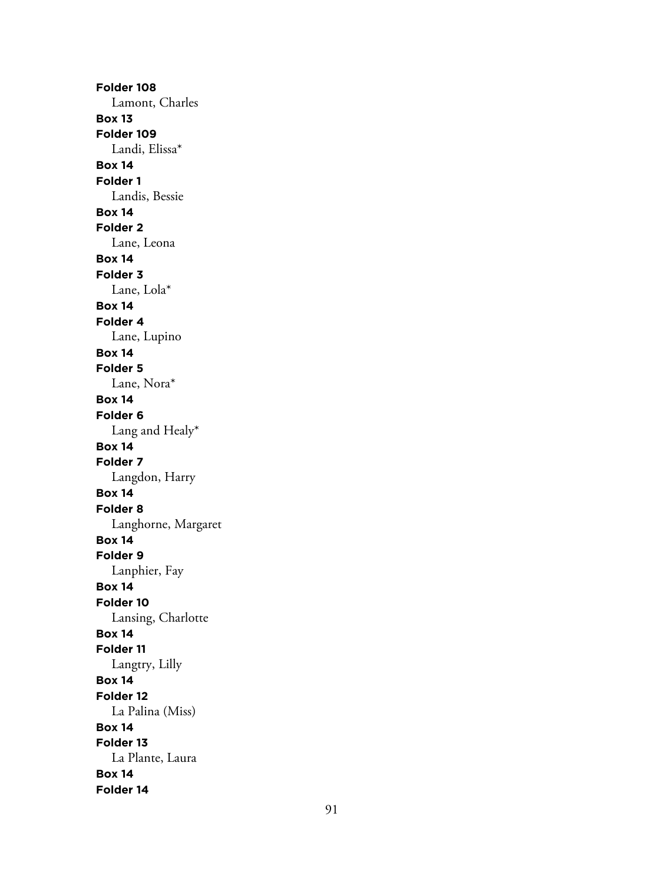**Folder 108** Lamont, Charles **Box 13 Folder 109** Landi, Elissa\* **Box 14 Folder 1** Landis, Bessie **Box 14 Folder 2** Lane, Leona **Box 14 Folder 3** Lane, Lola\* **Box 14 Folder 4** Lane, Lupino **Box 14 Folder 5** Lane, Nora\* **Box 14 Folder 6** Lang and Healy\* **Box 14 Folder 7** Langdon, Harry **Box 14 Folder 8** Langhorne, Margaret **Box 14 Folder 9** Lanphier, Fay **Box 14 Folder 10** Lansing, Charlotte **Box 14 Folder 11** Langtry, Lilly **Box 14 Folder 12** La Palina (Miss) **Box 14 Folder 13** La Plante, Laura **Box 14 Folder 14**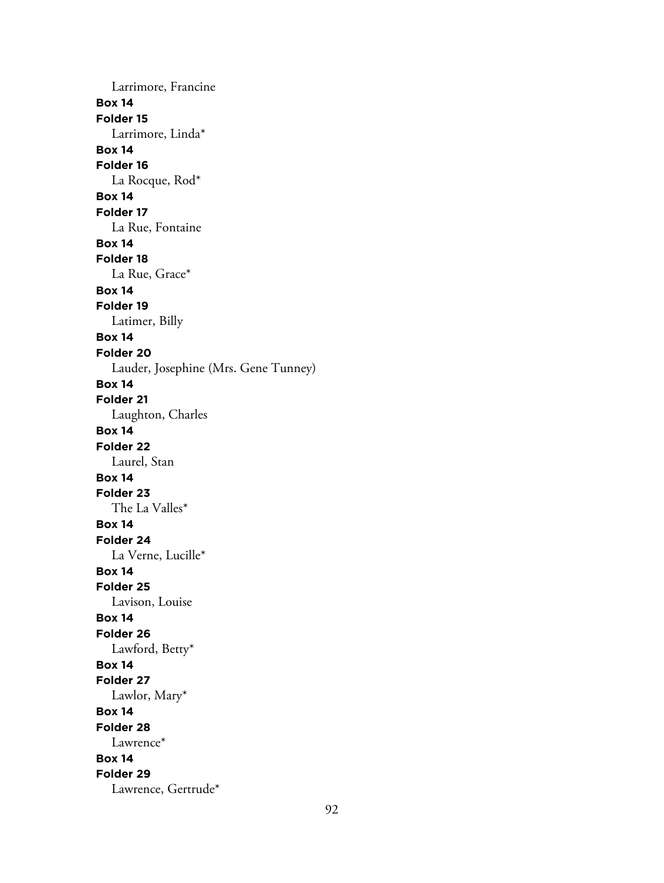Larrimore, Francine **Box 14 Folder 15** Larrimore, Linda\* **Box 14 Folder 16** La Rocque, Rod\* **Box 14 Folder 17** La Rue, Fontaine **Box 14 Folder 18** La Rue, Grace\* **Box 14 Folder 19** Latimer, Billy **Box 14 Folder 20** Lauder, Josephine (Mrs. Gene Tunney) **Box 14 Folder 21** Laughton, Charles **Box 14 Folder 22** Laurel, Stan **Box 14 Folder 23** The La Valles\* **Box 14 Folder 24** La Verne, Lucille\* **Box 14 Folder 25** Lavison, Louise **Box 14 Folder 26** Lawford, Betty\* **Box 14 Folder 27** Lawlor, Mary\* **Box 14 Folder 28** Lawrence\* **Box 14 Folder 29** Lawrence, Gertrude\*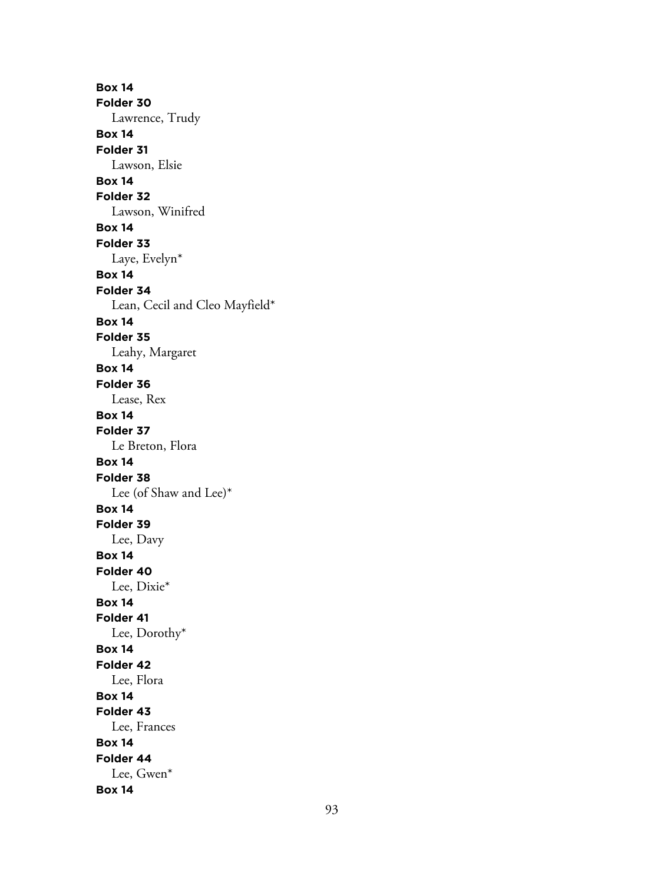**Box 14 Folder 30** Lawrence, Trudy **Box 14 Folder 31** Lawson, Elsie **Box 14 Folder 32** Lawson, Winifred **Box 14 Folder 33** Laye, Evelyn\* **Box 14 Folder 34** Lean, Cecil and Cleo Mayfield\* **Box 14 Folder 35** Leahy, Margaret **Box 14 Folder 36** Lease, Rex **Box 14 Folder 37** Le Breton, Flora **Box 14 Folder 38** Lee (of Shaw and Lee)\* **Box 14 Folder 39** Lee, Davy **Box 14 Folder 40** Lee, Dixie\* **Box 14 Folder 41** Lee, Dorothy\* **Box 14 Folder 42** Lee, Flora **Box 14 Folder 43** Lee, Frances **Box 14 Folder 44** Lee, Gwen\* **Box 14**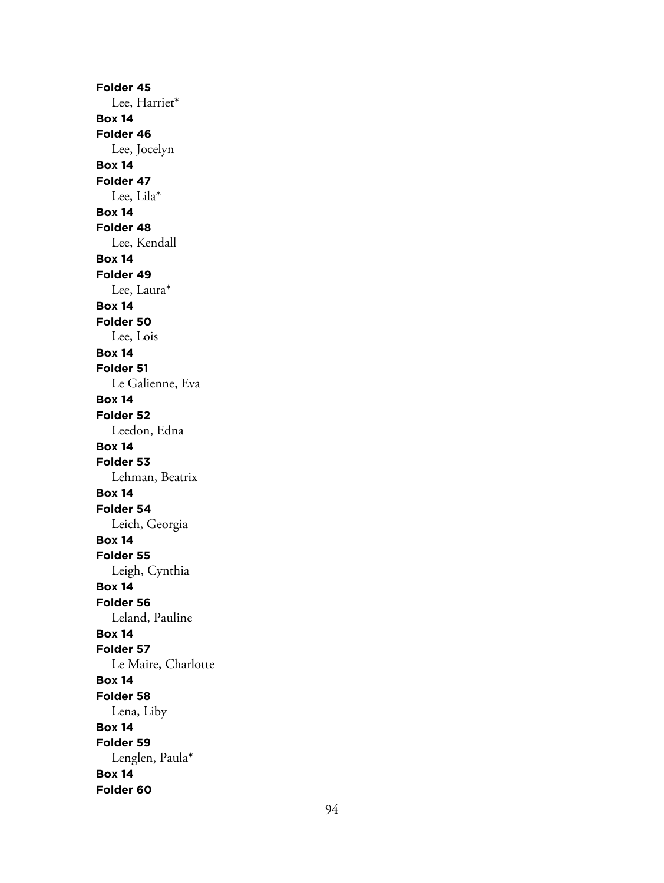**Folder 45** Lee, Harriet\* **Box 14 Folder 46** Lee, Jocelyn **Box 14 Folder 47** Lee, Lila\* **Box 14 Folder 48** Lee, Kendall **Box 14 Folder 49** Lee, Laura\* **Box 14 Folder 50** Lee, Lois **Box 14 Folder 51** Le Galienne, Eva **Box 14 Folder 52** Leedon, Edna **Box 14 Folder 53** Lehman, Beatrix **Box 14 Folder 54** Leich, Georgia **Box 14 Folder 55** Leigh, Cynthia **Box 14 Folder 56** Leland, Pauline **Box 14 Folder 57** Le Maire, Charlotte **Box 14 Folder 58** Lena, Liby **Box 14 Folder 59** Lenglen, Paula\* **Box 14 Folder 60**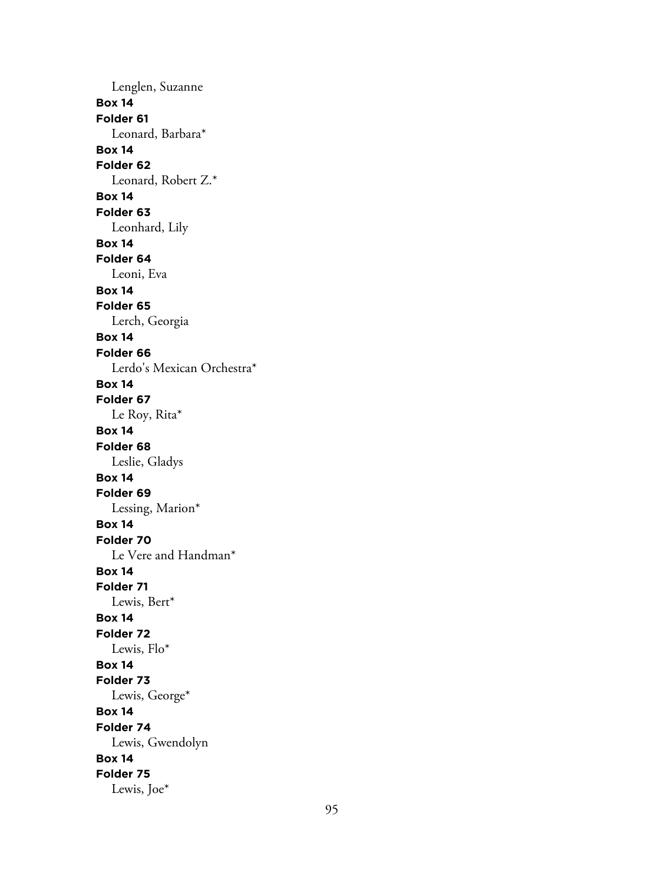Lenglen, Suzanne **Box 14 Folder 61** Leonard, Barbara\* **Box 14 Folder 62** Leonard, Robert Z.\* **Box 14 Folder 63** Leonhard, Lily **Box 14 Folder 64** Leoni, Eva **Box 14 Folder 65** Lerch, Georgia **Box 14 Folder 66** Lerdo's Mexican Orchestra\* **Box 14 Folder 67** Le Roy, Rita\* **Box 14 Folder 68** Leslie, Gladys **Box 14 Folder 69** Lessing, Marion\* **Box 14 Folder 70** Le Vere and Handman\* **Box 14 Folder 71** Lewis, Bert\* **Box 14 Folder 72** Lewis, Flo\* **Box 14 Folder 73** Lewis, George\* **Box 14 Folder 74** Lewis, Gwendolyn **Box 14 Folder 75** Lewis, Joe\*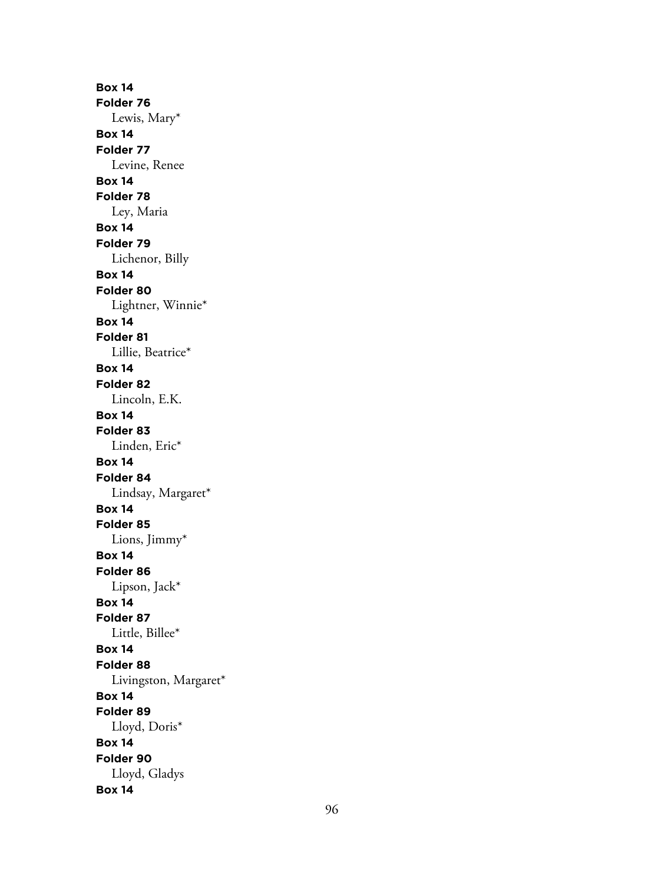**Box 14 Folder 76** Lewis, Mary\* **Box 14 Folder 77** Levine, Renee **Box 14 Folder 78** Ley, Maria **Box 14 Folder 79** Lichenor, Billy **Box 14 Folder 80** Lightner, Winnie\* **Box 14 Folder 81** Lillie, Beatrice\* **Box 14 Folder 82** Lincoln, E.K. **Box 14 Folder 83** Linden, Eric\* **Box 14 Folder 84** Lindsay, Margaret\* **Box 14 Folder 85** Lions, Jimmy\* **Box 14 Folder 86** Lipson, Jack\* **Box 14 Folder 87** Little, Billee\* **Box 14 Folder 88** Livingston, Margaret\* **Box 14 Folder 89** Lloyd, Doris\* **Box 14 Folder 90** Lloyd, Gladys **Box 14**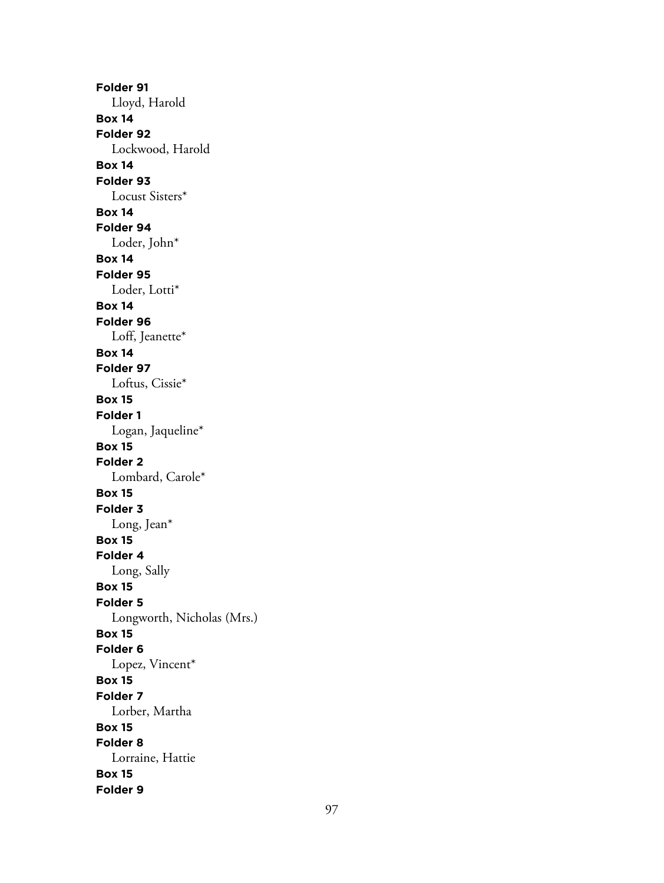**Folder 91** Lloyd, Harold **Box 14 Folder 92** Lockwood, Harold **Box 14 Folder 93** Locust Sisters\* **Box 14 Folder 94** Loder, John\* **Box 14 Folder 95** Loder, Lotti\* **Box 14 Folder 96** Loff, Jeanette\* **Box 14 Folder 97** Loftus, Cissie\* **Box 15 Folder 1** Logan, Jaqueline\* **Box 15 Folder 2** Lombard, Carole\* **Box 15 Folder 3** Long, Jean\* **Box 15 Folder 4** Long, Sally **Box 15 Folder 5** Longworth, Nicholas (Mrs.) **Box 15 Folder 6** Lopez, Vincent\* **Box 15 Folder 7** Lorber, Martha **Box 15 Folder 8** Lorraine, Hattie **Box 15 Folder 9**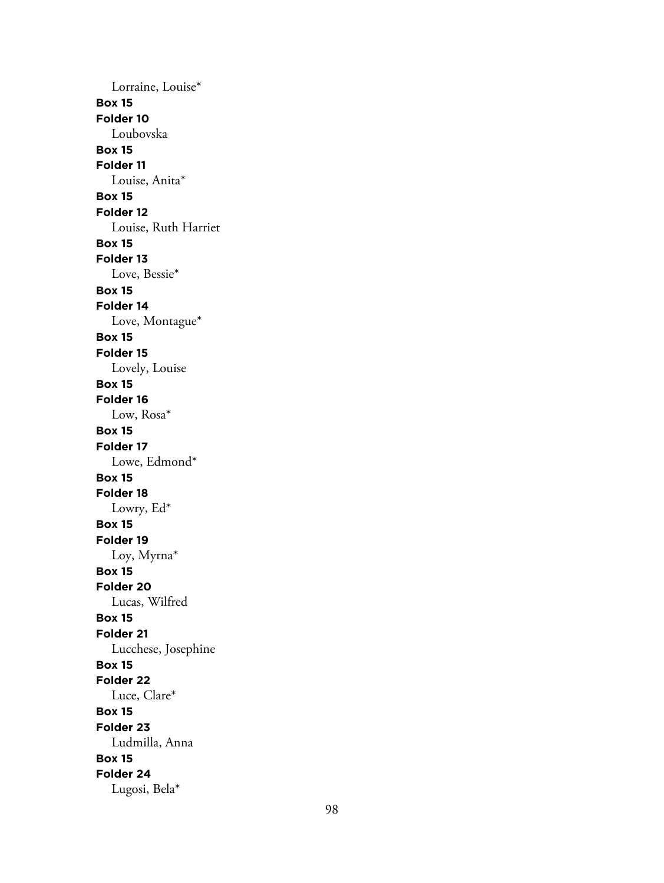Lorraine, Louise\* **Box 15 Folder 10** Loubovska **Box 15 Folder 11** Louise, Anita\* **Box 15 Folder 12** Louise, Ruth Harriet **Box 15 Folder 13** Love, Bessie\* **Box 15 Folder 14** Love, Montague\* **Box 15 Folder 15** Lovely, Louise **Box 15 Folder 16** Low, Rosa\* **Box 15 Folder 17** Lowe, Edmond\* **Box 15 Folder 18** Lowry, Ed\* **Box 15 Folder 19** Loy, Myrna\* **Box 15 Folder 20** Lucas, Wilfred **Box 15 Folder 21** Lucchese, Josephine **Box 15 Folder 22** Luce, Clare\* **Box 15 Folder 23** Ludmilla, Anna **Box 15 Folder 24** Lugosi, Bela\*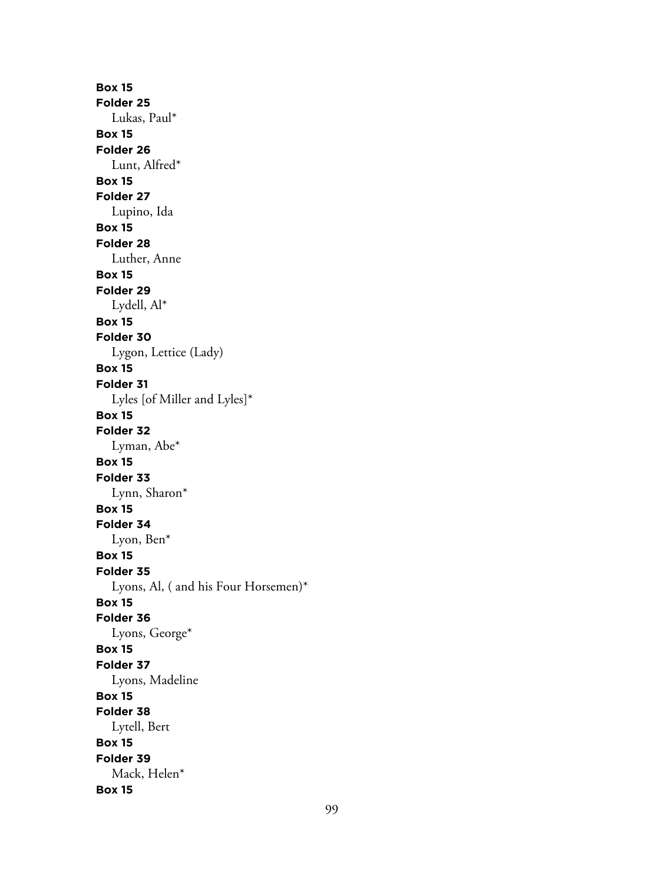**Box 15 Folder 25** Lukas, Paul\* **Box 15 Folder 26** Lunt, Alfred\* **Box 15 Folder 27** Lupino, Ida **Box 15 Folder 28** Luther, Anne **Box 15 Folder 29** Lydell, Al\* **Box 15 Folder 30** Lygon, Lettice (Lady) **Box 15 Folder 31** Lyles [of Miller and Lyles]\* **Box 15 Folder 32** Lyman, Abe\* **Box 15 Folder 33** Lynn, Sharon\* **Box 15 Folder 34** Lyon, Ben\* **Box 15 Folder 35** Lyons, Al, ( and his Four Horsemen)\* **Box 15 Folder 36** Lyons, George\* **Box 15 Folder 37** Lyons, Madeline **Box 15 Folder 38** Lytell, Bert **Box 15 Folder 39** Mack, Helen\* **Box 15**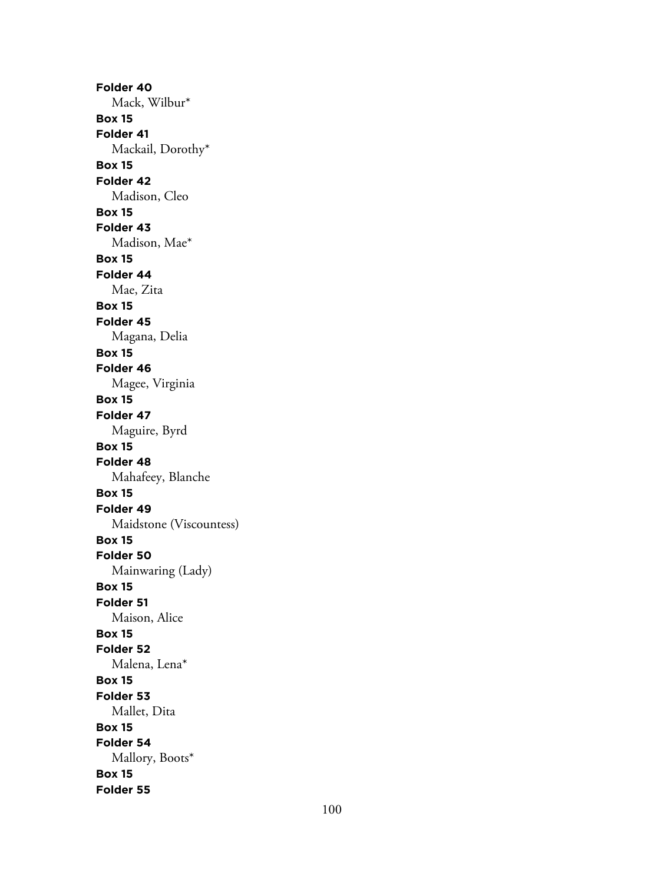**Folder 40** Mack, Wilbur\* **Box 15 Folder 41** Mackail, Dorothy\* **Box 15 Folder 42** Madison, Cleo **Box 15 Folder 43** Madison, Mae\* **Box 15 Folder 44** Mae, Zita **Box 15 Folder 45** Magana, Delia **Box 15 Folder 46** Magee, Virginia **Box 15 Folder 47** Maguire, Byrd **Box 15 Folder 48** Mahafeey, Blanche **Box 15 Folder 49** Maidstone (Viscountess) **Box 15 Folder 50** Mainwaring (Lady) **Box 15 Folder 51** Maison, Alice **Box 15 Folder 52** Malena, Lena\* **Box 15 Folder 53** Mallet, Dita **Box 15 Folder 54** Mallory, Boots\* **Box 15 Folder 55**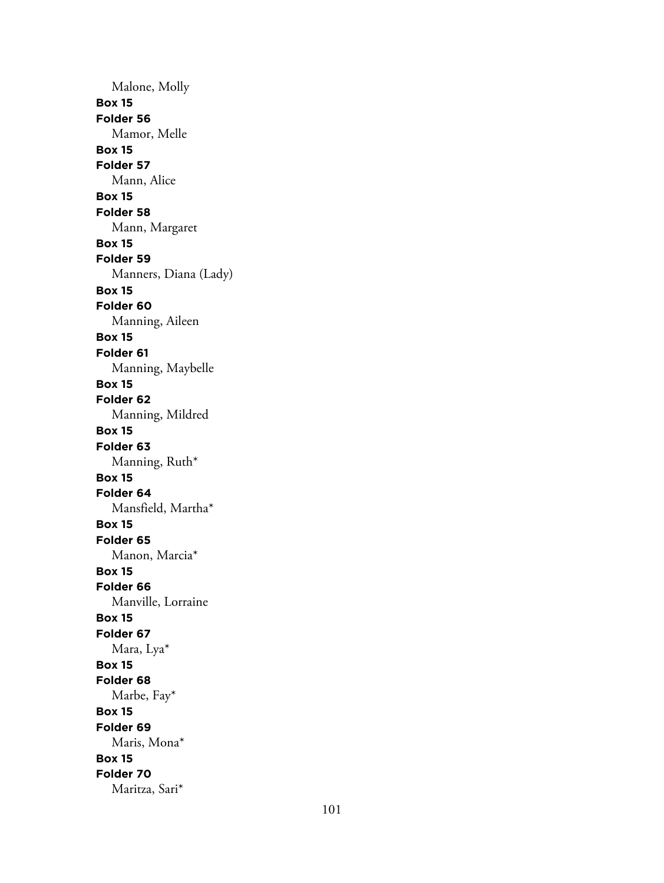Malone, Molly **Box 15 Folder 56** Mamor, Melle **Box 15 Folder 57** Mann, Alice **Box 15 Folder 58** Mann, Margaret **Box 15 Folder 59** Manners, Diana (Lady) **Box 15 Folder 60** Manning, Aileen **Box 15 Folder 61** Manning, Maybelle **Box 15 Folder 62** Manning, Mildred **Box 15 Folder 63** Manning, Ruth\* **Box 15 Folder 64** Mansfield, Martha\* **Box 15 Folder 65** Manon, Marcia\* **Box 15 Folder 66** Manville, Lorraine **Box 15 Folder 67** Mara, Lya\* **Box 15 Folder 68** Marbe, Fay\* **Box 15 Folder 69** Maris, Mona\* **Box 15 Folder 70** Maritza, Sari\*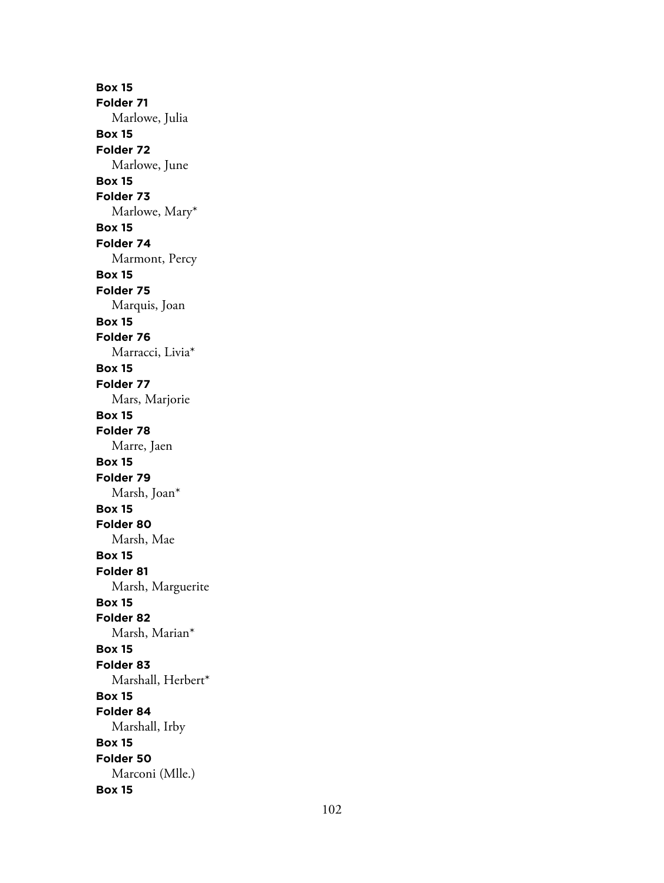**Box 15 Folder 71** Marlowe, Julia **Box 15 Folder 72** Marlowe, June **Box 15 Folder 73** Marlowe, Mary\* **Box 15 Folder 74** Marmont, Percy **Box 15 Folder 75** Marquis, Joan **Box 15 Folder 76** Marracci, Livia\* **Box 15 Folder 77** Mars, Marjorie **Box 15 Folder 78** Marre, Jaen **Box 15 Folder 79** Marsh, Joan\* **Box 15 Folder 80** Marsh, Mae **Box 15 Folder 81** Marsh, Marguerite **Box 15 Folder 82** Marsh, Marian\* **Box 15 Folder 83** Marshall, Herbert\* **Box 15 Folder 84** Marshall, Irby **Box 15 Folder 50** Marconi (Mlle.) **Box 15**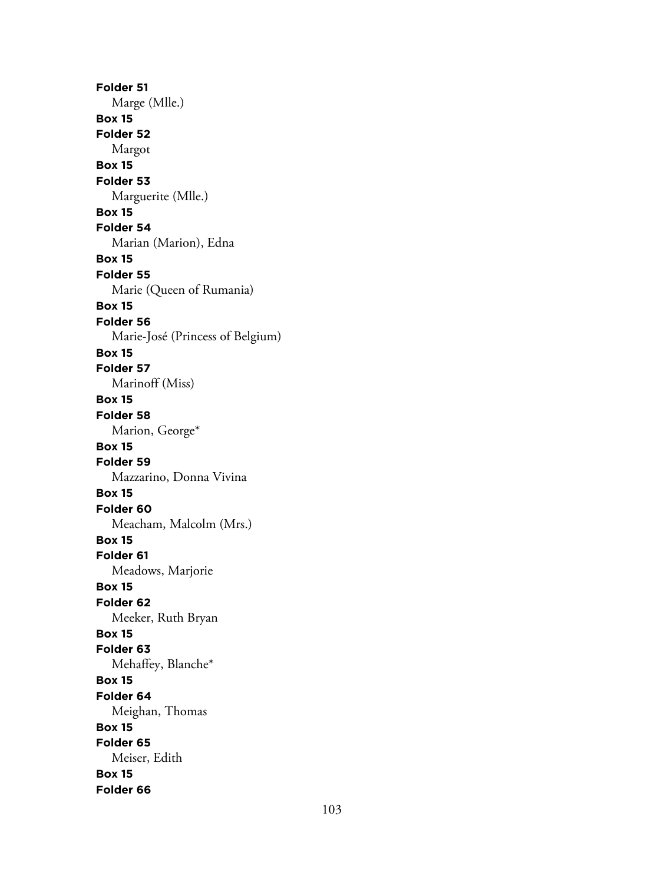**Folder 51** Marge (Mlle.) **Box 15 Folder 52** Margot **Box 15 Folder 53** Marguerite (Mlle.) **Box 15 Folder 54** Marian (Marion), Edna **Box 15 Folder 55** Marie (Queen of Rumania) **Box 15 Folder 56** Marie-José (Princess of Belgium) **Box 15 Folder 57** Marinoff (Miss) **Box 15 Folder 58** Marion, George\* **Box 15 Folder 59** Mazzarino, Donna Vivina **Box 15 Folder 60** Meacham, Malcolm (Mrs.) **Box 15 Folder 61** Meadows, Marjorie **Box 15 Folder 62** Meeker, Ruth Bryan **Box 15 Folder 63** Mehaffey, Blanche\* **Box 15 Folder 64** Meighan, Thomas **Box 15 Folder 65** Meiser, Edith **Box 15 Folder 66**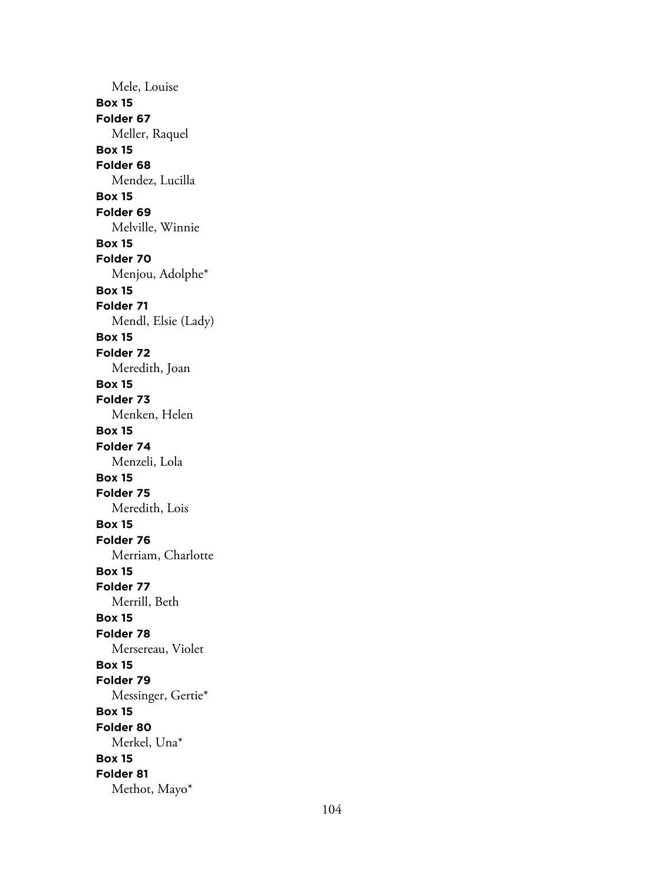Mele, Louise **Box 15 Folder 67** Meller, Raquel **Box 15 Folder 68** Mendez, Lucilla **Box 15 Folder 69** Melville, Winnie **Box 15 Folder 70** Menjou, Adolphe\* **Box 15 Folder 71** Mendl, Elsie (Lady) **Box 15 Folder 72** Meredith, Joan **Box 15 Folder 73** Menken, Helen **Box 15 Folder 74** Menzeli, Lola **Box 15 Folder 75** Meredith, Lois **Box 15 Folder 76** Merriam, Charlotte **Box 15 Folder 77** Merrill, Beth **Box 15 Folder 78** Mersereau, Violet **Box 15 Folder 79** Messinger, Gertie\* **Box 15 Folder 80** Merkel, Una\* **Box 15 Folder 81** Methot, Mayo\*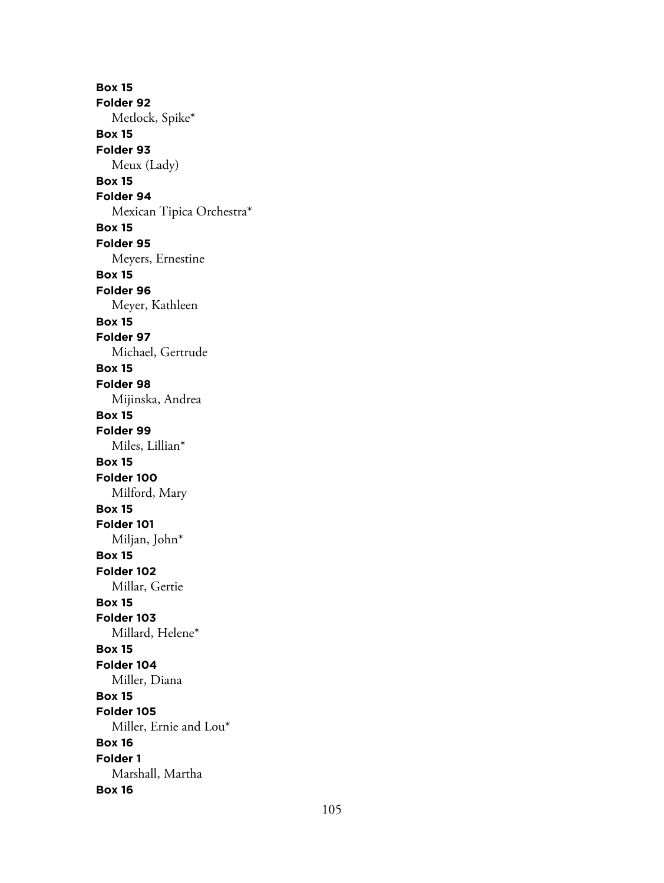**Box 15 Folder 92** Metlock, Spike\* **Box 15 Folder 93** Meux (Lady) **Box 15 Folder 94** Mexican Tipica Orchestra\* **Box 15 Folder 95** Meyers, Ernestine **Box 15 Folder 96** Meyer, Kathleen **Box 15 Folder 97** Michael, Gertrude **Box 15 Folder 98** Mijinska, Andrea **Box 15 Folder 99** Miles, Lillian\* **Box 15 Folder 100** Milford, Mary **Box 15 Folder 101** Miljan, John\* **Box 15 Folder 102** Millar, Gertie **Box 15 Folder 103** Millard, Helene\* **Box 15 Folder 104** Miller, Diana **Box 15 Folder 105** Miller, Ernie and Lou\* **Box 16 Folder 1** Marshall, Martha **Box 16**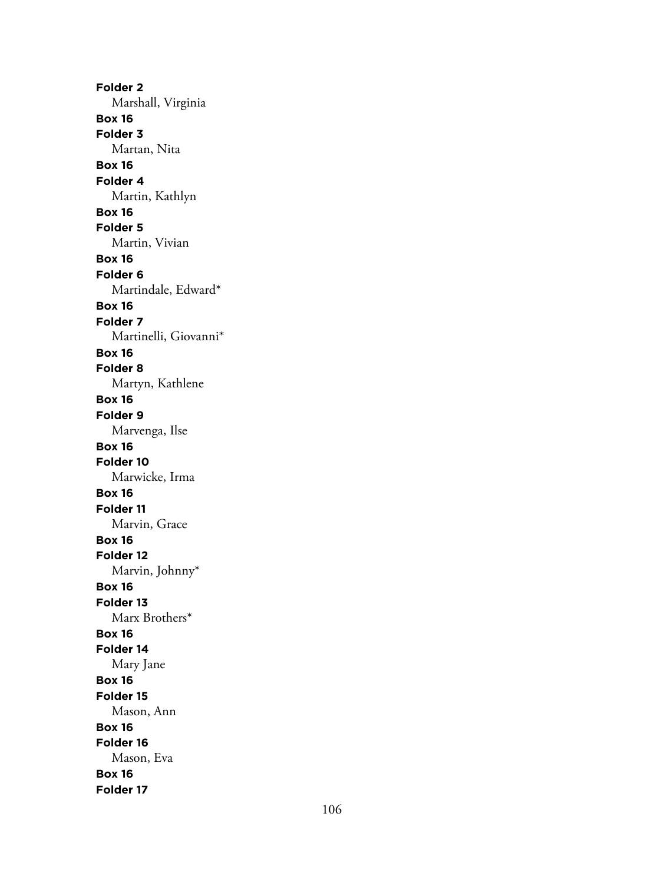**Folder 2** Marshall, Virginia **Box 16 Folder 3** Martan, Nita **Box 16 Folder 4** Martin, Kathlyn **Box 16 Folder 5** Martin, Vivian **Box 16 Folder 6** Martindale, Edward\* **Box 16 Folder 7** Martinelli, Giovanni\* **Box 16 Folder 8** Martyn, Kathlene **Box 16 Folder 9** Marvenga, Ilse **Box 16 Folder 10** Marwicke, Irma **Box 16 Folder 11** Marvin, Grace **Box 16 Folder 12** Marvin, Johnny\* **Box 16 Folder 13** Marx Brothers\* **Box 16 Folder 14** Mary Jane **Box 16 Folder 15** Mason, Ann **Box 16 Folder 16** Mason, Eva **Box 16 Folder 17**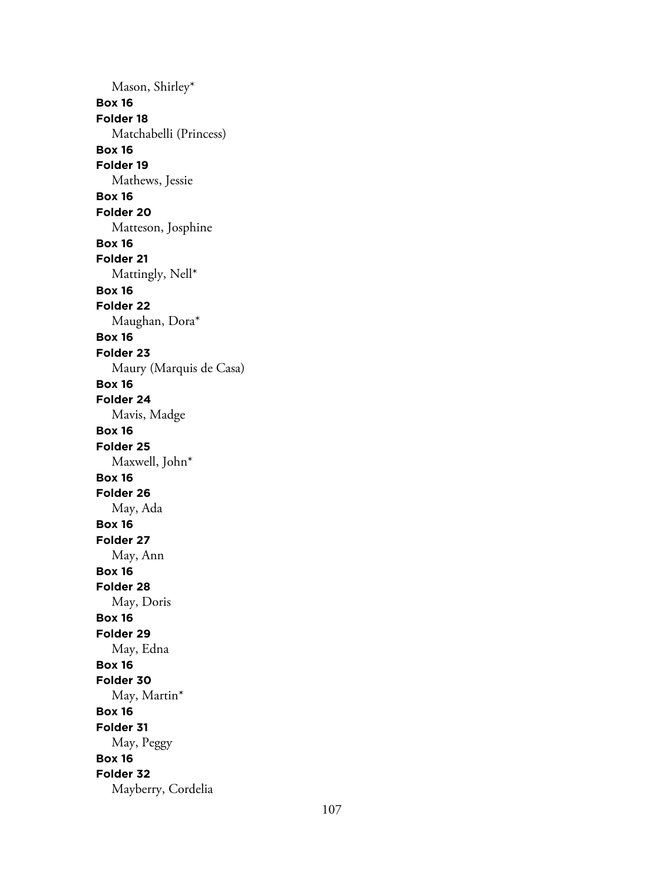Mason, Shirley\* **Box 16 Folder 18** Matchabelli (Princess) **Box 16 Folder 19** Mathews, Jessie **Box 16 Folder 20** Matteson, Josphine **Box 16 Folder 21** Mattingly, Nell\* **Box 16 Folder 22** Maughan, Dora\* **Box 16 Folder 23** Maury (Marquis de Casa) **Box 16 Folder 24** Mavis, Madge **Box 16 Folder 25** Maxwell, John\* **Box 16 Folder 26** May, Ada **Box 16 Folder 27** May, Ann **Box 16 Folder 28** May, Doris **Box 16 Folder 29** May, Edna **Box 16 Folder 30** May, Martin\* **Box 16 Folder 31** May, Peggy **Box 16 Folder 32** Mayberry, Cordelia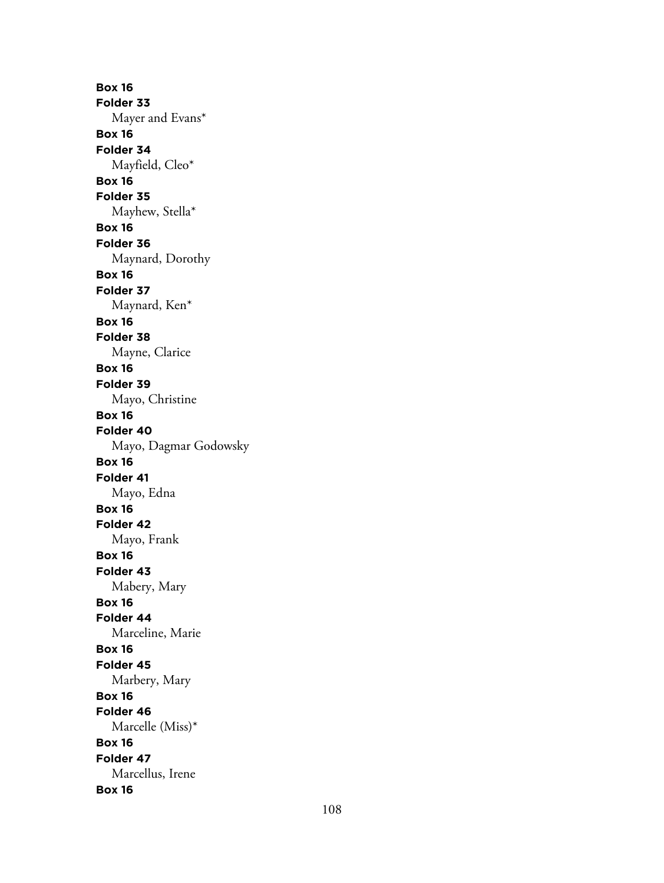**Box 16 Folder 33** Mayer and Evans\* **Box 16 Folder 34** Mayfield, Cleo\* **Box 16 Folder 35** Mayhew, Stella\* **Box 16 Folder 36** Maynard, Dorothy **Box 16 Folder 37** Maynard, Ken\* **Box 16 Folder 38** Mayne, Clarice **Box 16 Folder 39** Mayo, Christine **Box 16 Folder 40** Mayo, Dagmar Godowsky **Box 16 Folder 41** Mayo, Edna **Box 16 Folder 42** Mayo, Frank **Box 16 Folder 43** Mabery, Mary **Box 16 Folder 44** Marceline, Marie **Box 16 Folder 45** Marbery, Mary **Box 16 Folder 46** Marcelle (Miss)\* **Box 16 Folder 47** Marcellus, Irene **Box 16**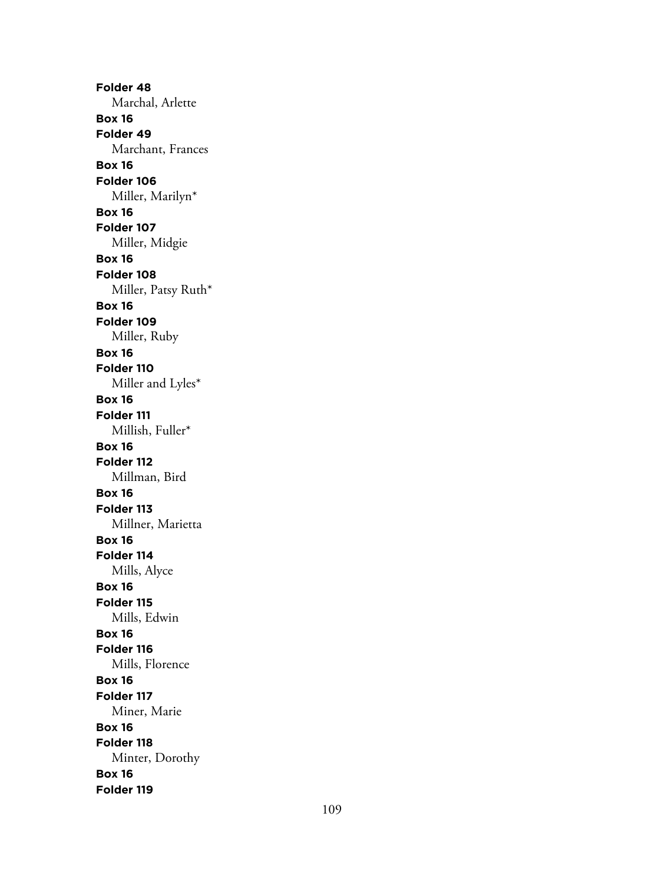**Folder 48** Marchal, Arlette **Box 16 Folder 49** Marchant, Frances **Box 16 Folder 106** Miller, Marilyn\* **Box 16 Folder 107** Miller, Midgie **Box 16 Folder 108** Miller, Patsy Ruth\* **Box 16 Folder 109** Miller, Ruby **Box 16 Folder 110** Miller and Lyles\* **Box 16 Folder 111** Millish, Fuller\* **Box 16 Folder 112** Millman, Bird **Box 16 Folder 113** Millner, Marietta **Box 16 Folder 114** Mills, Alyce **Box 16 Folder 115** Mills, Edwin **Box 16 Folder 116** Mills, Florence **Box 16 Folder 117** Miner, Marie **Box 16 Folder 118** Minter, Dorothy **Box 16 Folder 119**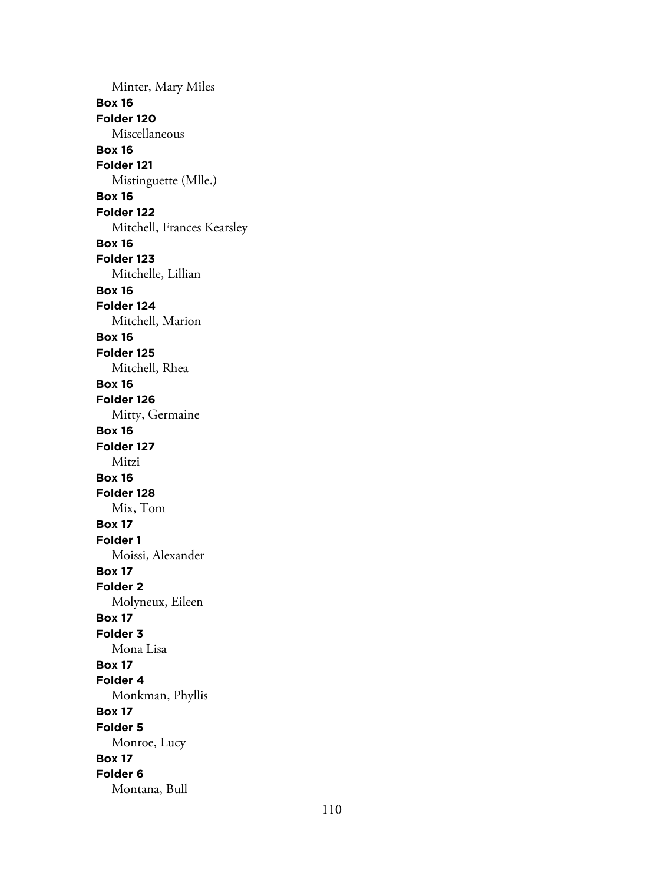Minter, Mary Miles **Box 16 Folder 120** Miscellaneous **Box 16 Folder 121** Mistinguette (Mlle.) **Box 16 Folder 122** Mitchell, Frances Kearsley **Box 16 Folder 123** Mitchelle, Lillian **Box 16 Folder 124** Mitchell, Marion **Box 16 Folder 125** Mitchell, Rhea **Box 16 Folder 126** Mitty, Germaine **Box 16 Folder 127** Mitzi **Box 16 Folder 128** Mix, Tom **Box 17 Folder 1** Moissi, Alexander **Box 17 Folder 2** Molyneux, Eileen **Box 17 Folder 3** Mona Lisa **Box 17 Folder 4** Monkman, Phyllis **Box 17 Folder 5** Monroe, Lucy **Box 17 Folder 6** Montana, Bull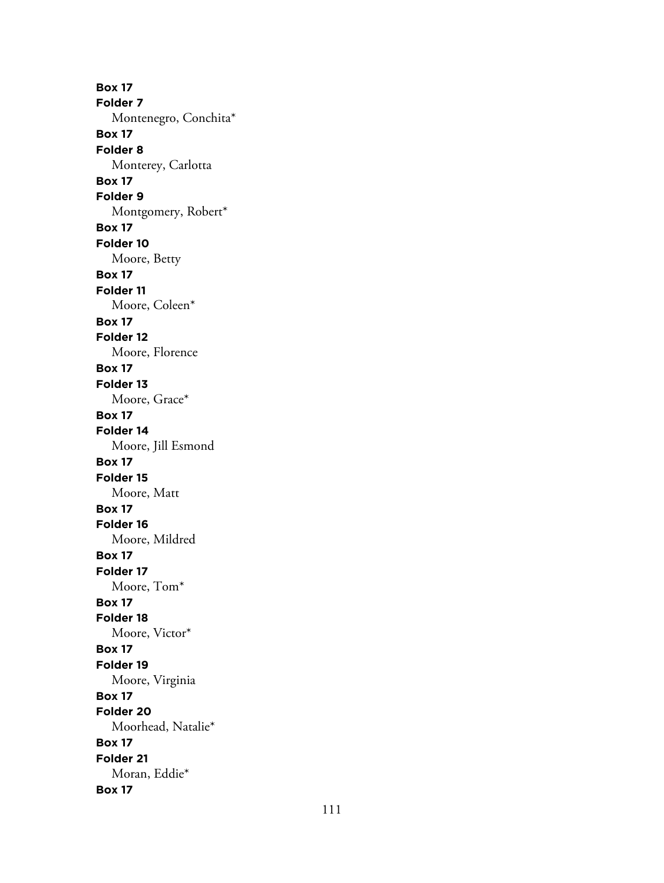**Box 17 Folder 7** Montenegro, Conchita\* **Box 17 Folder 8** Monterey, Carlotta **Box 17 Folder 9** Montgomery, Robert\* **Box 17 Folder 10** Moore, Betty **Box 17 Folder 11** Moore, Coleen\* **Box 17 Folder 12** Moore, Florence **Box 17 Folder 13** Moore, Grace\* **Box 17 Folder 14** Moore, Jill Esmond **Box 17 Folder 15** Moore, Matt **Box 17 Folder 16** Moore, Mildred **Box 17 Folder 17** Moore, Tom\* **Box 17 Folder 18** Moore, Victor\* **Box 17 Folder 19** Moore, Virginia **Box 17 Folder 20** Moorhead, Natalie\* **Box 17 Folder 21** Moran, Eddie\* **Box 17**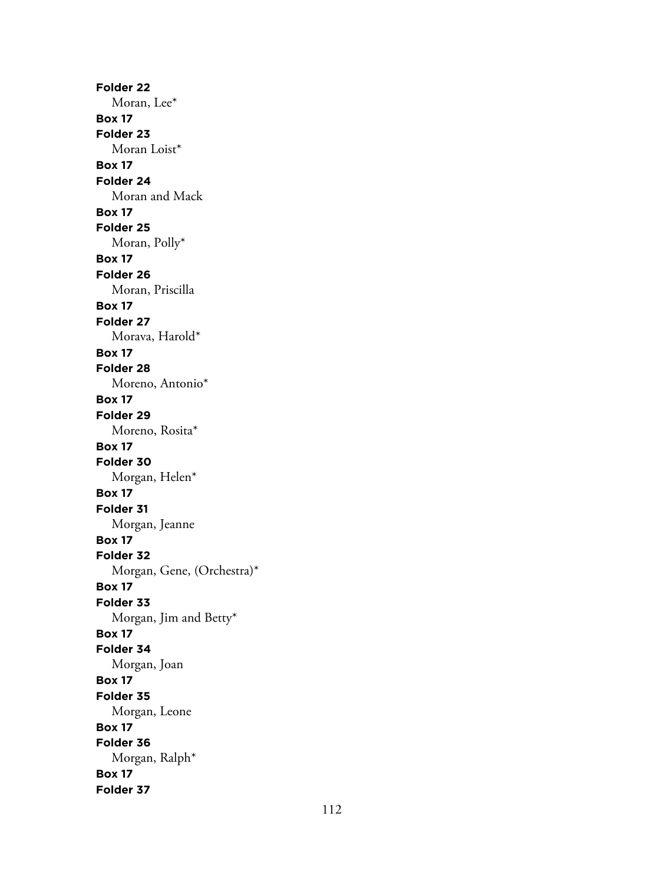**Folder 22** Moran, Lee\* **Box 17 Folder 23** Moran Loist\* **Box 17 Folder 24** Moran and Mack **Box 17 Folder 25** Moran, Polly\* **Box 17 Folder 26** Moran, Priscilla **Box 17 Folder 27** Morava, Harold\* **Box 17 Folder 28** Moreno, Antonio\* **Box 17 Folder 29** Moreno, Rosita\* **Box 17 Folder 30** Morgan, Helen\* **Box 17 Folder 31** Morgan, Jeanne **Box 17 Folder 32** Morgan, Gene, (Orchestra)\* **Box 17 Folder 33** Morgan, Jim and Betty\* **Box 17 Folder 34** Morgan, Joan **Box 17 Folder 35** Morgan, Leone **Box 17 Folder 36** Morgan, Ralph\* **Box 17 Folder 37**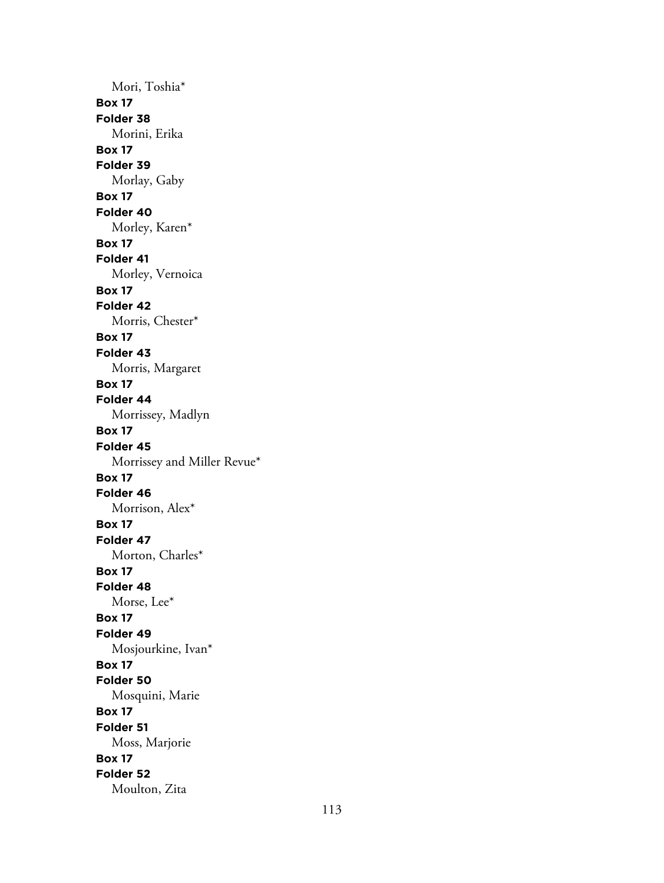Mori, Toshia\* **Box 17 Folder 38** Morini, Erika **Box 17 Folder 39** Morlay, Gaby **Box 17 Folder 40** Morley, Karen\* **Box 17 Folder 41** Morley, Vernoica **Box 17 Folder 42** Morris, Chester\* **Box 17 Folder 43** Morris, Margaret **Box 17 Folder 44** Morrissey, Madlyn **Box 17 Folder 45** Morrissey and Miller Revue\* **Box 17 Folder 46** Morrison, Alex\* **Box 17 Folder 47** Morton, Charles\* **Box 17 Folder 48** Morse, Lee\* **Box 17 Folder 49** Mosjourkine, Ivan\* **Box 17 Folder 50** Mosquini, Marie **Box 17 Folder 51** Moss, Marjorie **Box 17 Folder 52** Moulton, Zita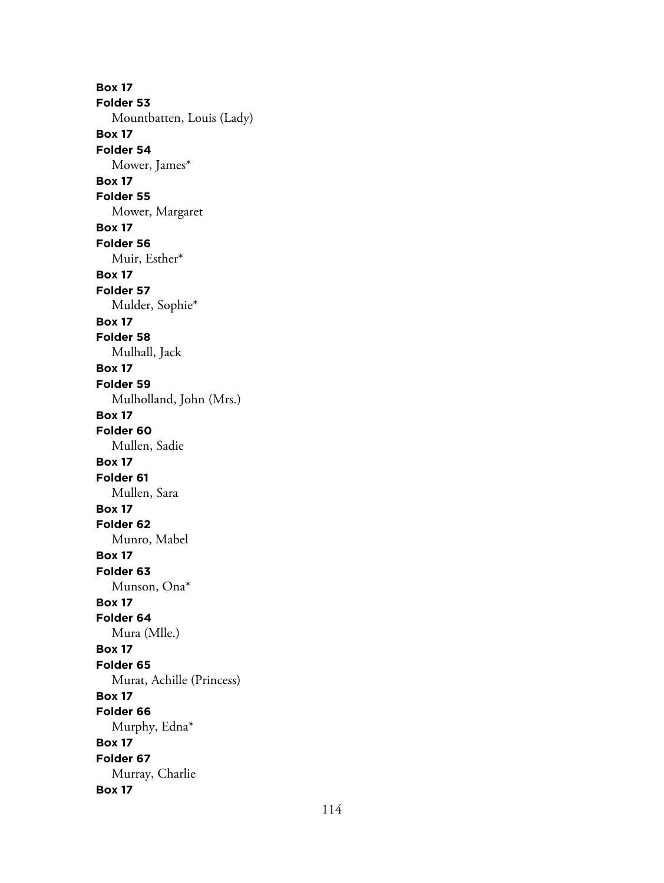**Box 17 Folder 53** Mountbatten, Louis (Lady) **Box 17 Folder 54** Mower, James\* **Box 17 Folder 55** Mower, Margaret **Box 17 Folder 56** Muir, Esther\* **Box 17 Folder 57** Mulder, Sophie\* **Box 17 Folder 58** Mulhall, Jack **Box 17 Folder 59** Mulholland, John (Mrs.) **Box 17 Folder 60** Mullen, Sadie **Box 17 Folder 61** Mullen, Sara **Box 17 Folder 62** Munro, Mabel **Box 17 Folder 63** Munson, Ona\* **Box 17 Folder 64** Mura (Mlle.) **Box 17 Folder 65** Murat, Achille (Princess) **Box 17 Folder 66** Murphy, Edna\* **Box 17 Folder 67** Murray, Charlie **Box 17**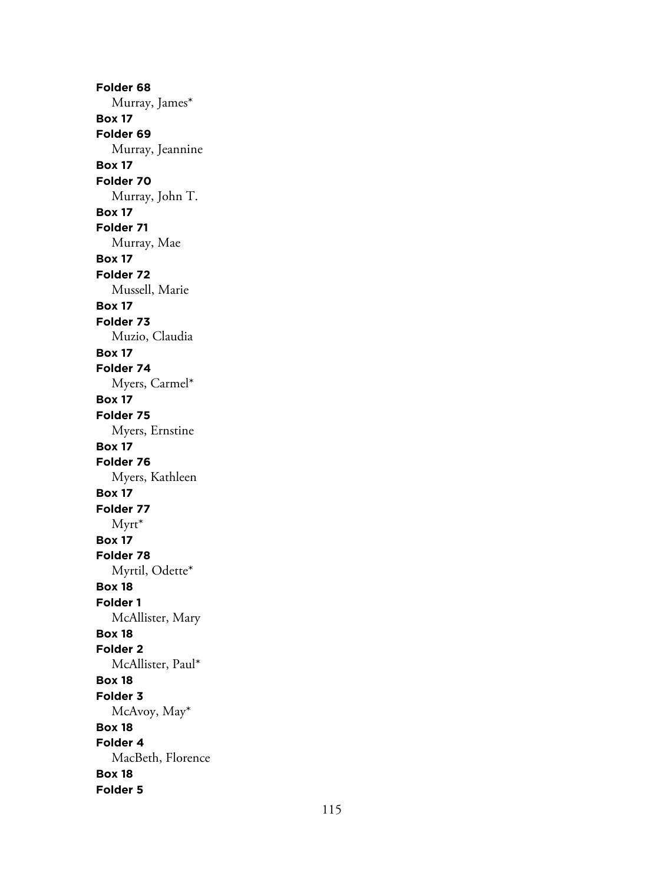**Folder 68** Murray, James\* **Box 17 Folder 69** Murray, Jeannine **Box 17 Folder 70** Murray, John T. **Box 17 Folder 71** Murray, Mae **Box 17 Folder 72** Mussell, Marie **Box 17 Folder 73** Muzio, Claudia **Box 17 Folder 74** Myers, Carmel\* **Box 17 Folder 75** Myers, Ernstine **Box 17 Folder 76** Myers, Kathleen **Box 17 Folder 77** Myrt\* **Box 17 Folder 78** Myrtil, Odette\* **Box 18 Folder 1** McAllister, Mary **Box 18 Folder 2** McAllister, Paul\* **Box 18 Folder 3** McAvoy, May\* **Box 18 Folder 4** MacBeth, Florence **Box 18 Folder 5**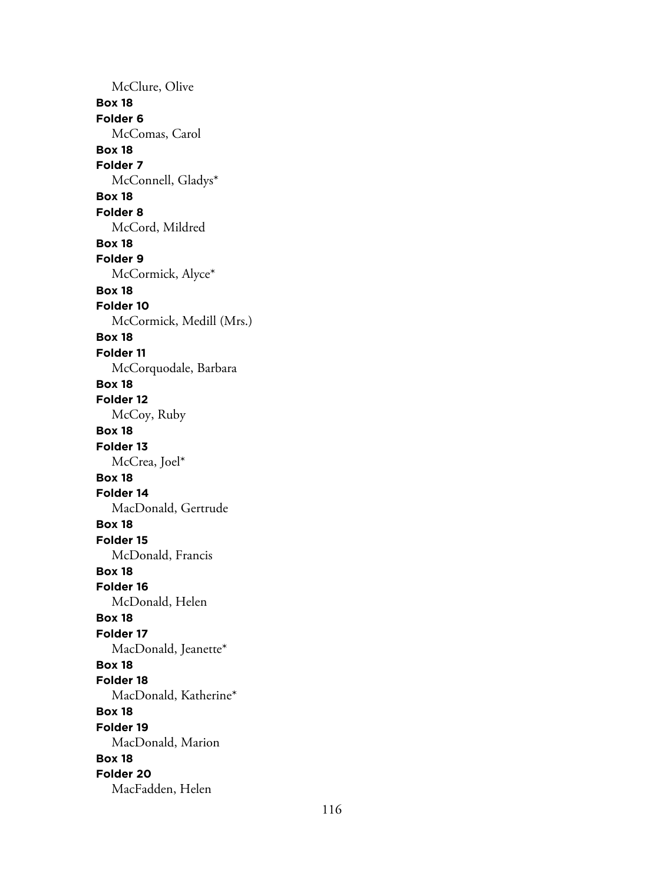McClure, Olive **Box 18 Folder 6** McComas, Carol **Box 18 Folder 7** McConnell, Gladys\* **Box 18 Folder 8** McCord, Mildred **Box 18 Folder 9** McCormick, Alyce\* **Box 18 Folder 10** McCormick, Medill (Mrs.) **Box 18 Folder 11** McCorquodale, Barbara **Box 18 Folder 12** McCoy, Ruby **Box 18 Folder 13** McCrea, Joel\* **Box 18 Folder 14** MacDonald, Gertrude **Box 18 Folder 15** McDonald, Francis **Box 18 Folder 16** McDonald, Helen **Box 18 Folder 17** MacDonald, Jeanette\* **Box 18 Folder 18** MacDonald, Katherine\* **Box 18 Folder 19** MacDonald, Marion **Box 18 Folder 20** MacFadden, Helen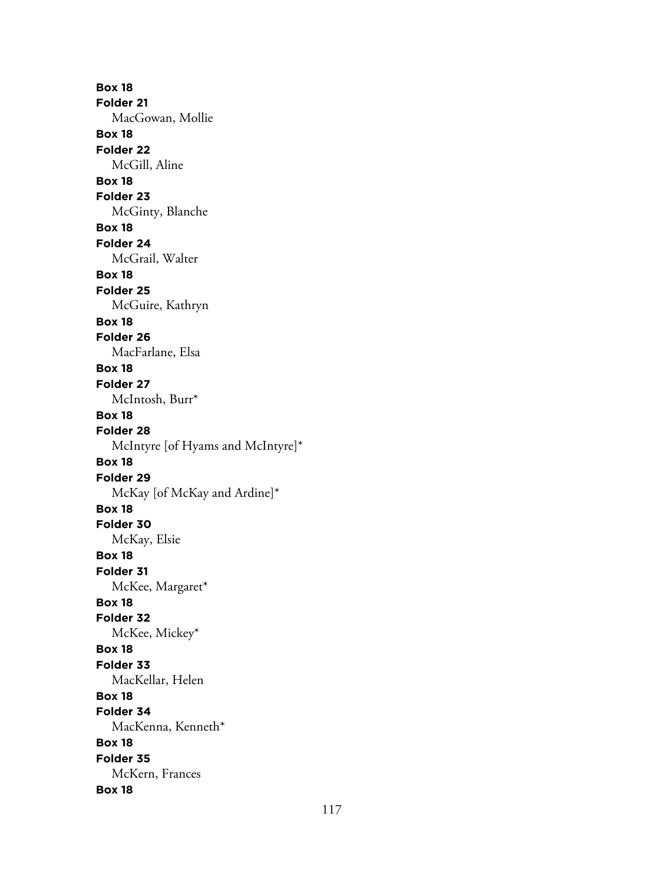**Box 18 Folder 21** MacGowan, Mollie **Box 18 Folder 22** McGill, Aline **Box 18 Folder 23** McGinty, Blanche **Box 18 Folder 24** McGrail, Walter **Box 18 Folder 25** McGuire, Kathryn **Box 18 Folder 26** MacFarlane, Elsa **Box 18 Folder 27** McIntosh, Burr\* **Box 18 Folder 28** McIntyre [of Hyams and McIntyre]\* **Box 18 Folder 29** McKay [of McKay and Ardine]\* **Box 18 Folder 30** McKay, Elsie **Box 18 Folder 31** McKee, Margaret\* **Box 18 Folder 32** McKee, Mickey\* **Box 18 Folder 33** MacKellar, Helen **Box 18 Folder 34** MacKenna, Kenneth\* **Box 18 Folder 35** McKern, Frances **Box 18**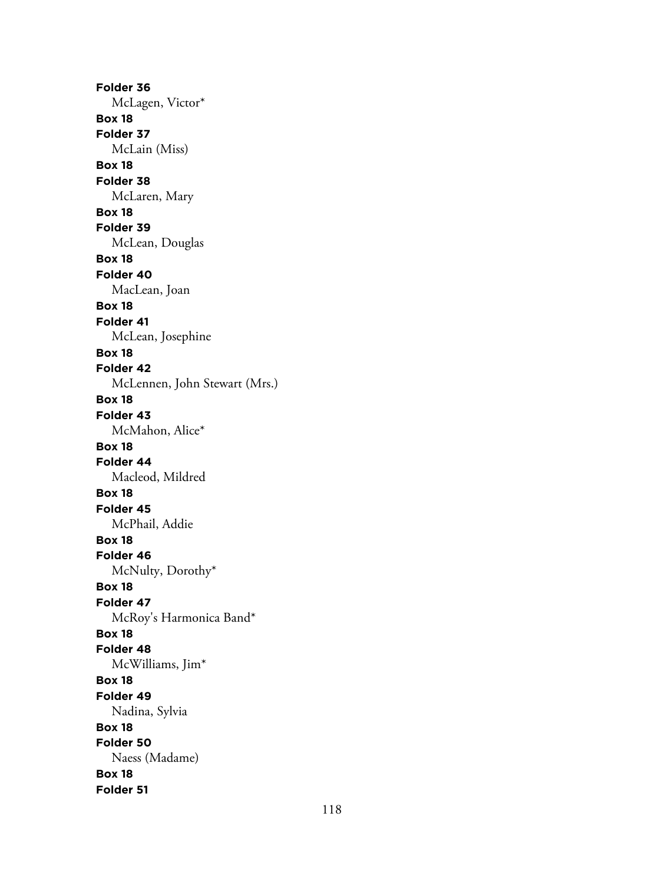**Folder 36** McLagen, Victor\* **Box 18 Folder 37** McLain (Miss) **Box 18 Folder 38** McLaren, Mary **Box 18 Folder 39** McLean, Douglas **Box 18 Folder 40** MacLean, Joan **Box 18 Folder 41** McLean, Josephine **Box 18 Folder 42** McLennen, John Stewart (Mrs.) **Box 18 Folder 43** McMahon, Alice\* **Box 18 Folder 44** Macleod, Mildred **Box 18 Folder 45** McPhail, Addie **Box 18 Folder 46** McNulty, Dorothy\* **Box 18 Folder 47** McRoy's Harmonica Band\* **Box 18 Folder 48** McWilliams, Jim\* **Box 18 Folder 49** Nadina, Sylvia **Box 18 Folder 50** Naess (Madame) **Box 18 Folder 51**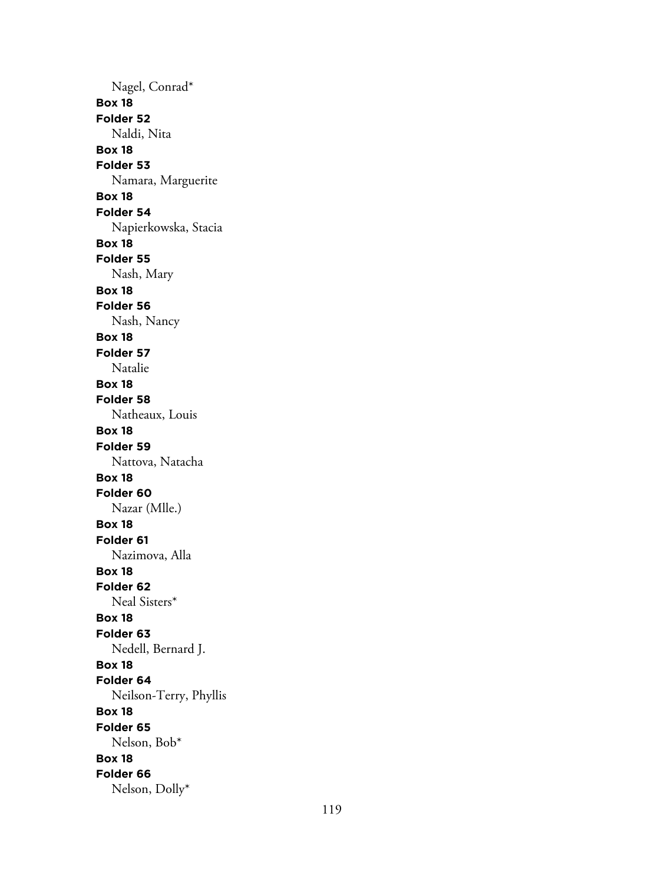Nagel, Conrad\* **Box 18 Folder 52** Naldi, Nita **Box 18 Folder 53** Namara, Marguerite **Box 18 Folder 54** Napierkowska, Stacia **Box 18 Folder 55** Nash, Mary **Box 18 Folder 56** Nash, Nancy **Box 18 Folder 57** Natalie **Box 18 Folder 58** Natheaux, Louis **Box 18 Folder 59** Nattova, Natacha **Box 18 Folder 60** Nazar (Mlle.) **Box 18 Folder 61** Nazimova, Alla **Box 18 Folder 62** Neal Sisters\* **Box 18 Folder 63** Nedell, Bernard J. **Box 18 Folder 64** Neilson-Terry, Phyllis **Box 18 Folder 65** Nelson, Bob\* **Box 18 Folder 66** Nelson, Dolly\*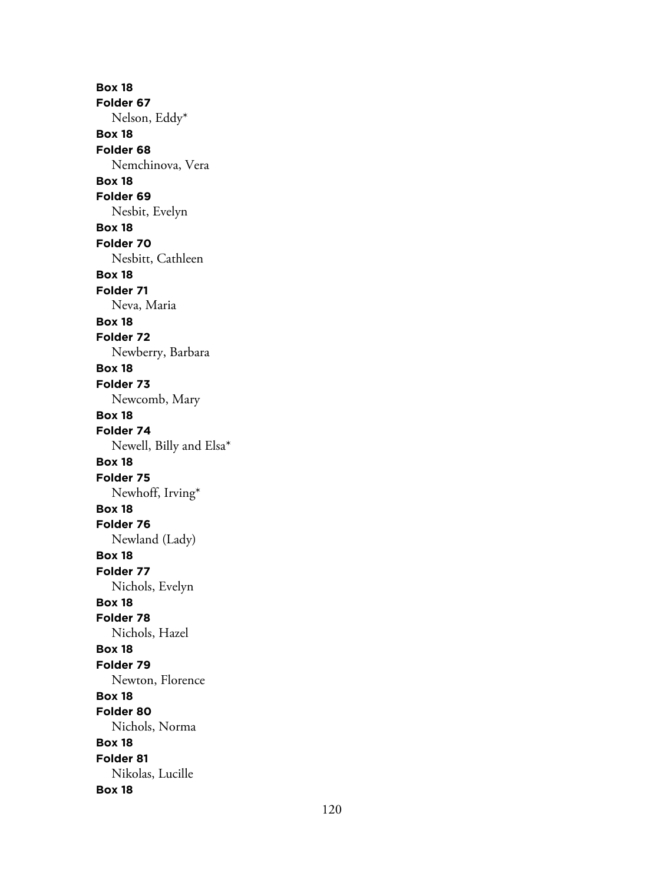**Box 18 Folder 67** Nelson, Eddy\* **Box 18 Folder 68** Nemchinova, Vera **Box 18 Folder 69** Nesbit, Evelyn **Box 18 Folder 70** Nesbitt, Cathleen **Box 18 Folder 71** Neva, Maria **Box 18 Folder 72** Newberry, Barbara **Box 18 Folder 73** Newcomb, Mary **Box 18 Folder 74** Newell, Billy and Elsa\* **Box 18 Folder 75** Newhoff, Irving\* **Box 18 Folder 76** Newland (Lady) **Box 18 Folder 77** Nichols, Evelyn **Box 18 Folder 78** Nichols, Hazel **Box 18 Folder 79** Newton, Florence **Box 18 Folder 80** Nichols, Norma **Box 18 Folder 81** Nikolas, Lucille **Box 18**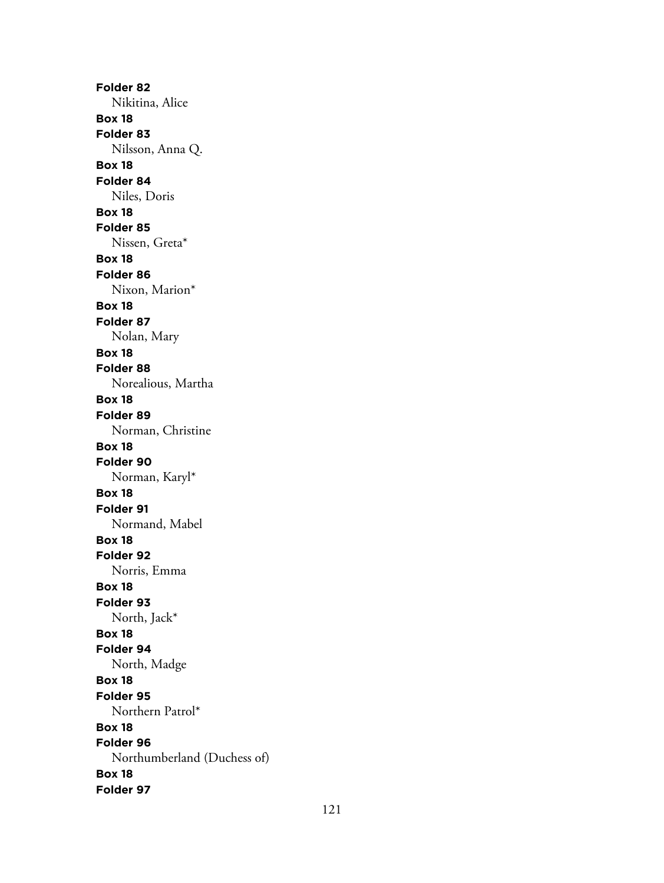**Folder 82** Nikitina, Alice **Box 18 Folder 83** Nilsson, Anna Q. **Box 18 Folder 84** Niles, Doris **Box 18 Folder 85** Nissen, Greta\* **Box 18 Folder 86** Nixon, Marion\* **Box 18 Folder 87** Nolan, Mary **Box 18 Folder 88** Norealious, Martha **Box 18 Folder 89** Norman, Christine **Box 18 Folder 90** Norman, Karyl\* **Box 18 Folder 91** Normand, Mabel **Box 18 Folder 92** Norris, Emma **Box 18 Folder 93** North, Jack\* **Box 18 Folder 94** North, Madge **Box 18 Folder 95** Northern Patrol\* **Box 18 Folder 96** Northumberland (Duchess of) **Box 18 Folder 97**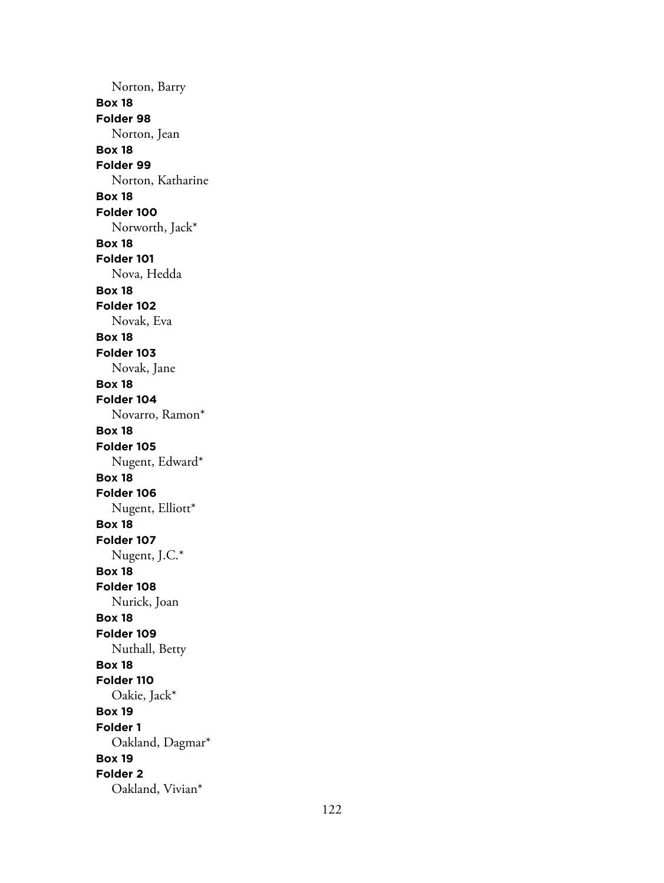Norton, Barry **Box 18 Folder 98** Norton, Jean **Box 18 Folder 99** Norton, Katharine **Box 18 Folder 100** Norworth, Jack\* **Box 18 Folder 101** Nova, Hedda **Box 18 Folder 102** Novak, Eva **Box 18 Folder 103** Novak, Jane **Box 18 Folder 104** Novarro, Ramon\* **Box 18 Folder 105** Nugent, Edward\* **Box 18 Folder 106** Nugent, Elliott\* **Box 18 Folder 107** Nugent, J.C.\* **Box 18 Folder 108** Nurick, Joan **Box 18 Folder 109** Nuthall, Betty **Box 18 Folder 110** Oakie, Jack\* **Box 19 Folder 1** Oakland, Dagmar\* **Box 19 Folder 2** Oakland, Vivian\*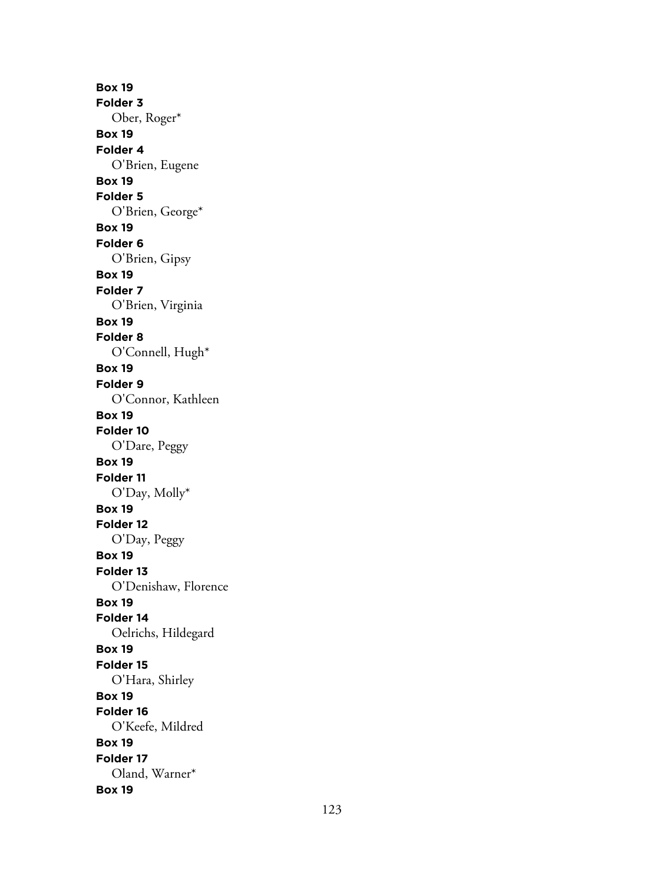**Box 19 Folder 3** Ober, Roger\* **Box 19 Folder 4** O'Brien, Eugene **Box 19 Folder 5** O'Brien, George\* **Box 19 Folder 6** O'Brien, Gipsy **Box 19 Folder 7** O'Brien, Virginia **Box 19 Folder 8** O'Connell, Hugh\* **Box 19 Folder 9** O'Connor, Kathleen **Box 19 Folder 10** O'Dare, Peggy **Box 19 Folder 11** O'Day, Molly\* **Box 19 Folder 12** O'Day, Peggy **Box 19 Folder 13** O'Denishaw, Florence **Box 19 Folder 14** Oelrichs, Hildegard **Box 19 Folder 15** O'Hara, Shirley **Box 19 Folder 16** O'Keefe, Mildred **Box 19 Folder 17** Oland, Warner\* **Box 19**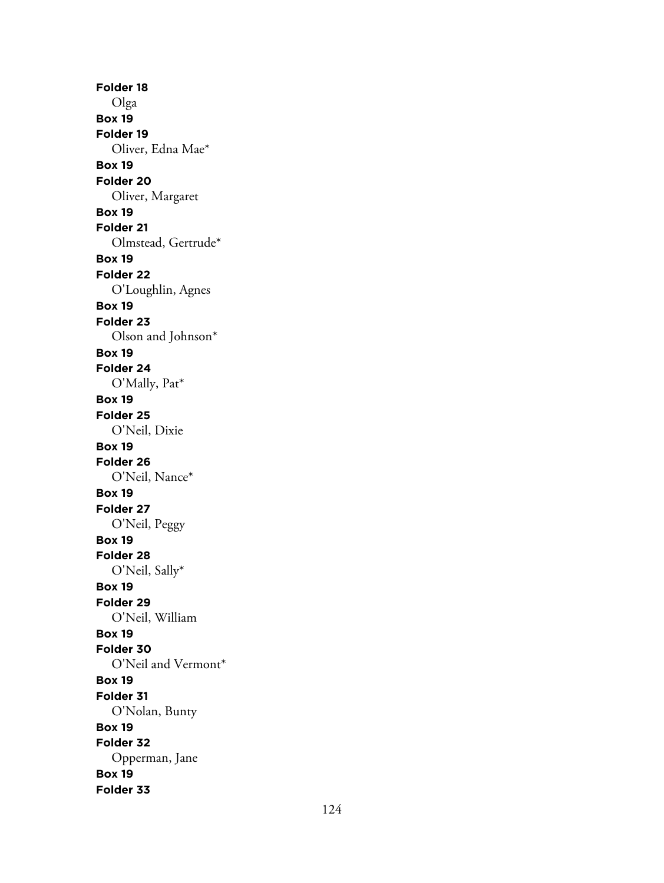**Folder 18** Olga **Box 19 Folder 19** Oliver, Edna Mae\* **Box 19 Folder 20** Oliver, Margaret **Box 19 Folder 21** Olmstead, Gertrude\* **Box 19 Folder 22** O'Loughlin, Agnes **Box 19 Folder 23** Olson and Johnson\* **Box 19 Folder 24** O'Mally, Pat\* **Box 19 Folder 25** O'Neil, Dixie **Box 19 Folder 26** O'Neil, Nance\* **Box 19 Folder 27** O'Neil, Peggy **Box 19 Folder 28** O'Neil, Sally\* **Box 19 Folder 29** O'Neil, William **Box 19 Folder 30** O'Neil and Vermont\* **Box 19 Folder 31** O'Nolan, Bunty **Box 19 Folder 32** Opperman, Jane **Box 19 Folder 33**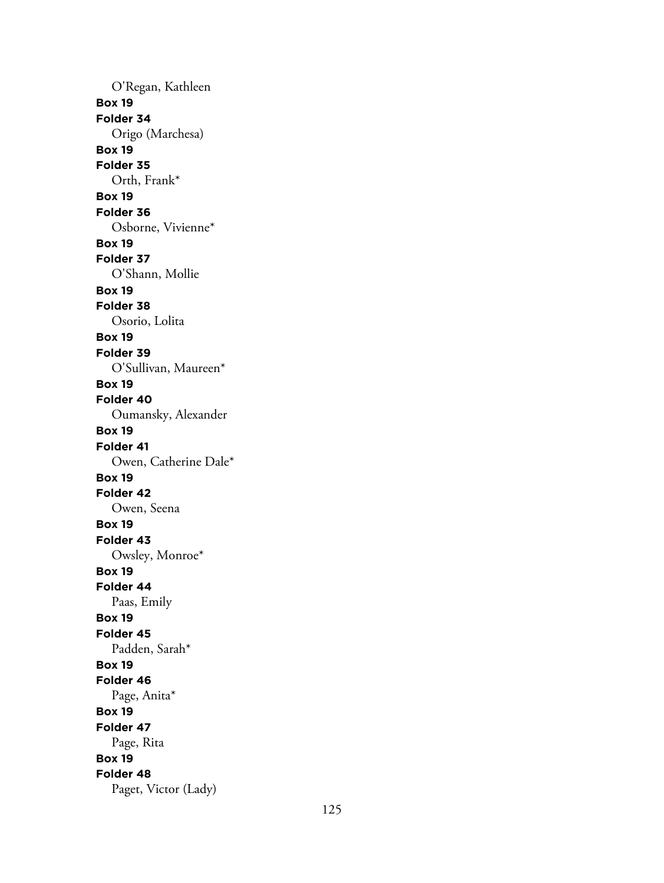O'Regan, Kathleen **Box 19 Folder 34** Origo (Marchesa) **Box 19 Folder 35** Orth, Frank\* **Box 19 Folder 36** Osborne, Vivienne\* **Box 19 Folder 37** O'Shann, Mollie **Box 19 Folder 38** Osorio, Lolita **Box 19 Folder 39** O'Sullivan, Maureen\* **Box 19 Folder 40** Oumansky, Alexander **Box 19 Folder 41** Owen, Catherine Dale\* **Box 19 Folder 42** Owen, Seena **Box 19 Folder 43** Owsley, Monroe\* **Box 19 Folder 44** Paas, Emily **Box 19 Folder 45** Padden, Sarah\* **Box 19 Folder 46** Page, Anita\* **Box 19 Folder 47** Page, Rita **Box 19 Folder 48** Paget, Victor (Lady)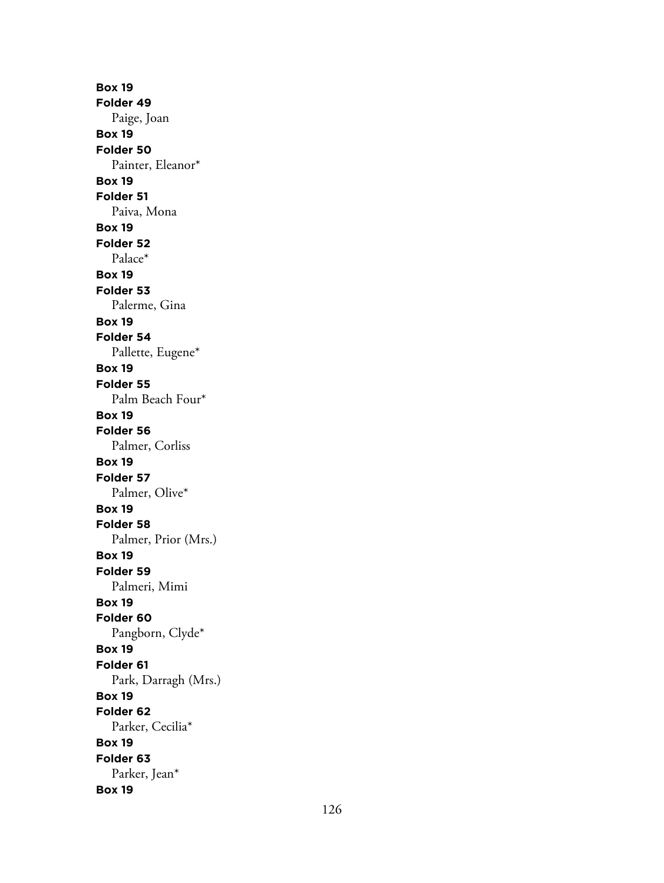**Box 19 Folder 49** Paige, Joan **Box 19 Folder 50** Painter, Eleanor\* **Box 19 Folder 51** Paiva, Mona **Box 19 Folder 52** Palace\* **Box 19 Folder 53** Palerme, Gina **Box 19 Folder 54** Pallette, Eugene\* **Box 19 Folder 55** Palm Beach Four\* **Box 19 Folder 56** Palmer, Corliss **Box 19 Folder 57** Palmer, Olive\* **Box 19 Folder 58** Palmer, Prior (Mrs.) **Box 19 Folder 59** Palmeri, Mimi **Box 19 Folder 60** Pangborn, Clyde\* **Box 19 Folder 61** Park, Darragh (Mrs.) **Box 19 Folder 62** Parker, Cecilia\* **Box 19 Folder 63** Parker, Jean\* **Box 19**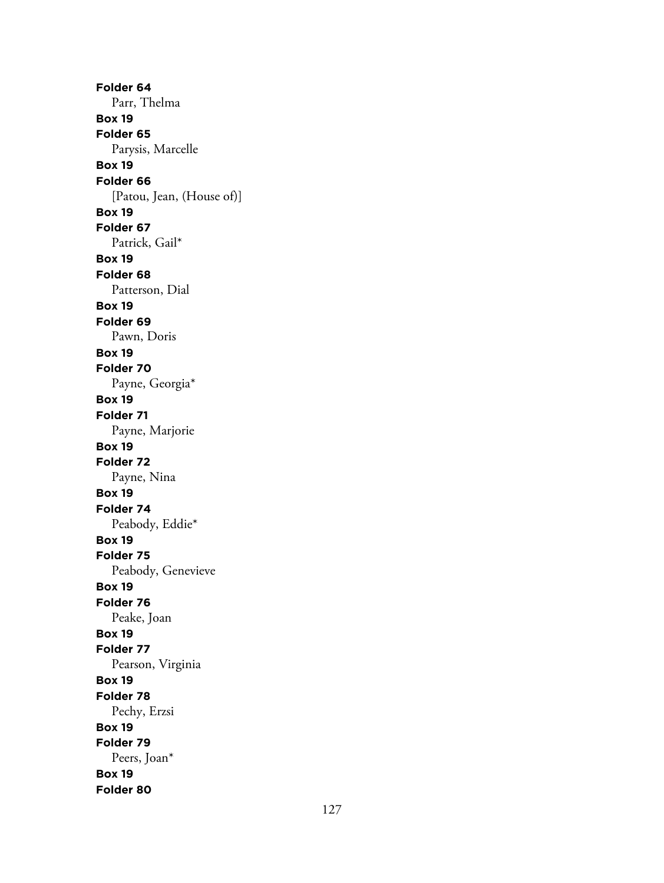**Folder 64** Parr, Thelma **Box 19 Folder 65** Parysis, Marcelle **Box 19 Folder 66** [Patou, Jean, (House of)] **Box 19 Folder 67** Patrick, Gail\* **Box 19 Folder 68** Patterson, Dial **Box 19 Folder 69** Pawn, Doris **Box 19 Folder 70** Payne, Georgia\* **Box 19 Folder 71** Payne, Marjorie **Box 19 Folder 72** Payne, Nina **Box 19 Folder 74** Peabody, Eddie\* **Box 19 Folder 75** Peabody, Genevieve **Box 19 Folder 76** Peake, Joan **Box 19 Folder 77** Pearson, Virginia **Box 19 Folder 78** Pechy, Erzsi **Box 19 Folder 79** Peers, Joan\* **Box 19 Folder 80**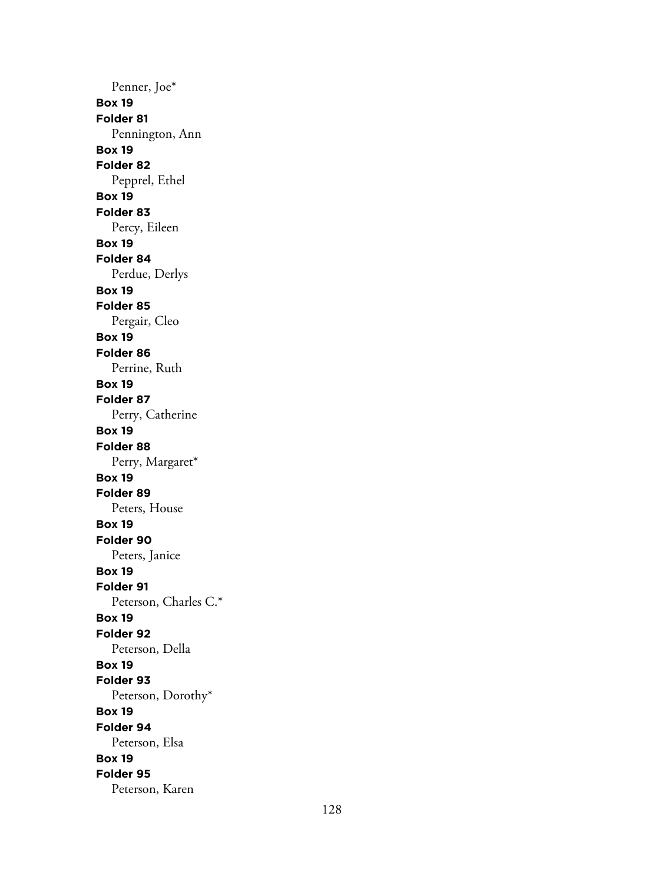Penner, Joe\* **Box 19 Folder 81** Pennington, Ann **Box 19 Folder 82** Pepprel, Ethel **Box 19 Folder 83** Percy, Eileen **Box 19 Folder 84** Perdue, Derlys **Box 19 Folder 85** Pergair, Cleo **Box 19 Folder 86** Perrine, Ruth **Box 19 Folder 87** Perry, Catherine **Box 19 Folder 88** Perry, Margaret\* **Box 19 Folder 89** Peters, House **Box 19 Folder 90** Peters, Janice **Box 19 Folder 91** Peterson, Charles C.\* **Box 19 Folder 92** Peterson, Della **Box 19 Folder 93** Peterson, Dorothy\* **Box 19 Folder 94** Peterson, Elsa **Box 19 Folder 95** Peterson, Karen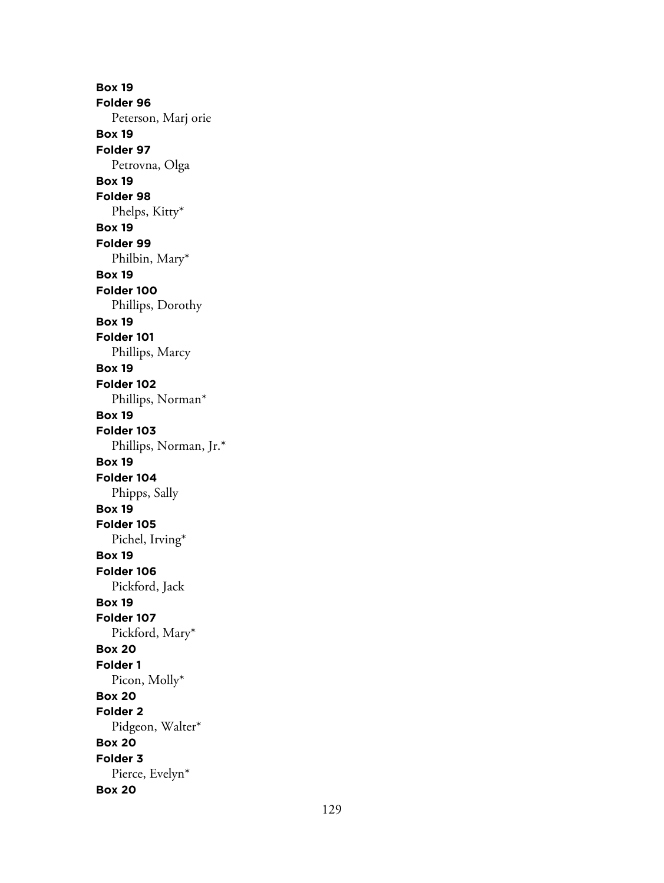**Box 19 Folder 96** Peterson, Marj orie **Box 19 Folder 97** Petrovna, Olga **Box 19 Folder 98** Phelps, Kitty\* **Box 19 Folder 99** Philbin, Mary\* **Box 19 Folder 100** Phillips, Dorothy **Box 19 Folder 101** Phillips, Marcy **Box 19 Folder 102** Phillips, Norman\* **Box 19 Folder 103** Phillips, Norman, Jr.\* **Box 19 Folder 104** Phipps, Sally **Box 19 Folder 105** Pichel, Irving\* **Box 19 Folder 106** Pickford, Jack **Box 19 Folder 107** Pickford, Mary\* **Box 20 Folder 1** Picon, Molly\* **Box 20 Folder 2** Pidgeon, Walter\* **Box 20 Folder 3** Pierce, Evelyn\* **Box 20**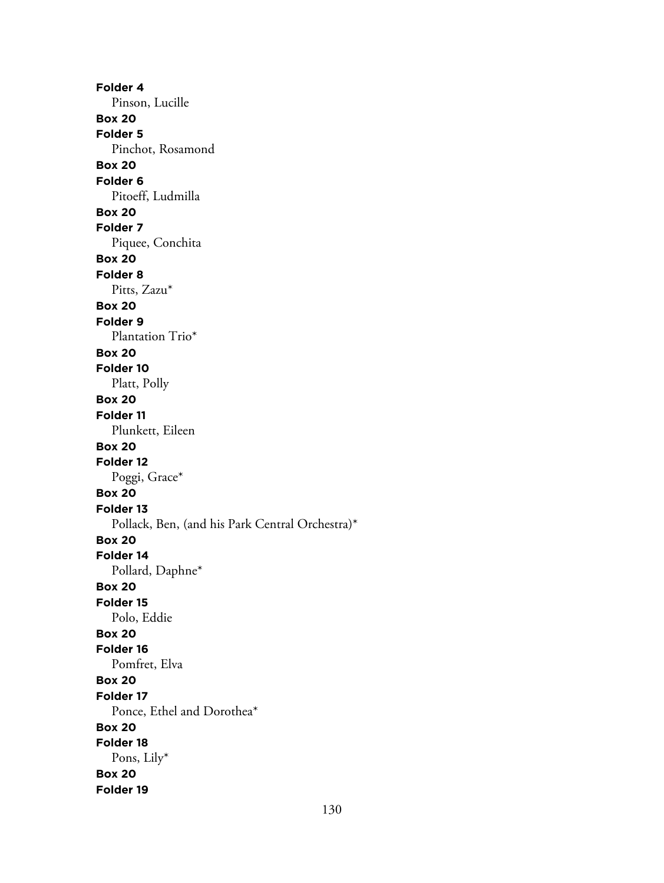**Folder 4** Pinson, Lucille **Box 20 Folder 5** Pinchot, Rosamond **Box 20 Folder 6** Pitoeff, Ludmilla **Box 20 Folder 7** Piquee, Conchita **Box 20 Folder 8** Pitts, Zazu\* **Box 20 Folder 9** Plantation Trio\* **Box 20 Folder 10** Platt, Polly **Box 20 Folder 11** Plunkett, Eileen **Box 20 Folder 12** Poggi, Grace\* **Box 20 Folder 13** Pollack, Ben, (and his Park Central Orchestra)\* **Box 20 Folder 14** Pollard, Daphne\* **Box 20 Folder 15** Polo, Eddie **Box 20 Folder 16** Pomfret, Elva **Box 20 Folder 17** Ponce, Ethel and Dorothea\* **Box 20 Folder 18** Pons, Lily\* **Box 20 Folder 19**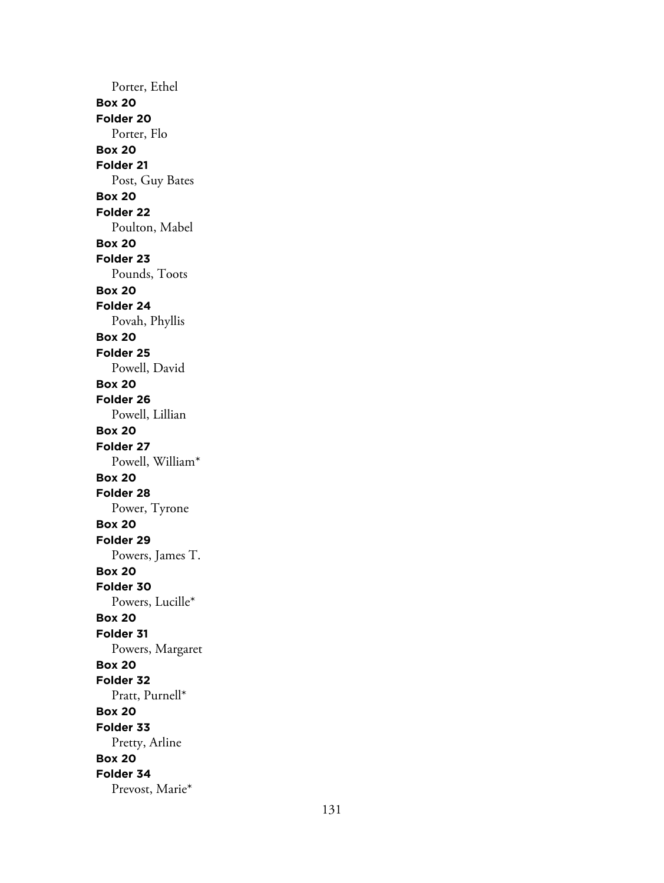Porter, Ethel **Box 20 Folder 20** Porter, Flo **Box 20 Folder 21** Post, Guy Bates **Box 20 Folder 22** Poulton, Mabel **Box 20 Folder 23** Pounds, Toots **Box 20 Folder 24** Povah, Phyllis **Box 20 Folder 25** Powell, David **Box 20 Folder 26** Powell, Lillian **Box 20 Folder 27** Powell, William\* **Box 20 Folder 28** Power, Tyrone **Box 20 Folder 29** Powers, James T. **Box 20 Folder 30** Powers, Lucille\* **Box 20 Folder 31** Powers, Margaret **Box 20 Folder 32** Pratt, Purnell\* **Box 20 Folder 33** Pretty, Arline **Box 20 Folder 34** Prevost, Marie\*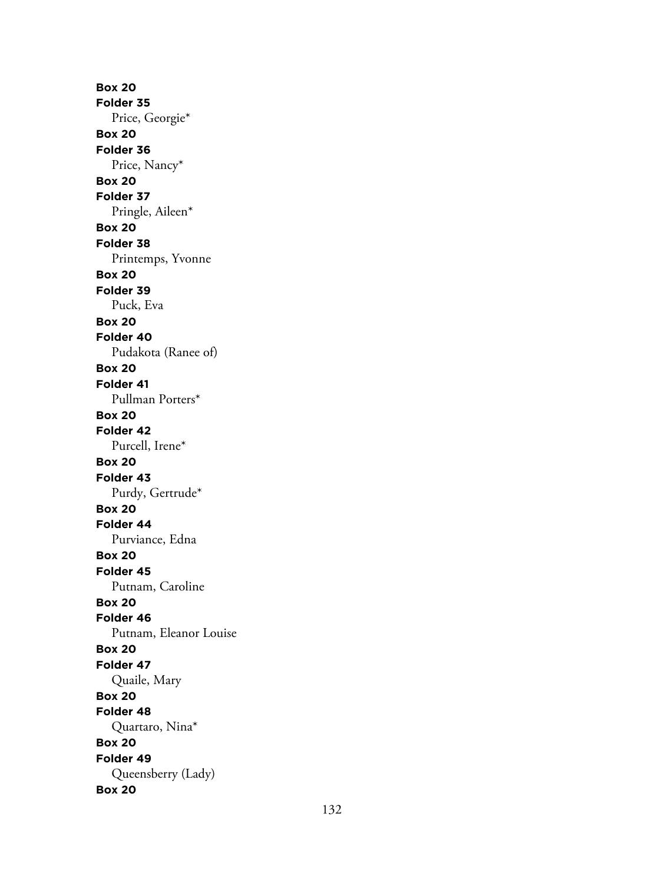**Box 20 Folder 35** Price, Georgie\* **Box 20 Folder 36** Price, Nancy\* **Box 20 Folder 37** Pringle, Aileen\* **Box 20 Folder 38** Printemps, Yvonne **Box 20 Folder 39** Puck, Eva **Box 20 Folder 40** Pudakota (Ranee of) **Box 20 Folder 41** Pullman Porters\* **Box 20 Folder 42** Purcell, Irene\* **Box 20 Folder 43** Purdy, Gertrude\* **Box 20 Folder 44** Purviance, Edna **Box 20 Folder 45** Putnam, Caroline **Box 20 Folder 46** Putnam, Eleanor Louise **Box 20 Folder 47** Quaile, Mary **Box 20 Folder 48** Quartaro, Nina\* **Box 20 Folder 49** Queensberry (Lady) **Box 20**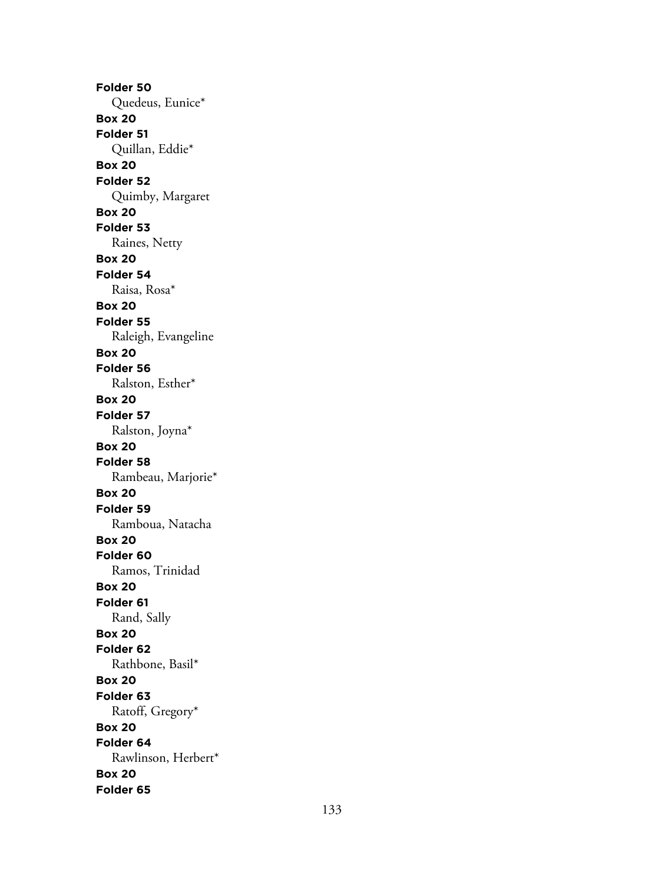**Folder 50** Quedeus, Eunice\* **Box 20 Folder 51** Quillan, Eddie\* **Box 20 Folder 52** Quimby, Margaret **Box 20 Folder 53** Raines, Netty **Box 20 Folder 54** Raisa, Rosa\* **Box 20 Folder 55** Raleigh, Evangeline **Box 20 Folder 56** Ralston, Esther\* **Box 20 Folder 57** Ralston, Joyna\* **Box 20 Folder 58** Rambeau, Marjorie\* **Box 20 Folder 59** Ramboua, Natacha **Box 20 Folder 60** Ramos, Trinidad **Box 20 Folder 61** Rand, Sally **Box 20 Folder 62** Rathbone, Basil\* **Box 20 Folder 63** Ratoff, Gregory\* **Box 20 Folder 64** Rawlinson, Herbert\* **Box 20 Folder 65**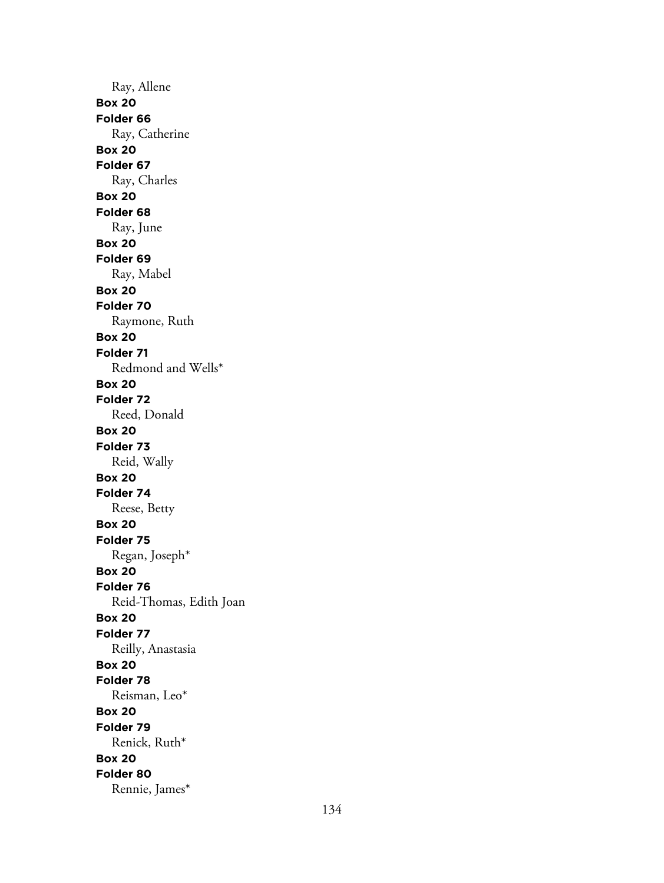Ray, Allene **Box 20 Folder 66** Ray, Catherine **Box 20 Folder 67** Ray, Charles **Box 20 Folder 68** Ray, June **Box 20 Folder 69** Ray, Mabel **Box 20 Folder 70** Raymone, Ruth **Box 20 Folder 71** Redmond and Wells\* **Box 20 Folder 72** Reed, Donald **Box 20 Folder 73** Reid, Wally **Box 20 Folder 74** Reese, Betty **Box 20 Folder 75** Regan, Joseph\* **Box 20 Folder 76** Reid-Thomas, Edith Joan **Box 20 Folder 77** Reilly, Anastasia **Box 20 Folder 78** Reisman, Leo\* **Box 20 Folder 79** Renick, Ruth\* **Box 20 Folder 80** Rennie, James\*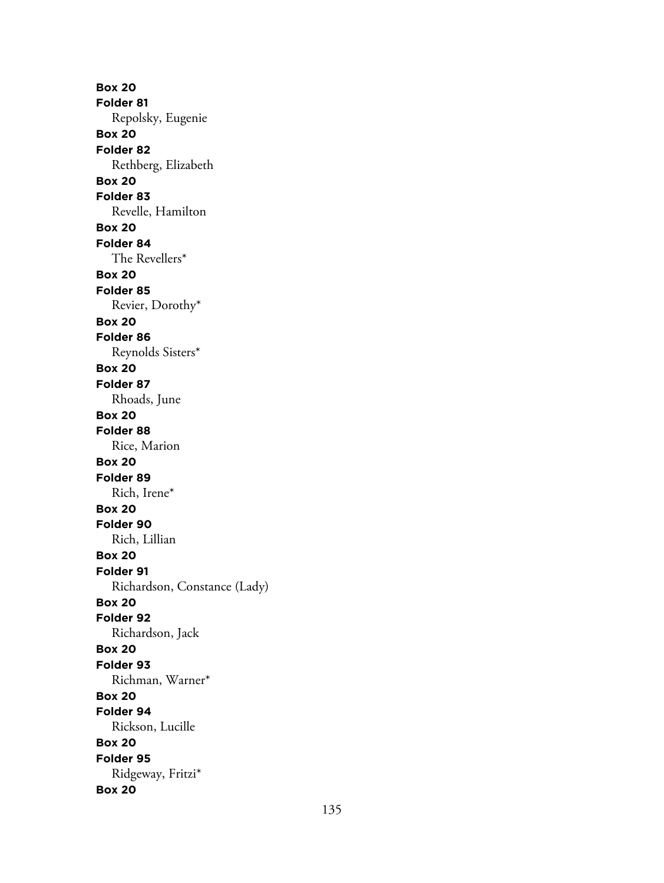**Box 20 Folder 81** Repolsky, Eugenie **Box 20 Folder 82** Rethberg, Elizabeth **Box 20 Folder 83** Revelle, Hamilton **Box 20 Folder 84** The Revellers\* **Box 20 Folder 85** Revier, Dorothy\* **Box 20 Folder 86** Reynolds Sisters\* **Box 20 Folder 87** Rhoads, June **Box 20 Folder 88** Rice, Marion **Box 20 Folder 89** Rich, Irene\* **Box 20 Folder 90** Rich, Lillian **Box 20 Folder 91** Richardson, Constance (Lady) **Box 20 Folder 92** Richardson, Jack **Box 20 Folder 93** Richman, Warner\* **Box 20 Folder 94** Rickson, Lucille **Box 20 Folder 95** Ridgeway, Fritzi\* **Box 20**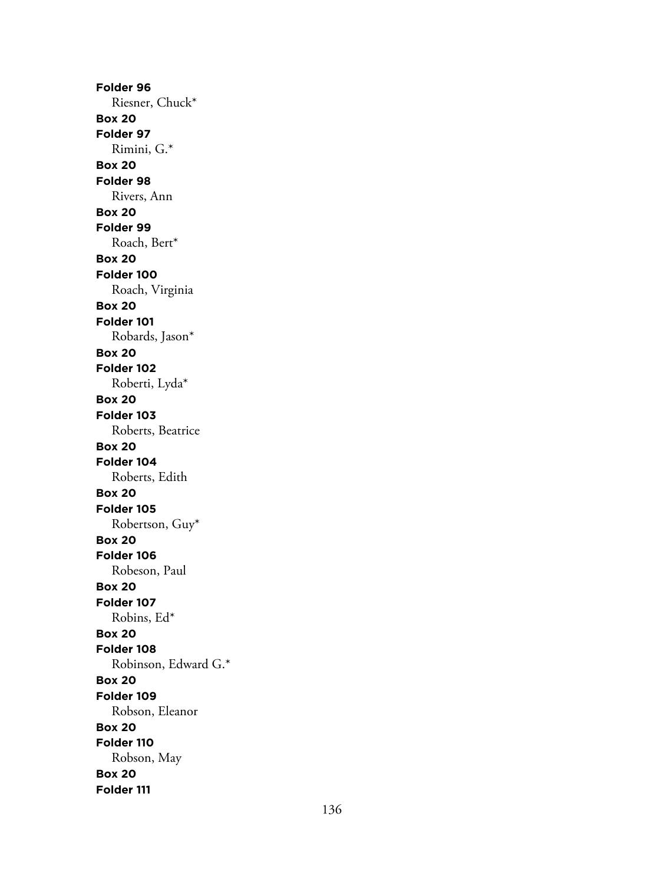**Folder 96** Riesner, Chuck\* **Box 20 Folder 97** Rimini, G.\* **Box 20 Folder 98** Rivers, Ann **Box 20 Folder 99** Roach, Bert\* **Box 20 Folder 100** Roach, Virginia **Box 20 Folder 101** Robards, Jason\* **Box 20 Folder 102** Roberti, Lyda\* **Box 20 Folder 103** Roberts, Beatrice **Box 20 Folder 104** Roberts, Edith **Box 20 Folder 105** Robertson, Guy\* **Box 20 Folder 106** Robeson, Paul **Box 20 Folder 107** Robins, Ed\* **Box 20 Folder 108** Robinson, Edward G.\* **Box 20 Folder 109** Robson, Eleanor **Box 20 Folder 110** Robson, May **Box 20 Folder 111**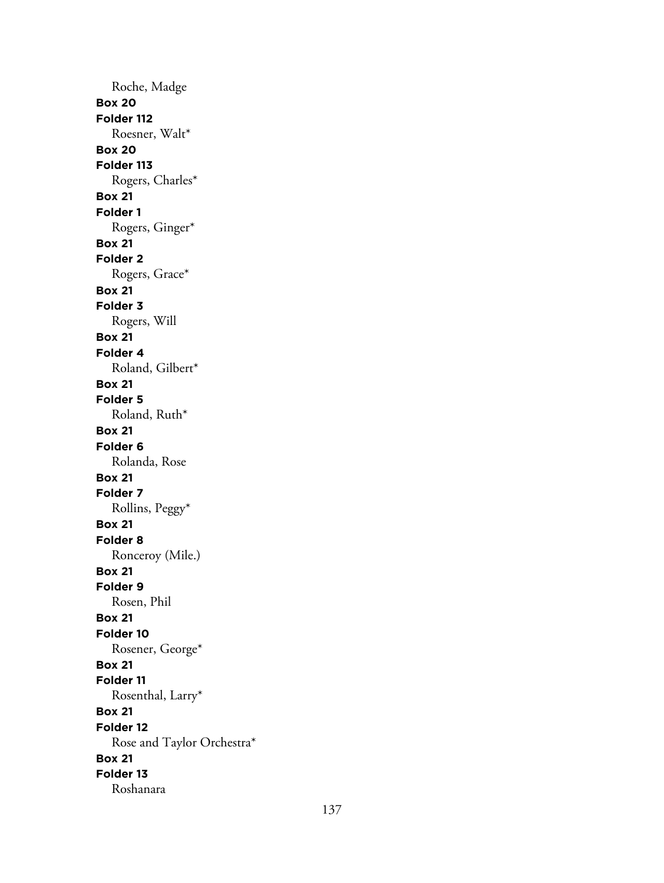Roche, Madge **Box 20 Folder 112** Roesner, Walt\* **Box 20 Folder 113** Rogers, Charles\* **Box 21 Folder 1** Rogers, Ginger\* **Box 21 Folder 2** Rogers, Grace\* **Box 21 Folder 3** Rogers, Will **Box 21 Folder 4** Roland, Gilbert\* **Box 21 Folder 5** Roland, Ruth\* **Box 21 Folder 6** Rolanda, Rose **Box 21 Folder 7** Rollins, Peggy\* **Box 21 Folder 8** Ronceroy (Mile.) **Box 21 Folder 9** Rosen, Phil **Box 21 Folder 10** Rosener, George\* **Box 21 Folder 11** Rosenthal, Larry\* **Box 21 Folder 12** Rose and Taylor Orchestra\* **Box 21 Folder 13** Roshanara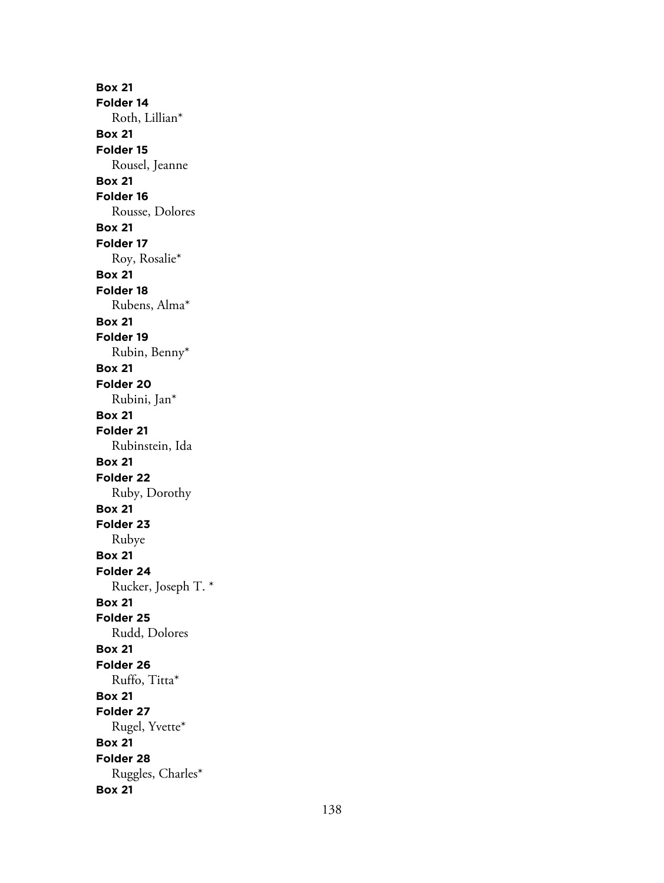**Box 21 Folder 14** Roth, Lillian\* **Box 21 Folder 15** Rousel, Jeanne **Box 21 Folder 16** Rousse, Dolores **Box 21 Folder 17** Roy, Rosalie\* **Box 21 Folder 18** Rubens, Alma\* **Box 21 Folder 19** Rubin, Benny\* **Box 21 Folder 20** Rubini, Jan\* **Box 21 Folder 21** Rubinstein, Ida **Box 21 Folder 22** Ruby, Dorothy **Box 21 Folder 23** Rubye **Box 21 Folder 24** Rucker, Joseph T. \* **Box 21 Folder 25** Rudd, Dolores **Box 21 Folder 26** Ruffo, Titta\* **Box 21 Folder 27** Rugel, Yvette\* **Box 21 Folder 28** Ruggles, Charles\* **Box 21**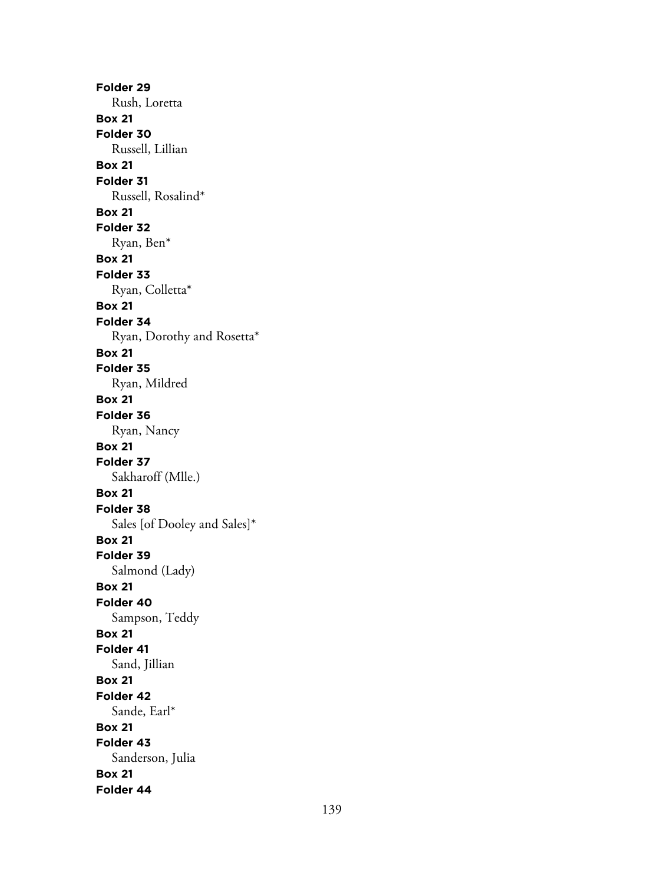**Folder 29** Rush, Loretta **Box 21 Folder 30** Russell, Lillian **Box 21 Folder 31** Russell, Rosalind\* **Box 21 Folder 32** Ryan, Ben\* **Box 21 Folder 33** Ryan, Colletta\* **Box 21 Folder 34** Ryan, Dorothy and Rosetta\* **Box 21 Folder 35** Ryan, Mildred **Box 21 Folder 36** Ryan, Nancy **Box 21 Folder 37** Sakharoff (Mlle.) **Box 21 Folder 38** Sales [of Dooley and Sales]\* **Box 21 Folder 39** Salmond (Lady) **Box 21 Folder 40** Sampson, Teddy **Box 21 Folder 41** Sand, Jillian **Box 21 Folder 42** Sande, Earl\* **Box 21 Folder 43** Sanderson, Julia **Box 21 Folder 44**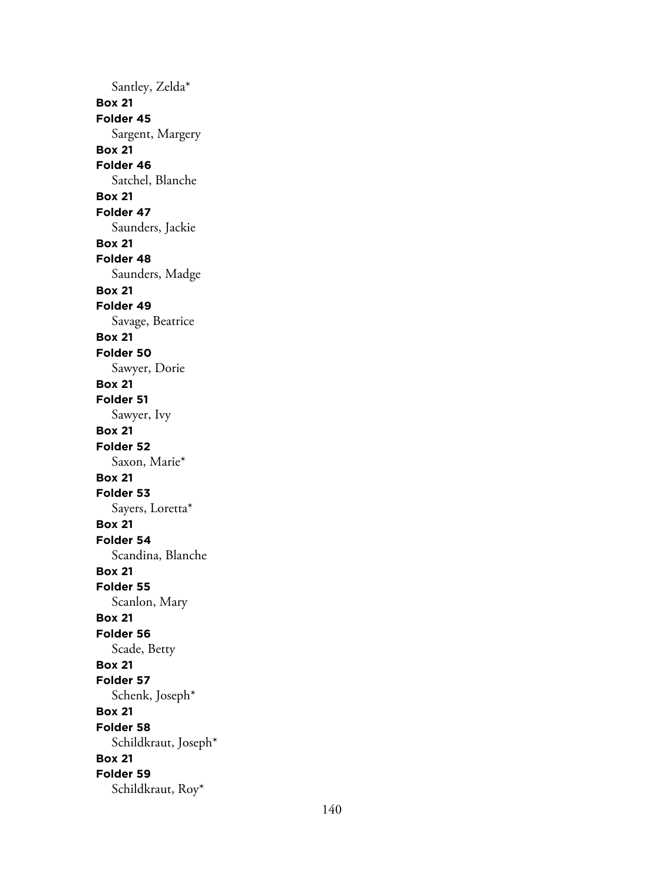Santley, Zelda\* **Box 21 Folder 45** Sargent, Margery **Box 21 Folder 46** Satchel, Blanche **Box 21 Folder 47** Saunders, Jackie **Box 21 Folder 48** Saunders, Madge **Box 21 Folder 49** Savage, Beatrice **Box 21 Folder 50** Sawyer, Dorie **Box 21 Folder 51** Sawyer, Ivy **Box 21 Folder 52** Saxon, Marie\* **Box 21 Folder 53** Sayers, Loretta\* **Box 21 Folder 54** Scandina, Blanche **Box 21 Folder 55** Scanlon, Mary **Box 21 Folder 56** Scade, Betty **Box 21 Folder 57** Schenk, Joseph\* **Box 21 Folder 58** Schildkraut, Joseph\* **Box 21 Folder 59** Schildkraut, Roy\*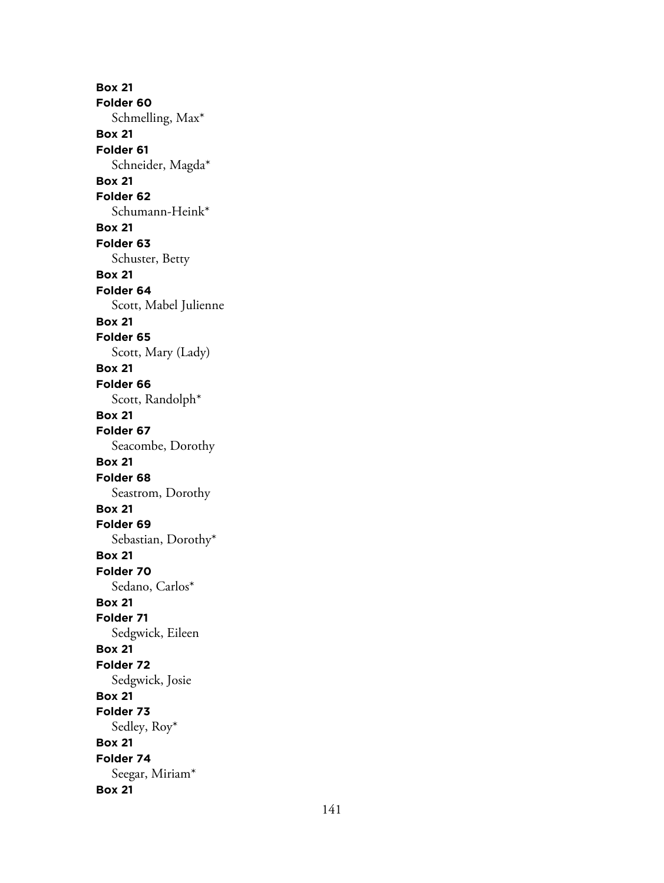**Box 21 Folder 60** Schmelling, Max\* **Box 21 Folder 61** Schneider, Magda\* **Box 21 Folder 62** Schumann-Heink\* **Box 21 Folder 63** Schuster, Betty **Box 21 Folder 64** Scott, Mabel Julienne **Box 21 Folder 65** Scott, Mary (Lady) **Box 21 Folder 66** Scott, Randolph\* **Box 21 Folder 67** Seacombe, Dorothy **Box 21 Folder 68** Seastrom, Dorothy **Box 21 Folder 69** Sebastian, Dorothy\* **Box 21 Folder 70** Sedano, Carlos\* **Box 21 Folder 71** Sedgwick, Eileen **Box 21 Folder 72** Sedgwick, Josie **Box 21 Folder 73** Sedley, Roy\* **Box 21 Folder 74** Seegar, Miriam\* **Box 21**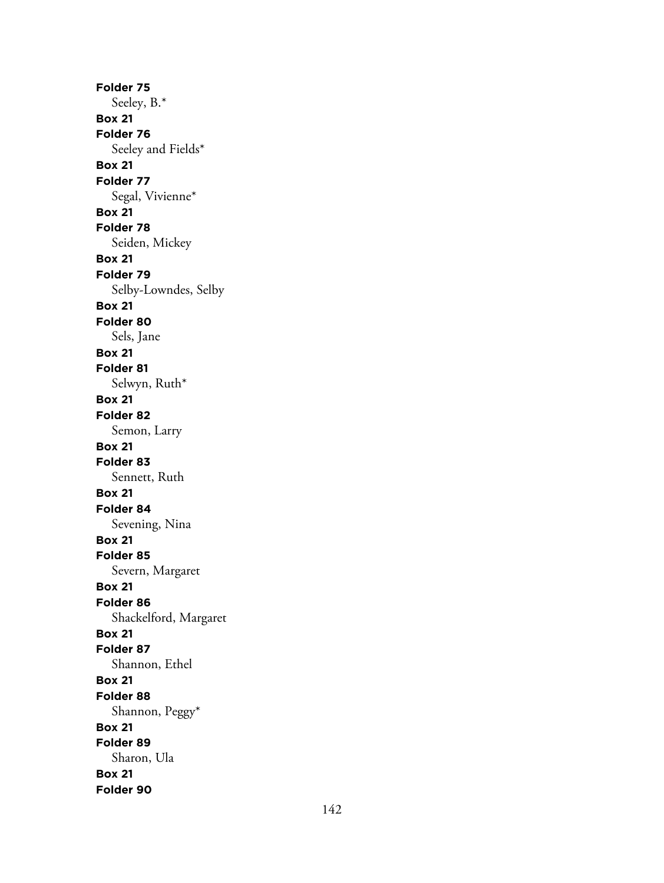**Folder 75** Seeley, B.\* **Box 21 Folder 76** Seeley and Fields\* **Box 21 Folder 77** Segal, Vivienne\* **Box 21 Folder 78** Seiden, Mickey **Box 21 Folder 79** Selby-Lowndes, Selby **Box 21 Folder 80** Sels, Jane **Box 21 Folder 81** Selwyn, Ruth\* **Box 21 Folder 82** Semon, Larry **Box 21 Folder 83** Sennett, Ruth **Box 21 Folder 84** Sevening, Nina **Box 21 Folder 85** Severn, Margaret **Box 21 Folder 86** Shackelford, Margaret **Box 21 Folder 87** Shannon, Ethel **Box 21 Folder 88** Shannon, Peggy\* **Box 21 Folder 89** Sharon, Ula **Box 21 Folder 90**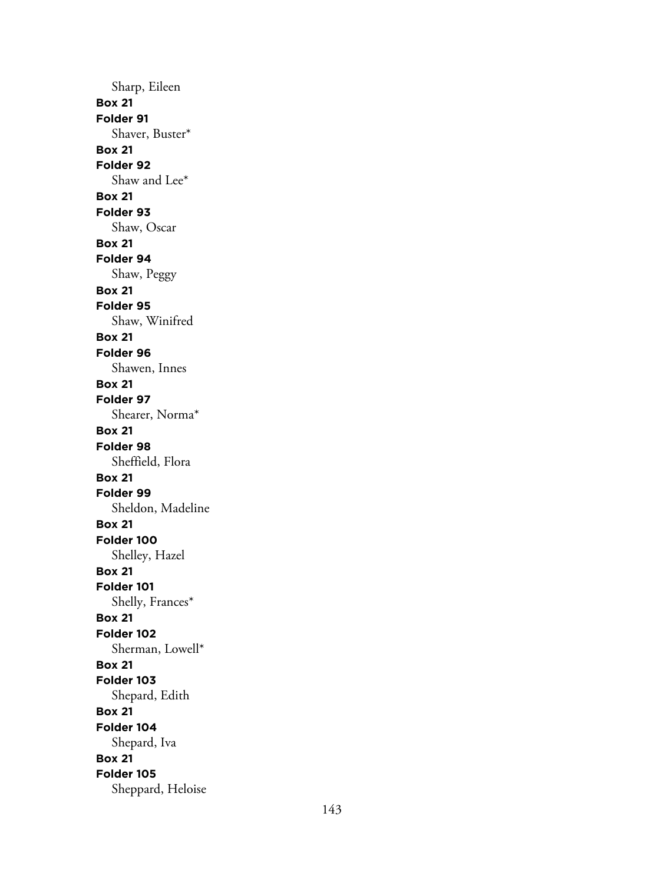Sharp, Eileen **Box 21 Folder 91** Shaver, Buster\* **Box 21 Folder 92** Shaw and Lee\* **Box 21 Folder 93** Shaw, Oscar **Box 21 Folder 94** Shaw, Peggy **Box 21 Folder 95** Shaw, Winifred **Box 21 Folder 96** Shawen, Innes **Box 21 Folder 97** Shearer, Norma\* **Box 21 Folder 98** Sheffield, Flora **Box 21 Folder 99** Sheldon, Madeline **Box 21 Folder 100** Shelley, Hazel **Box 21 Folder 101** Shelly, Frances\* **Box 21 Folder 102** Sherman, Lowell\* **Box 21 Folder 103** Shepard, Edith **Box 21 Folder 104** Shepard, Iva **Box 21 Folder 105** Sheppard, Heloise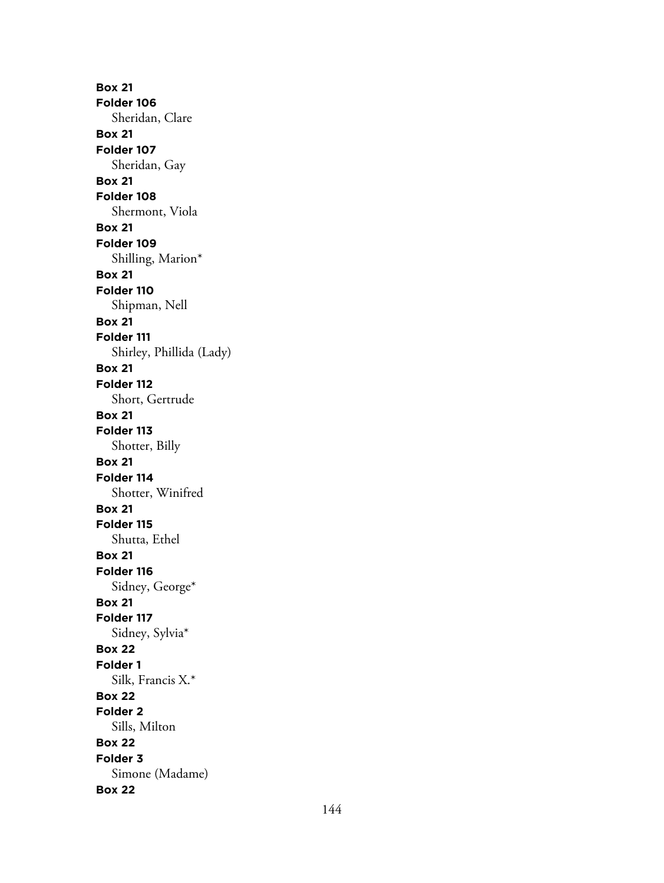**Box 21 Folder 106** Sheridan, Clare **Box 21 Folder 107** Sheridan, Gay **Box 21 Folder 108** Shermont, Viola **Box 21 Folder 109** Shilling, Marion\* **Box 21 Folder 110** Shipman, Nell **Box 21 Folder 111** Shirley, Phillida (Lady) **Box 21 Folder 112** Short, Gertrude **Box 21 Folder 113** Shotter, Billy **Box 21 Folder 114** Shotter, Winifred **Box 21 Folder 115** Shutta, Ethel **Box 21 Folder 116** Sidney, George\* **Box 21 Folder 117** Sidney, Sylvia\* **Box 22 Folder 1** Silk, Francis X.\* **Box 22 Folder 2** Sills, Milton **Box 22 Folder 3** Simone (Madame) **Box 22**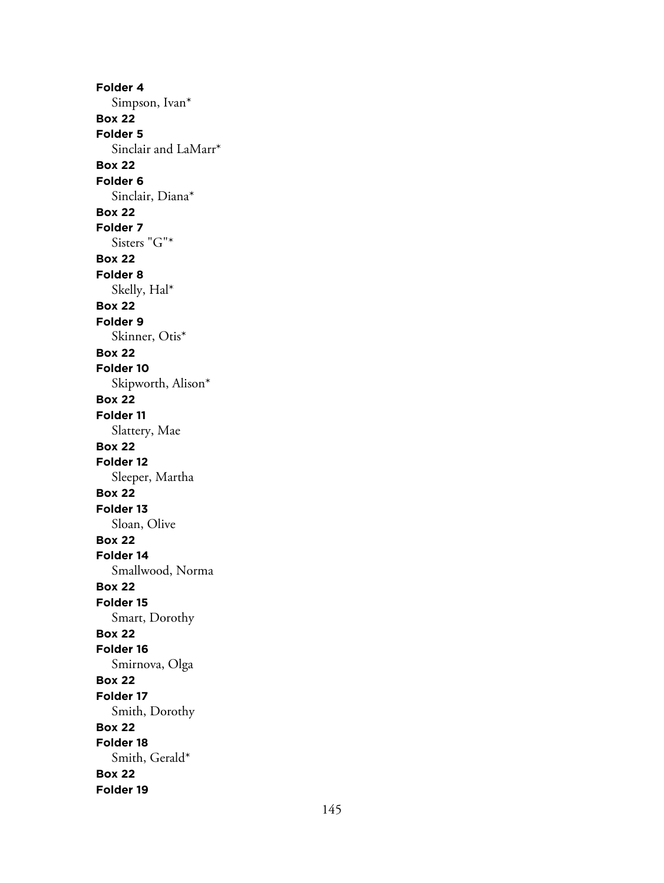**Folder 4** Simpson, Ivan\* **Box 22 Folder 5** Sinclair and LaMarr\* **Box 22 Folder 6** Sinclair, Diana\* **Box 22 Folder 7** Sisters "G"\* **Box 22 Folder 8** Skelly, Hal\* **Box 22 Folder 9** Skinner, Otis\* **Box 22 Folder 10** Skipworth, Alison\* **Box 22 Folder 11** Slattery, Mae **Box 22 Folder 12** Sleeper, Martha **Box 22 Folder 13** Sloan, Olive **Box 22 Folder 14** Smallwood, Norma **Box 22 Folder 15** Smart, Dorothy **Box 22 Folder 16** Smirnova, Olga **Box 22 Folder 17** Smith, Dorothy **Box 22 Folder 18** Smith, Gerald\* **Box 22 Folder 19**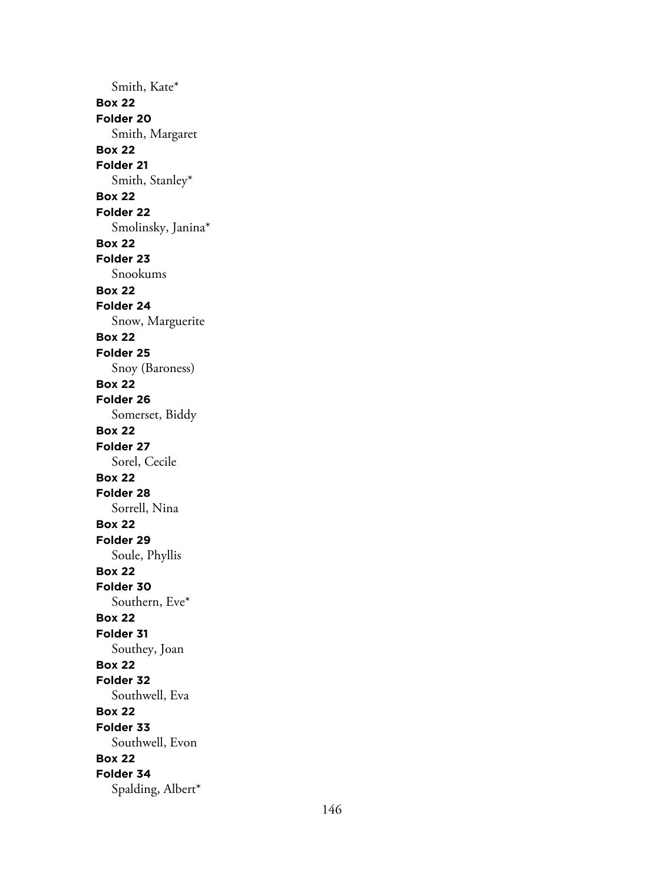Smith, Kate\* **Box 22 Folder 20** Smith, Margaret **Box 22 Folder 21** Smith, Stanley\* **Box 22 Folder 22** Smolinsky, Janina\* **Box 22 Folder 23** Snookums **Box 22 Folder 24** Snow, Marguerite **Box 22 Folder 25** Snoy (Baroness) **Box 22 Folder 26** Somerset, Biddy **Box 22 Folder 27** Sorel, Cecile **Box 22 Folder 28** Sorrell, Nina **Box 22 Folder 29** Soule, Phyllis **Box 22 Folder 30** Southern, Eve\* **Box 22 Folder 31** Southey, Joan **Box 22 Folder 32** Southwell, Eva **Box 22 Folder 33** Southwell, Evon **Box 22 Folder 34** Spalding, Albert\*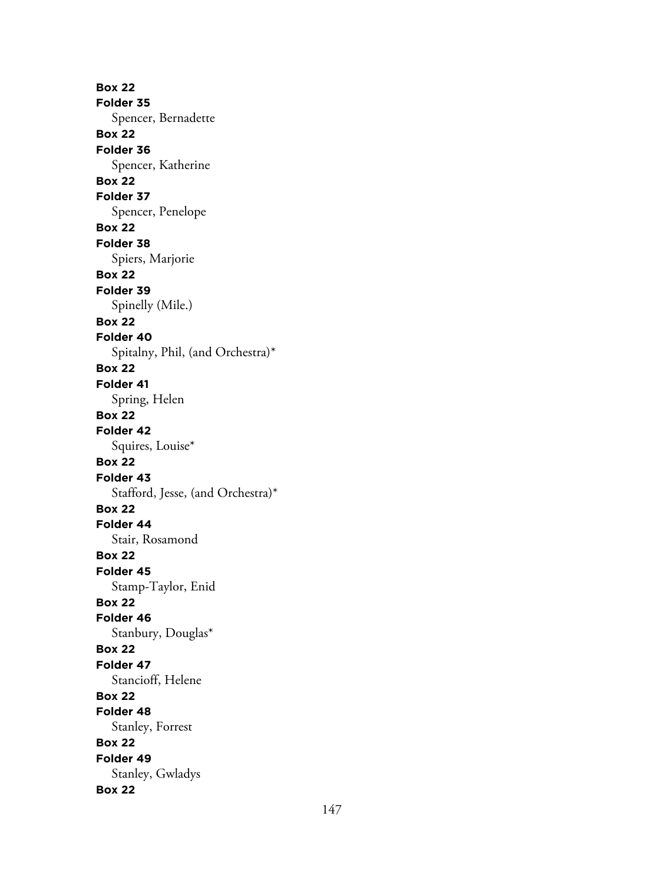**Box 22 Folder 35** Spencer, Bernadette **Box 22 Folder 36** Spencer, Katherine **Box 22 Folder 37** Spencer, Penelope **Box 22 Folder 38** Spiers, Marjorie **Box 22 Folder 39** Spinelly (Mile.) **Box 22 Folder 40** Spitalny, Phil, (and Orchestra)\* **Box 22 Folder 41** Spring, Helen **Box 22 Folder 42** Squires, Louise\* **Box 22 Folder 43** Stafford, Jesse, (and Orchestra)\* **Box 22 Folder 44** Stair, Rosamond **Box 22 Folder 45** Stamp-Taylor, Enid **Box 22 Folder 46** Stanbury, Douglas\* **Box 22 Folder 47** Stancioff, Helene **Box 22 Folder 48** Stanley, Forrest **Box 22 Folder 49** Stanley, Gwladys **Box 22**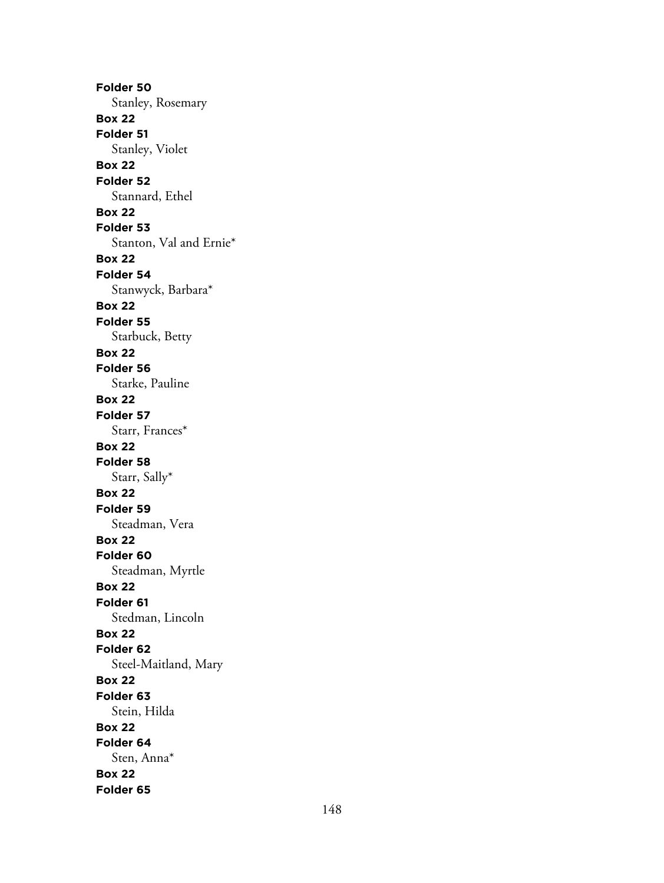**Folder 50** Stanley, Rosemary **Box 22 Folder 51** Stanley, Violet **Box 22 Folder 52** Stannard, Ethel **Box 22 Folder 53** Stanton, Val and Ernie\* **Box 22 Folder 54** Stanwyck, Barbara\* **Box 22 Folder 55** Starbuck, Betty **Box 22 Folder 56** Starke, Pauline **Box 22 Folder 57** Starr, Frances\* **Box 22 Folder 58** Starr, Sally\* **Box 22 Folder 59** Steadman, Vera **Box 22 Folder 60** Steadman, Myrtle **Box 22 Folder 61** Stedman, Lincoln **Box 22 Folder 62** Steel-Maitland, Mary **Box 22 Folder 63** Stein, Hilda **Box 22 Folder 64** Sten, Anna\* **Box 22 Folder 65**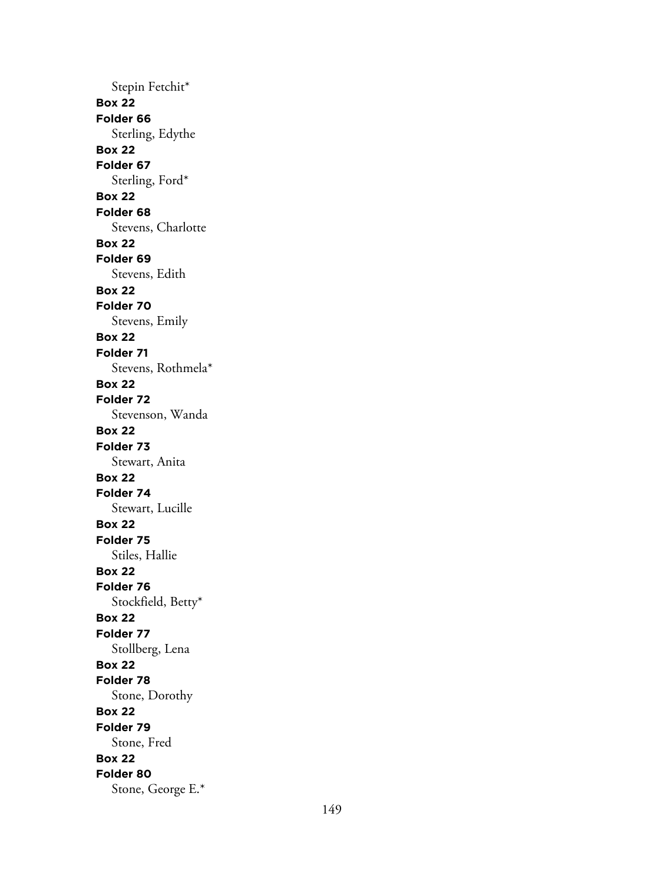Stepin Fetchit\* **Box 22 Folder 66** Sterling, Edythe **Box 22 Folder 67** Sterling, Ford\* **Box 22 Folder 68** Stevens, Charlotte **Box 22 Folder 69** Stevens, Edith **Box 22 Folder 70** Stevens, Emily **Box 22 Folder 71** Stevens, Rothmela\* **Box 22 Folder 72** Stevenson, Wanda **Box 22 Folder 73** Stewart, Anita **Box 22 Folder 74** Stewart, Lucille **Box 22 Folder 75** Stiles, Hallie **Box 22 Folder 76** Stockfield, Betty\* **Box 22 Folder 77** Stollberg, Lena **Box 22 Folder 78** Stone, Dorothy **Box 22 Folder 79** Stone, Fred **Box 22 Folder 80** Stone, George E.\*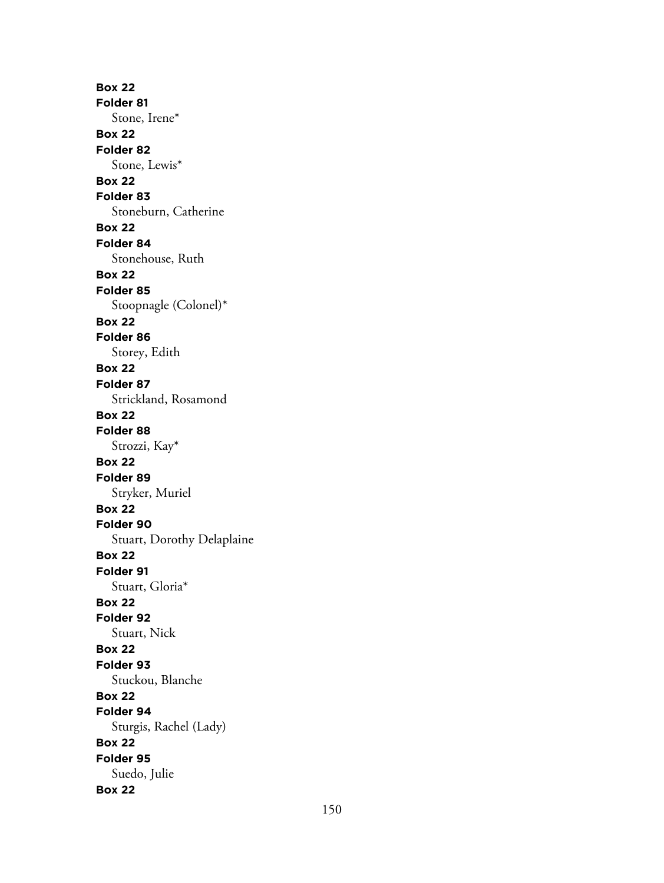**Box 22 Folder 81** Stone, Irene\* **Box 22 Folder 82** Stone, Lewis\* **Box 22 Folder 83** Stoneburn, Catherine **Box 22 Folder 84** Stonehouse, Ruth **Box 22 Folder 85** Stoopnagle (Colonel)\* **Box 22 Folder 86** Storey, Edith **Box 22 Folder 87** Strickland, Rosamond **Box 22 Folder 88** Strozzi, Kay\* **Box 22 Folder 89** Stryker, Muriel **Box 22 Folder 90** Stuart, Dorothy Delaplaine **Box 22 Folder 91** Stuart, Gloria\* **Box 22 Folder 92** Stuart, Nick **Box 22 Folder 93** Stuckou, Blanche **Box 22 Folder 94** Sturgis, Rachel (Lady) **Box 22 Folder 95** Suedo, Julie **Box 22**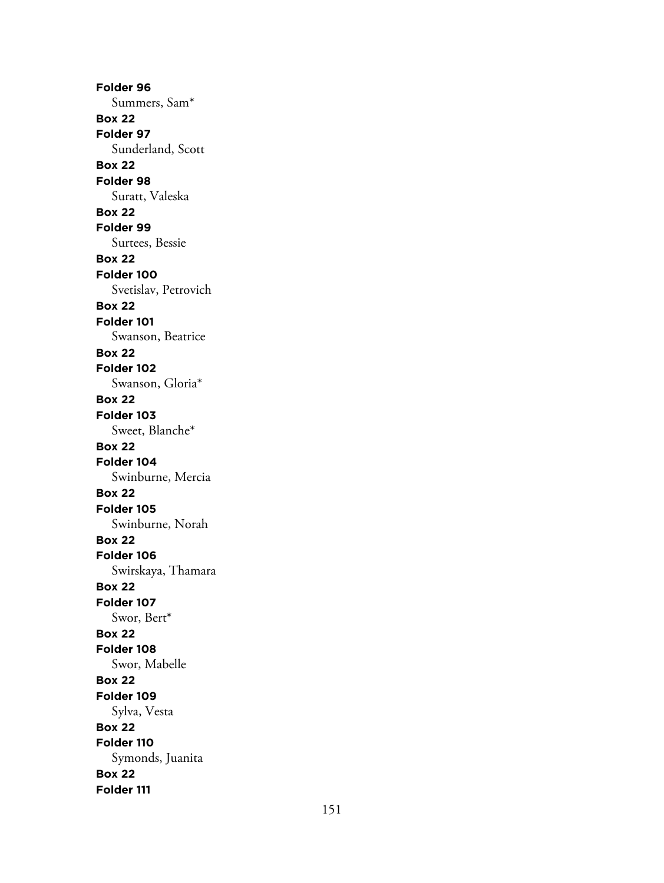**Folder 96** Summers, Sam\* **Box 22 Folder 97** Sunderland, Scott **Box 22 Folder 98** Suratt, Valeska **Box 22 Folder 99** Surtees, Bessie **Box 22 Folder 100** Svetislav, Petrovich **Box 22 Folder 101** Swanson, Beatrice **Box 22 Folder 102** Swanson, Gloria\* **Box 22 Folder 103** Sweet, Blanche\* **Box 22 Folder 104** Swinburne, Mercia **Box 22 Folder 105** Swinburne, Norah **Box 22 Folder 106** Swirskaya, Thamara **Box 22 Folder 107** Swor, Bert\* **Box 22 Folder 108** Swor, Mabelle **Box 22 Folder 109** Sylva, Vesta **Box 22 Folder 110** Symonds, Juanita **Box 22 Folder 111**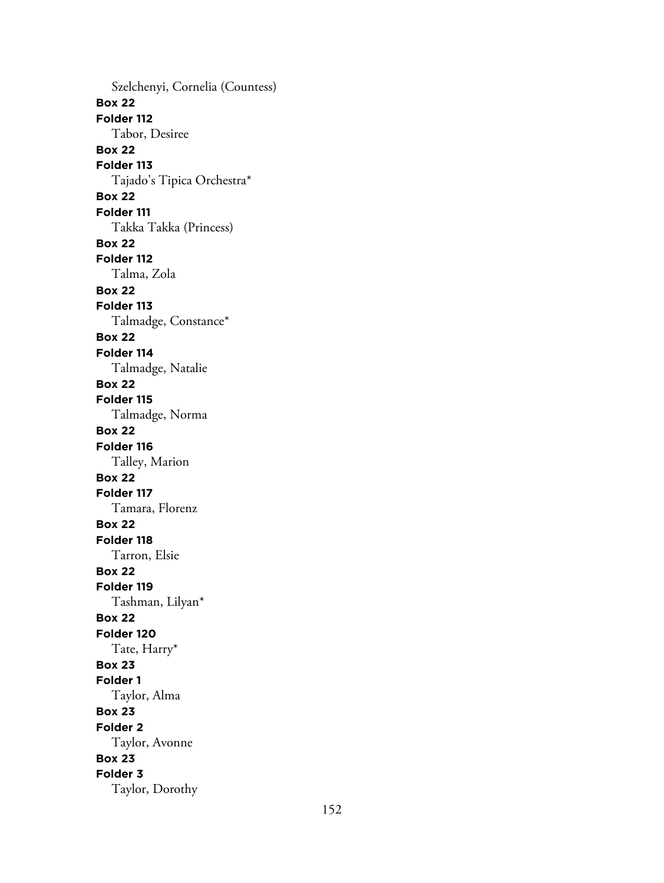Szelchenyi, Cornelia (Countess) **Box 22 Folder 112** Tabor, Desiree **Box 22 Folder 113** Tajado's Tipica Orchestra\* **Box 22 Folder 111** Takka Takka (Princess) **Box 22 Folder 112** Talma, Zola **Box 22 Folder 113** Talmadge, Constance\* **Box 22 Folder 114** Talmadge, Natalie **Box 22 Folder 115** Talmadge, Norma **Box 22 Folder 116** Talley, Marion **Box 22 Folder 117** Tamara, Florenz **Box 22 Folder 118** Tarron, Elsie **Box 22 Folder 119** Tashman, Lilyan\* **Box 22 Folder 120** Tate, Harry\* **Box 23 Folder 1** Taylor, Alma **Box 23 Folder 2** Taylor, Avonne **Box 23 Folder 3** Taylor, Dorothy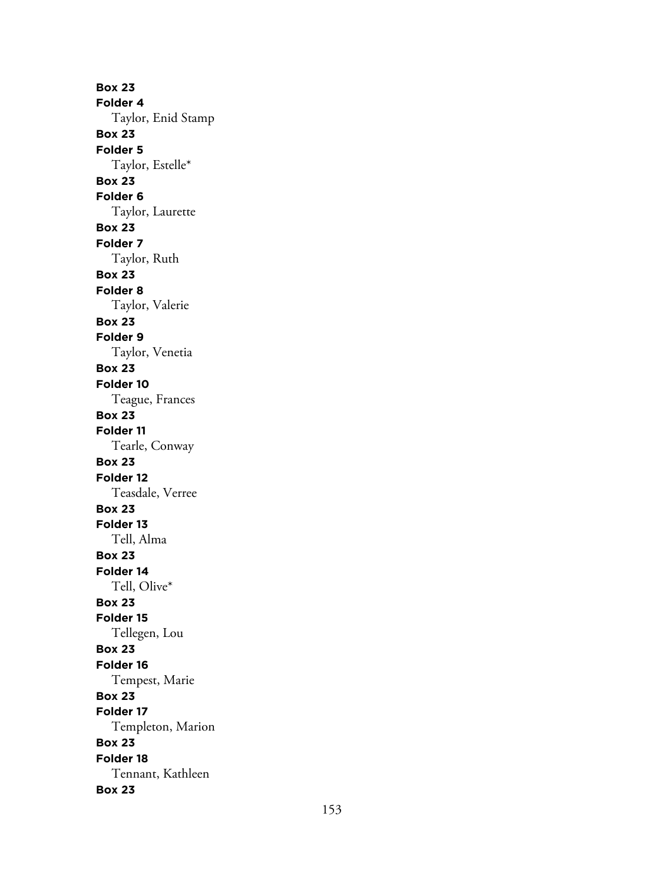**Box 23 Folder 4** Taylor, Enid Stamp **Box 23 Folder 5** Taylor, Estelle\* **Box 23 Folder 6** Taylor, Laurette **Box 23 Folder 7** Taylor, Ruth **Box 23 Folder 8** Taylor, Valerie **Box 23 Folder 9** Taylor, Venetia **Box 23 Folder 10** Teague, Frances **Box 23 Folder 11** Tearle, Conway **Box 23 Folder 12** Teasdale, Verree **Box 23 Folder 13** Tell, Alma **Box 23 Folder 14** Tell, Olive\* **Box 23 Folder 15** Tellegen, Lou **Box 23 Folder 16** Tempest, Marie **Box 23 Folder 17** Templeton, Marion **Box 23 Folder 18** Tennant, Kathleen **Box 23**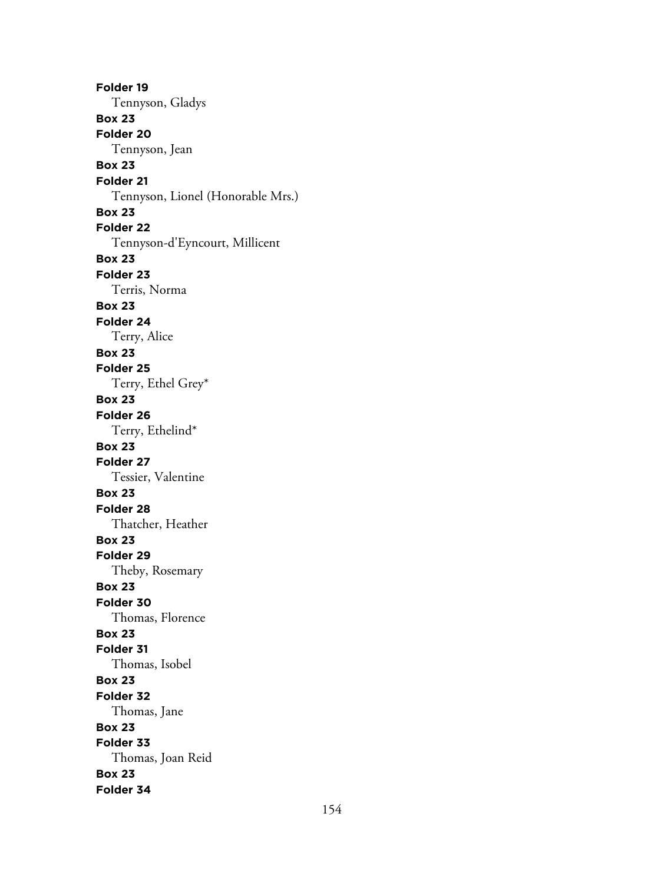**Folder 19** Tennyson, Gladys **Box 23 Folder 20** Tennyson, Jean **Box 23 Folder 21** Tennyson, Lionel (Honorable Mrs.) **Box 23 Folder 22** Tennyson-d'Eyncourt, Millicent **Box 23 Folder 23** Terris, Norma **Box 23 Folder 24** Terry, Alice **Box 23 Folder 25** Terry, Ethel Grey\* **Box 23 Folder 26** Terry, Ethelind\* **Box 23 Folder 27** Tessier, Valentine **Box 23 Folder 28** Thatcher, Heather **Box 23 Folder 29** Theby, Rosemary **Box 23 Folder 30** Thomas, Florence **Box 23 Folder 31** Thomas, Isobel **Box 23 Folder 32** Thomas, Jane **Box 23 Folder 33** Thomas, Joan Reid **Box 23 Folder 34**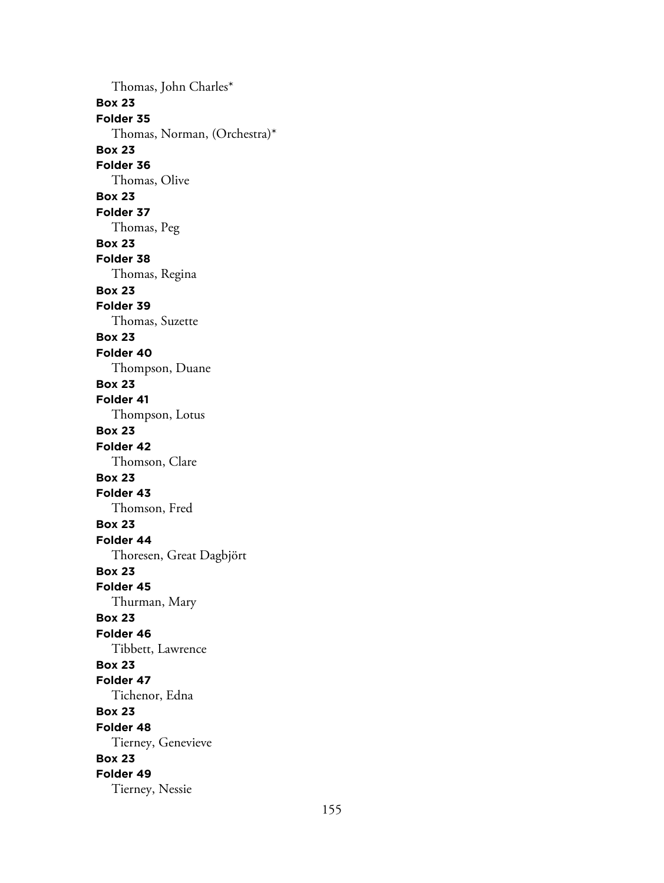Thomas, John Charles\* **Box 23 Folder 35** Thomas, Norman, (Orchestra)\* **Box 23 Folder 36** Thomas, Olive **Box 23 Folder 37** Thomas, Peg **Box 23 Folder 38** Thomas, Regina **Box 23 Folder 39** Thomas, Suzette **Box 23 Folder 40** Thompson, Duane **Box 23 Folder 41** Thompson, Lotus **Box 23 Folder 42** Thomson, Clare **Box 23 Folder 43** Thomson, Fred **Box 23 Folder 44** Thoresen, Great Dagbjört **Box 23 Folder 45** Thurman, Mary **Box 23 Folder 46** Tibbett, Lawrence **Box 23 Folder 47** Tichenor, Edna **Box 23 Folder 48** Tierney, Genevieve **Box 23 Folder 49** Tierney, Nessie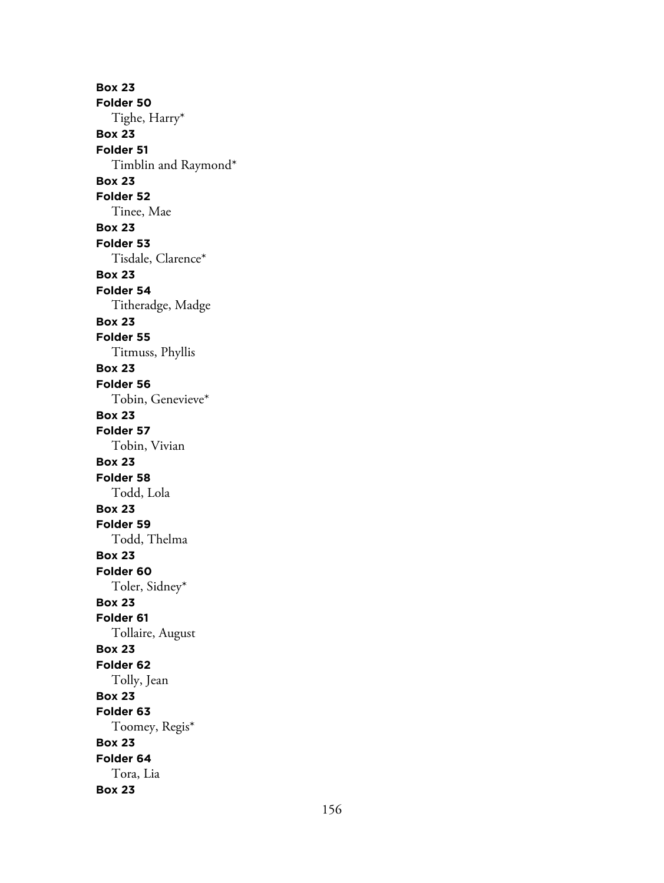**Box 23 Folder 50** Tighe, Harry\* **Box 23 Folder 51** Timblin and Raymond\* **Box 23 Folder 52** Tinee, Mae **Box 23 Folder 53** Tisdale, Clarence\* **Box 23 Folder 54** Titheradge, Madge **Box 23 Folder 55** Titmuss, Phyllis **Box 23 Folder 56** Tobin, Genevieve\* **Box 23 Folder 57** Tobin, Vivian **Box 23 Folder 58** Todd, Lola **Box 23 Folder 59** Todd, Thelma **Box 23 Folder 60** Toler, Sidney\* **Box 23 Folder 61** Tollaire, August **Box 23 Folder 62** Tolly, Jean **Box 23 Folder 63** Toomey, Regis\* **Box 23 Folder 64** Tora, Lia **Box 23**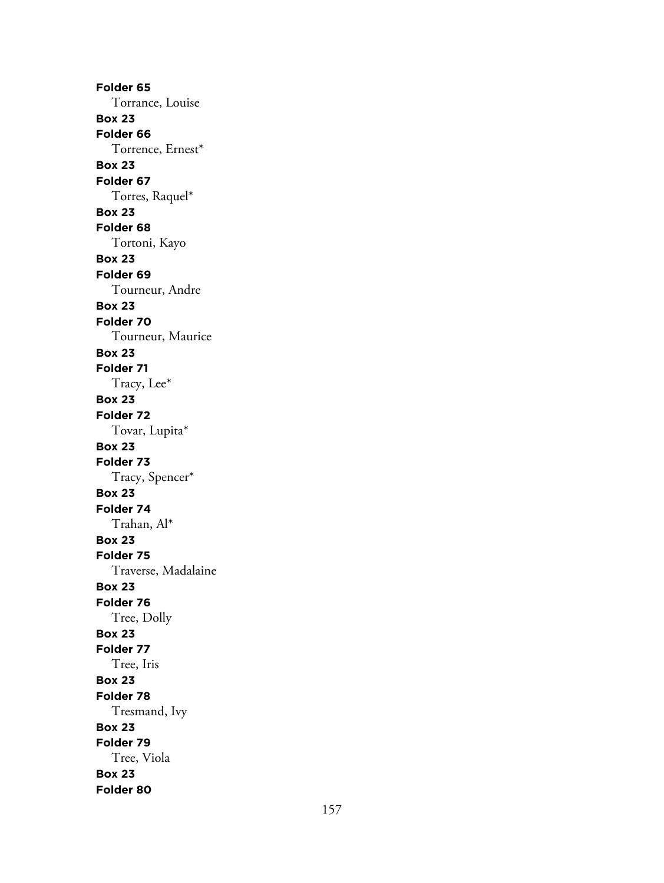**Folder 65** Torrance, Louise **Box 23 Folder 66** Torrence, Ernest\* **Box 23 Folder 67** Torres, Raquel\* **Box 23 Folder 68** Tortoni, Kayo **Box 23 Folder 69** Tourneur, Andre **Box 23 Folder 70** Tourneur, Maurice **Box 23 Folder 71** Tracy, Lee\* **Box 23 Folder 72** Tovar, Lupita\* **Box 23 Folder 73** Tracy, Spencer\* **Box 23 Folder 74** Trahan, Al\* **Box 23 Folder 75** Traverse, Madalaine **Box 23 Folder 76** Tree, Dolly **Box 23 Folder 77** Tree, Iris **Box 23 Folder 78** Tresmand, Ivy **Box 23 Folder 79** Tree, Viola **Box 23 Folder 80**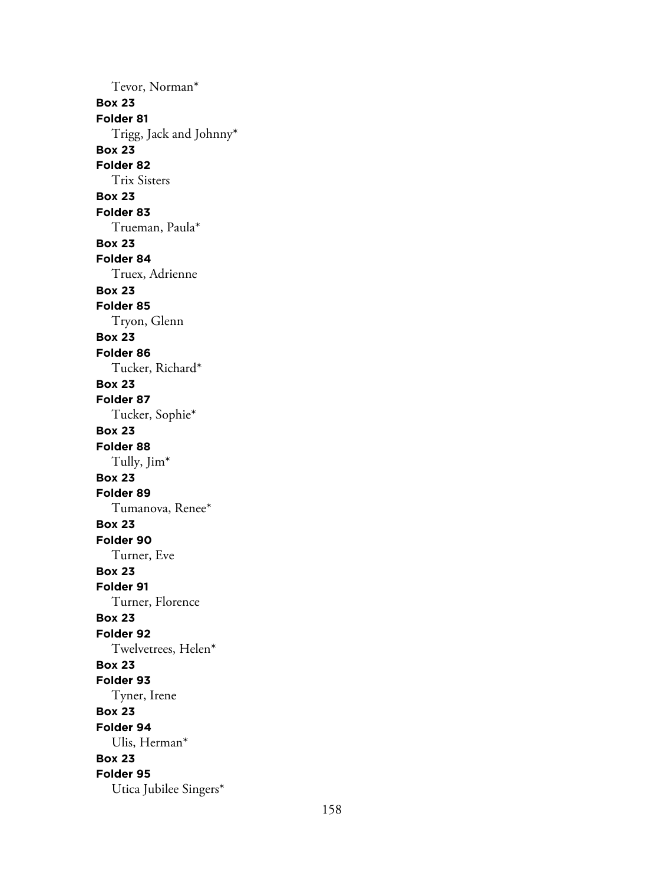Tevor, Norman\* **Box 23 Folder 81** Trigg, Jack and Johnny\* **Box 23 Folder 82** Trix Sisters **Box 23 Folder 83** Trueman, Paula\* **Box 23 Folder 84** Truex, Adrienne **Box 23 Folder 85** Tryon, Glenn **Box 23 Folder 86** Tucker, Richard\* **Box 23 Folder 87** Tucker, Sophie\* **Box 23 Folder 88** Tully, Jim\* **Box 23 Folder 89** Tumanova, Renee\* **Box 23 Folder 90** Turner, Eve **Box 23 Folder 91** Turner, Florence **Box 23 Folder 92** Twelvetrees, Helen\* **Box 23 Folder 93** Tyner, Irene **Box 23 Folder 94** Ulis, Herman\* **Box 23 Folder 95** Utica Jubilee Singers\*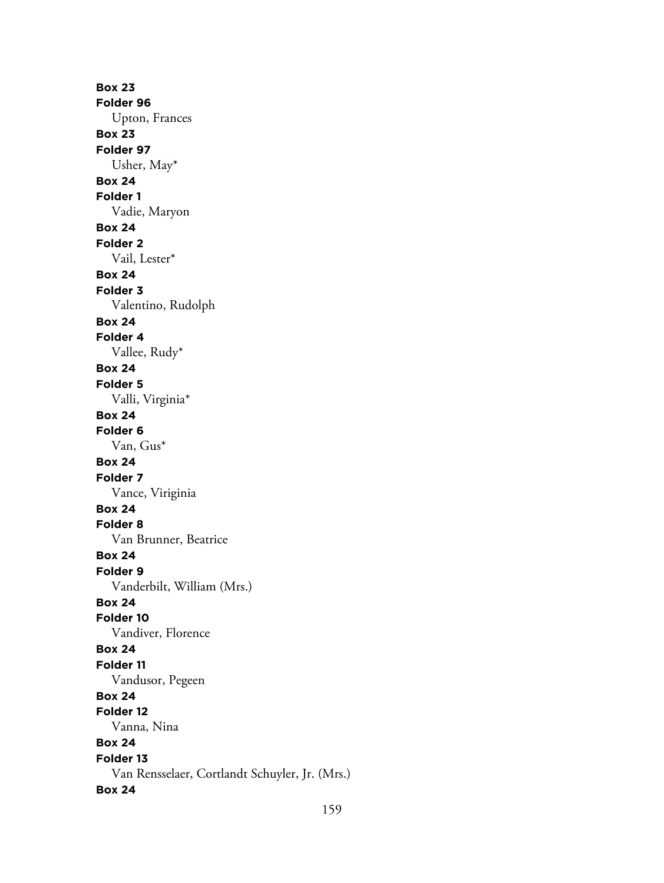**Box 23 Folder 96** Upton, Frances **Box 23 Folder 97** Usher, May\* **Box 24 Folder 1** Vadie, Maryon **Box 24 Folder 2** Vail, Lester\* **Box 24 Folder 3** Valentino, Rudolph **Box 24 Folder 4** Vallee, Rudy\* **Box 24 Folder 5** Valli, Virginia\* **Box 24 Folder 6** Van, Gus\* **Box 24 Folder 7** Vance, Viriginia **Box 24 Folder 8** Van Brunner, Beatrice **Box 24 Folder 9** Vanderbilt, William (Mrs.) **Box 24 Folder 10** Vandiver, Florence **Box 24 Folder 11** Vandusor, Pegeen **Box 24 Folder 12** Vanna, Nina **Box 24 Folder 13** Van Rensselaer, Cortlandt Schuyler, Jr. (Mrs.) **Box 24**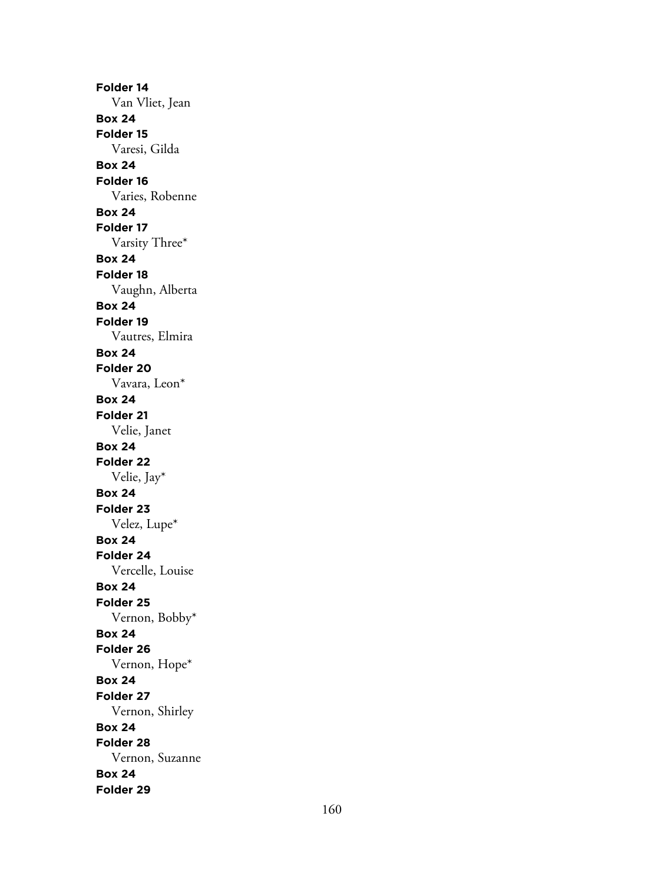**Folder 14** Van Vliet, Jean **Box 24 Folder 15** Varesi, Gilda **Box 24 Folder 16** Varies, Robenne **Box 24 Folder 17** Varsity Three\* **Box 24 Folder 18** Vaughn, Alberta **Box 24 Folder 19** Vautres, Elmira **Box 24 Folder 20** Vavara, Leon\* **Box 24 Folder 21** Velie, Janet **Box 24 Folder 22** Velie, Jay\* **Box 24 Folder 23** Velez, Lupe\* **Box 24 Folder 24** Vercelle, Louise **Box 24 Folder 25** Vernon, Bobby\* **Box 24 Folder 26** Vernon, Hope\* **Box 24 Folder 27** Vernon, Shirley **Box 24 Folder 28** Vernon, Suzanne **Box 24 Folder 29**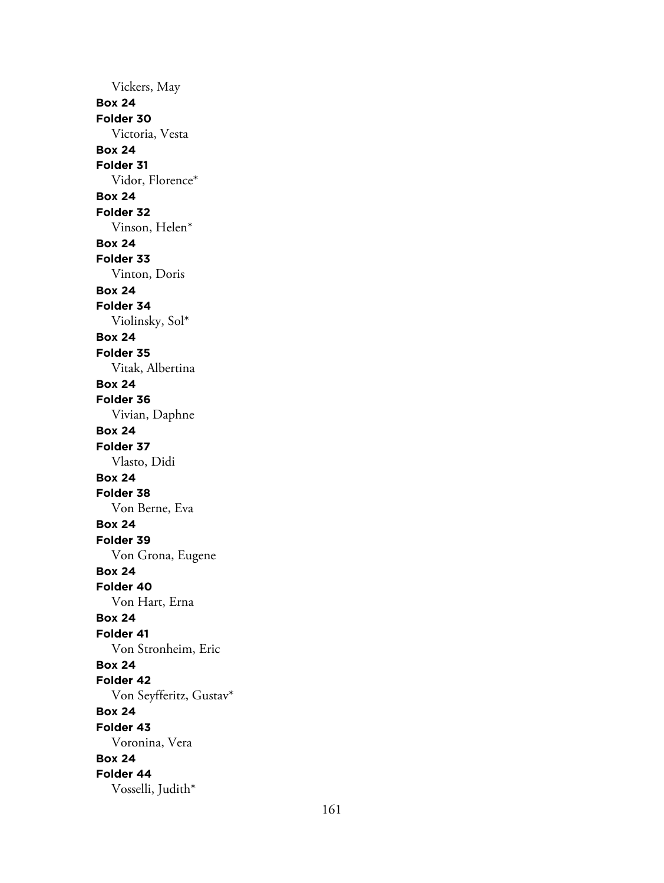Vickers, May **Box 24 Folder 30** Victoria, Vesta **Box 24 Folder 31** Vidor, Florence\* **Box 24 Folder 32** Vinson, Helen\* **Box 24 Folder 33** Vinton, Doris **Box 24 Folder 34** Violinsky, Sol\* **Box 24 Folder 35** Vitak, Albertina **Box 24 Folder 36** Vivian, Daphne **Box 24 Folder 37** Vlasto, Didi **Box 24 Folder 38** Von Berne, Eva **Box 24 Folder 39** Von Grona, Eugene **Box 24 Folder 40** Von Hart, Erna **Box 24 Folder 41** Von Stronheim, Eric **Box 24 Folder 42** Von Seyfferitz, Gustav\* **Box 24 Folder 43** Voronina, Vera **Box 24 Folder 44** Vosselli, Judith\*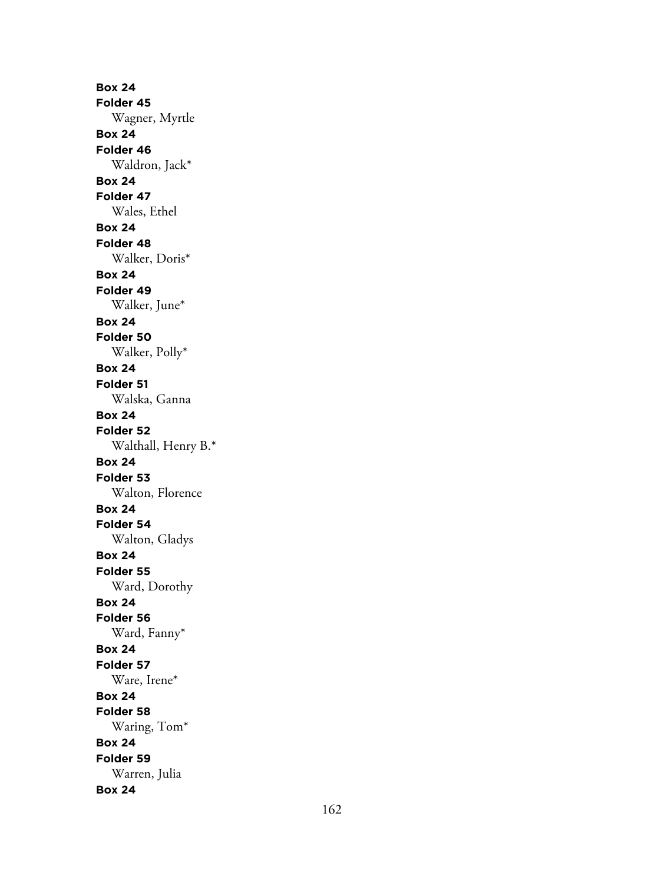**Box 24 Folder 45** Wagner, Myrtle **Box 24 Folder 46** Waldron, Jack\* **Box 24 Folder 47** Wales, Ethel **Box 24 Folder 48** Walker, Doris\* **Box 24 Folder 49** Walker, June\* **Box 24 Folder 50** Walker, Polly\* **Box 24 Folder 51** Walska, Ganna **Box 24 Folder 52** Walthall, Henry B.\* **Box 24 Folder 53** Walton, Florence **Box 24 Folder 54** Walton, Gladys **Box 24 Folder 55** Ward, Dorothy **Box 24 Folder 56** Ward, Fanny\* **Box 24 Folder 57** Ware, Irene\* **Box 24 Folder 58** Waring, Tom\* **Box 24 Folder 59** Warren, Julia **Box 24**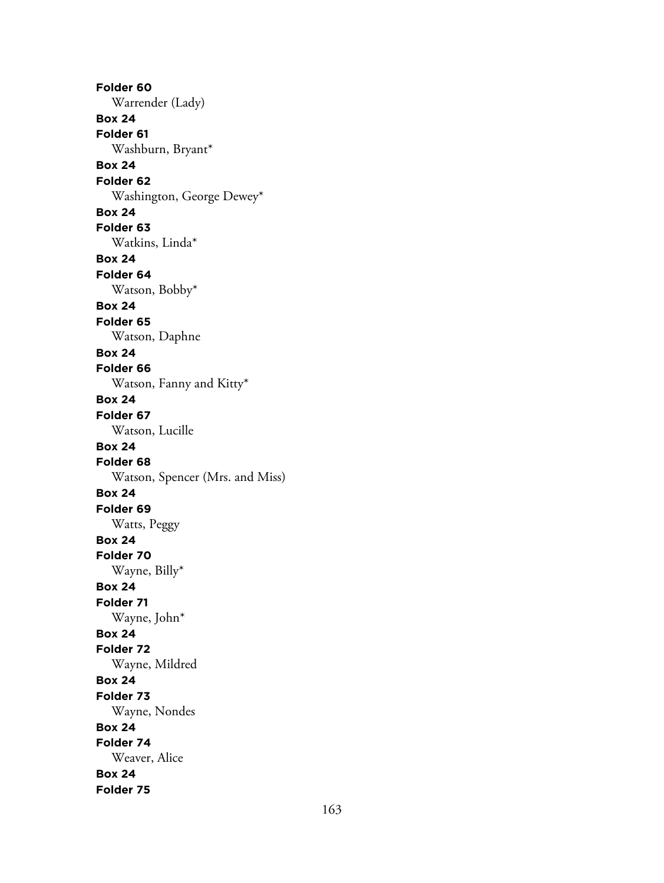**Folder 60** Warrender (Lady) **Box 24 Folder 61** Washburn, Bryant\* **Box 24 Folder 62** Washington, George Dewey\* **Box 24 Folder 63** Watkins, Linda\* **Box 24 Folder 64** Watson, Bobby\* **Box 24 Folder 65** Watson, Daphne **Box 24 Folder 66** Watson, Fanny and Kitty\* **Box 24 Folder 67** Watson, Lucille **Box 24 Folder 68** Watson, Spencer (Mrs. and Miss) **Box 24 Folder 69** Watts, Peggy **Box 24 Folder 70** Wayne, Billy\* **Box 24 Folder 71** Wayne, John\* **Box 24 Folder 72** Wayne, Mildred **Box 24 Folder 73** Wayne, Nondes **Box 24 Folder 74** Weaver, Alice **Box 24 Folder 75**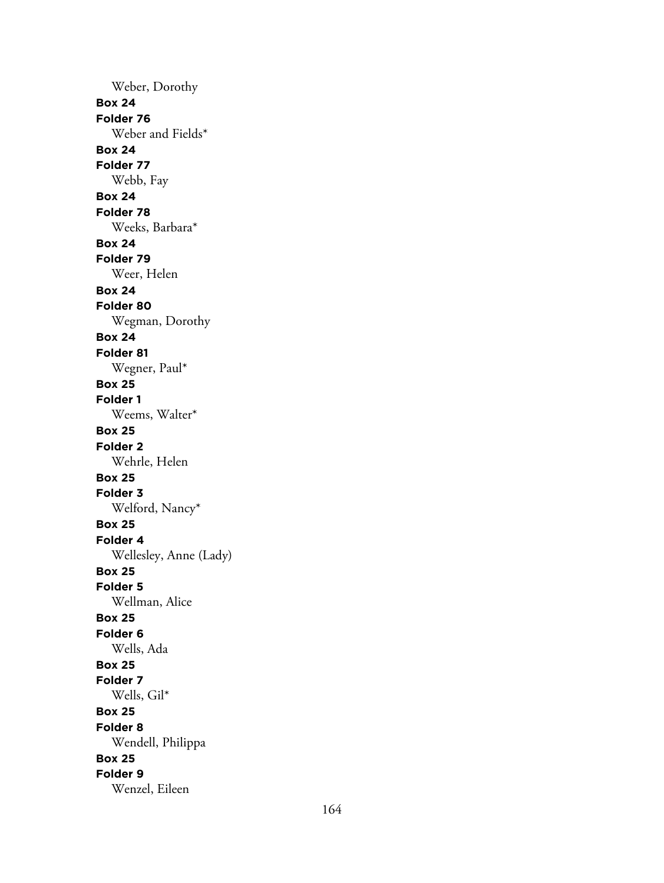Weber, Dorothy **Box 24 Folder 76** Weber and Fields\* **Box 24 Folder 77** Webb, Fay **Box 24 Folder 78** Weeks, Barbara\* **Box 24 Folder 79** Weer, Helen **Box 24 Folder 80** Wegman, Dorothy **Box 24 Folder 81** Wegner, Paul\* **Box 25 Folder 1** Weems, Walter\* **Box 25 Folder 2** Wehrle, Helen **Box 25 Folder 3** Welford, Nancy\* **Box 25 Folder 4** Wellesley, Anne (Lady) **Box 25 Folder 5** Wellman, Alice **Box 25 Folder 6** Wells, Ada **Box 25 Folder 7** Wells, Gil\* **Box 25 Folder 8** Wendell, Philippa **Box 25 Folder 9** Wenzel, Eileen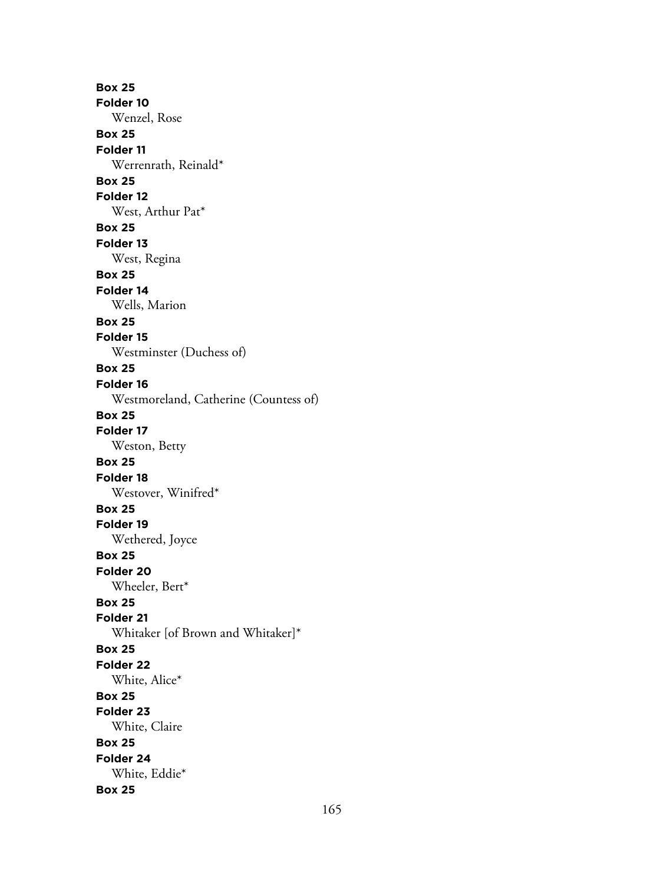**Box 25 Folder 10** Wenzel, Rose **Box 25 Folder 11** Werrenrath, Reinald\* **Box 25 Folder 12** West, Arthur Pat\* **Box 25 Folder 13** West, Regina **Box 25 Folder 14** Wells, Marion **Box 25 Folder 15** Westminster (Duchess of) **Box 25 Folder 16** Westmoreland, Catherine (Countess of) **Box 25 Folder 17** Weston, Betty **Box 25 Folder 18** Westover, Winifred\* **Box 25 Folder 19** Wethered, Joyce **Box 25 Folder 20** Wheeler, Bert\* **Box 25 Folder 21** Whitaker [of Brown and Whitaker]\* **Box 25 Folder 22** White, Alice\* **Box 25 Folder 23** White, Claire **Box 25 Folder 24** White, Eddie\* **Box 25**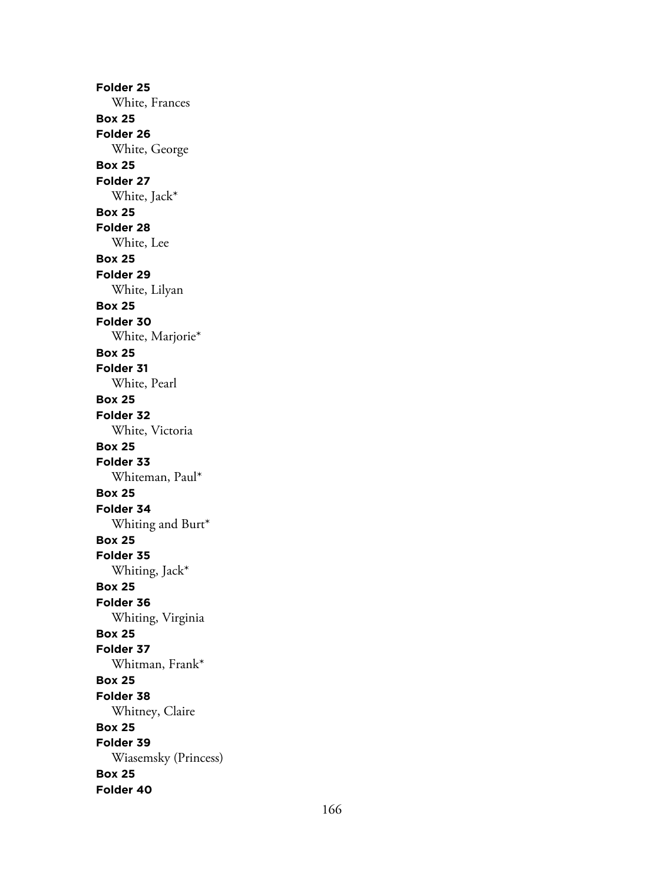**Folder 25** White, Frances **Box 25 Folder 26** White, George **Box 25 Folder 27** White, Jack\* **Box 25 Folder 28** White, Lee **Box 25 Folder 29** White, Lilyan **Box 25 Folder 30** White, Marjorie\* **Box 25 Folder 31** White, Pearl **Box 25 Folder 32** White, Victoria **Box 25 Folder 33** Whiteman, Paul\* **Box 25 Folder 34** Whiting and Burt\* **Box 25 Folder 35** Whiting, Jack\* **Box 25 Folder 36** Whiting, Virginia **Box 25 Folder 37** Whitman, Frank\* **Box 25 Folder 38** Whitney, Claire **Box 25 Folder 39** Wiasemsky (Princess) **Box 25 Folder 40**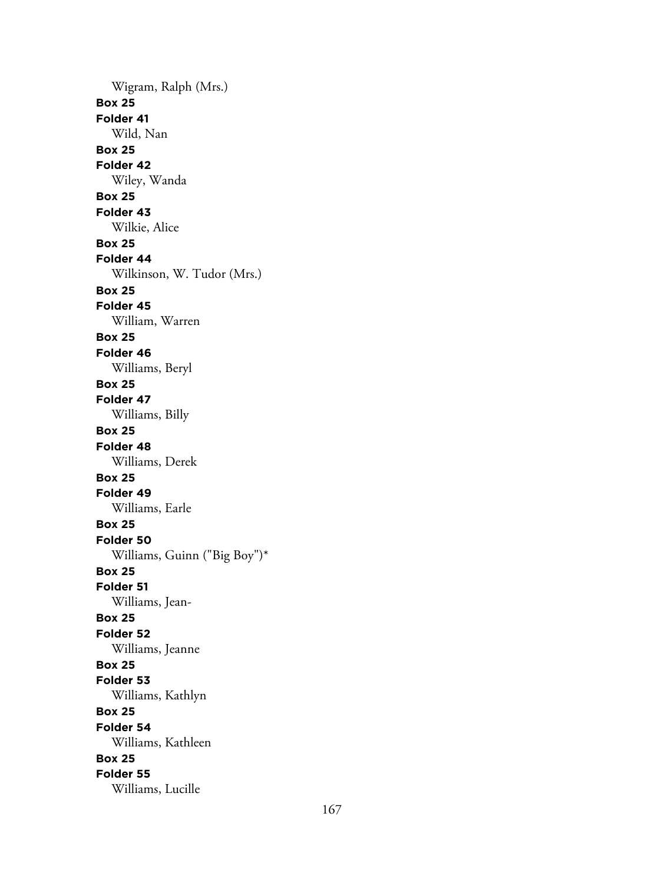Wigram, Ralph (Mrs.) **Box 25 Folder 41** Wild, Nan **Box 25 Folder 42** Wiley, Wanda **Box 25 Folder 43** Wilkie, Alice **Box 25 Folder 44** Wilkinson, W. Tudor (Mrs.) **Box 25 Folder 45** William, Warren **Box 25 Folder 46** Williams, Beryl **Box 25 Folder 47** Williams, Billy **Box 25 Folder 48** Williams, Derek **Box 25 Folder 49** Williams, Earle **Box 25 Folder 50** Williams, Guinn ("Big Boy")\* **Box 25 Folder 51** Williams, Jean-**Box 25 Folder 52** Williams, Jeanne **Box 25 Folder 53** Williams, Kathlyn **Box 25 Folder 54** Williams, Kathleen **Box 25 Folder 55** Williams, Lucille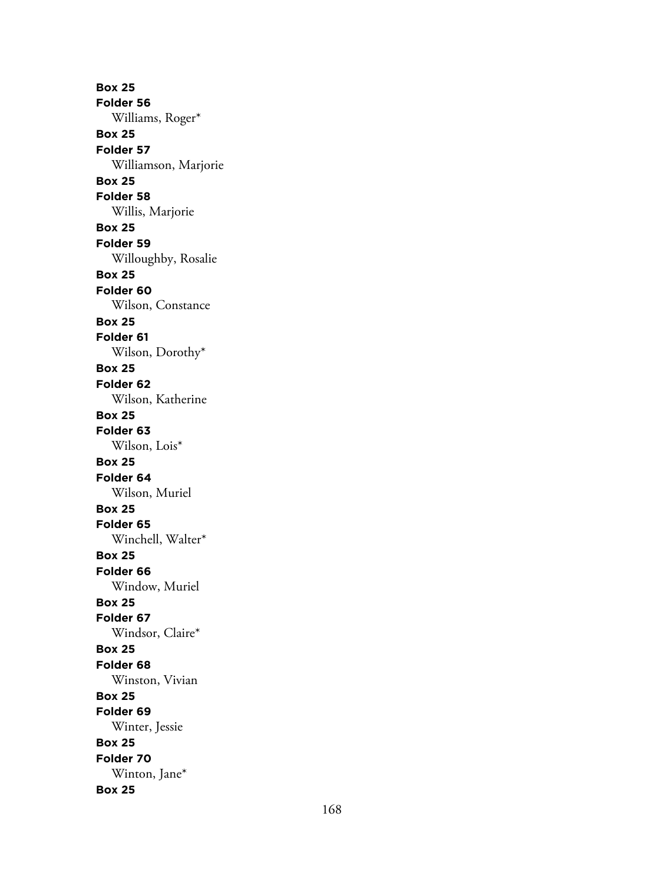**Box 25 Folder 56** Williams, Roger\* **Box 25 Folder 57** Williamson, Marjorie **Box 25 Folder 58** Willis, Marjorie **Box 25 Folder 59** Willoughby, Rosalie **Box 25 Folder 60** Wilson, Constance **Box 25 Folder 61** Wilson, Dorothy\* **Box 25 Folder 62** Wilson, Katherine **Box 25 Folder 63** Wilson, Lois\* **Box 25 Folder 64** Wilson, Muriel **Box 25 Folder 65** Winchell, Walter\* **Box 25 Folder 66** Window, Muriel **Box 25 Folder 67** Windsor, Claire\* **Box 25 Folder 68** Winston, Vivian **Box 25 Folder 69** Winter, Jessie **Box 25 Folder 70** Winton, Jane\* **Box 25**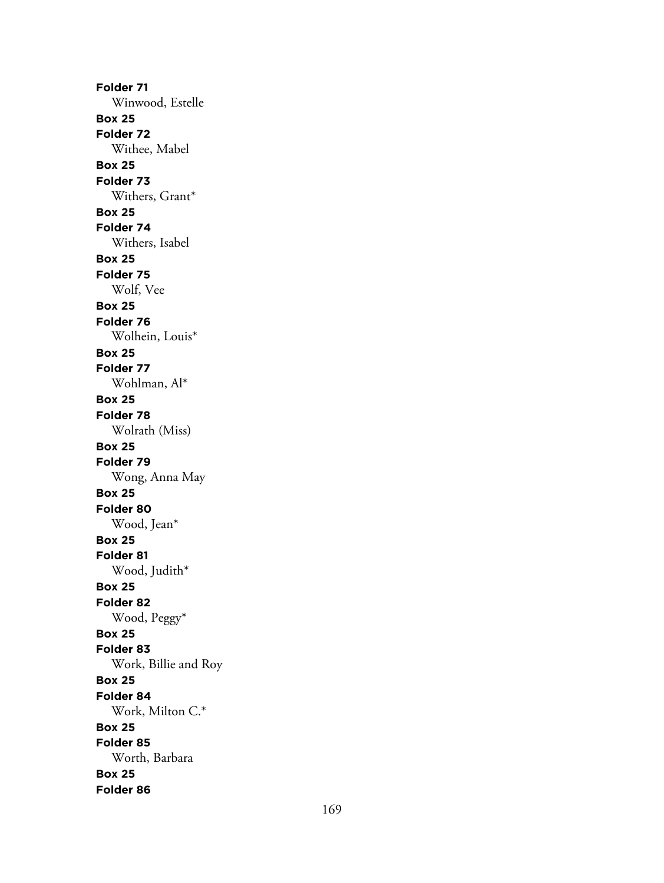**Folder 71** Winwood, Estelle **Box 25 Folder 72** Withee, Mabel **Box 25 Folder 73** Withers, Grant\* **Box 25 Folder 74** Withers, Isabel **Box 25 Folder 75** Wolf, Vee **Box 25 Folder 76** Wolhein, Louis\* **Box 25 Folder 77** Wohlman, Al\* **Box 25 Folder 78** Wolrath (Miss) **Box 25 Folder 79** Wong, Anna May **Box 25 Folder 80** Wood, Jean\* **Box 25 Folder 81** Wood, Judith\* **Box 25 Folder 82** Wood, Peggy\* **Box 25 Folder 83** Work, Billie and Roy **Box 25 Folder 84** Work, Milton C.\* **Box 25 Folder 85** Worth, Barbara **Box 25 Folder 86**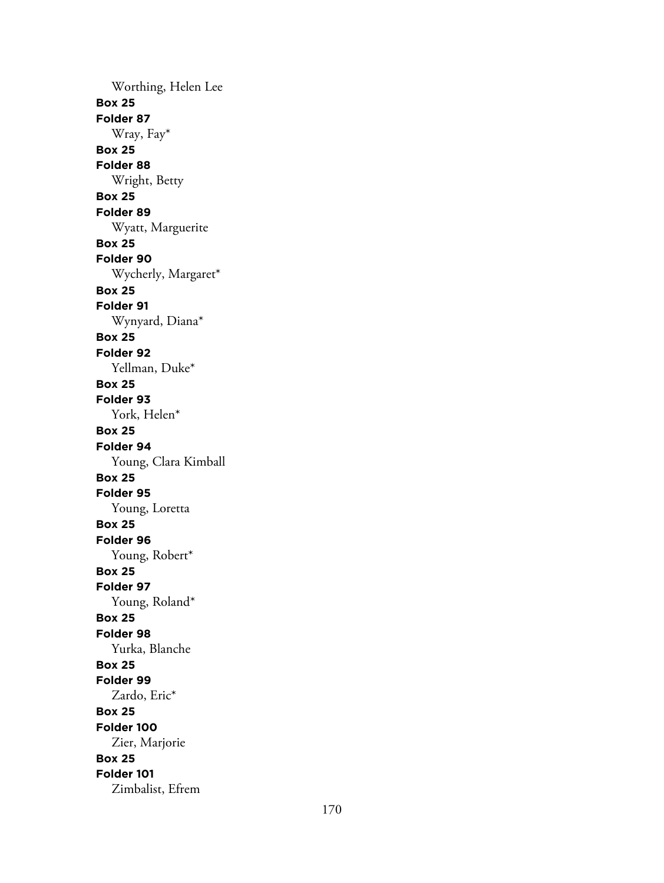Worthing, Helen Lee **Box 25 Folder 87** Wray, Fay\* **Box 25 Folder 88** Wright, Betty **Box 25 Folder 89** Wyatt, Marguerite **Box 25 Folder 90** Wycherly, Margaret\* **Box 25 Folder 91** Wynyard, Diana\* **Box 25 Folder 92** Yellman, Duke\* **Box 25 Folder 93** York, Helen\* **Box 25 Folder 94** Young, Clara Kimball **Box 25 Folder 95** Young, Loretta **Box 25 Folder 96** Young, Robert\* **Box 25 Folder 97** Young, Roland\* **Box 25 Folder 98** Yurka, Blanche **Box 25 Folder 99** Zardo, Eric\* **Box 25 Folder 100** Zier, Marjorie **Box 25 Folder 101** Zimbalist, Efrem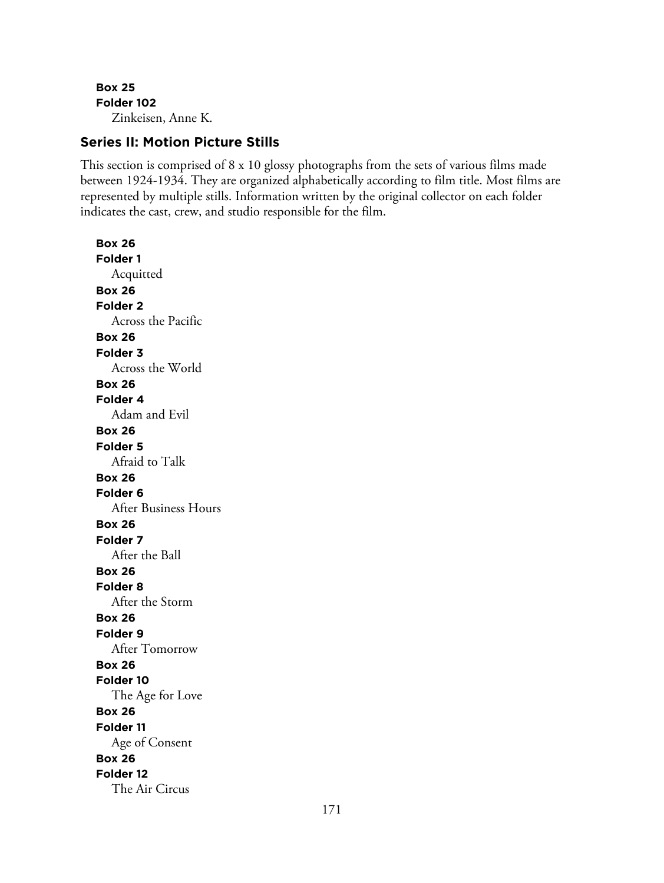**Box 25 Folder 102** Zinkeisen, Anne K.

## **Series II: Motion Picture Stills**

This section is comprised of 8 x 10 glossy photographs from the sets of various films made between 1924-1934. They are organized alphabetically according to film title. Most films are represented by multiple stills. Information written by the original collector on each folder indicates the cast, crew, and studio responsible for the film.

**Box 26 Folder 1** Acquitted **Box 26 Folder 2** Across the Pacific **Box 26 Folder 3** Across the World **Box 26 Folder 4** Adam and Evil **Box 26 Folder 5** Afraid to Talk **Box 26 Folder 6** After Business Hours **Box 26 Folder 7** After the Ball **Box 26 Folder 8** After the Storm **Box 26 Folder 9** After Tomorrow **Box 26 Folder 10** The Age for Love **Box 26 Folder 11** Age of Consent **Box 26 Folder 12** The Air Circus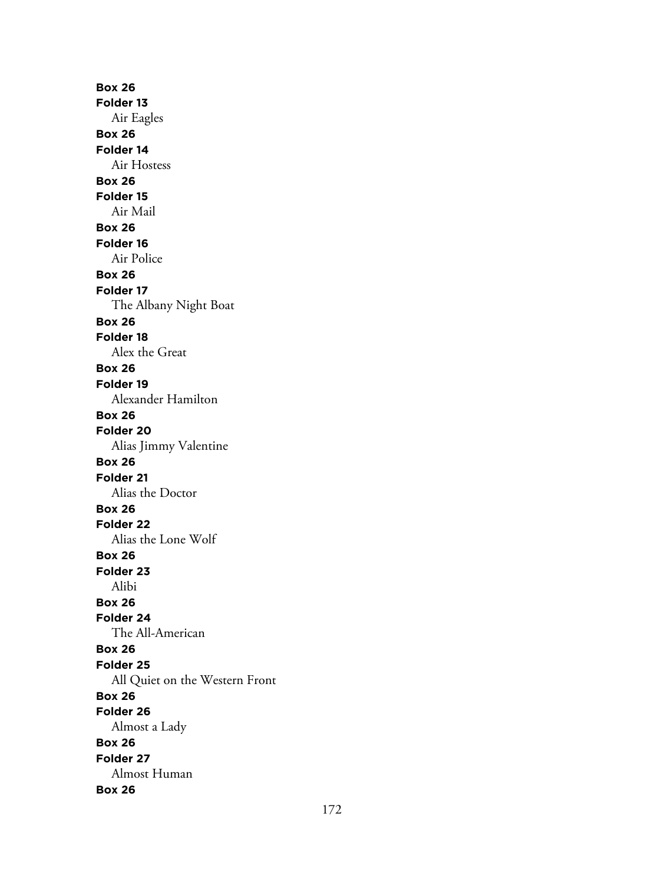**Box 26 Folder 13** Air Eagles **Box 26 Folder 14** Air Hostess **Box 26 Folder 15** Air Mail **Box 26 Folder 16** Air Police **Box 26 Folder 17** The Albany Night Boat **Box 26 Folder 18** Alex the Great **Box 26 Folder 19** Alexander Hamilton **Box 26 Folder 20** Alias Jimmy Valentine **Box 26 Folder 21** Alias the Doctor **Box 26 Folder 22** Alias the Lone Wolf **Box 26 Folder 23** Alibi **Box 26 Folder 24** The All-American **Box 26 Folder 25** All Quiet on the Western Front **Box 26 Folder 26** Almost a Lady **Box 26 Folder 27** Almost Human **Box 26**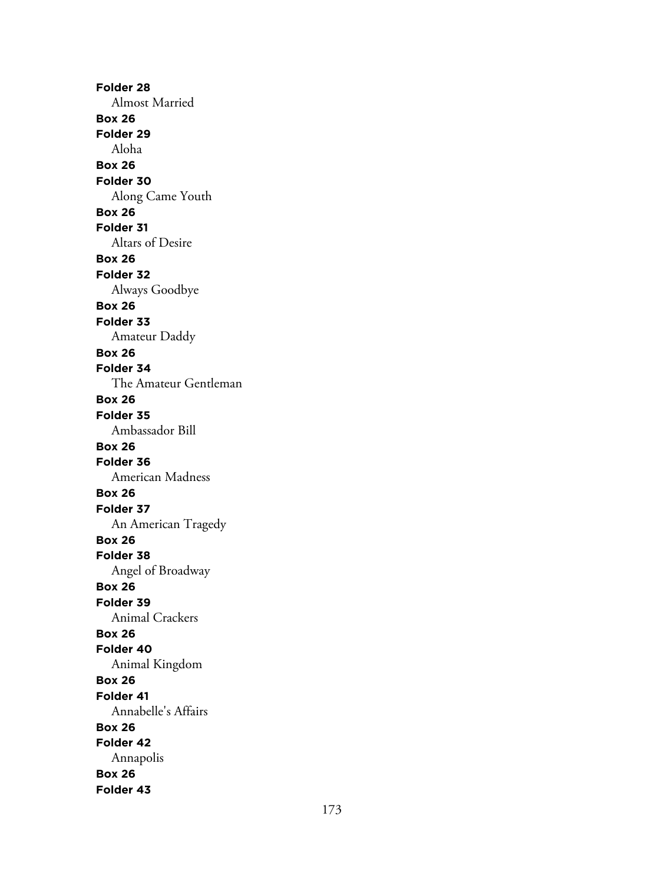**Folder 28** Almost Married **Box 26 Folder 29** Aloha **Box 26 Folder 30** Along Came Youth **Box 26 Folder 31** Altars of Desire **Box 26 Folder 32** Always Goodbye **Box 26 Folder 33** Amateur Daddy **Box 26 Folder 34** The Amateur Gentleman **Box 26 Folder 35** Ambassador Bill **Box 26 Folder 36** American Madness **Box 26 Folder 37** An American Tragedy **Box 26 Folder 38** Angel of Broadway **Box 26 Folder 39** Animal Crackers **Box 26 Folder 40** Animal Kingdom **Box 26 Folder 41** Annabelle's Affairs **Box 26 Folder 42** Annapolis **Box 26 Folder 43**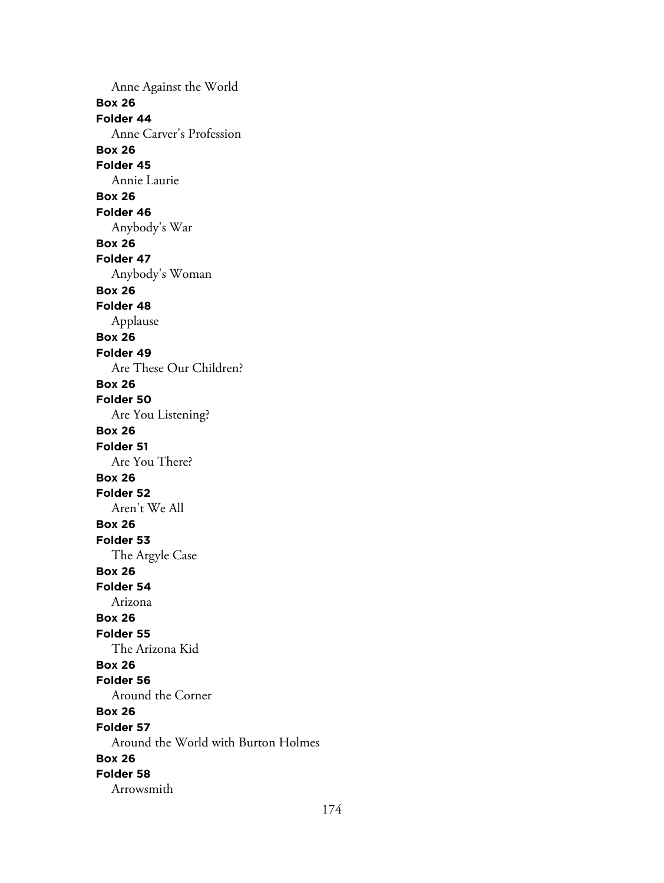Anne Against the World **Box 26 Folder 44** Anne Carver's Profession **Box 26 Folder 45** Annie Laurie **Box 26 Folder 46** Anybody's War **Box 26 Folder 47** Anybody's Woman **Box 26 Folder 48** Applause **Box 26 Folder 49** Are These Our Children? **Box 26 Folder 50** Are You Listening? **Box 26 Folder 51** Are You There? **Box 26 Folder 52** Aren't We All **Box 26 Folder 53** The Argyle Case **Box 26 Folder 54** Arizona **Box 26 Folder 55** The Arizona Kid **Box 26 Folder 56** Around the Corner **Box 26 Folder 57** Around the World with Burton Holmes **Box 26 Folder 58** Arrowsmith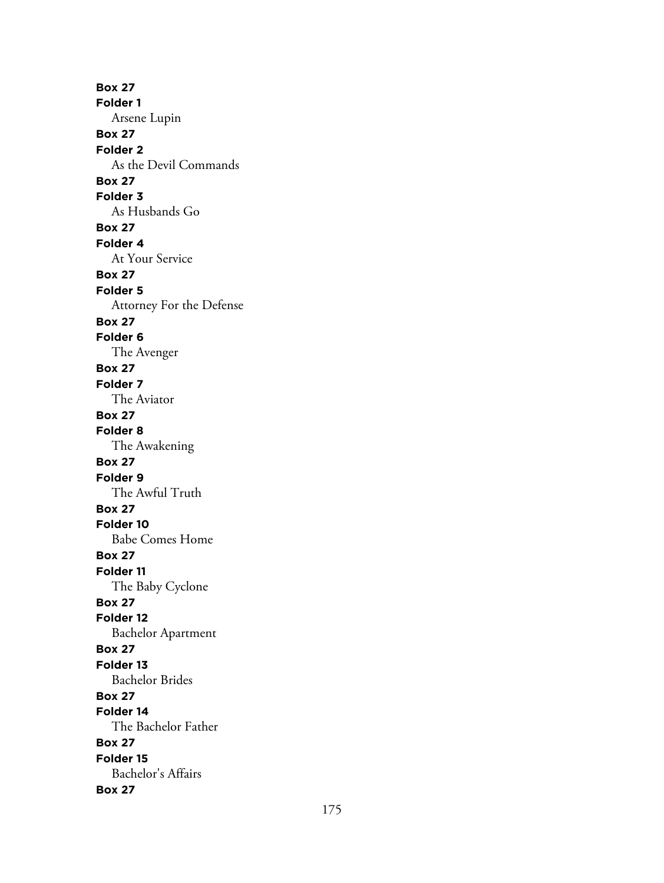**Box 27 Folder 1** Arsene Lupin **Box 27 Folder 2** As the Devil Commands **Box 27 Folder 3** As Husbands Go **Box 27 Folder 4** At Your Service **Box 27 Folder 5** Attorney For the Defense **Box 27 Folder 6** The Avenger **Box 27 Folder 7** The Aviator **Box 27 Folder 8** The Awakening **Box 27 Folder 9** The Awful Truth **Box 27 Folder 10** Babe Comes Home **Box 27 Folder 11** The Baby Cyclone **Box 27 Folder 12** Bachelor Apartment **Box 27 Folder 13** Bachelor Brides **Box 27 Folder 14** The Bachelor Father **Box 27 Folder 15** Bachelor's Affairs **Box 27**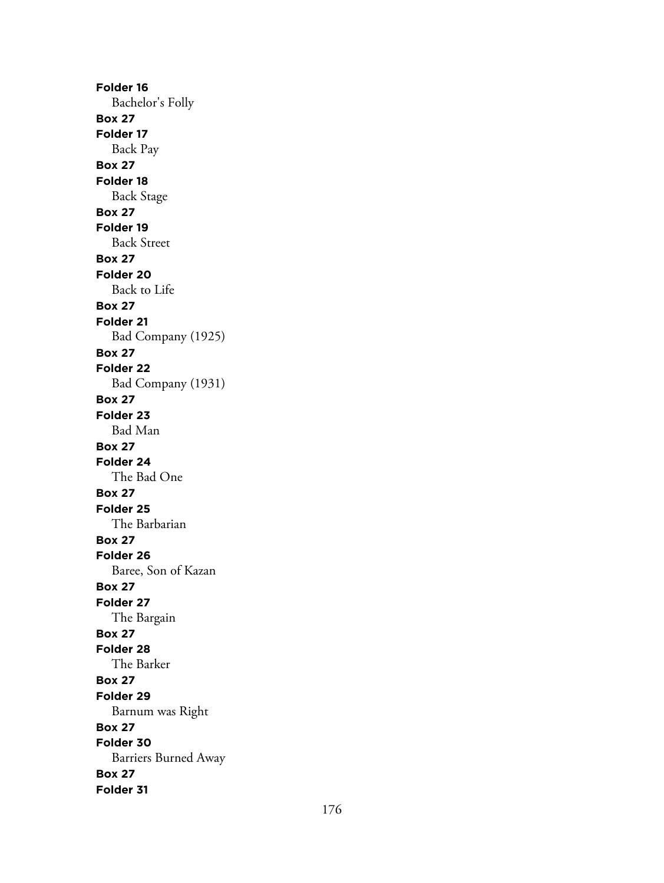**Folder 16** Bachelor's Folly **Box 27 Folder 17** Back Pay **Box 27 Folder 18** Back Stage **Box 27 Folder 19** Back Street **Box 27 Folder 20** Back to Life **Box 27 Folder 21** Bad Company (1925) **Box 27 Folder 22** Bad Company (1931) **Box 27 Folder 23** Bad Man **Box 27 Folder 24** The Bad One **Box 27 Folder 25** The Barbarian **Box 27 Folder 26** Baree, Son of Kazan **Box 27 Folder 27** The Bargain **Box 27 Folder 28** The Barker **Box 27 Folder 29** Barnum was Right **Box 27 Folder 30** Barriers Burned Away **Box 27 Folder 31**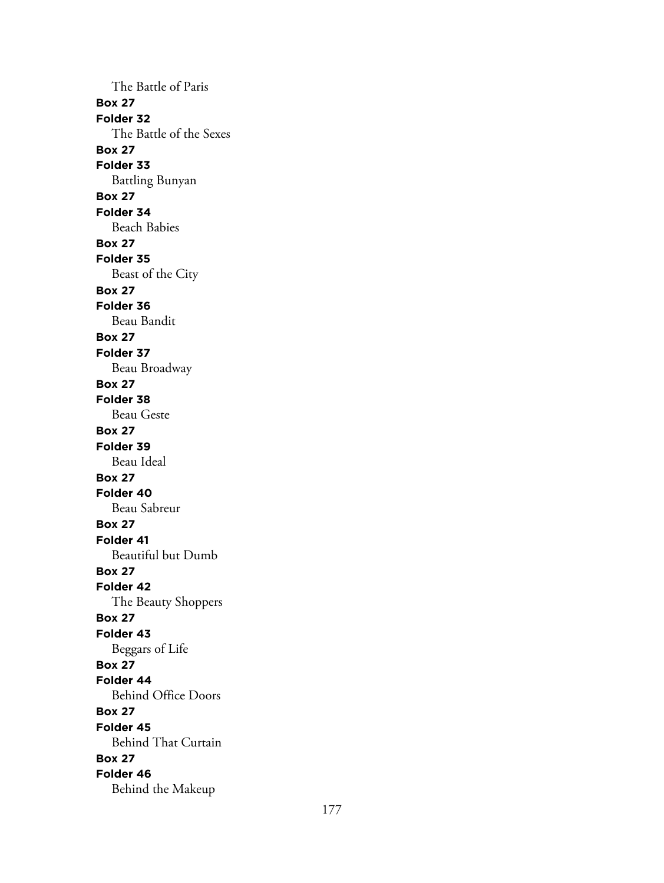The Battle of Paris **Box 27 Folder 32** The Battle of the Sexes **Box 27 Folder 33** Battling Bunyan **Box 27 Folder 34** Beach Babies **Box 27 Folder 35** Beast of the City **Box 27 Folder 36** Beau Bandit **Box 27 Folder 37** Beau Broadway **Box 27 Folder 38** Beau Geste **Box 27 Folder 39** Beau Ideal **Box 27 Folder 40** Beau Sabreur **Box 27 Folder 41** Beautiful but Dumb **Box 27 Folder 42** The Beauty Shoppers **Box 27 Folder 43** Beggars of Life **Box 27 Folder 44** Behind Office Doors **Box 27 Folder 45** Behind That Curtain **Box 27 Folder 46** Behind the Makeup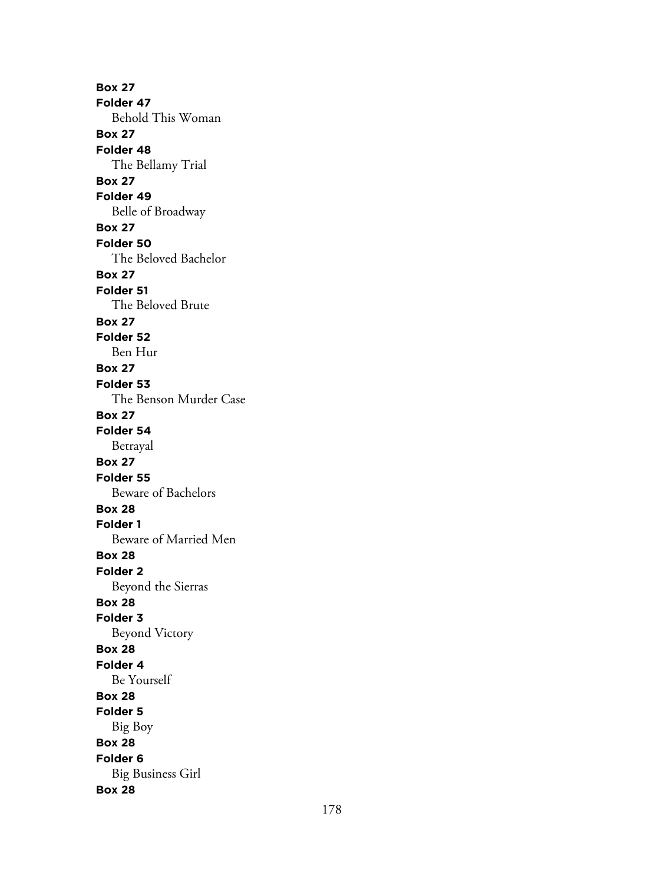**Box 27 Folder 47** Behold This Woman **Box 27 Folder 48** The Bellamy Trial **Box 27 Folder 49** Belle of Broadway **Box 27 Folder 50** The Beloved Bachelor **Box 27 Folder 51** The Beloved Brute **Box 27 Folder 52** Ben Hur **Box 27 Folder 53** The Benson Murder Case **Box 27 Folder 54** Betrayal **Box 27 Folder 55** Beware of Bachelors **Box 28 Folder 1** Beware of Married Men **Box 28 Folder 2** Beyond the Sierras **Box 28 Folder 3** Beyond Victory **Box 28 Folder 4** Be Yourself **Box 28 Folder 5** Big Boy **Box 28 Folder 6** Big Business Girl **Box 28**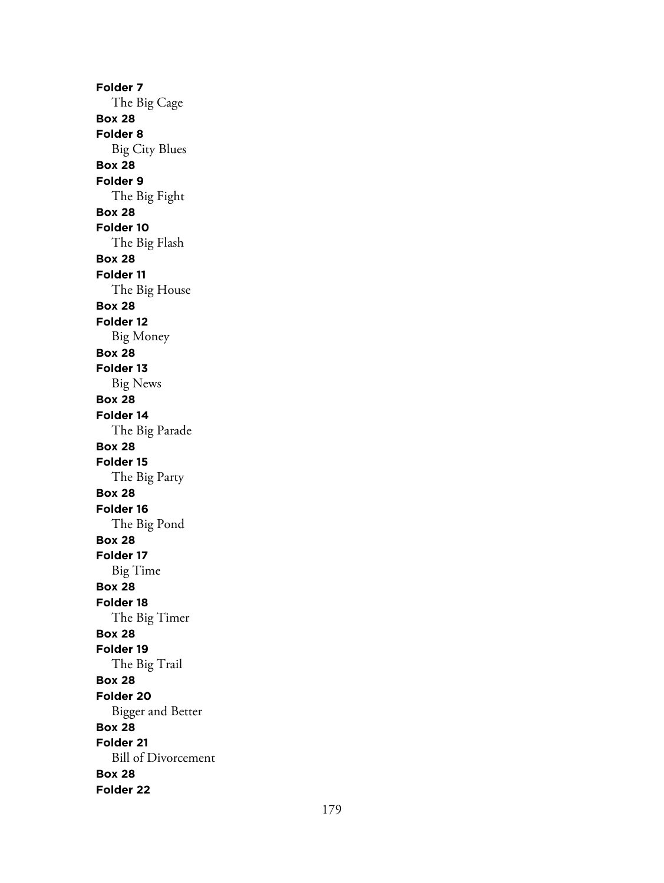**Folder 7** The Big Cage **Box 28 Folder 8** Big City Blues **Box 28 Folder 9** The Big Fight **Box 28 Folder 10** The Big Flash **Box 28 Folder 11** The Big House **Box 28 Folder 12** Big Money **Box 28 Folder 13** Big News **Box 28 Folder 14** The Big Parade **Box 28 Folder 15** The Big Party **Box 28 Folder 16** The Big Pond **Box 28 Folder 17** Big Time **Box 28 Folder 18** The Big Timer **Box 28 Folder 19** The Big Trail **Box 28 Folder 20** Bigger and Better **Box 28 Folder 21** Bill of Divorcement **Box 28 Folder 22**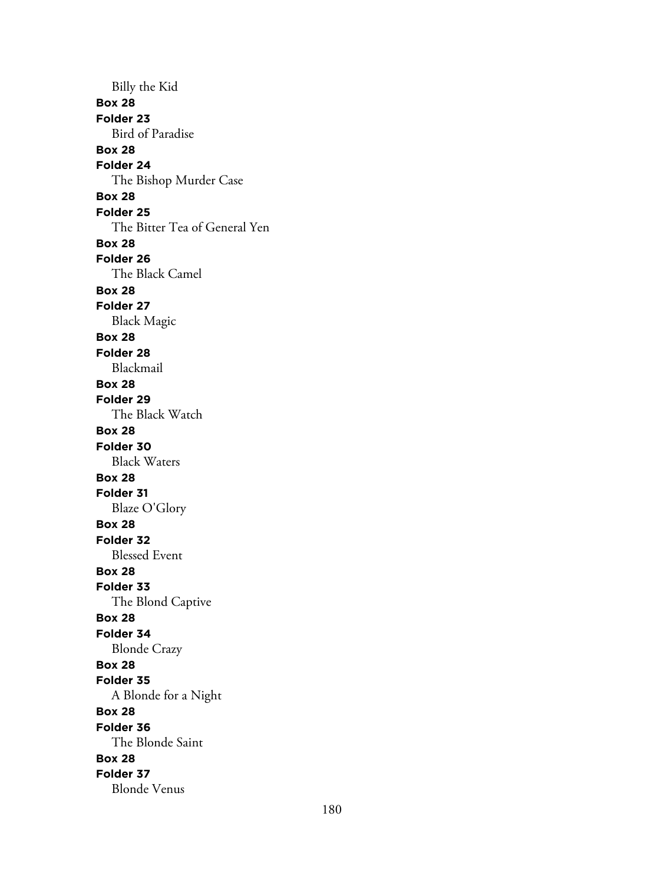Billy the Kid **Box 28 Folder 23** Bird of Paradise **Box 28 Folder 24** The Bishop Murder Case **Box 28 Folder 25** The Bitter Tea of General Yen **Box 28 Folder 26** The Black Camel **Box 28 Folder 27** Black Magic **Box 28 Folder 28** Blackmail **Box 28 Folder 29** The Black Watch **Box 28 Folder 30** Black Waters **Box 28 Folder 31** Blaze O'Glory **Box 28 Folder 32** Blessed Event **Box 28 Folder 33** The Blond Captive **Box 28 Folder 34** Blonde Crazy **Box 28 Folder 35** A Blonde for a Night **Box 28 Folder 36** The Blonde Saint **Box 28 Folder 37** Blonde Venus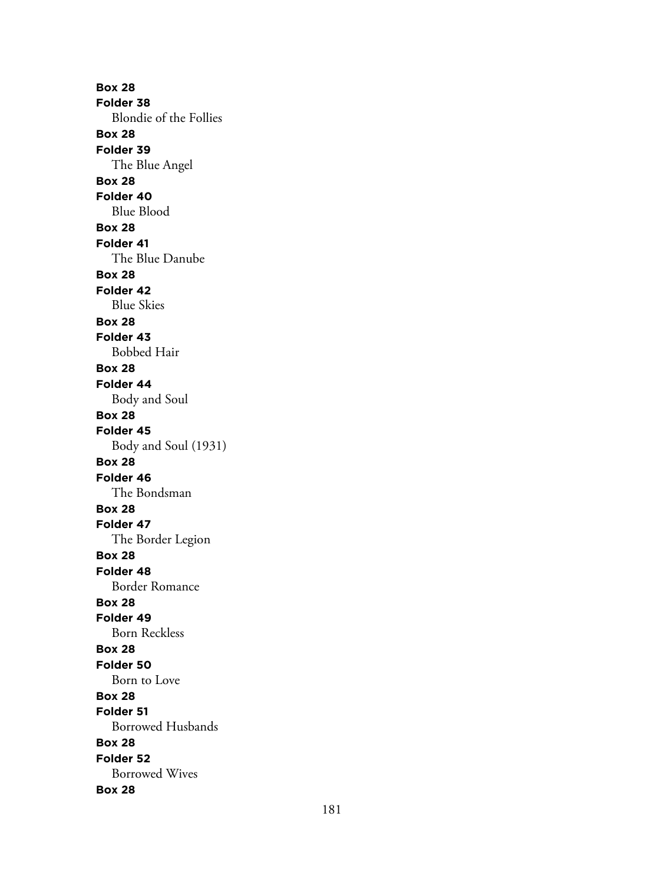**Box 28 Folder 38** Blondie of the Follies **Box 28 Folder 39** The Blue Angel **Box 28 Folder 40** Blue Blood **Box 28 Folder 41** The Blue Danube **Box 28 Folder 42** Blue Skies **Box 28 Folder 43** Bobbed Hair **Box 28 Folder 44** Body and Soul **Box 28 Folder 45** Body and Soul (1931) **Box 28 Folder 46** The Bondsman **Box 28 Folder 47** The Border Legion **Box 28 Folder 48** Border Romance **Box 28 Folder 49** Born Reckless **Box 28 Folder 50** Born to Love **Box 28 Folder 51** Borrowed Husbands **Box 28 Folder 52** Borrowed Wives **Box 28**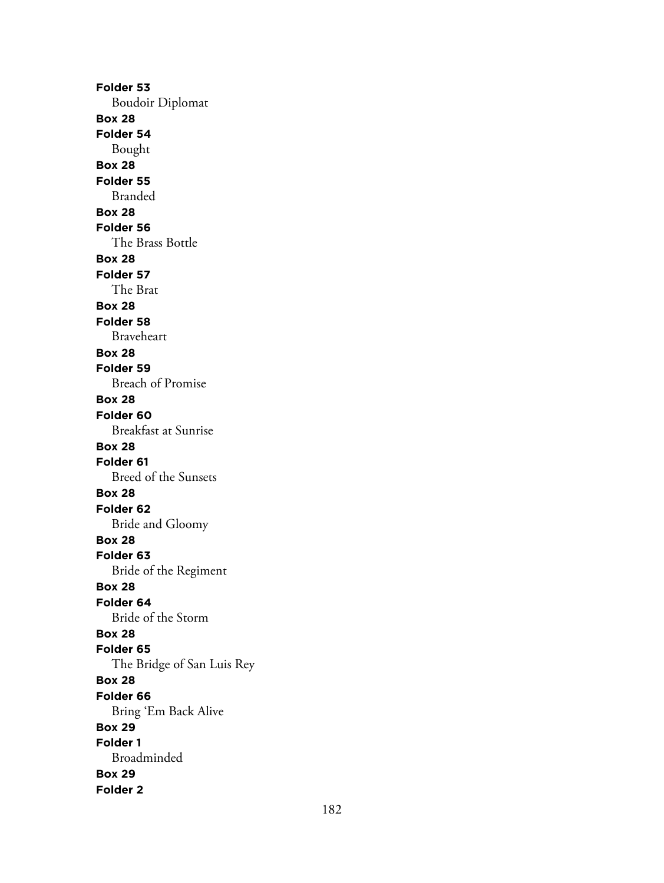**Folder 53** Boudoir Diplomat **Box 28 Folder 54** Bought **Box 28 Folder 55** Branded **Box 28 Folder 56** The Brass Bottle **Box 28 Folder 57** The Brat **Box 28 Folder 58** Braveheart **Box 28 Folder 59** Breach of Promise **Box 28 Folder 60** Breakfast at Sunrise **Box 28 Folder 61** Breed of the Sunsets **Box 28 Folder 62** Bride and Gloomy **Box 28 Folder 63** Bride of the Regiment **Box 28 Folder 64** Bride of the Storm **Box 28 Folder 65** The Bridge of San Luis Rey **Box 28 Folder 66** Bring 'Em Back Alive **Box 29 Folder 1** Broadminded **Box 29 Folder 2**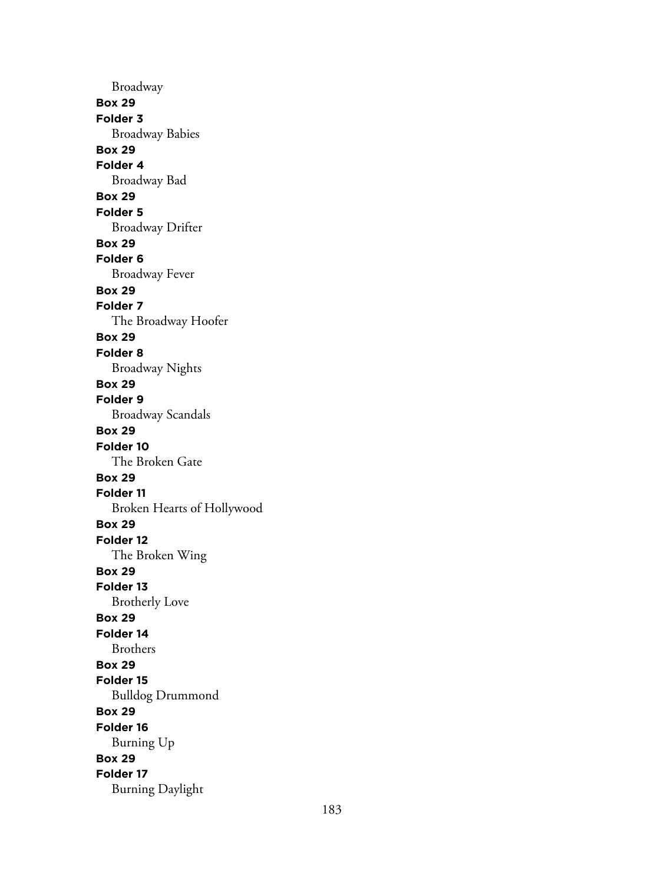Broadway **Box 29 Folder 3** Broadway Babies **Box 29 Folder 4** Broadway Bad **Box 29 Folder 5** Broadway Drifter **Box 29 Folder 6** Broadway Fever **Box 29 Folder 7** The Broadway Hoofer **Box 29 Folder 8** Broadway Nights **Box 29 Folder 9** Broadway Scandals **Box 29 Folder 10** The Broken Gate **Box 29 Folder 11** Broken Hearts of Hollywood **Box 29 Folder 12** The Broken Wing **Box 29 Folder 13** Brotherly Love **Box 29 Folder 14** Brothers **Box 29 Folder 15** Bulldog Drummond **Box 29 Folder 16** Burning Up **Box 29 Folder 17** Burning Daylight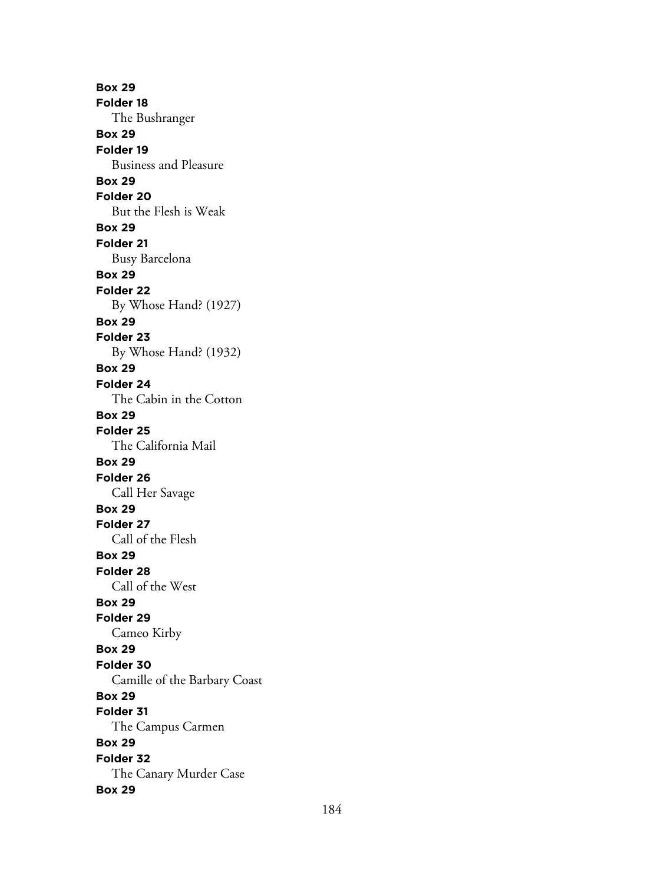**Box 29 Folder 18** The Bushranger **Box 29 Folder 19** Business and Pleasure **Box 29 Folder 20** But the Flesh is Weak **Box 29 Folder 21** Busy Barcelona **Box 29 Folder 22** By Whose Hand? (1927) **Box 29 Folder 23** By Whose Hand? (1932) **Box 29 Folder 24** The Cabin in the Cotton **Box 29 Folder 25** The California Mail **Box 29 Folder 26** Call Her Savage **Box 29 Folder 27** Call of the Flesh **Box 29 Folder 28** Call of the West **Box 29 Folder 29** Cameo Kirby **Box 29 Folder 30** Camille of the Barbary Coast **Box 29 Folder 31** The Campus Carmen **Box 29 Folder 32** The Canary Murder Case **Box 29**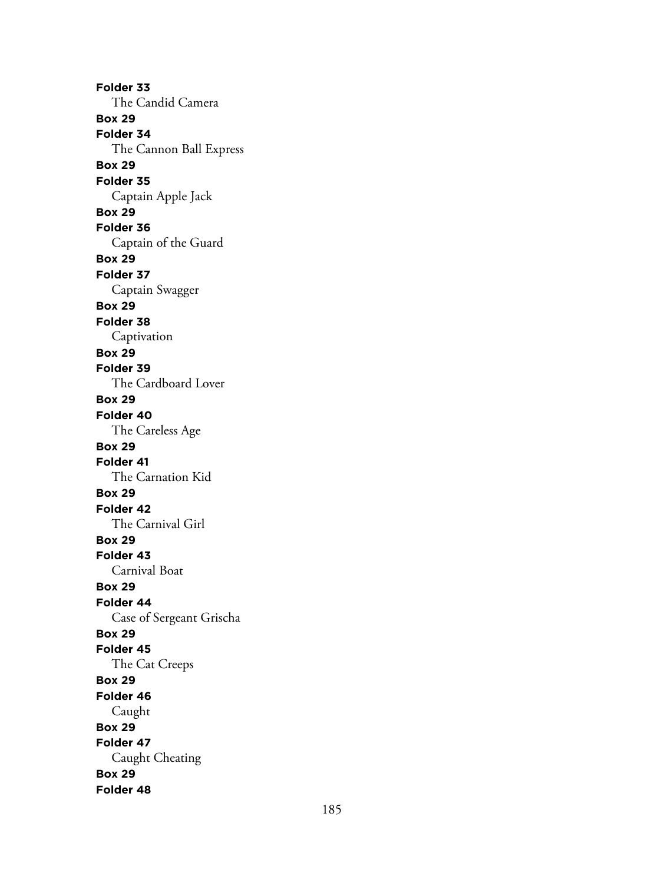**Folder 33** The Candid Camera **Box 29 Folder 34** The Cannon Ball Express **Box 29 Folder 35** Captain Apple Jack **Box 29 Folder 36** Captain of the Guard **Box 29 Folder 37** Captain Swagger **Box 29 Folder 38** Captivation **Box 29 Folder 39** The Cardboard Lover **Box 29 Folder 40** The Careless Age **Box 29 Folder 41** The Carnation Kid **Box 29 Folder 42** The Carnival Girl **Box 29 Folder 43** Carnival Boat **Box 29 Folder 44** Case of Sergeant Grischa **Box 29 Folder 45** The Cat Creeps **Box 29 Folder 46** Caught **Box 29 Folder 47** Caught Cheating **Box 29 Folder 48**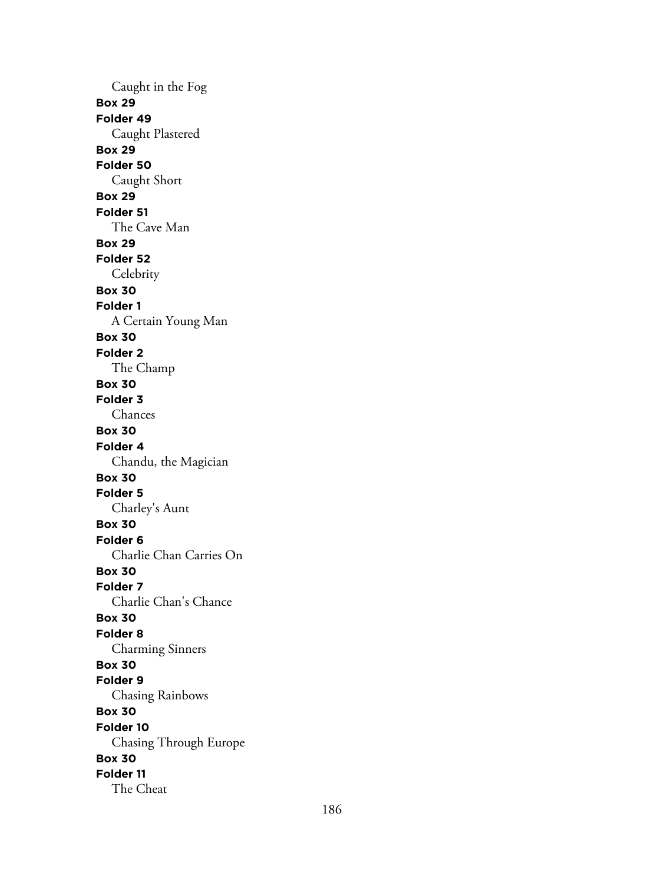Caught in the Fog **Box 29 Folder 49** Caught Plastered **Box 29 Folder 50** Caught Short **Box 29 Folder 51** The Cave Man **Box 29 Folder 52 Celebrity Box 30 Folder 1** A Certain Young Man **Box 30 Folder 2** The Champ **Box 30 Folder 3** Chances **Box 30 Folder 4** Chandu, the Magician **Box 30 Folder 5** Charley's Aunt **Box 30 Folder 6** Charlie Chan Carries On **Box 30 Folder 7** Charlie Chan's Chance **Box 30 Folder 8** Charming Sinners **Box 30 Folder 9** Chasing Rainbows **Box 30 Folder 10** Chasing Through Europe **Box 30 Folder 11** The Cheat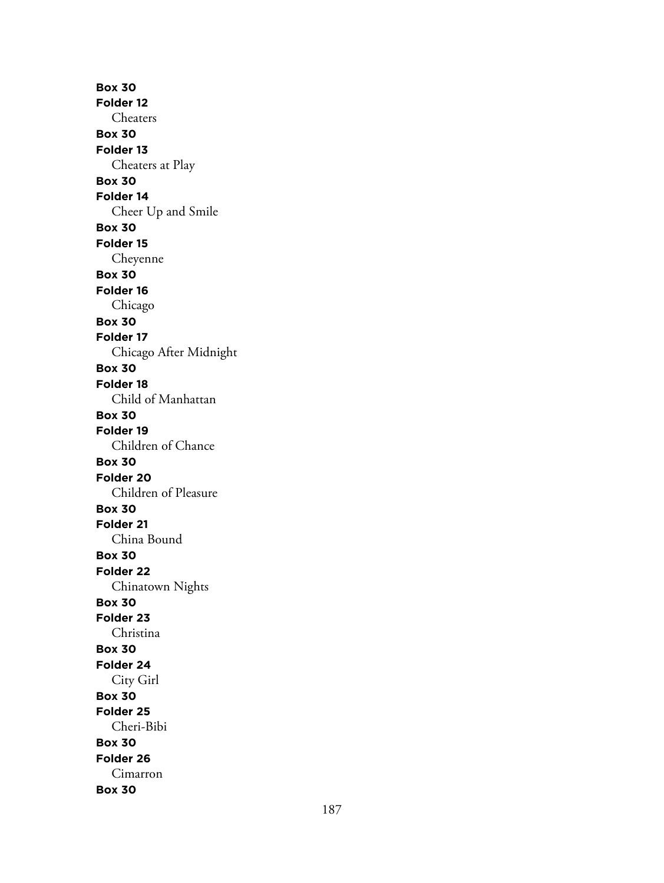**Box 30 Folder 12** Cheaters **Box 30 Folder 13** Cheaters at Play **Box 30 Folder 14** Cheer Up and Smile **Box 30 Folder 15** Cheyenne **Box 30 Folder 16** Chicago **Box 30 Folder 17** Chicago After Midnight **Box 30 Folder 18** Child of Manhattan **Box 30 Folder 19** Children of Chance **Box 30 Folder 20** Children of Pleasure **Box 30 Folder 21** China Bound **Box 30 Folder 22** Chinatown Nights **Box 30 Folder 23** Christina **Box 30 Folder 24** City Girl **Box 30 Folder 25** Cheri-Bibi **Box 30 Folder 26** Cimarron **Box 30**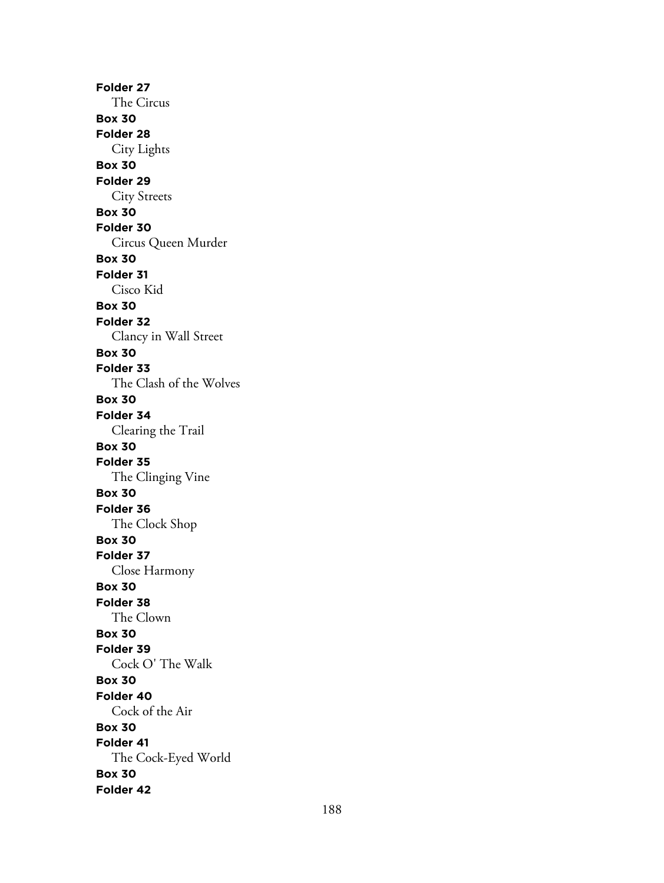**Folder 27** The Circus **Box 30 Folder 28** City Lights **Box 30 Folder 29** City Streets **Box 30 Folder 30** Circus Queen Murder **Box 30 Folder 31** Cisco Kid **Box 30 Folder 32** Clancy in Wall Street **Box 30 Folder 33** The Clash of the Wolves **Box 30 Folder 34** Clearing the Trail **Box 30 Folder 35** The Clinging Vine **Box 30 Folder 36** The Clock Shop **Box 30 Folder 37** Close Harmony **Box 30 Folder 38** The Clown **Box 30 Folder 39** Cock O' The Walk **Box 30 Folder 40** Cock of the Air **Box 30 Folder 41** The Cock-Eyed World **Box 30 Folder 42**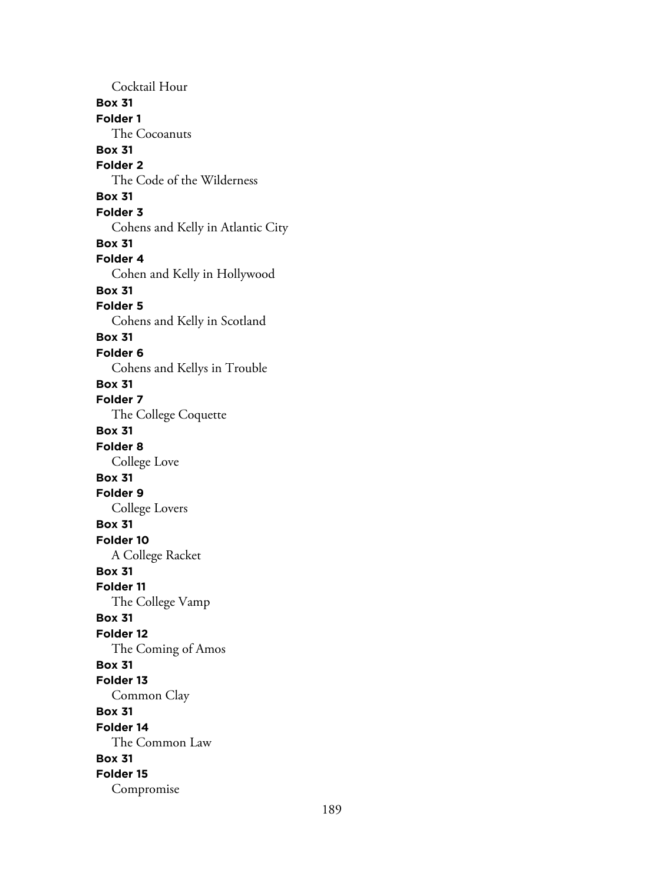Cocktail Hour **Box 31 Folder 1** The Cocoanuts **Box 31 Folder 2** The Code of the Wilderness **Box 31 Folder 3** Cohens and Kelly in Atlantic City **Box 31 Folder 4** Cohen and Kelly in Hollywood **Box 31 Folder 5** Cohens and Kelly in Scotland **Box 31 Folder 6** Cohens and Kellys in Trouble **Box 31 Folder 7** The College Coquette **Box 31 Folder 8** College Love **Box 31 Folder 9** College Lovers **Box 31 Folder 10** A College Racket **Box 31 Folder 11** The College Vamp **Box 31 Folder 12** The Coming of Amos **Box 31 Folder 13** Common Clay **Box 31 Folder 14** The Common Law **Box 31 Folder 15** Compromise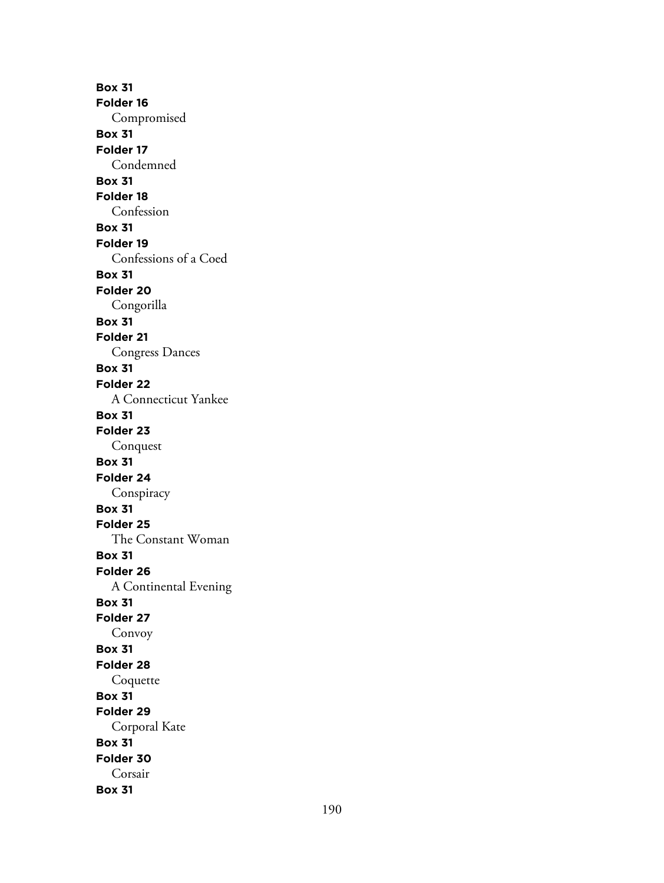**Box 31 Folder 16** Compromised **Box 31 Folder 17** Condemned **Box 31 Folder 18** Confession **Box 31 Folder 19** Confessions of a Coed **Box 31 Folder 20** Congorilla **Box 31 Folder 21** Congress Dances **Box 31 Folder 22** A Connecticut Yankee **Box 31 Folder 23** Conquest **Box 31 Folder 24** Conspiracy **Box 31 Folder 25** The Constant Woman **Box 31 Folder 26** A Continental Evening **Box 31 Folder 27** Convoy **Box 31 Folder 28** Coquette **Box 31 Folder 29** Corporal Kate **Box 31 Folder 30** Corsair **Box 31**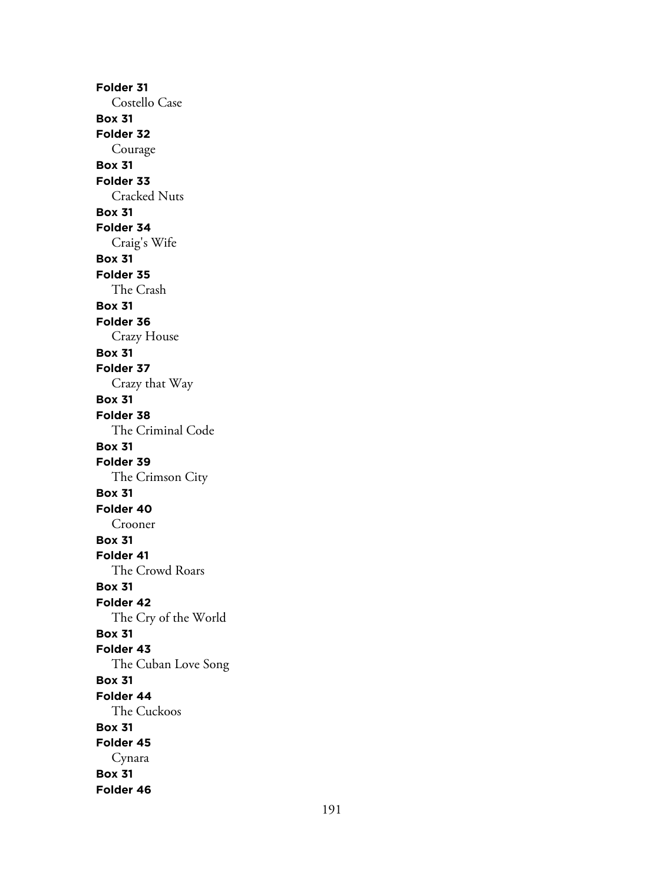**Folder 31** Costello Case **Box 31 Folder 32** Courage **Box 31 Folder 33** Cracked Nuts **Box 31 Folder 34** Craig's Wife **Box 31 Folder 35** The Crash **Box 31 Folder 36** Crazy House **Box 31 Folder 37** Crazy that Way **Box 31 Folder 38** The Criminal Code **Box 31 Folder 39** The Crimson City **Box 31 Folder 40** Crooner **Box 31 Folder 41** The Crowd Roars **Box 31 Folder 42** The Cry of the World **Box 31 Folder 43** The Cuban Love Song **Box 31 Folder 44** The Cuckoos **Box 31 Folder 45** Cynara **Box 31 Folder 46**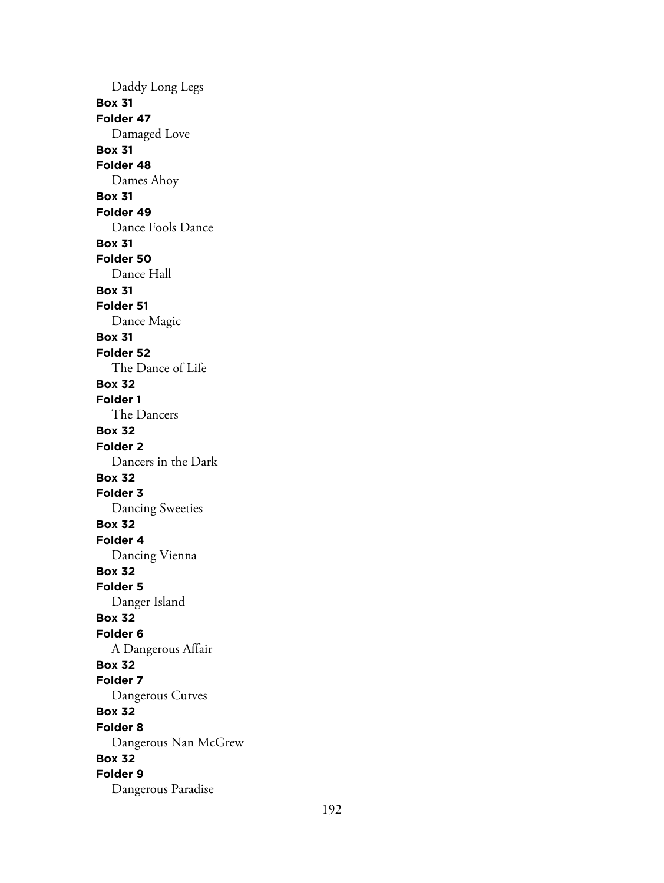Daddy Long Legs **Box 31 Folder 47** Damaged Love **Box 31 Folder 48** Dames Ahoy **Box 31 Folder 49** Dance Fools Dance **Box 31 Folder 50** Dance Hall **Box 31 Folder 51** Dance Magic **Box 31 Folder 52** The Dance of Life **Box 32 Folder 1** The Dancers **Box 32 Folder 2** Dancers in the Dark **Box 32 Folder 3** Dancing Sweeties **Box 32 Folder 4** Dancing Vienna **Box 32 Folder 5** Danger Island **Box 32 Folder 6** A Dangerous Affair **Box 32 Folder 7** Dangerous Curves **Box 32 Folder 8** Dangerous Nan McGrew **Box 32 Folder 9** Dangerous Paradise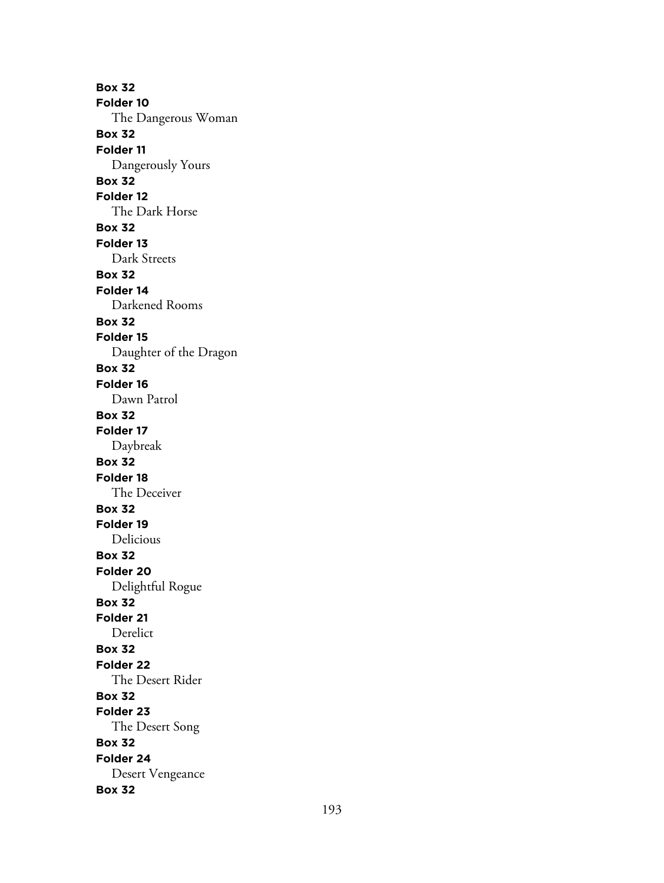**Box 32 Folder 10** The Dangerous Woman **Box 32 Folder 11** Dangerously Yours **Box 32 Folder 12** The Dark Horse **Box 32 Folder 13** Dark Streets **Box 32 Folder 14** Darkened Rooms **Box 32 Folder 15** Daughter of the Dragon **Box 32 Folder 16** Dawn Patrol **Box 32 Folder 17** Daybreak **Box 32 Folder 18** The Deceiver **Box 32 Folder 19** Delicious **Box 32 Folder 20** Delightful Rogue **Box 32 Folder 21** Derelict **Box 32 Folder 22** The Desert Rider **Box 32 Folder 23** The Desert Song **Box 32 Folder 24** Desert Vengeance **Box 32**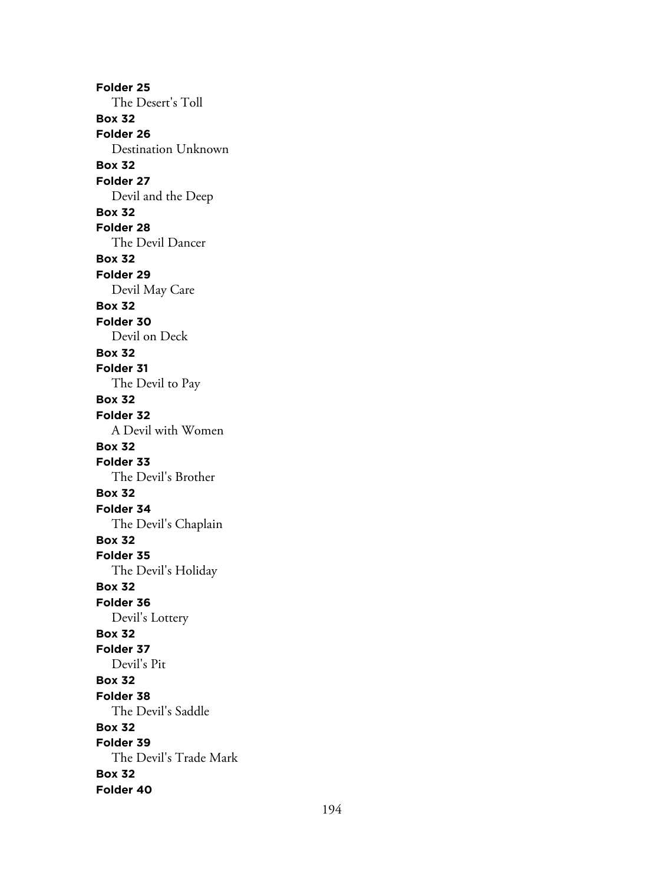**Folder 25** The Desert's Toll **Box 32 Folder 26** Destination Unknown **Box 32 Folder 27** Devil and the Deep **Box 32 Folder 28** The Devil Dancer **Box 32 Folder 29** Devil May Care **Box 32 Folder 30** Devil on Deck **Box 32 Folder 31** The Devil to Pay **Box 32 Folder 32** A Devil with Women **Box 32 Folder 33** The Devil's Brother **Box 32 Folder 34** The Devil's Chaplain **Box 32 Folder 35** The Devil's Holiday **Box 32 Folder 36** Devil's Lottery **Box 32 Folder 37** Devil's Pit **Box 32 Folder 38** The Devil's Saddle **Box 32 Folder 39** The Devil's Trade Mark **Box 32 Folder 40**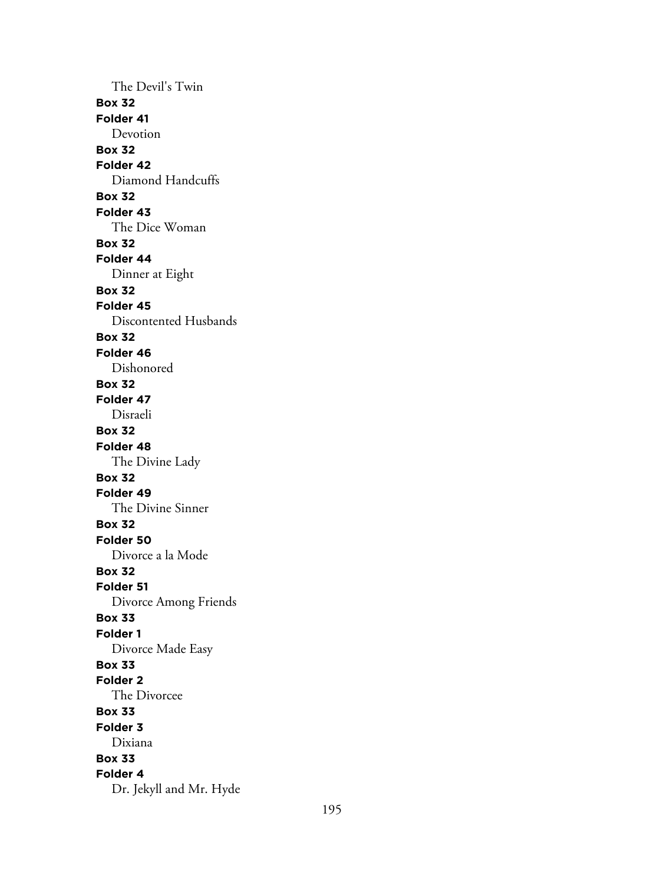The Devil's Twin **Box 32 Folder 41** Devotion **Box 32 Folder 42** Diamond Handcuffs **Box 32 Folder 43** The Dice Woman **Box 32 Folder 44** Dinner at Eight **Box 32 Folder 45** Discontented Husbands **Box 32 Folder 46** Dishonored **Box 32 Folder 47** Disraeli **Box 32 Folder 48** The Divine Lady **Box 32 Folder 49** The Divine Sinner **Box 32 Folder 50** Divorce a la Mode **Box 32 Folder 51** Divorce Among Friends **Box 33 Folder 1** Divorce Made Easy **Box 33 Folder 2** The Divorcee **Box 33 Folder 3** Dixiana **Box 33 Folder 4** Dr. Jekyll and Mr. Hyde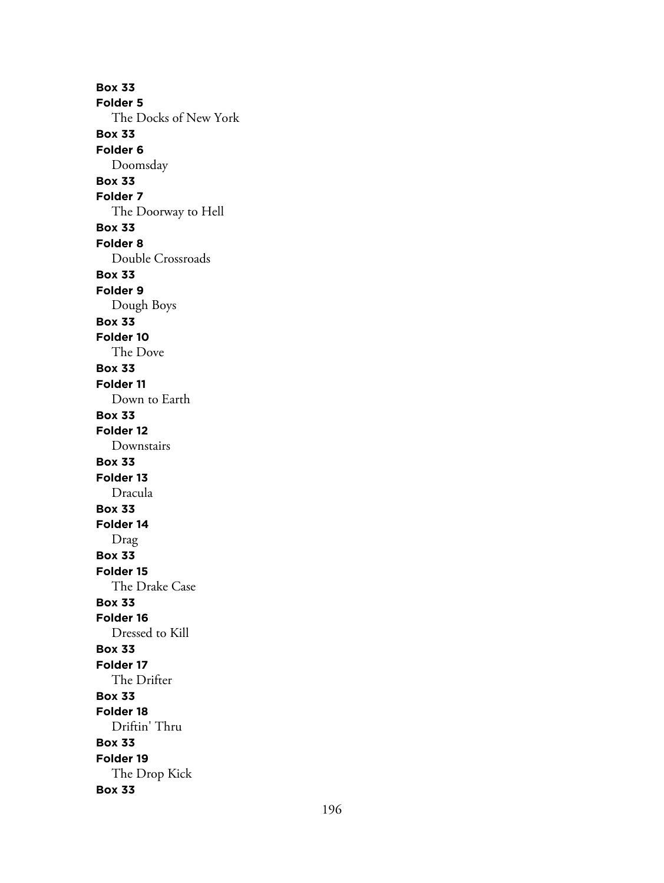**Box 33 Folder 5** The Docks of New York **Box 33 Folder 6** Doomsday **Box 33 Folder 7** The Doorway to Hell **Box 33 Folder 8** Double Crossroads **Box 33 Folder 9** Dough Boys **Box 33 Folder 10** The Dove **Box 33 Folder 11** Down to Earth **Box 33 Folder 12** Downstairs **Box 33 Folder 13** Dracula **Box 33 Folder 14** Drag **Box 33 Folder 15** The Drake Case **Box 33 Folder 16** Dressed to Kill **Box 33 Folder 17** The Drifter **Box 33 Folder 18** Driftin' Thru **Box 33 Folder 19** The Drop Kick **Box 33**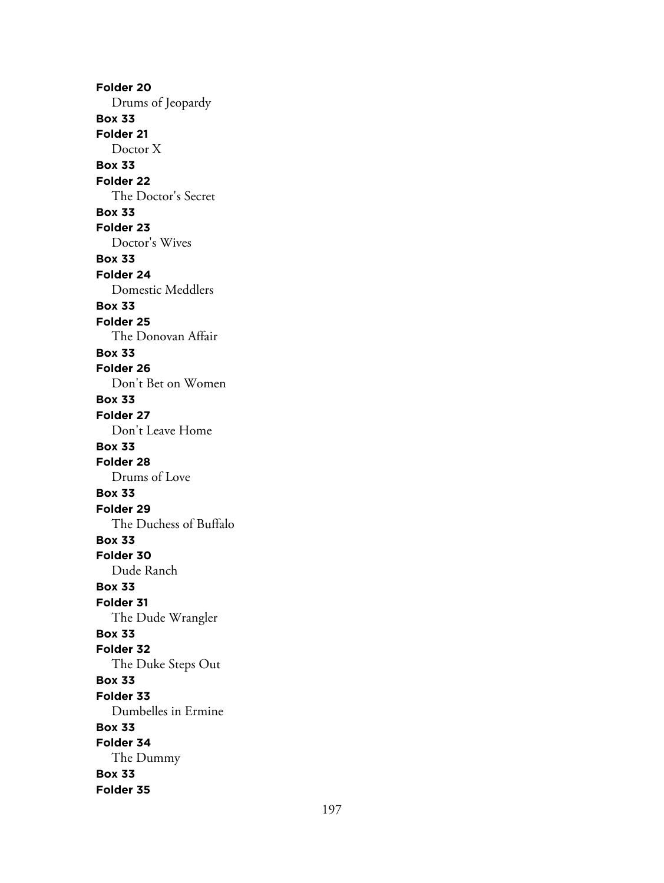**Folder 20** Drums of Jeopardy **Box 33 Folder 21** Doctor X **Box 33 Folder 22** The Doctor's Secret **Box 33 Folder 23** Doctor's Wives **Box 33 Folder 24** Domestic Meddlers **Box 33 Folder 25** The Donovan Affair **Box 33 Folder 26** Don't Bet on Women **Box 33 Folder 27** Don't Leave Home **Box 33 Folder 28** Drums of Love **Box 33 Folder 29** The Duchess of Buffalo **Box 33 Folder 30** Dude Ranch **Box 33 Folder 31** The Dude Wrangler **Box 33 Folder 32** The Duke Steps Out **Box 33 Folder 33** Dumbelles in Ermine **Box 33 Folder 34** The Dummy **Box 33 Folder 35**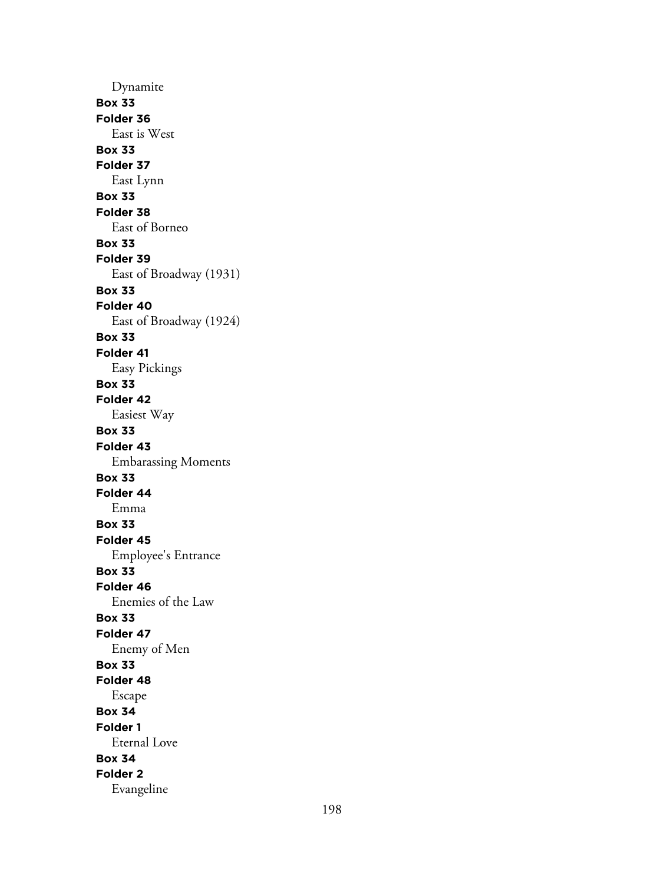Dynamite **Box 33 Folder 36** East is West **Box 33 Folder 37** East Lynn **Box 33 Folder 38** East of Borneo **Box 33 Folder 39** East of Broadway (1931) **Box 33 Folder 40** East of Broadway (1924) **Box 33 Folder 41** Easy Pickings **Box 33 Folder 42** Easiest Way **Box 33 Folder 43** Embarassing Moments **Box 33 Folder 44** Emma **Box 33 Folder 45** Employee's Entrance **Box 33 Folder 46** Enemies of the Law **Box 33 Folder 47** Enemy of Men **Box 33 Folder 48** Escape **Box 34 Folder 1** Eternal Love **Box 34 Folder 2** Evangeline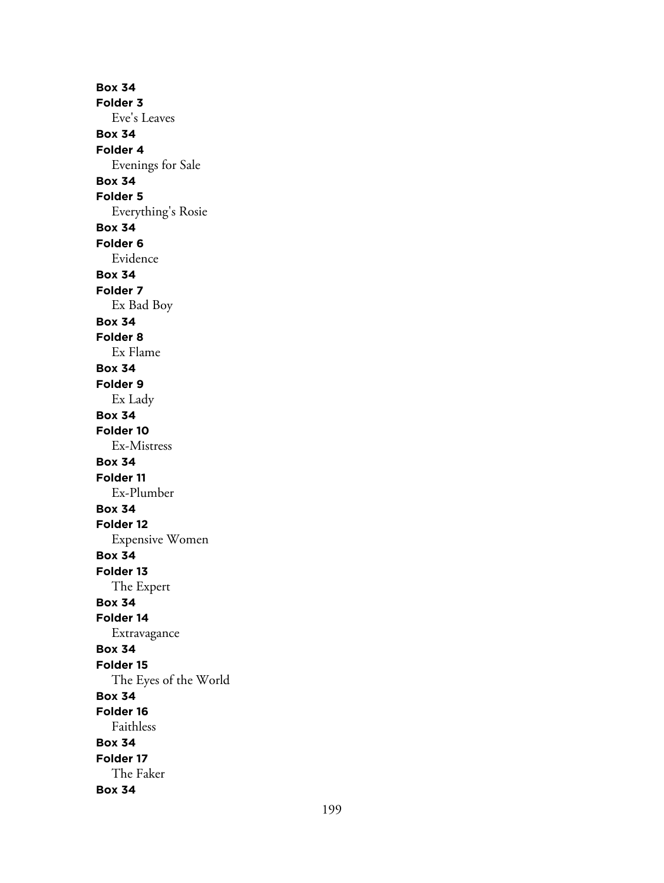**Box 34 Folder 3** Eve's Leaves **Box 34 Folder 4** Evenings for Sale **Box 34 Folder 5** Everything's Rosie **Box 34 Folder 6** Evidence **Box 34 Folder 7** Ex Bad Boy **Box 34 Folder 8** Ex Flame **Box 34 Folder 9** Ex Lady **Box 34 Folder 10** Ex-Mistress **Box 34 Folder 11** Ex-Plumber **Box 34 Folder 12** Expensive Women **Box 34 Folder 13** The Expert **Box 34 Folder 14** Extravagance **Box 34 Folder 15** The Eyes of the World **Box 34 Folder 16** Faithless **Box 34 Folder 17** The Faker **Box 34**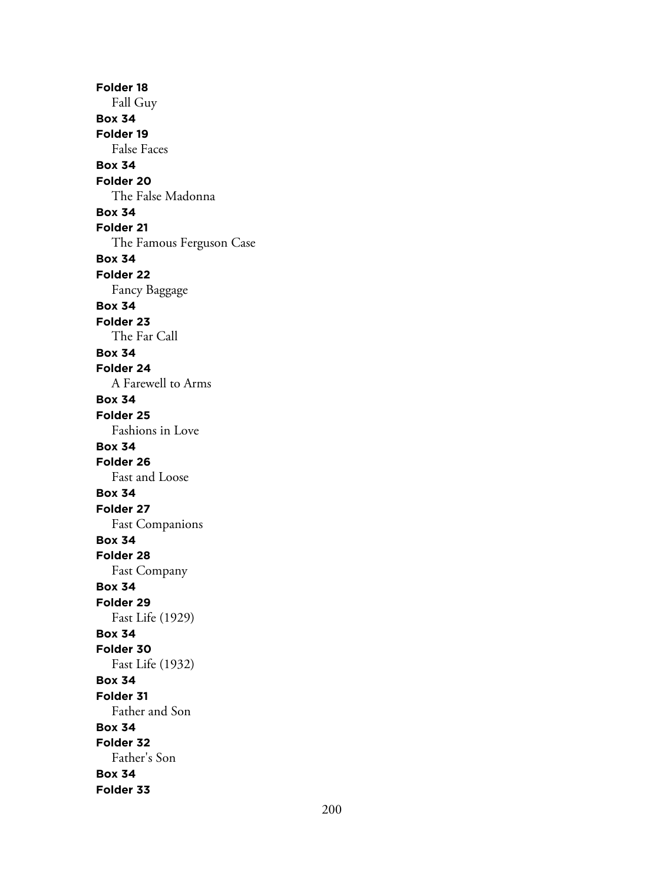**Folder 18** Fall Guy **Box 34 Folder 19** False Faces **Box 34 Folder 20** The False Madonna **Box 34 Folder 21** The Famous Ferguson Case **Box 34 Folder 22** Fancy Baggage **Box 34 Folder 23** The Far Call **Box 34 Folder 24** A Farewell to Arms **Box 34 Folder 25** Fashions in Love **Box 34 Folder 26** Fast and Loose **Box 34 Folder 27** Fast Companions **Box 34 Folder 28** Fast Company **Box 34 Folder 29** Fast Life (1929) **Box 34 Folder 30** Fast Life (1932) **Box 34 Folder 31** Father and Son **Box 34 Folder 32** Father's Son **Box 34 Folder 33**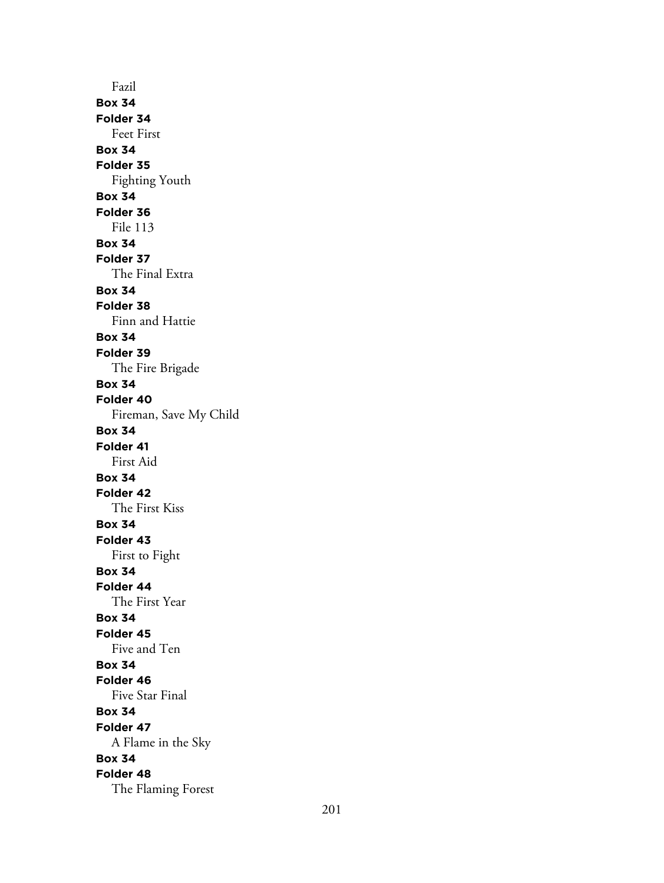Fazil **Box 34 Folder 34** Feet First **Box 34 Folder 35** Fighting Youth **Box 34 Folder 36** File 113 **Box 34 Folder 37** The Final Extra **Box 34 Folder 38** Finn and Hattie **Box 34 Folder 39** The Fire Brigade **Box 34 Folder 40** Fireman, Save My Child **Box 34 Folder 41** First Aid **Box 34 Folder 42** The First Kiss **Box 34 Folder 43** First to Fight **Box 34 Folder 44** The First Year **Box 34 Folder 45** Five and Ten **Box 34 Folder 46** Five Star Final **Box 34 Folder 47** A Flame in the Sky **Box 34 Folder 48** The Flaming Forest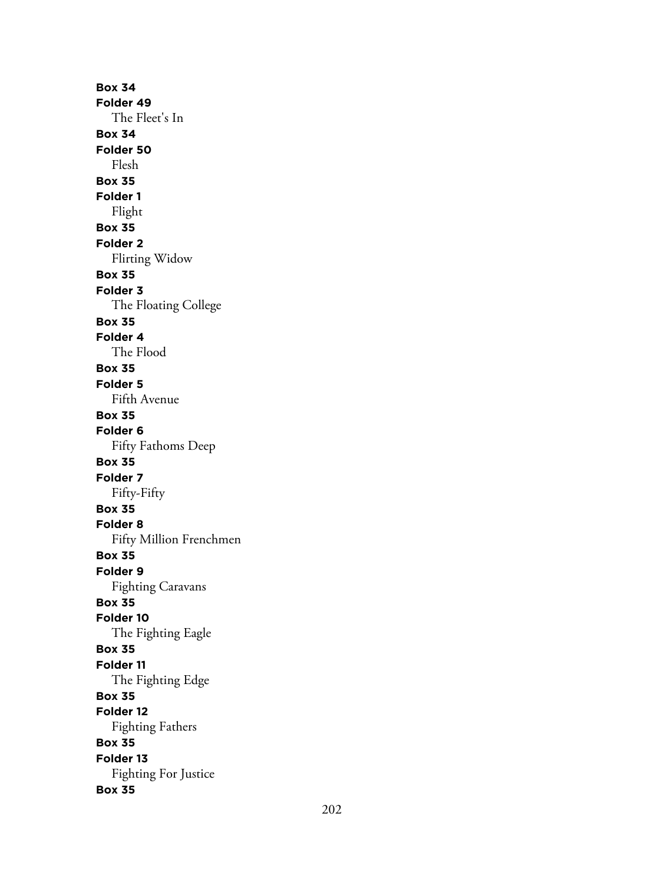**Box 34 Folder 49** The Fleet's In **Box 34 Folder 50** Flesh **Box 35 Folder 1** Flight **Box 35 Folder 2** Flirting Widow **Box 35 Folder 3** The Floating College **Box 35 Folder 4** The Flood **Box 35 Folder 5** Fifth Avenue **Box 35 Folder 6** Fifty Fathoms Deep **Box 35 Folder 7** Fifty-Fifty **Box 35 Folder 8** Fifty Million Frenchmen **Box 35 Folder 9** Fighting Caravans **Box 35 Folder 10** The Fighting Eagle **Box 35 Folder 11** The Fighting Edge **Box 35 Folder 12** Fighting Fathers **Box 35 Folder 13** Fighting For Justice **Box 35**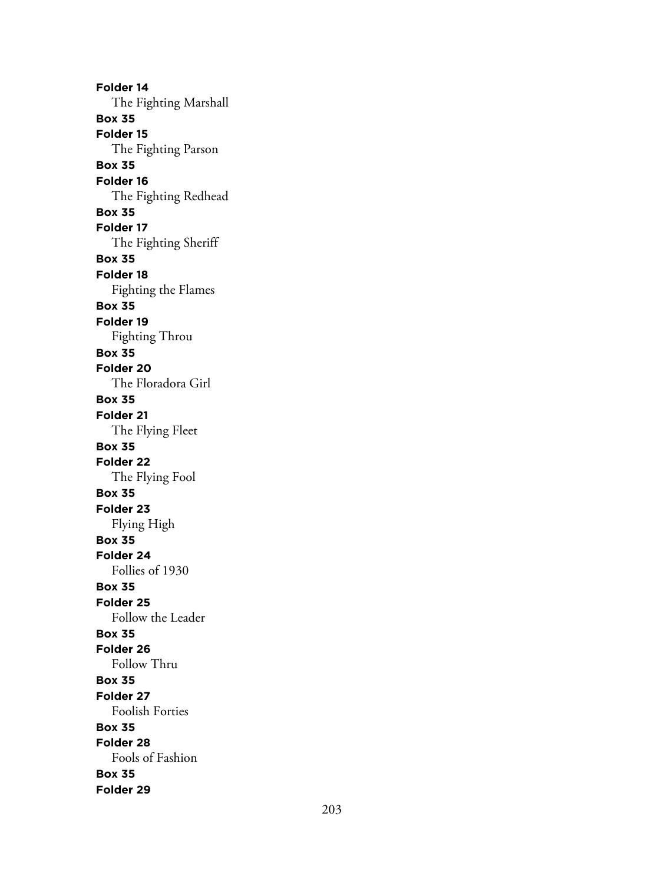**Folder 14** The Fighting Marshall **Box 35 Folder 15** The Fighting Parson **Box 35 Folder 16** The Fighting Redhead **Box 35 Folder 17** The Fighting Sheriff **Box 35 Folder 18** Fighting the Flames **Box 35 Folder 19** Fighting Throu **Box 35 Folder 20** The Floradora Girl **Box 35 Folder 21** The Flying Fleet **Box 35 Folder 22** The Flying Fool **Box 35 Folder 23** Flying High **Box 35 Folder 24** Follies of 1930 **Box 35 Folder 25** Follow the Leader **Box 35 Folder 26** Follow Thru **Box 35 Folder 27** Foolish Forties **Box 35 Folder 28** Fools of Fashion **Box 35 Folder 29**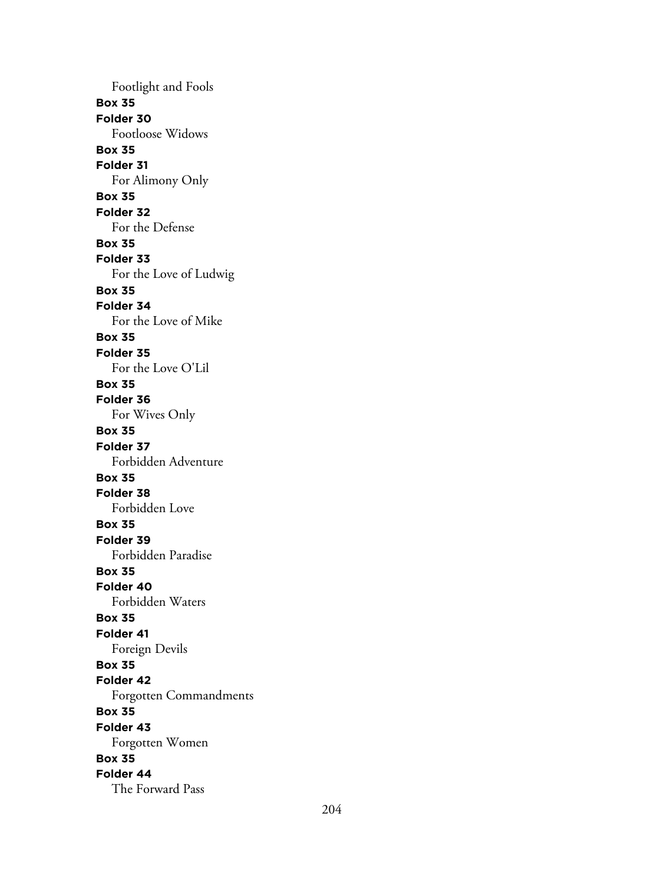Footlight and Fools **Box 35 Folder 30** Footloose Widows **Box 35 Folder 31** For Alimony Only **Box 35 Folder 32** For the Defense **Box 35 Folder 33** For the Love of Ludwig **Box 35 Folder 34** For the Love of Mike **Box 35 Folder 35** For the Love O'Lil **Box 35 Folder 36** For Wives Only **Box 35 Folder 37** Forbidden Adventure **Box 35 Folder 38** Forbidden Love **Box 35 Folder 39** Forbidden Paradise **Box 35 Folder 40** Forbidden Waters **Box 35 Folder 41** Foreign Devils **Box 35 Folder 42** Forgotten Commandments **Box 35 Folder 43** Forgotten Women **Box 35 Folder 44** The Forward Pass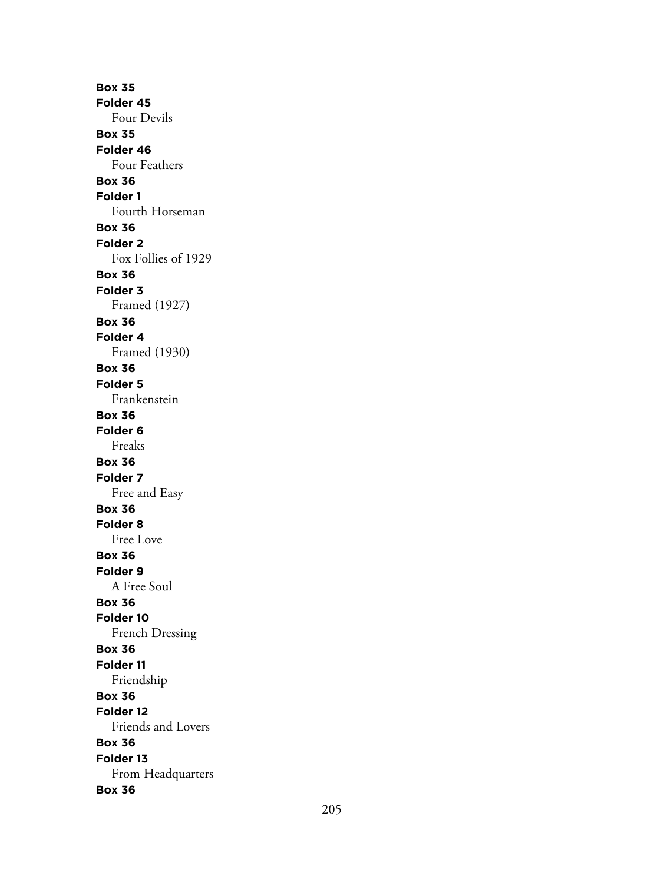**Box 35 Folder 45** Four Devils **Box 35 Folder 46** Four Feathers **Box 36 Folder 1** Fourth Horseman **Box 36 Folder 2** Fox Follies of 1929 **Box 36 Folder 3** Framed (1927) **Box 36 Folder 4** Framed (1930) **Box 36 Folder 5** Frankenstein **Box 36 Folder 6** Freaks **Box 36 Folder 7** Free and Easy **Box 36 Folder 8** Free Love **Box 36 Folder 9** A Free Soul **Box 36 Folder 10** French Dressing **Box 36 Folder 11** Friendship **Box 36 Folder 12** Friends and Lovers **Box 36 Folder 13** From Headquarters **Box 36**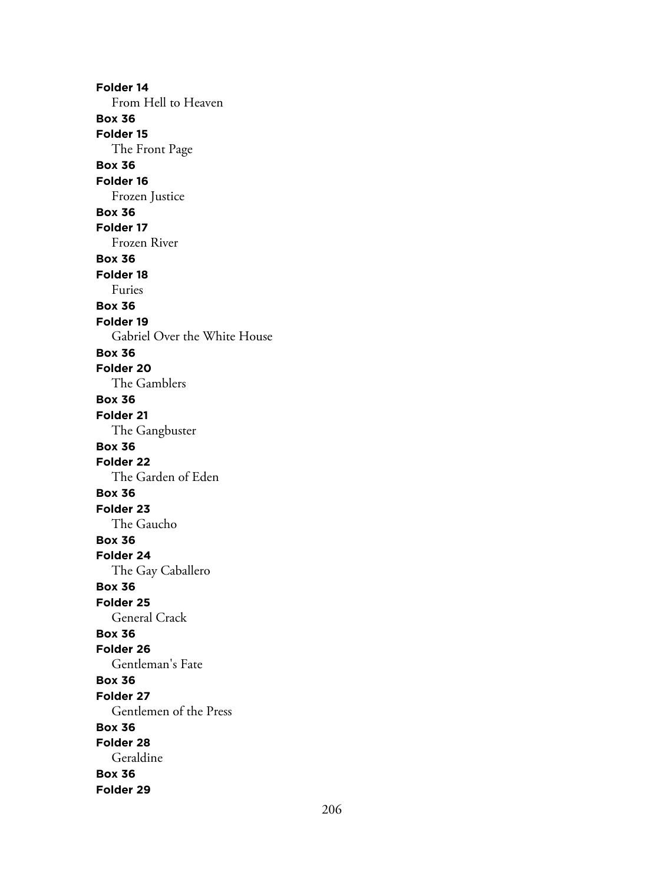**Folder 14** From Hell to Heaven **Box 36 Folder 15** The Front Page **Box 36 Folder 16** Frozen Justice **Box 36 Folder 17** Frozen River **Box 36 Folder 18** Furies **Box 36 Folder 19** Gabriel Over the White House **Box 36 Folder 20** The Gamblers **Box 36 Folder 21** The Gangbuster **Box 36 Folder 22** The Garden of Eden **Box 36 Folder 23** The Gaucho **Box 36 Folder 24** The Gay Caballero **Box 36 Folder 25** General Crack **Box 36 Folder 26** Gentleman's Fate **Box 36 Folder 27** Gentlemen of the Press **Box 36 Folder 28** Geraldine **Box 36 Folder 29**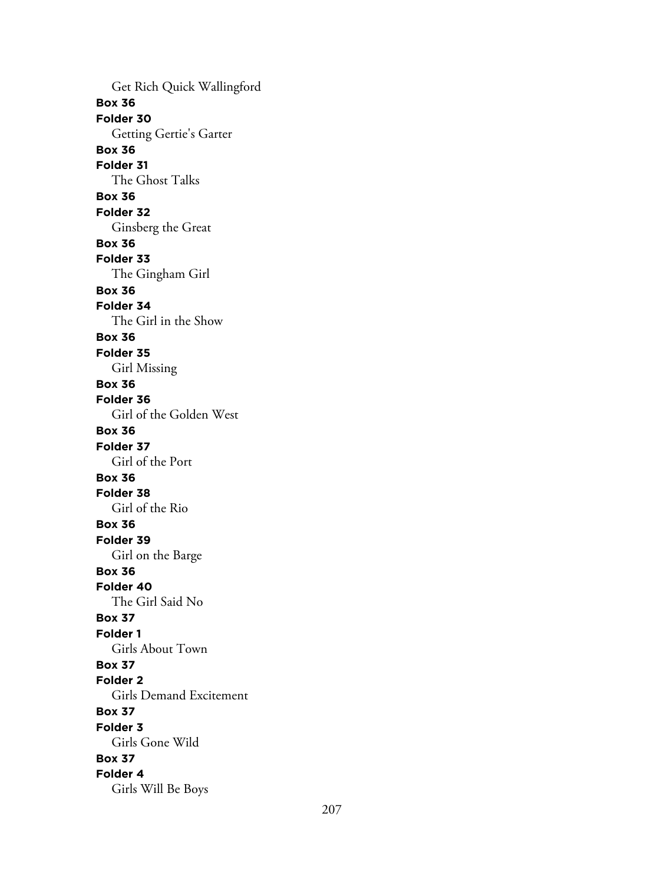Get Rich Quick Wallingford **Box 36 Folder 30** Getting Gertie's Garter **Box 36 Folder 31** The Ghost Talks **Box 36 Folder 32** Ginsberg the Great **Box 36 Folder 33** The Gingham Girl **Box 36 Folder 34** The Girl in the Show **Box 36 Folder 35** Girl Missing **Box 36 Folder 36** Girl of the Golden West **Box 36 Folder 37** Girl of the Port **Box 36 Folder 38** Girl of the Rio **Box 36 Folder 39** Girl on the Barge **Box 36 Folder 40** The Girl Said No **Box 37 Folder 1** Girls About Town **Box 37 Folder 2** Girls Demand Excitement **Box 37 Folder 3** Girls Gone Wild **Box 37 Folder 4** Girls Will Be Boys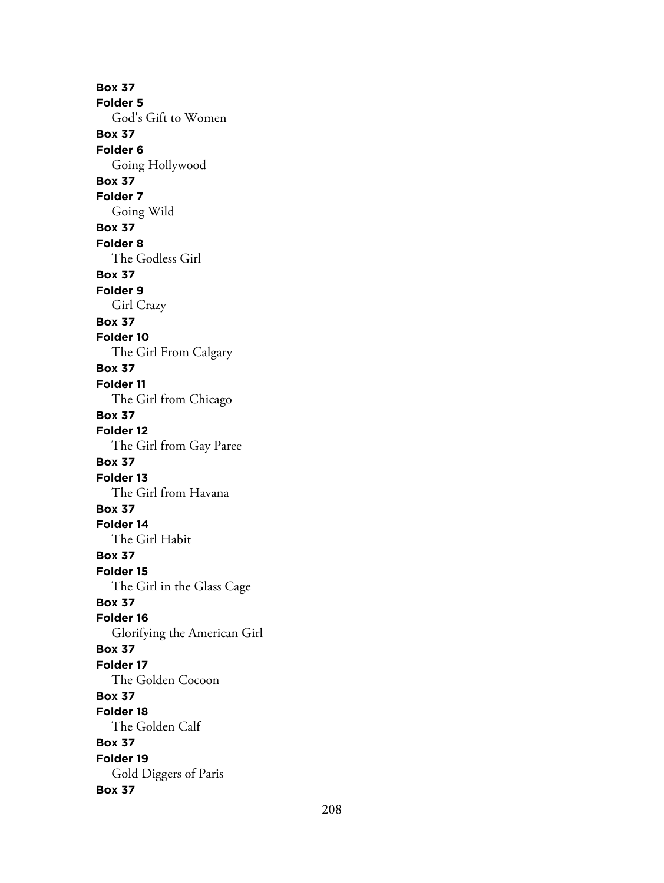**Box 37 Folder 5** God's Gift to Women **Box 37 Folder 6** Going Hollywood **Box 37 Folder 7** Going Wild **Box 37 Folder 8** The Godless Girl **Box 37 Folder 9** Girl Crazy **Box 37 Folder 10** The Girl From Calgary **Box 37 Folder 11** The Girl from Chicago **Box 37 Folder 12** The Girl from Gay Paree **Box 37 Folder 13** The Girl from Havana **Box 37 Folder 14** The Girl Habit **Box 37 Folder 15** The Girl in the Glass Cage **Box 37 Folder 16** Glorifying the American Girl **Box 37 Folder 17** The Golden Cocoon **Box 37 Folder 18** The Golden Calf **Box 37 Folder 19** Gold Diggers of Paris **Box 37**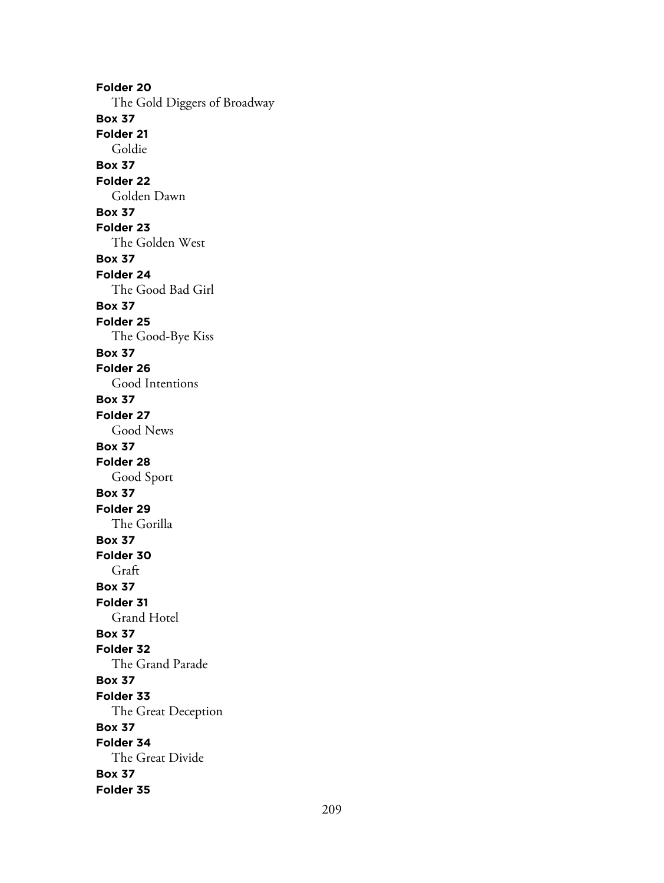**Folder 20** The Gold Diggers of Broadway **Box 37 Folder 21** Goldie **Box 37 Folder 22** Golden Dawn **Box 37 Folder 23** The Golden West **Box 37 Folder 24** The Good Bad Girl **Box 37 Folder 25** The Good-Bye Kiss **Box 37 Folder 26** Good Intentions **Box 37 Folder 27** Good News **Box 37 Folder 28** Good Sport **Box 37 Folder 29** The Gorilla **Box 37 Folder 30** Graft **Box 37 Folder 31** Grand Hotel **Box 37 Folder 32** The Grand Parade **Box 37 Folder 33** The Great Deception **Box 37 Folder 34** The Great Divide **Box 37 Folder 35**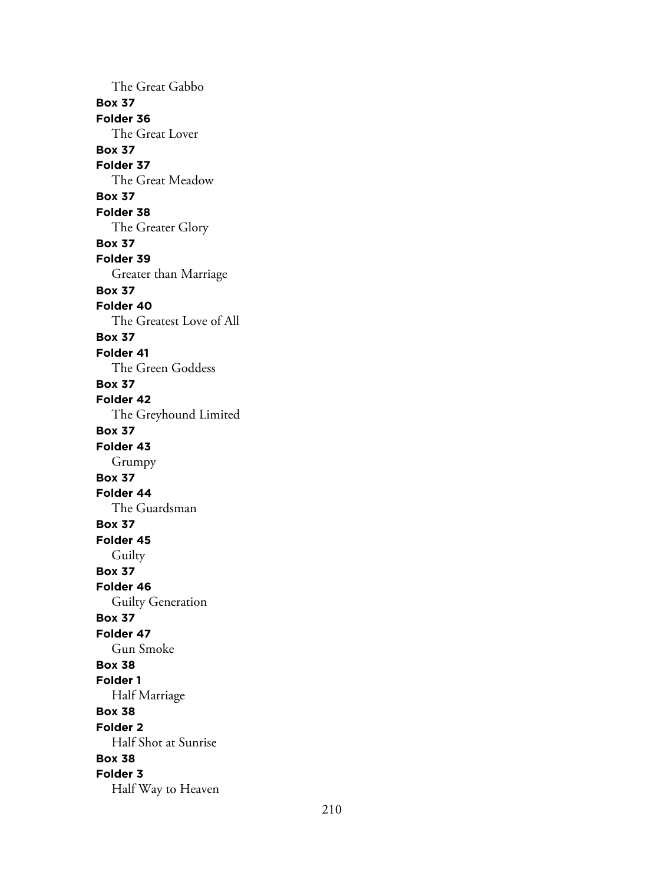The Great Gabbo **Box 37 Folder 36** The Great Lover **Box 37 Folder 37** The Great Meadow **Box 37 Folder 38** The Greater Glory **Box 37 Folder 39** Greater than Marriage **Box 37 Folder 40** The Greatest Love of All **Box 37 Folder 41** The Green Goddess **Box 37 Folder 42** The Greyhound Limited **Box 37 Folder 43** Grumpy **Box 37 Folder 44** The Guardsman **Box 37 Folder 45** Guilty **Box 37 Folder 46** Guilty Generation **Box 37 Folder 47** Gun Smoke **Box 38 Folder 1** Half Marriage **Box 38 Folder 2** Half Shot at Sunrise **Box 38 Folder 3** Half Way to Heaven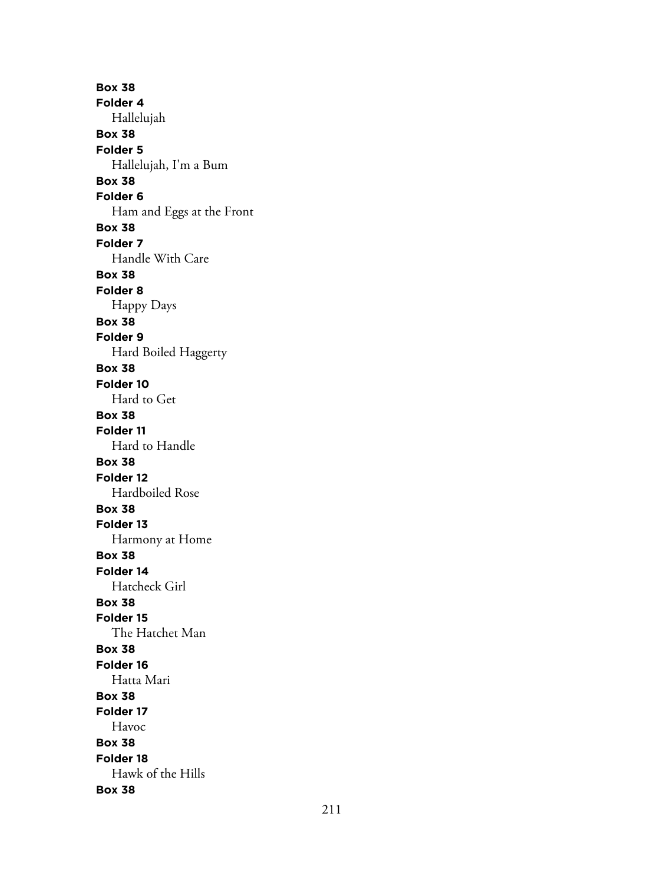**Box 38 Folder 4** Hallelujah **Box 38 Folder 5** Hallelujah, I'm a Bum **Box 38 Folder 6** Ham and Eggs at the Front **Box 38 Folder 7** Handle With Care **Box 38 Folder 8** Happy Days **Box 38 Folder 9** Hard Boiled Haggerty **Box 38 Folder 10** Hard to Get **Box 38 Folder 11** Hard to Handle **Box 38 Folder 12** Hardboiled Rose **Box 38 Folder 13** Harmony at Home **Box 38 Folder 14** Hatcheck Girl **Box 38 Folder 15** The Hatchet Man **Box 38 Folder 16** Hatta Mari **Box 38 Folder 17** Havoc **Box 38 Folder 18** Hawk of the Hills **Box 38**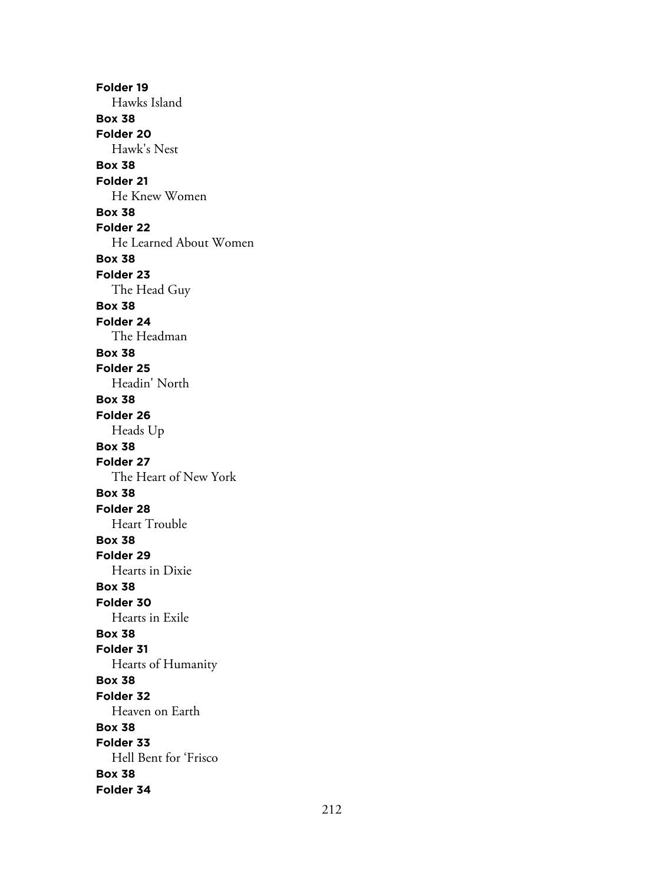**Folder 19** Hawks Island **Box 38 Folder 20** Hawk's Nest **Box 38 Folder 21** He Knew Women **Box 38 Folder 22** He Learned About Women **Box 38 Folder 23** The Head Guy **Box 38 Folder 24** The Headman **Box 38 Folder 25** Headin' North **Box 38 Folder 26** Heads Up **Box 38 Folder 27** The Heart of New York **Box 38 Folder 28** Heart Trouble **Box 38 Folder 29** Hearts in Dixie **Box 38 Folder 30** Hearts in Exile **Box 38 Folder 31** Hearts of Humanity **Box 38 Folder 32** Heaven on Earth **Box 38 Folder 33** Hell Bent for 'Frisco **Box 38 Folder 34**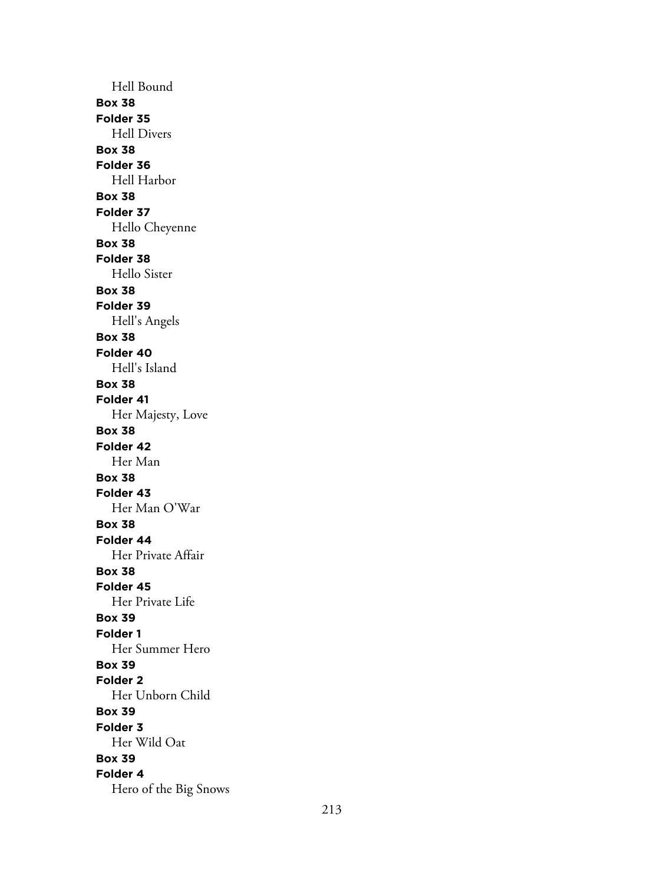Hell Bound **Box 38 Folder 35** Hell Divers **Box 38 Folder 36** Hell Harbor **Box 38 Folder 37** Hello Cheyenne **Box 38 Folder 38** Hello Sister **Box 38 Folder 39** Hell's Angels **Box 38 Folder 40** Hell's Island **Box 38 Folder 41** Her Majesty, Love **Box 38 Folder 42** Her Man **Box 38 Folder 43** Her Man O'War **Box 38 Folder 44** Her Private Affair **Box 38 Folder 45** Her Private Life **Box 39 Folder 1** Her Summer Hero **Box 39 Folder 2** Her Unborn Child **Box 39 Folder 3** Her Wild Oat **Box 39 Folder 4** Hero of the Big Snows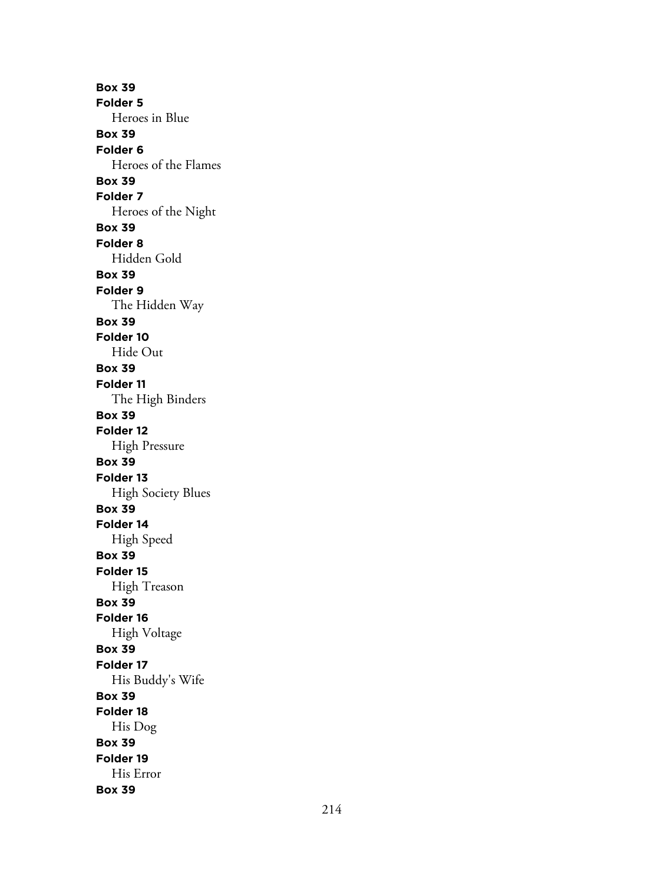**Box 39 Folder 5** Heroes in Blue **Box 39 Folder 6** Heroes of the Flames **Box 39 Folder 7** Heroes of the Night **Box 39 Folder 8** Hidden Gold **Box 39 Folder 9** The Hidden Way **Box 39 Folder 10** Hide Out **Box 39 Folder 11** The High Binders **Box 39 Folder 12** High Pressure **Box 39 Folder 13** High Society Blues **Box 39 Folder 14** High Speed **Box 39 Folder 15** High Treason **Box 39 Folder 16** High Voltage **Box 39 Folder 17** His Buddy's Wife **Box 39 Folder 18** His Dog **Box 39 Folder 19** His Error **Box 39**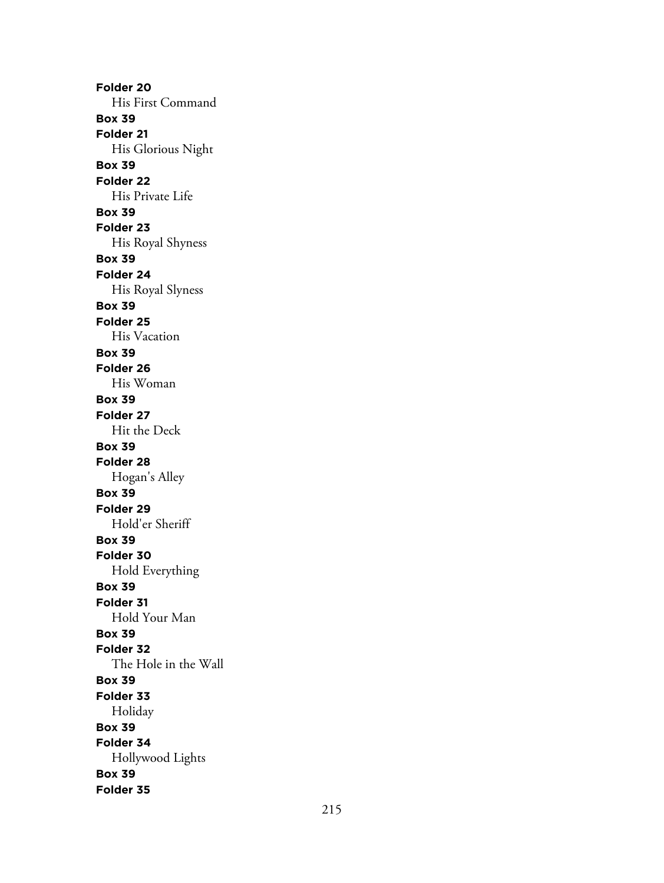**Folder 20** His First Command **Box 39 Folder 21** His Glorious Night **Box 39 Folder 22** His Private Life **Box 39 Folder 23** His Royal Shyness **Box 39 Folder 24** His Royal Slyness **Box 39 Folder 25** His Vacation **Box 39 Folder 26** His Woman **Box 39 Folder 27** Hit the Deck **Box 39 Folder 28** Hogan's Alley **Box 39 Folder 29** Hold'er Sheriff **Box 39 Folder 30** Hold Everything **Box 39 Folder 31** Hold Your Man **Box 39 Folder 32** The Hole in the Wall **Box 39 Folder 33** Holiday **Box 39 Folder 34** Hollywood Lights **Box 39 Folder 35**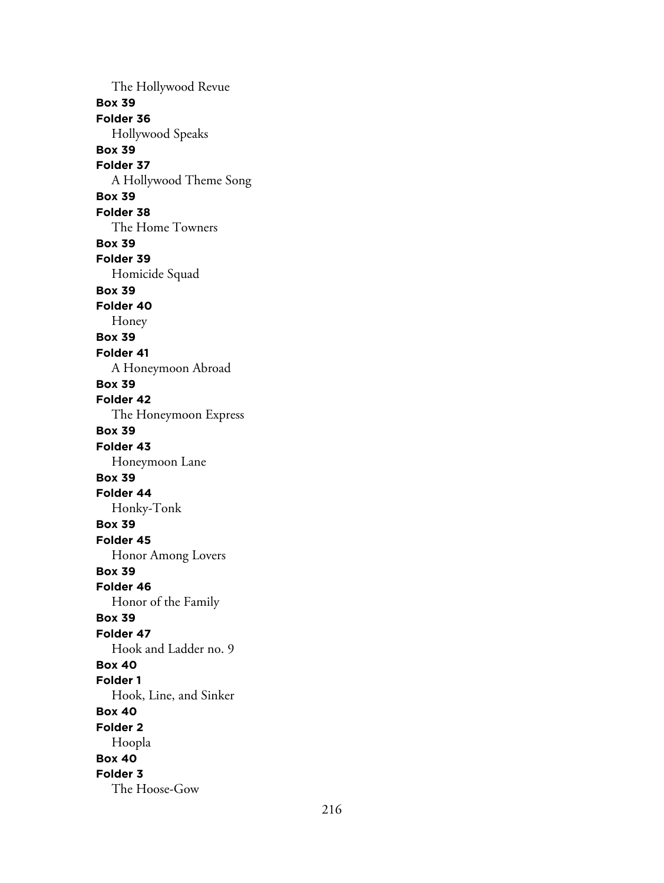The Hollywood Revue **Box 39 Folder 36** Hollywood Speaks **Box 39 Folder 37** A Hollywood Theme Song **Box 39 Folder 38** The Home Towners **Box 39 Folder 39** Homicide Squad **Box 39 Folder 40** Honey **Box 39 Folder 41** A Honeymoon Abroad **Box 39 Folder 42** The Honeymoon Express **Box 39 Folder 43** Honeymoon Lane **Box 39 Folder 44** Honky-Tonk **Box 39 Folder 45** Honor Among Lovers **Box 39 Folder 46** Honor of the Family **Box 39 Folder 47** Hook and Ladder no. 9 **Box 40 Folder 1** Hook, Line, and Sinker **Box 40 Folder 2** Hoopla **Box 40 Folder 3** The Hoose-Gow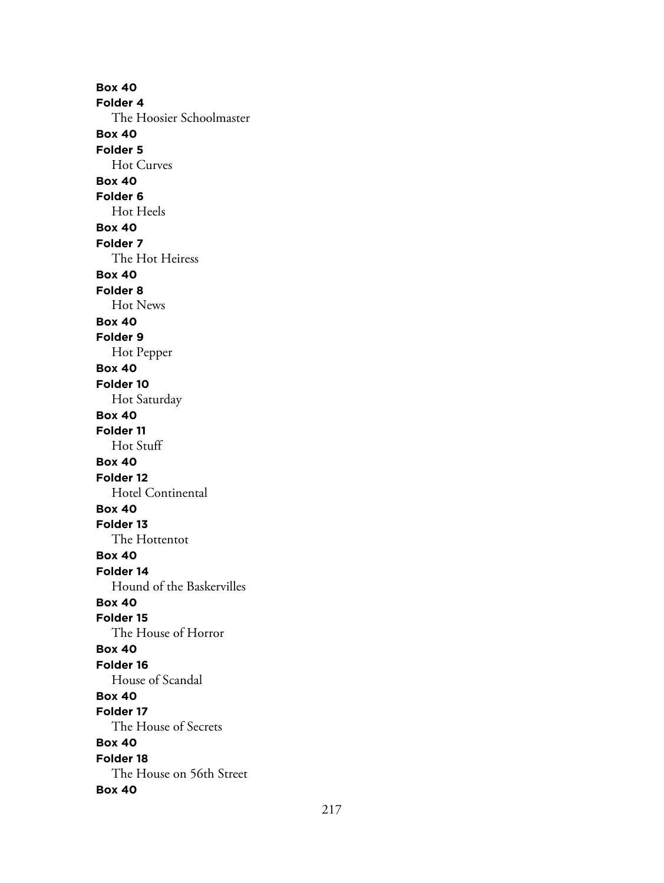**Box 40 Folder 4** The Hoosier Schoolmaster **Box 40 Folder 5** Hot Curves **Box 40 Folder 6** Hot Heels **Box 40 Folder 7** The Hot Heiress **Box 40 Folder 8** Hot News **Box 40 Folder 9** Hot Pepper **Box 40 Folder 10** Hot Saturday **Box 40 Folder 11** Hot Stuff **Box 40 Folder 12** Hotel Continental **Box 40 Folder 13** The Hottentot **Box 40 Folder 14** Hound of the Baskervilles **Box 40 Folder 15** The House of Horror **Box 40 Folder 16** House of Scandal **Box 40 Folder 17** The House of Secrets **Box 40 Folder 18** The House on 56th Street **Box 40**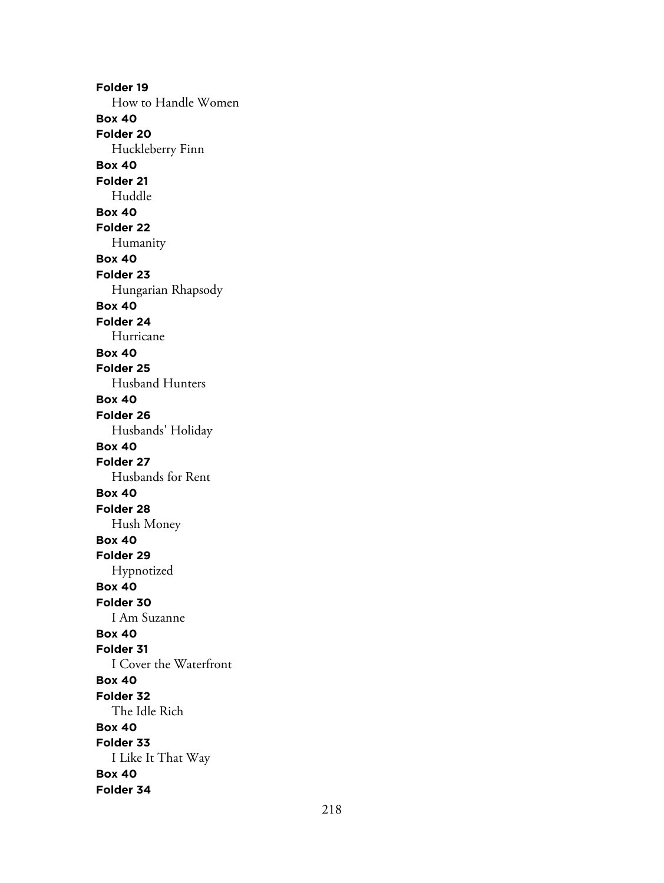**Folder 19** How to Handle Women **Box 40 Folder 20** Huckleberry Finn **Box 40 Folder 21** Huddle **Box 40 Folder 22** Humanity **Box 40 Folder 23** Hungarian Rhapsody **Box 40 Folder 24** Hurricane **Box 40 Folder 25** Husband Hunters **Box 40 Folder 26** Husbands' Holiday **Box 40 Folder 27** Husbands for Rent **Box 40 Folder 28** Hush Money **Box 40 Folder 29** Hypnotized **Box 40 Folder 30** I Am Suzanne **Box 40 Folder 31** I Cover the Waterfront **Box 40 Folder 32** The Idle Rich **Box 40 Folder 33** I Like It That Way **Box 40 Folder 34**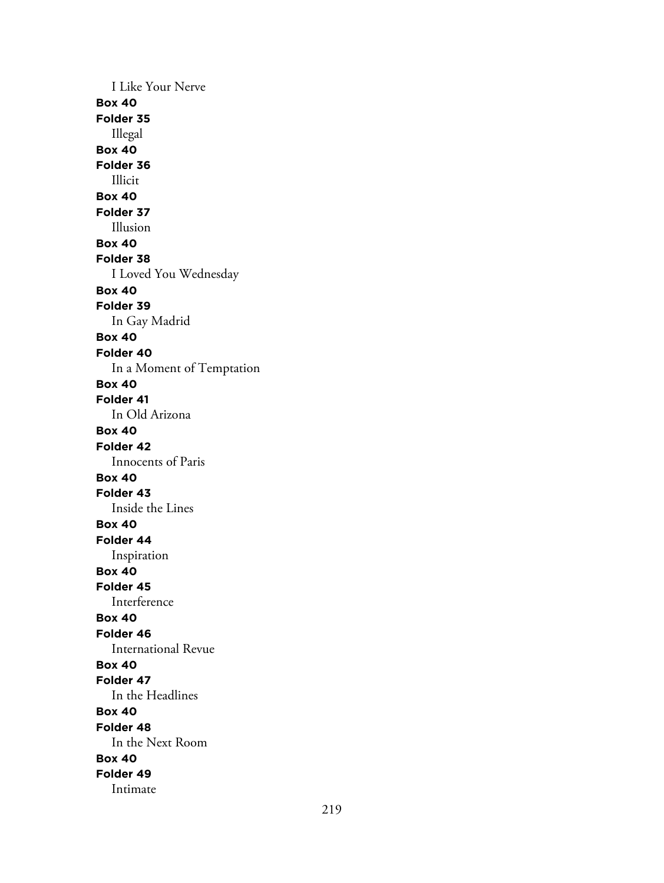I Like Your Nerve **Box 40 Folder 35** Illegal **Box 40 Folder 36** Illicit **Box 40 Folder 37** Illusion **Box 40 Folder 38** I Loved You Wednesday **Box 40 Folder 39** In Gay Madrid **Box 40 Folder 40** In a Moment of Temptation **Box 40 Folder 41** In Old Arizona **Box 40 Folder 42** Innocents of Paris **Box 40 Folder 43** Inside the Lines **Box 40 Folder 44** Inspiration **Box 40 Folder 45** Interference **Box 40 Folder 46** International Revue **Box 40 Folder 47** In the Headlines **Box 40 Folder 48** In the Next Room **Box 40 Folder 49** Intimate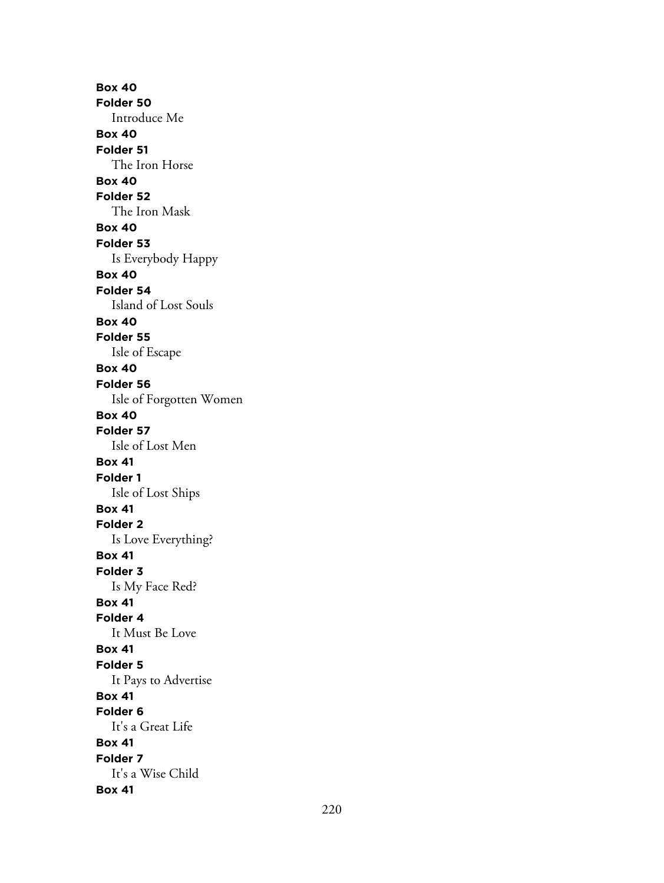**Box 40 Folder 50** Introduce Me **Box 40 Folder 51** The Iron Horse **Box 40 Folder 52** The Iron Mask **Box 40 Folder 53** Is Everybody Happy **Box 40 Folder 54** Island of Lost Souls **Box 40 Folder 55** Isle of Escape **Box 40 Folder 56** Isle of Forgotten Women **Box 40 Folder 57** Isle of Lost Men **Box 41 Folder 1** Isle of Lost Ships **Box 41 Folder 2** Is Love Everything? **Box 41 Folder 3** Is My Face Red? **Box 41 Folder 4** It Must Be Love **Box 41 Folder 5** It Pays to Advertise **Box 41 Folder 6** It's a Great Life **Box 41 Folder 7** It's a Wise Child **Box 41**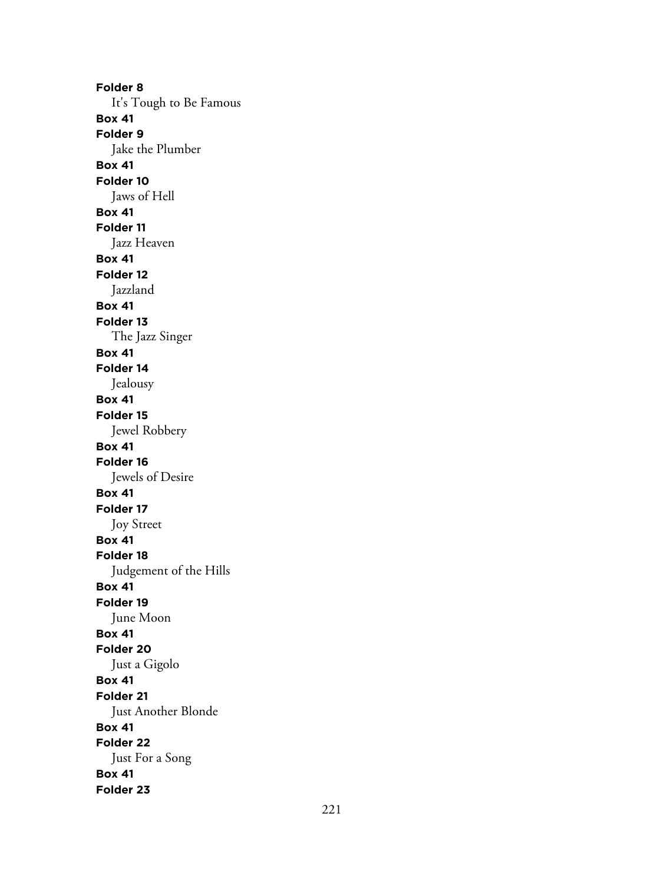**Folder 8** It's Tough to Be Famous **Box 41 Folder 9** Jake the Plumber **Box 41 Folder 10** Jaws of Hell **Box 41 Folder 11** Jazz Heaven **Box 41 Folder 12** Jazzland **Box 41 Folder 13** The Jazz Singer **Box 41 Folder 14** Jealousy **Box 41 Folder 15** Jewel Robbery **Box 41 Folder 16** Jewels of Desire **Box 41 Folder 17** Joy Street **Box 41 Folder 18** Judgement of the Hills **Box 41 Folder 19** June Moon **Box 41 Folder 20** Just a Gigolo **Box 41 Folder 21** Just Another Blonde **Box 41 Folder 22** Just For a Song **Box 41 Folder 23**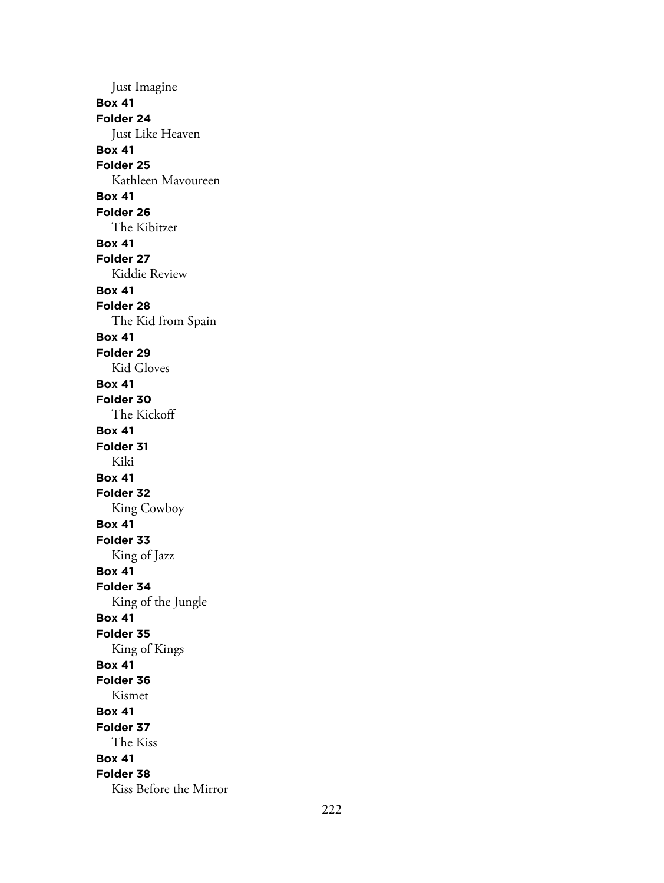Just Imagine **Box 41 Folder 24** Just Like Heaven **Box 41 Folder 25** Kathleen Mavoureen **Box 41 Folder 26** The Kibitzer **Box 41 Folder 27** Kiddie Review **Box 41 Folder 28** The Kid from Spain **Box 41 Folder 29** Kid Gloves **Box 41 Folder 30** The Kickoff **Box 41 Folder 31** Kiki **Box 41 Folder 32** King Cowboy **Box 41 Folder 33** King of Jazz **Box 41 Folder 34** King of the Jungle **Box 41 Folder 35** King of Kings **Box 41 Folder 36** Kismet **Box 41 Folder 37** The Kiss **Box 41 Folder 38** Kiss Before the Mirror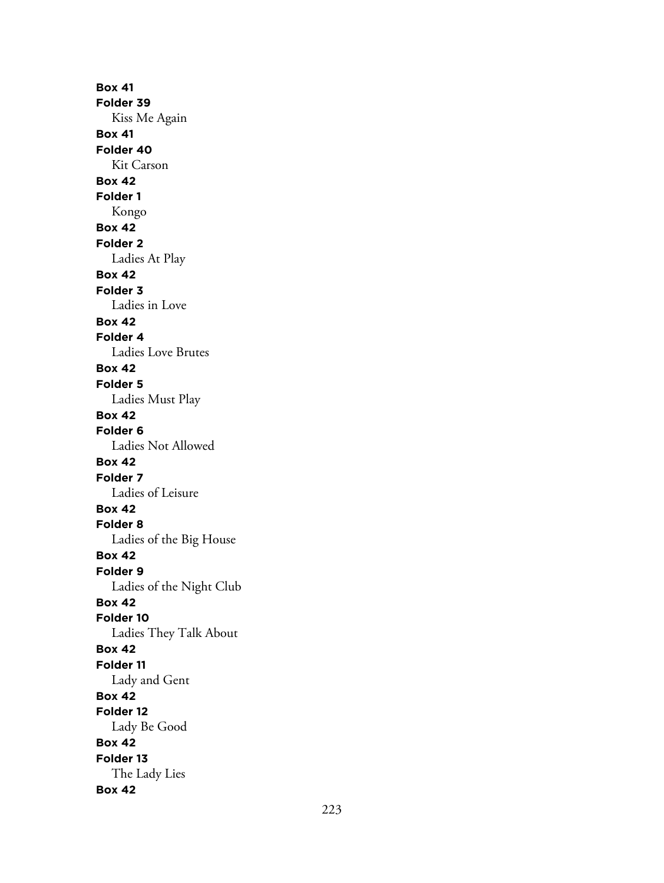**Box 41 Folder 39** Kiss Me Again **Box 41 Folder 40** Kit Carson **Box 42 Folder 1** Kongo **Box 42 Folder 2** Ladies At Play **Box 42 Folder 3** Ladies in Love **Box 42 Folder 4** Ladies Love Brutes **Box 42 Folder 5** Ladies Must Play **Box 42 Folder 6** Ladies Not Allowed **Box 42 Folder 7** Ladies of Leisure **Box 42 Folder 8** Ladies of the Big House **Box 42 Folder 9** Ladies of the Night Club **Box 42 Folder 10** Ladies They Talk About **Box 42 Folder 11** Lady and Gent **Box 42 Folder 12** Lady Be Good **Box 42 Folder 13** The Lady Lies **Box 42**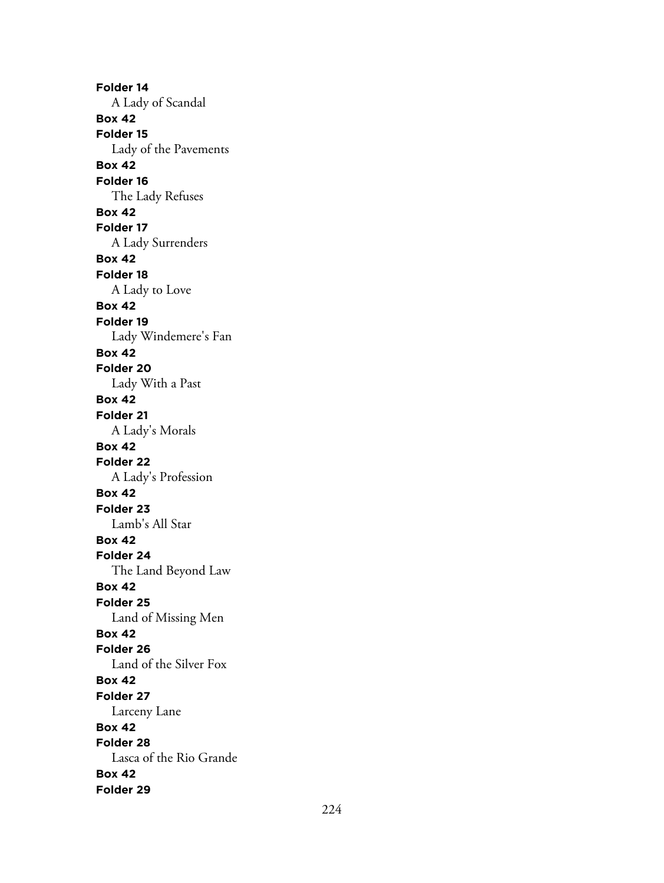**Folder 14** A Lady of Scandal **Box 42 Folder 15** Lady of the Pavements **Box 42 Folder 16** The Lady Refuses **Box 42 Folder 17** A Lady Surrenders **Box 42 Folder 18** A Lady to Love **Box 42 Folder 19** Lady Windemere's Fan **Box 42 Folder 20** Lady With a Past **Box 42 Folder 21** A Lady's Morals **Box 42 Folder 22** A Lady's Profession **Box 42 Folder 23** Lamb's All Star **Box 42 Folder 24** The Land Beyond Law **Box 42 Folder 25** Land of Missing Men **Box 42 Folder 26** Land of the Silver Fox **Box 42 Folder 27** Larceny Lane **Box 42 Folder 28** Lasca of the Rio Grande **Box 42 Folder 29**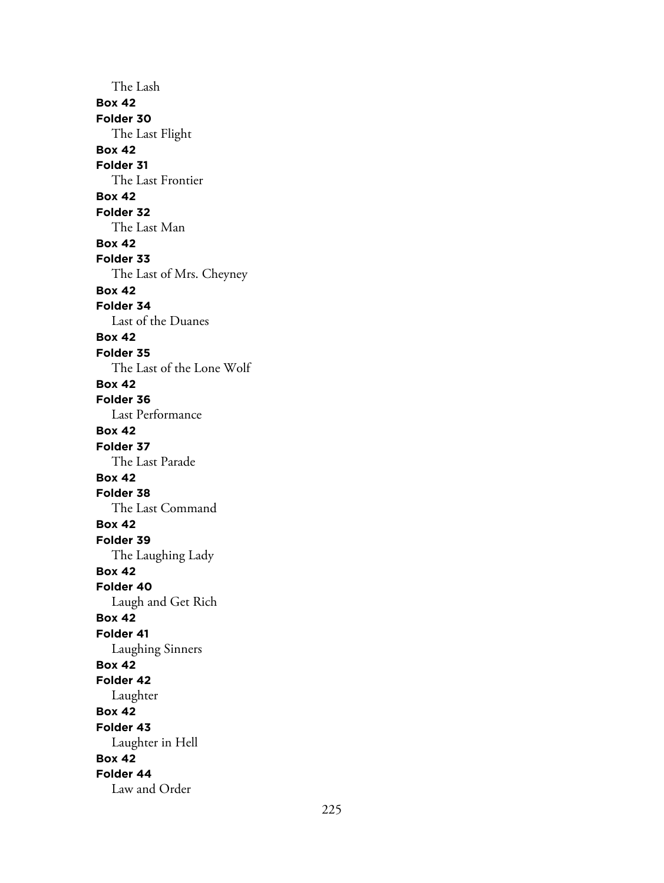The Lash **Box 42 Folder 30** The Last Flight **Box 42 Folder 31** The Last Frontier **Box 42 Folder 32** The Last Man **Box 42 Folder 33** The Last of Mrs. Cheyney **Box 42 Folder 34** Last of the Duanes **Box 42 Folder 35** The Last of the Lone Wolf **Box 42 Folder 36** Last Performance **Box 42 Folder 37** The Last Parade **Box 42 Folder 38** The Last Command **Box 42 Folder 39** The Laughing Lady **Box 42 Folder 40** Laugh and Get Rich **Box 42 Folder 41** Laughing Sinners **Box 42 Folder 42** Laughter **Box 42 Folder 43** Laughter in Hell **Box 42 Folder 44** Law and Order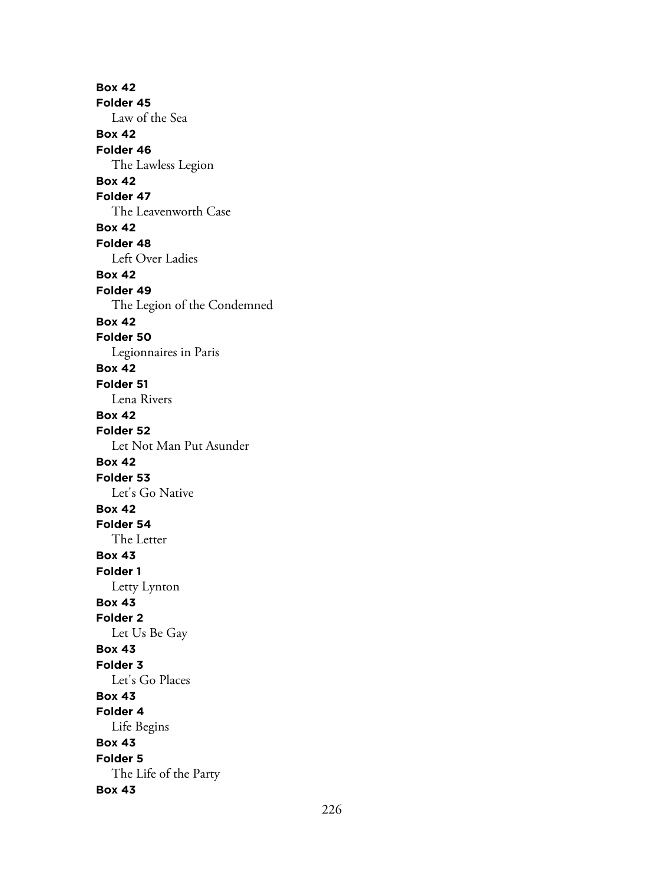**Box 42 Folder 45** Law of the Sea **Box 42 Folder 46** The Lawless Legion **Box 42 Folder 47** The Leavenworth Case **Box 42 Folder 48** Left Over Ladies **Box 42 Folder 49** The Legion of the Condemned **Box 42 Folder 50** Legionnaires in Paris **Box 42 Folder 51** Lena Rivers **Box 42 Folder 52** Let Not Man Put Asunder **Box 42 Folder 53** Let's Go Native **Box 42 Folder 54** The Letter **Box 43 Folder 1** Letty Lynton **Box 43 Folder 2** Let Us Be Gay **Box 43 Folder 3** Let's Go Places **Box 43 Folder 4** Life Begins **Box 43 Folder 5** The Life of the Party **Box 43**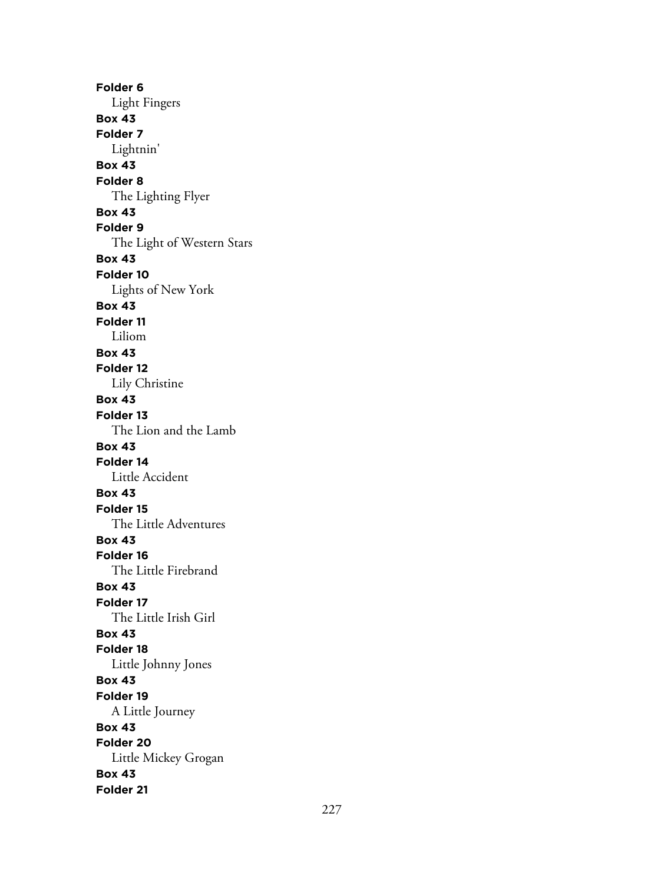**Folder 6** Light Fingers **Box 43 Folder 7** Lightnin' **Box 43 Folder 8** The Lighting Flyer **Box 43 Folder 9** The Light of Western Stars **Box 43 Folder 10** Lights of New York **Box 43 Folder 11** Liliom **Box 43 Folder 12** Lily Christine **Box 43 Folder 13** The Lion and the Lamb **Box 43 Folder 14** Little Accident **Box 43 Folder 15** The Little Adventures **Box 43 Folder 16** The Little Firebrand **Box 43 Folder 17** The Little Irish Girl **Box 43 Folder 18** Little Johnny Jones **Box 43 Folder 19** A Little Journey **Box 43 Folder 20** Little Mickey Grogan **Box 43 Folder 21**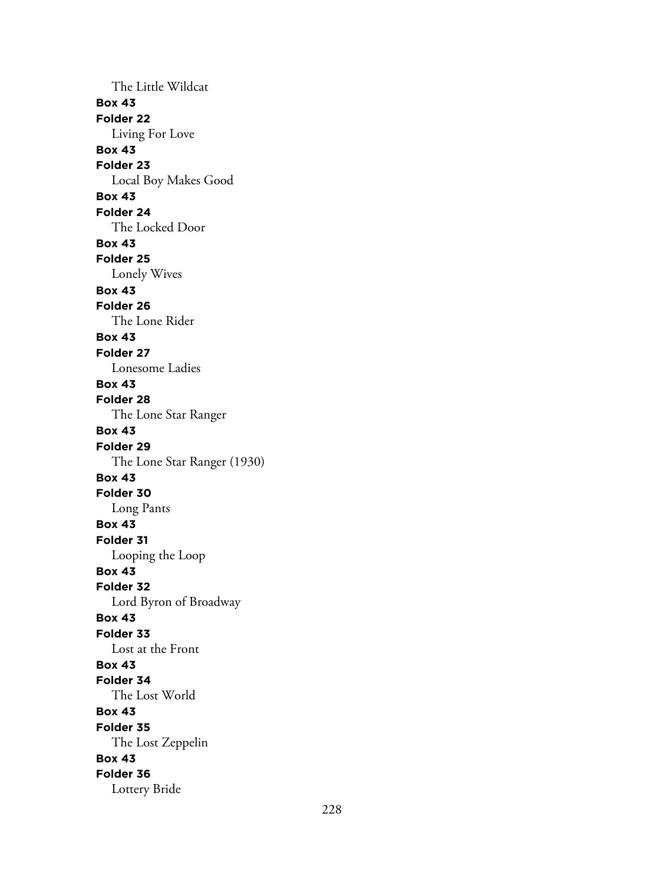The Little Wildcat **Box 43 Folder 22** Living For Love **Box 43 Folder 23** Local Boy Makes Good **Box 43 Folder 24** The Locked Door **Box 43 Folder 25** Lonely Wives **Box 43 Folder 26** The Lone Rider **Box 43 Folder 27** Lonesome Ladies **Box 43 Folder 28** The Lone Star Ranger **Box 43 Folder 29** The Lone Star Ranger (1930) **Box 43 Folder 30** Long Pants **Box 43 Folder 31** Looping the Loop **Box 43 Folder 32** Lord Byron of Broadway **Box 43 Folder 33** Lost at the Front **Box 43 Folder 34** The Lost World **Box 43 Folder 35** The Lost Zeppelin **Box 43 Folder 36** Lottery Bride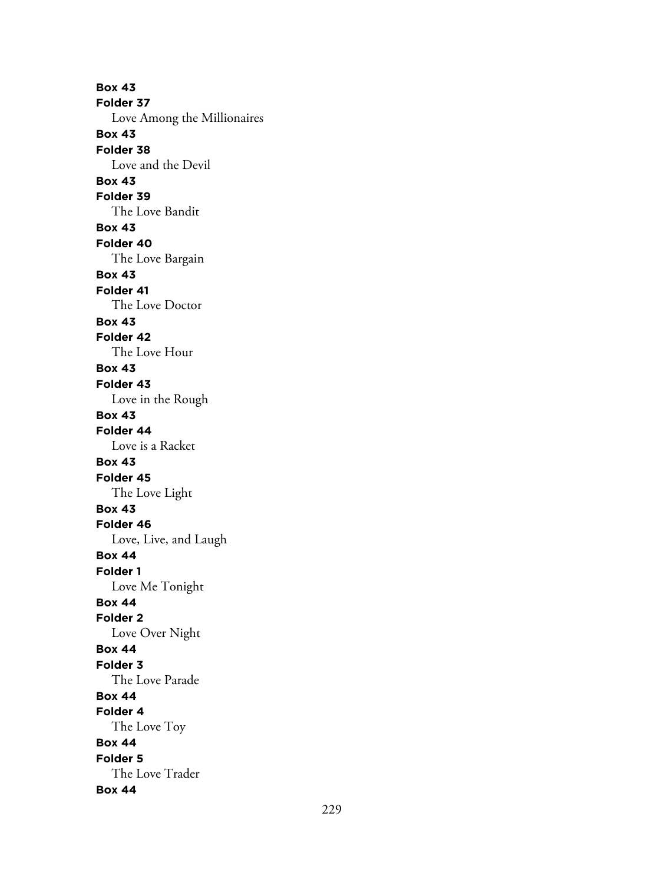**Box 43 Folder 37** Love Among the Millionaires **Box 43 Folder 38** Love and the Devil **Box 43 Folder 39** The Love Bandit **Box 43 Folder 40** The Love Bargain **Box 43 Folder 41** The Love Doctor **Box 43 Folder 42** The Love Hour **Box 43 Folder 43** Love in the Rough **Box 43 Folder 44** Love is a Racket **Box 43 Folder 45** The Love Light **Box 43 Folder 46** Love, Live, and Laugh **Box 44 Folder 1** Love Me Tonight **Box 44 Folder 2** Love Over Night **Box 44 Folder 3** The Love Parade **Box 44 Folder 4** The Love Toy **Box 44 Folder 5** The Love Trader **Box 44**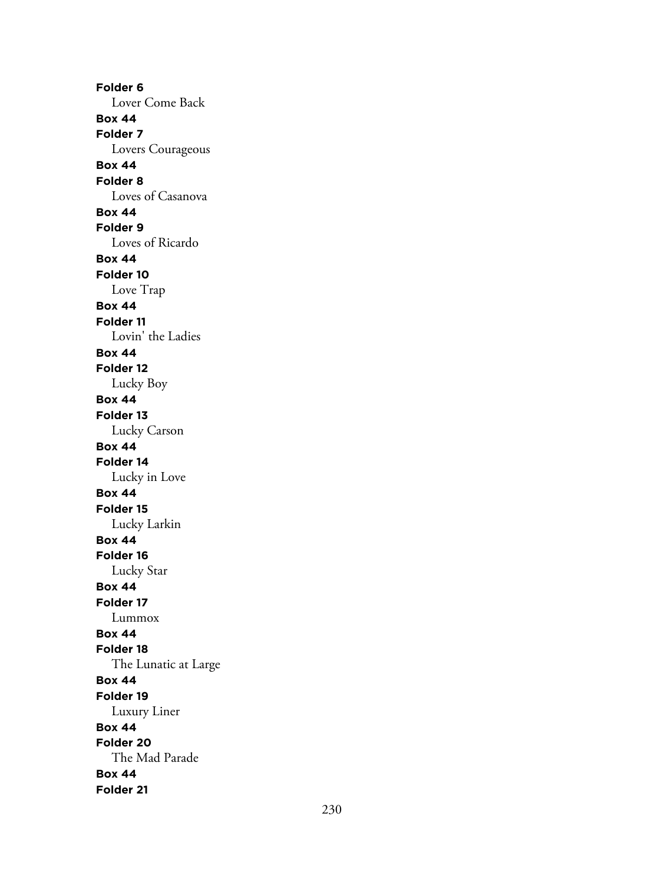**Folder 6** Lover Come Back **Box 44 Folder 7** Lovers Courageous **Box 44 Folder 8** Loves of Casanova **Box 44 Folder 9** Loves of Ricardo **Box 44 Folder 10** Love Trap **Box 44 Folder 11** Lovin' the Ladies **Box 44 Folder 12** Lucky Boy **Box 44 Folder 13** Lucky Carson **Box 44 Folder 14** Lucky in Love **Box 44 Folder 15** Lucky Larkin **Box 44 Folder 16** Lucky Star **Box 44 Folder 17** Lummox **Box 44 Folder 18** The Lunatic at Large **Box 44 Folder 19** Luxury Liner **Box 44 Folder 20** The Mad Parade **Box 44 Folder 21**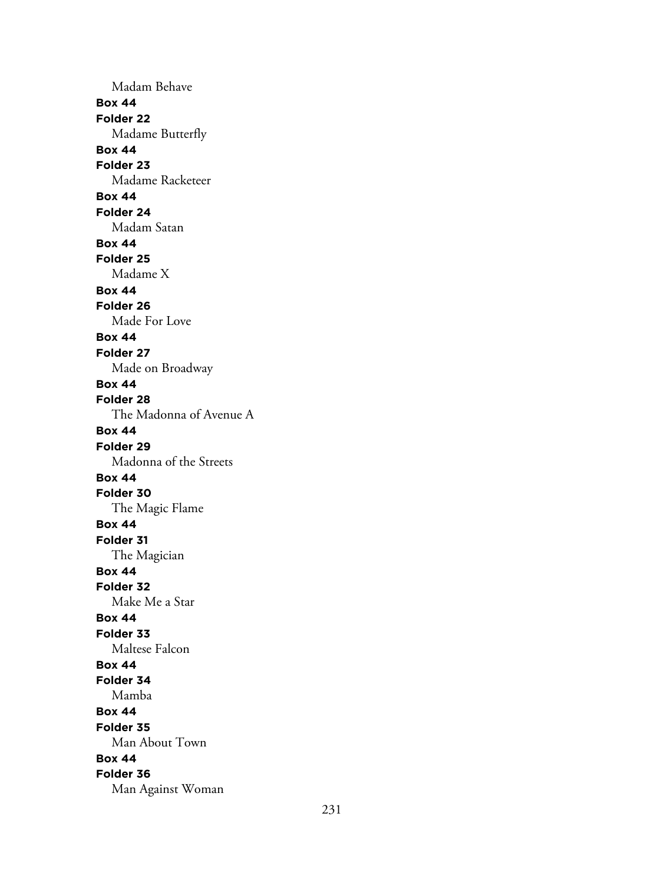Madam Behave **Box 44 Folder 22** Madame Butterfly **Box 44 Folder 23** Madame Racketeer **Box 44 Folder 24** Madam Satan **Box 44 Folder 25** Madame X **Box 44 Folder 26** Made For Love **Box 44 Folder 27** Made on Broadway **Box 44 Folder 28** The Madonna of Avenue A **Box 44 Folder 29** Madonna of the Streets **Box 44 Folder 30** The Magic Flame **Box 44 Folder 31** The Magician **Box 44 Folder 32** Make Me a Star **Box 44 Folder 33** Maltese Falcon **Box 44 Folder 34** Mamba **Box 44 Folder 35** Man About Town **Box 44 Folder 36** Man Against Woman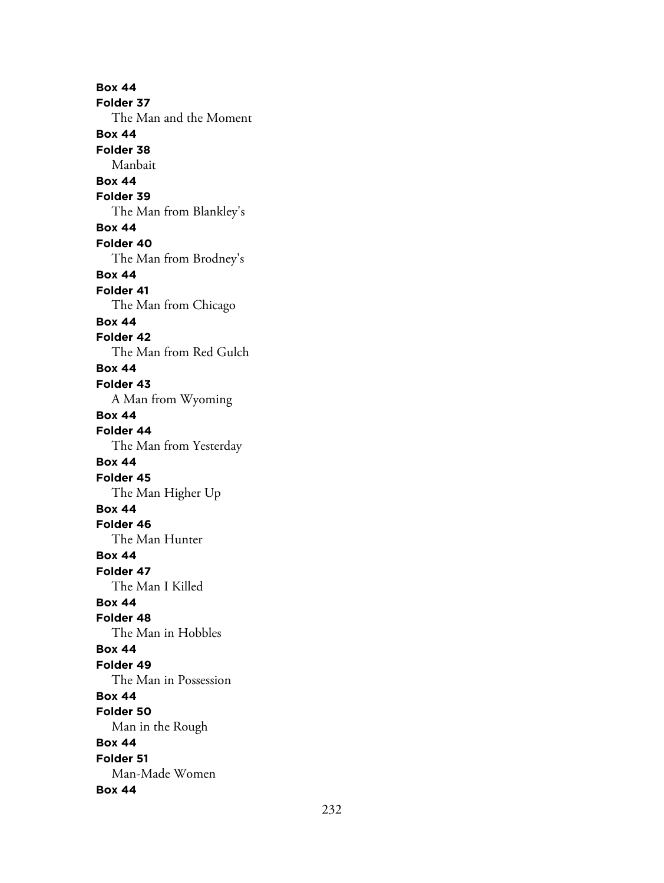**Box 44 Folder 37** The Man and the Moment **Box 44 Folder 38** Manbait **Box 44 Folder 39** The Man from Blankley's **Box 44 Folder 40** The Man from Brodney's **Box 44 Folder 41** The Man from Chicago **Box 44 Folder 42** The Man from Red Gulch **Box 44 Folder 43** A Man from Wyoming **Box 44 Folder 44** The Man from Yesterday **Box 44 Folder 45** The Man Higher Up **Box 44 Folder 46** The Man Hunter **Box 44 Folder 47** The Man I Killed **Box 44 Folder 48** The Man in Hobbles **Box 44 Folder 49** The Man in Possession **Box 44 Folder 50** Man in the Rough **Box 44 Folder 51** Man-Made Women **Box 44**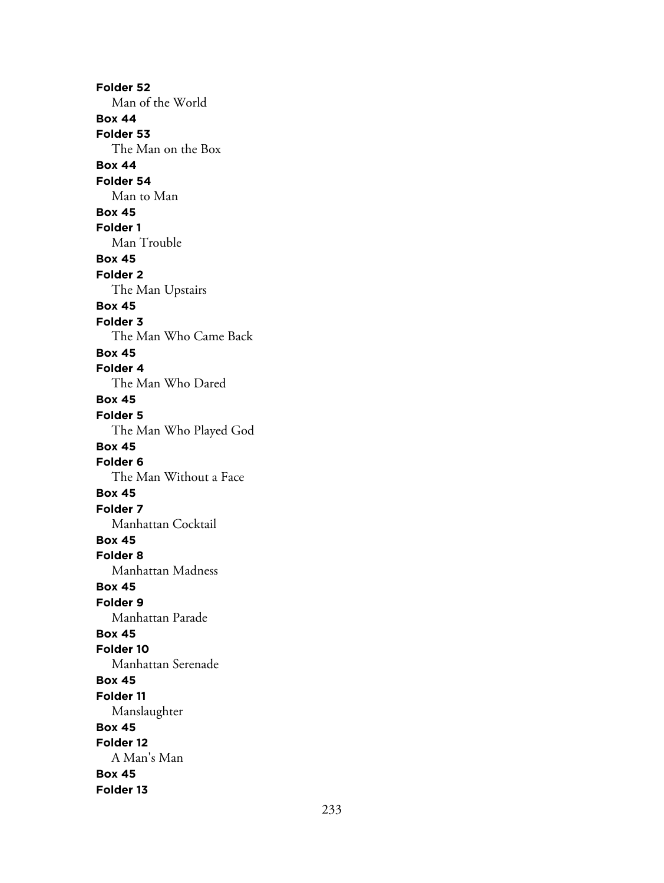**Folder 52** Man of the World **Box 44 Folder 53** The Man on the Box **Box 44 Folder 54** Man to Man **Box 45 Folder 1** Man Trouble **Box 45 Folder 2** The Man Upstairs **Box 45 Folder 3** The Man Who Came Back **Box 45 Folder 4** The Man Who Dared **Box 45 Folder 5** The Man Who Played God **Box 45 Folder 6** The Man Without a Face **Box 45 Folder 7** Manhattan Cocktail **Box 45 Folder 8** Manhattan Madness **Box 45 Folder 9** Manhattan Parade **Box 45 Folder 10** Manhattan Serenade **Box 45 Folder 11** Manslaughter **Box 45 Folder 12** A Man's Man **Box 45 Folder 13**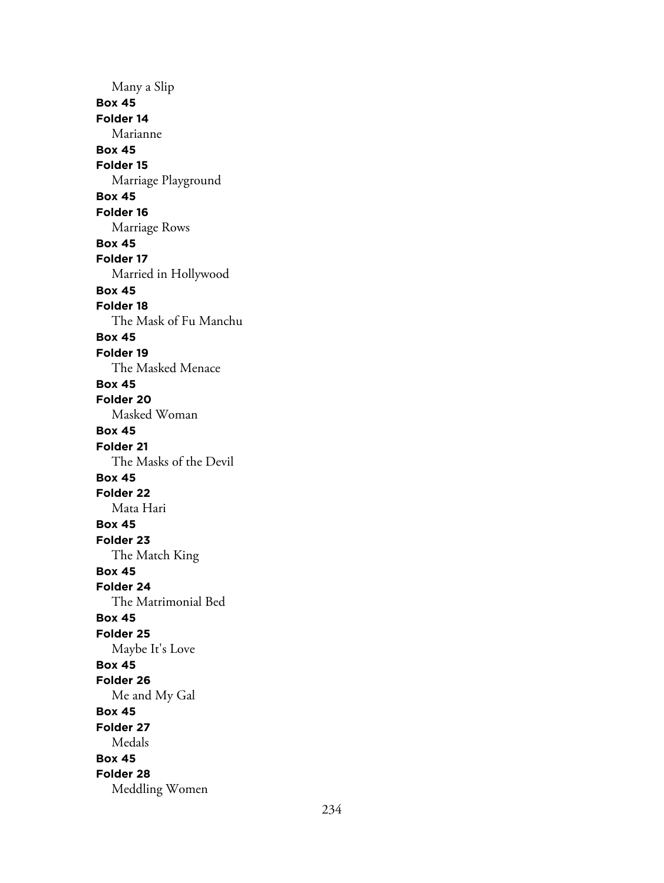Many a Slip **Box 45 Folder 14** Marianne **Box 45 Folder 15** Marriage Playground **Box 45 Folder 16** Marriage Rows **Box 45 Folder 17** Married in Hollywood **Box 45 Folder 18** The Mask of Fu Manchu **Box 45 Folder 19** The Masked Menace **Box 45 Folder 20** Masked Woman **Box 45 Folder 21** The Masks of the Devil **Box 45 Folder 22** Mata Hari **Box 45 Folder 23** The Match King **Box 45 Folder 24** The Matrimonial Bed **Box 45 Folder 25** Maybe It's Love **Box 45 Folder 26** Me and My Gal **Box 45 Folder 27** Medals **Box 45 Folder 28** Meddling Women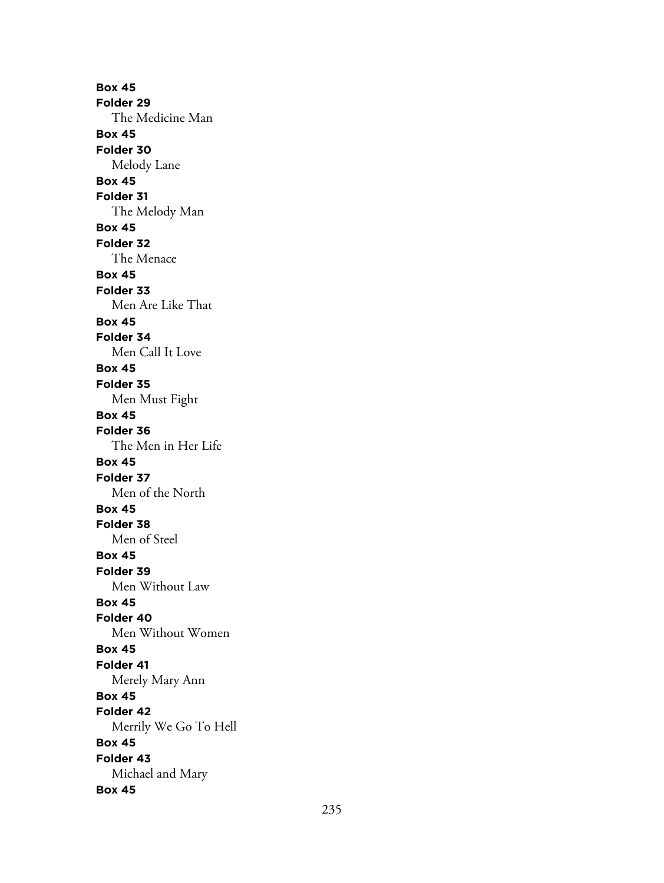**Box 45 Folder 29** The Medicine Man **Box 45 Folder 30** Melody Lane **Box 45 Folder 31** The Melody Man **Box 45 Folder 32** The Menace **Box 45 Folder 33** Men Are Like That **Box 45 Folder 34** Men Call It Love **Box 45 Folder 35** Men Must Fight **Box 45 Folder 36** The Men in Her Life **Box 45 Folder 37** Men of the North **Box 45 Folder 38** Men of Steel **Box 45 Folder 39** Men Without Law **Box 45 Folder 40** Men Without Women **Box 45 Folder 41** Merely Mary Ann **Box 45 Folder 42** Merrily We Go To Hell **Box 45 Folder 43** Michael and Mary **Box 45**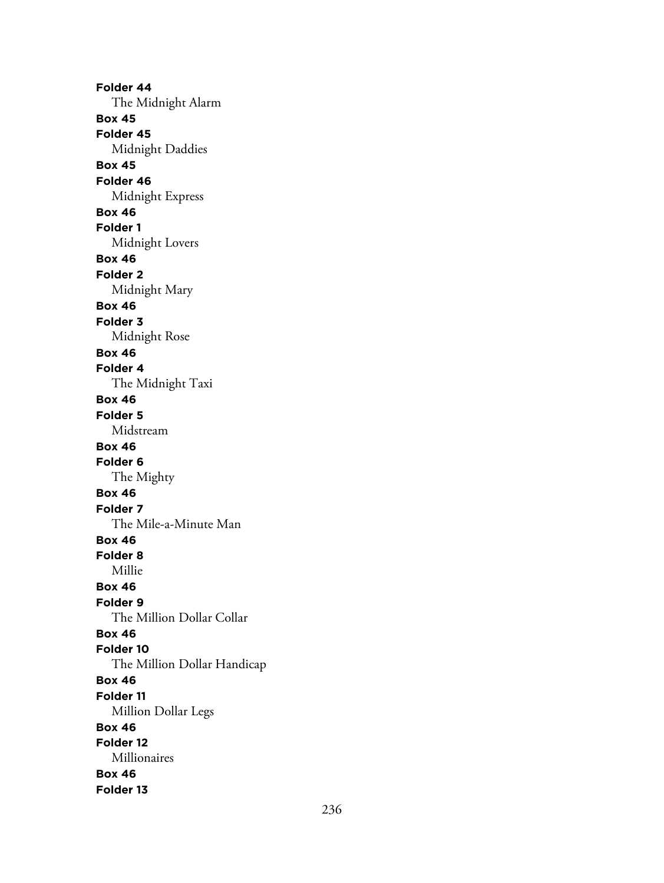**Folder 44** The Midnight Alarm **Box 45 Folder 45** Midnight Daddies **Box 45 Folder 46** Midnight Express **Box 46 Folder 1** Midnight Lovers **Box 46 Folder 2** Midnight Mary **Box 46 Folder 3** Midnight Rose **Box 46 Folder 4** The Midnight Taxi **Box 46 Folder 5** Midstream **Box 46 Folder 6** The Mighty **Box 46 Folder 7** The Mile-a-Minute Man **Box 46 Folder 8** Millie **Box 46 Folder 9** The Million Dollar Collar **Box 46 Folder 10** The Million Dollar Handicap **Box 46 Folder 11** Million Dollar Legs **Box 46 Folder 12** Millionaires **Box 46 Folder 13**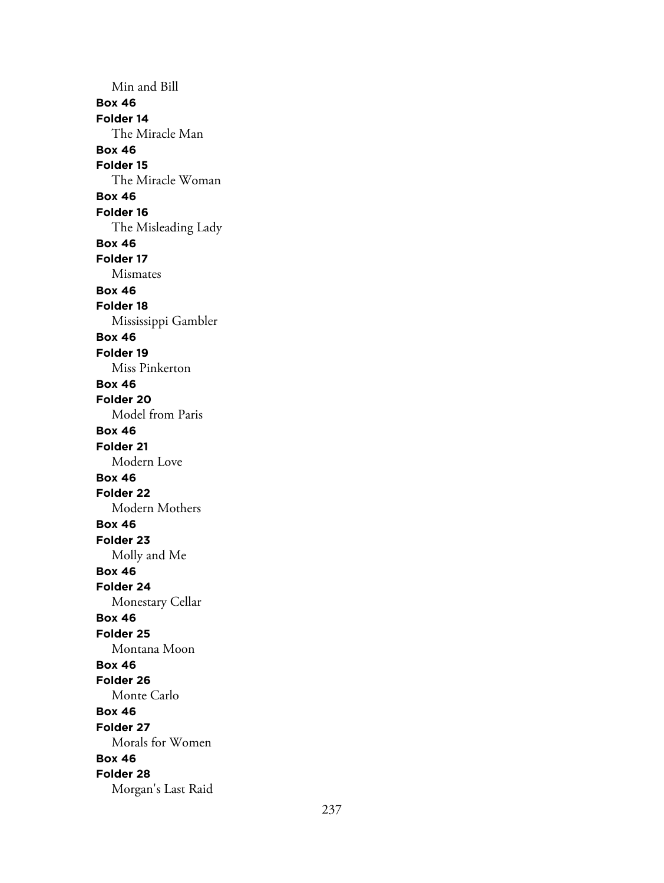Min and Bill **Box 46 Folder 14** The Miracle Man **Box 46 Folder 15** The Miracle Woman **Box 46 Folder 16** The Misleading Lady **Box 46 Folder 17** Mismates **Box 46 Folder 18** Mississippi Gambler **Box 46 Folder 19** Miss Pinkerton **Box 46 Folder 20** Model from Paris **Box 46 Folder 21** Modern Love **Box 46 Folder 22** Modern Mothers **Box 46 Folder 23** Molly and Me **Box 46 Folder 24** Monestary Cellar **Box 46 Folder 25** Montana Moon **Box 46 Folder 26** Monte Carlo **Box 46 Folder 27** Morals for Women **Box 46 Folder 28** Morgan's Last Raid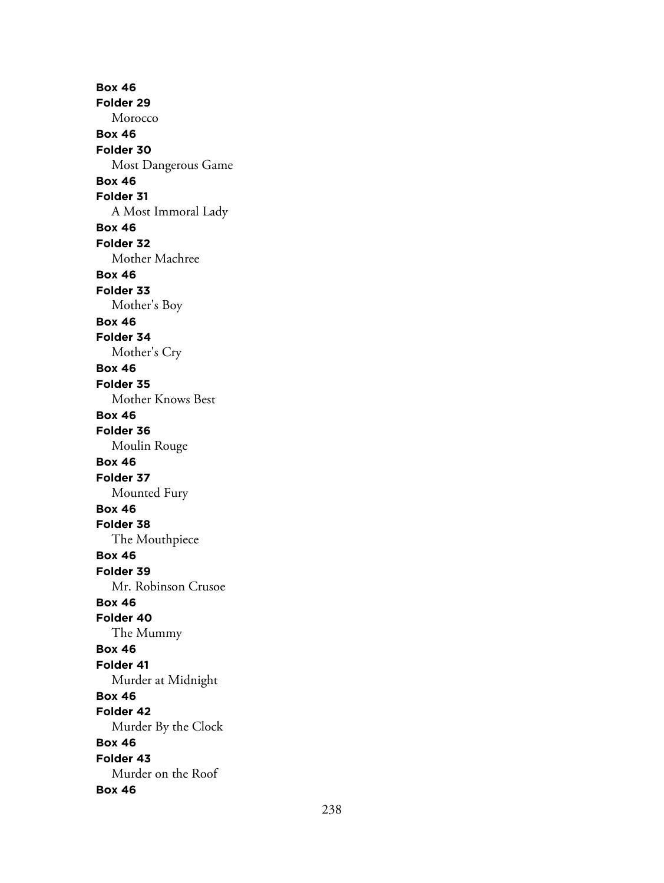**Box 46 Folder 29** Morocco **Box 46 Folder 30** Most Dangerous Game **Box 46 Folder 31** A Most Immoral Lady **Box 46 Folder 32** Mother Machree **Box 46 Folder 33** Mother's Boy **Box 46 Folder 34** Mother's Cry **Box 46 Folder 35** Mother Knows Best **Box 46 Folder 36** Moulin Rouge **Box 46 Folder 37** Mounted Fury **Box 46 Folder 38** The Mouthpiece **Box 46 Folder 39** Mr. Robinson Crusoe **Box 46 Folder 40** The Mummy **Box 46 Folder 41** Murder at Midnight **Box 46 Folder 42** Murder By the Clock **Box 46 Folder 43** Murder on the Roof **Box 46**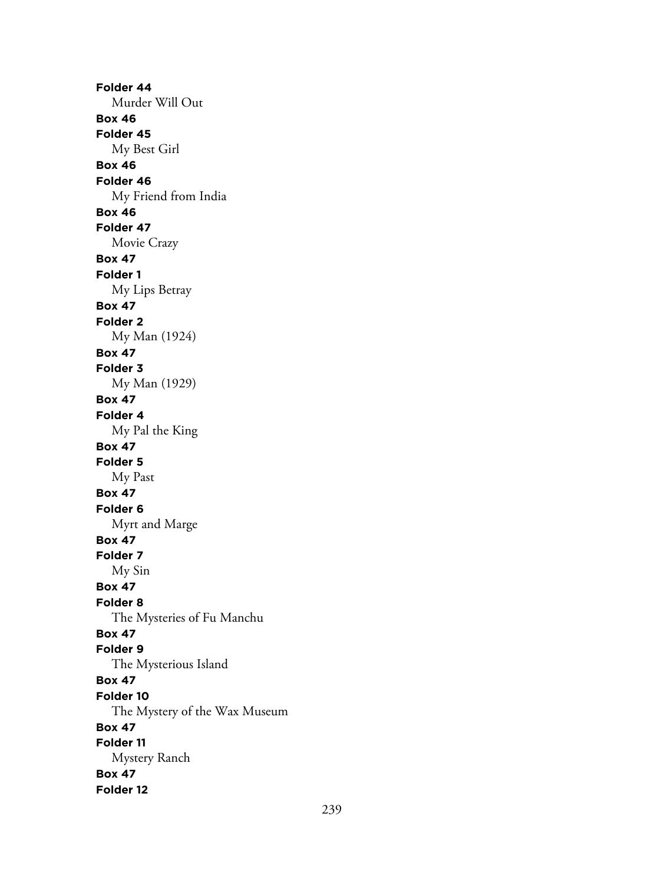**Folder 44** Murder Will Out **Box 46 Folder 45** My Best Girl **Box 46 Folder 46** My Friend from India **Box 46 Folder 47** Movie Crazy **Box 47 Folder 1** My Lips Betray **Box 47 Folder 2** My Man (1924) **Box 47 Folder 3** My Man (1929) **Box 47 Folder 4** My Pal the King **Box 47 Folder 5** My Past **Box 47 Folder 6** Myrt and Marge **Box 47 Folder 7** My Sin **Box 47 Folder 8** The Mysteries of Fu Manchu **Box 47 Folder 9** The Mysterious Island **Box 47 Folder 10** The Mystery of the Wax Museum **Box 47 Folder 11** Mystery Ranch **Box 47 Folder 12**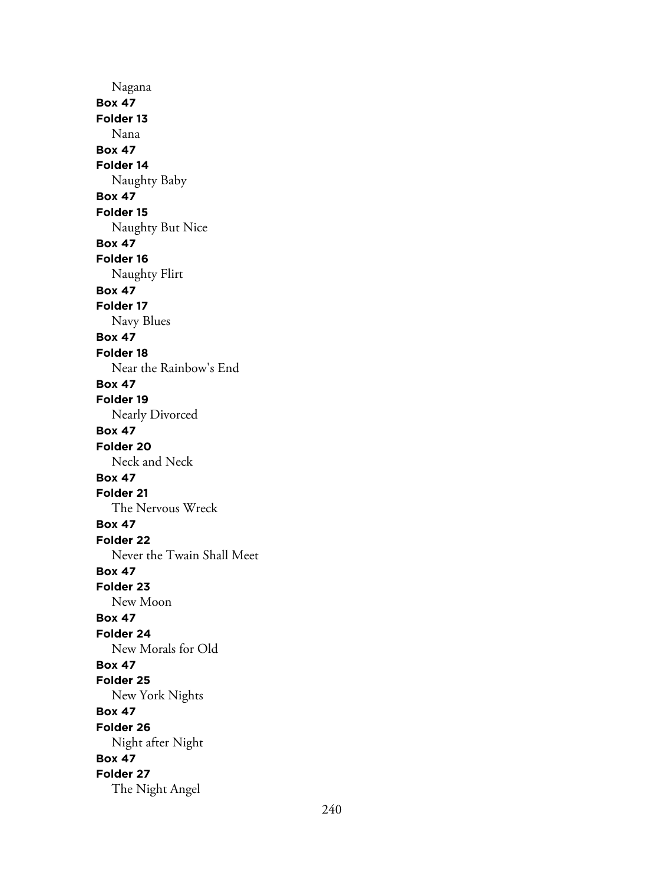Nagana **Box 47 Folder 13** Nana **Box 47 Folder 14** Naughty Baby **Box 47 Folder 15** Naughty But Nice **Box 47 Folder 16** Naughty Flirt **Box 47 Folder 17** Navy Blues **Box 47 Folder 18** Near the Rainbow's End **Box 47 Folder 19** Nearly Divorced **Box 47 Folder 20** Neck and Neck **Box 47 Folder 21** The Nervous Wreck **Box 47 Folder 22** Never the Twain Shall Meet **Box 47 Folder 23** New Moon **Box 47 Folder 24** New Morals for Old **Box 47 Folder 25** New York Nights **Box 47 Folder 26** Night after Night **Box 47 Folder 27** The Night Angel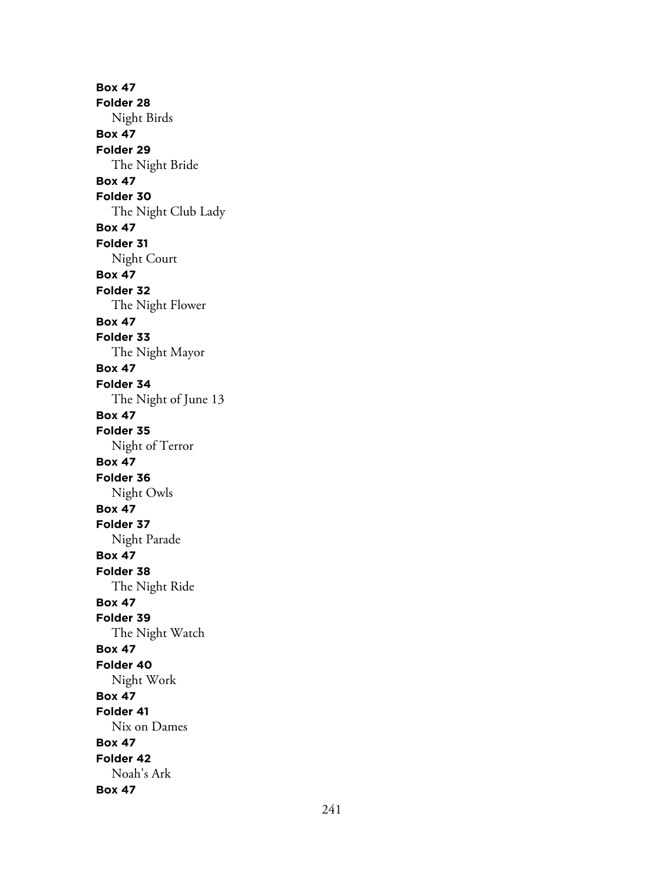**Box 47 Folder 28** Night Birds **Box 47 Folder 29** The Night Bride **Box 47 Folder 30** The Night Club Lady **Box 47 Folder 31** Night Court **Box 47 Folder 32** The Night Flower **Box 47 Folder 33** The Night Mayor **Box 47 Folder 34** The Night of June 13 **Box 47 Folder 35** Night of Terror **Box 47 Folder 36** Night Owls **Box 47 Folder 37** Night Parade **Box 47 Folder 38** The Night Ride **Box 47 Folder 39** The Night Watch **Box 47 Folder 40** Night Work **Box 47 Folder 41** Nix on Dames **Box 47 Folder 42** Noah's Ark **Box 47**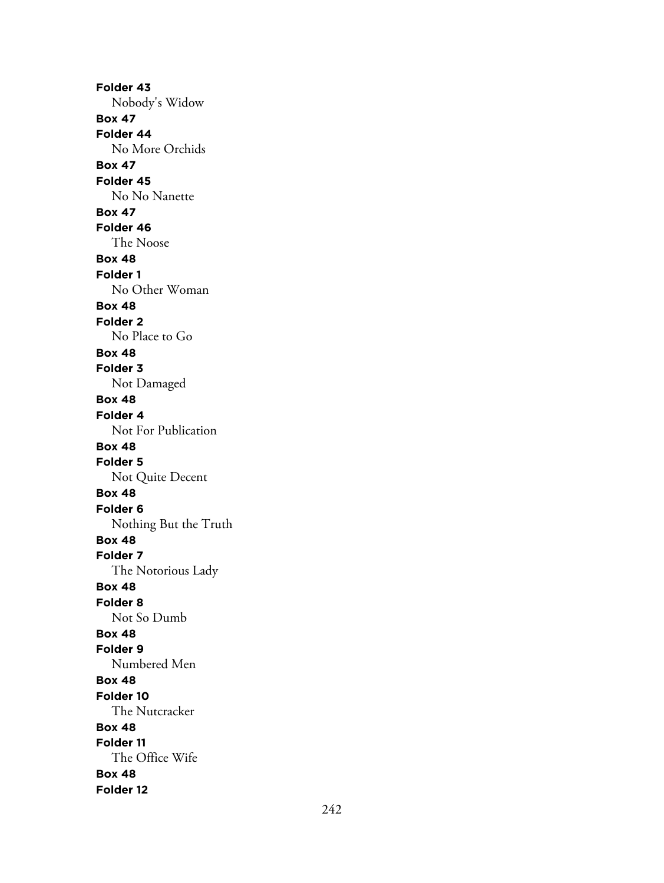**Folder 43** Nobody's Widow **Box 47 Folder 44** No More Orchids **Box 47 Folder 45** No No Nanette **Box 47 Folder 46** The Noose **Box 48 Folder 1** No Other Woman **Box 48 Folder 2** No Place to Go **Box 48 Folder 3** Not Damaged **Box 48 Folder 4** Not For Publication **Box 48 Folder 5** Not Quite Decent **Box 48 Folder 6** Nothing But the Truth **Box 48 Folder 7** The Notorious Lady **Box 48 Folder 8** Not So Dumb **Box 48 Folder 9** Numbered Men **Box 48 Folder 10** The Nutcracker **Box 48 Folder 11** The Office Wife **Box 48 Folder 12**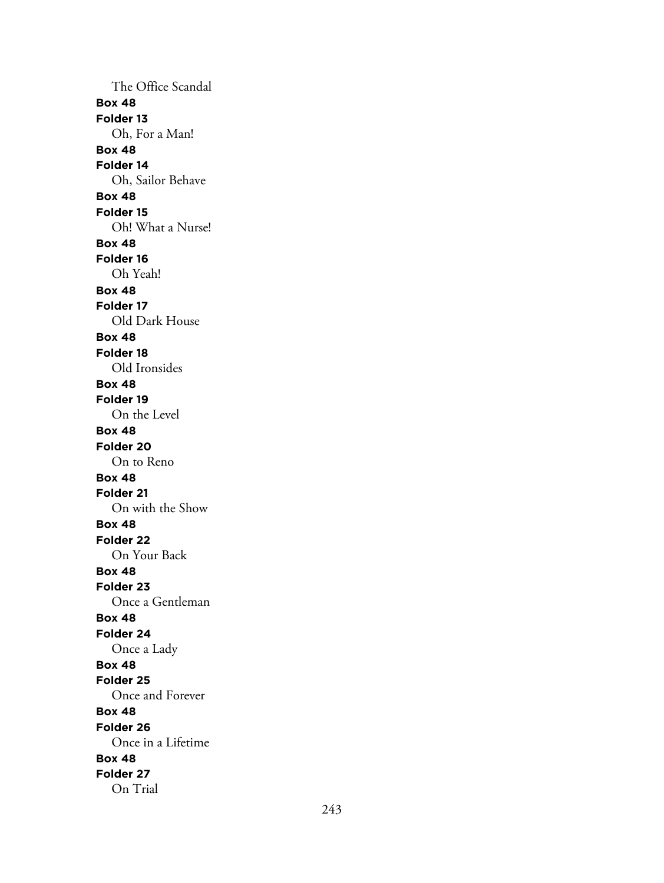The Office Scandal **Box 48 Folder 13** Oh, For a Man! **Box 48 Folder 14** Oh, Sailor Behave **Box 48 Folder 15** Oh! What a Nurse! **Box 48 Folder 16** Oh Yeah! **Box 48 Folder 17** Old Dark House **Box 48 Folder 18** Old Ironsides **Box 48 Folder 19** On the Level **Box 48 Folder 20** On to Reno **Box 48 Folder 21** On with the Show **Box 48 Folder 22** On Your Back **Box 48 Folder 23** Once a Gentleman **Box 48 Folder 24** Once a Lady **Box 48 Folder 25** Once and Forever **Box 48 Folder 26** Once in a Lifetime **Box 48 Folder 27** On Trial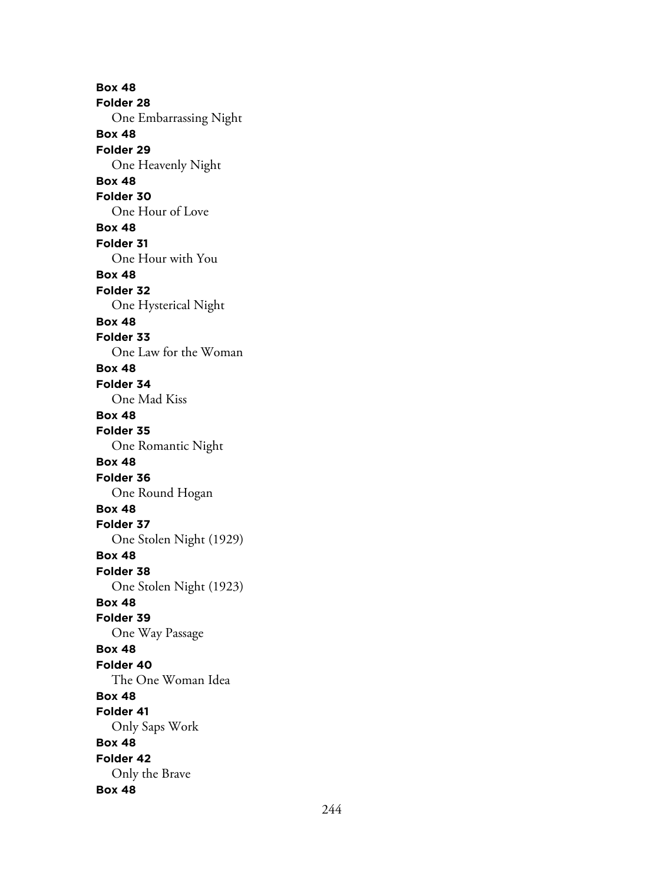**Box 48 Folder 28** One Embarrassing Night **Box 48 Folder 29** One Heavenly Night **Box 48 Folder 30** One Hour of Love **Box 48 Folder 31** One Hour with You **Box 48 Folder 32** One Hysterical Night **Box 48 Folder 33** One Law for the Woman **Box 48 Folder 34** One Mad Kiss **Box 48 Folder 35** One Romantic Night **Box 48 Folder 36** One Round Hogan **Box 48 Folder 37** One Stolen Night (1929) **Box 48 Folder 38** One Stolen Night (1923) **Box 48 Folder 39** One Way Passage **Box 48 Folder 40** The One Woman Idea **Box 48 Folder 41** Only Saps Work **Box 48 Folder 42** Only the Brave **Box 48**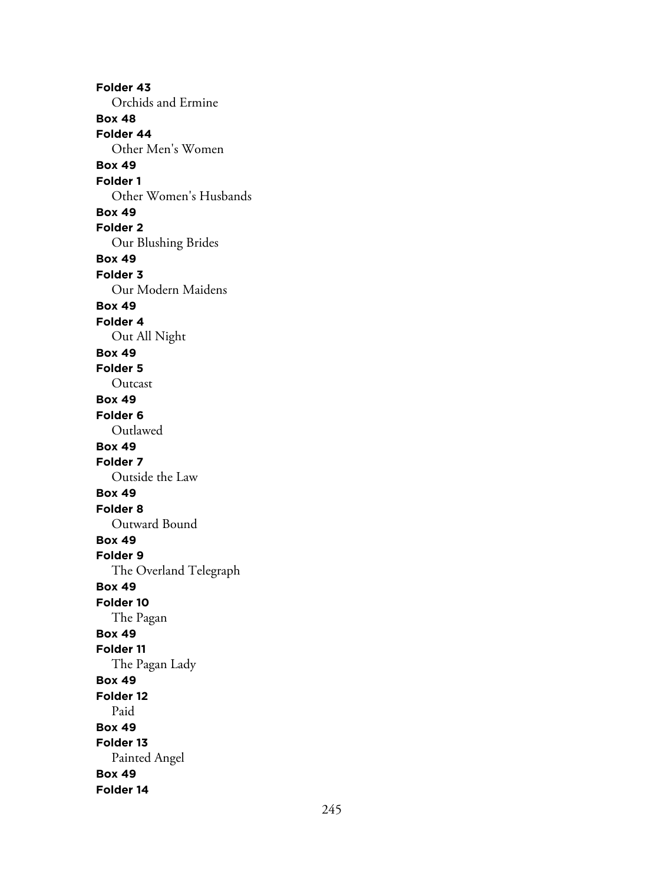**Folder 43** Orchids and Ermine **Box 48 Folder 44** Other Men's Women **Box 49 Folder 1** Other Women's Husbands **Box 49 Folder 2** Our Blushing Brides **Box 49 Folder 3** Our Modern Maidens **Box 49 Folder 4** Out All Night **Box 49 Folder 5** Outcast **Box 49 Folder 6** Outlawed **Box 49 Folder 7** Outside the Law **Box 49 Folder 8** Outward Bound **Box 49 Folder 9** The Overland Telegraph **Box 49 Folder 10** The Pagan **Box 49 Folder 11** The Pagan Lady **Box 49 Folder 12** Paid **Box 49 Folder 13** Painted Angel **Box 49 Folder 14**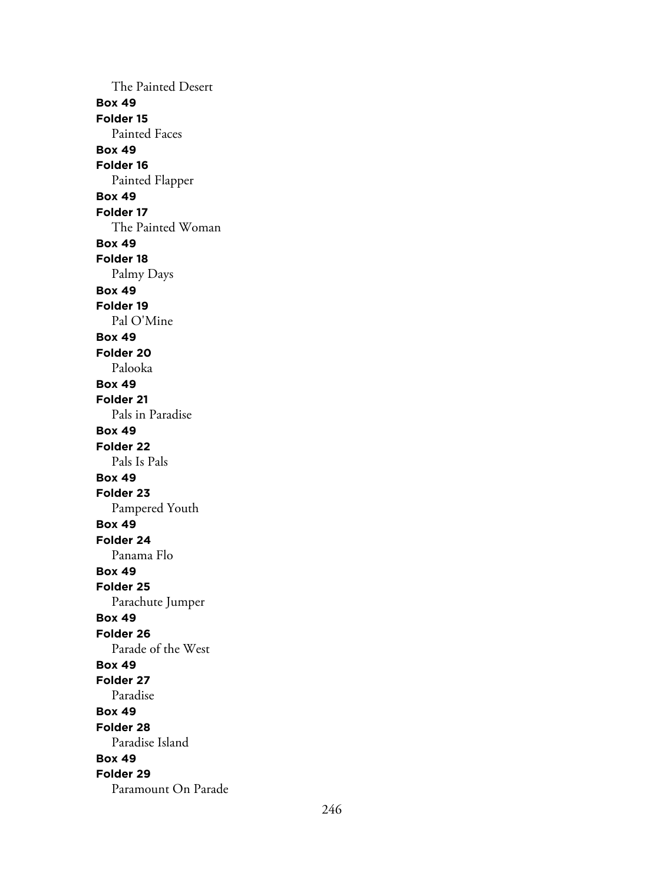The Painted Desert **Box 49 Folder 15** Painted Faces **Box 49 Folder 16** Painted Flapper **Box 49 Folder 17** The Painted Woman **Box 49 Folder 18** Palmy Days **Box 49 Folder 19** Pal O'Mine **Box 49 Folder 20** Palooka **Box 49 Folder 21** Pals in Paradise **Box 49 Folder 22** Pals Is Pals **Box 49 Folder 23** Pampered Youth **Box 49 Folder 24** Panama Flo **Box 49 Folder 25** Parachute Jumper **Box 49 Folder 26** Parade of the West **Box 49 Folder 27** Paradise **Box 49 Folder 28** Paradise Island **Box 49 Folder 29** Paramount On Parade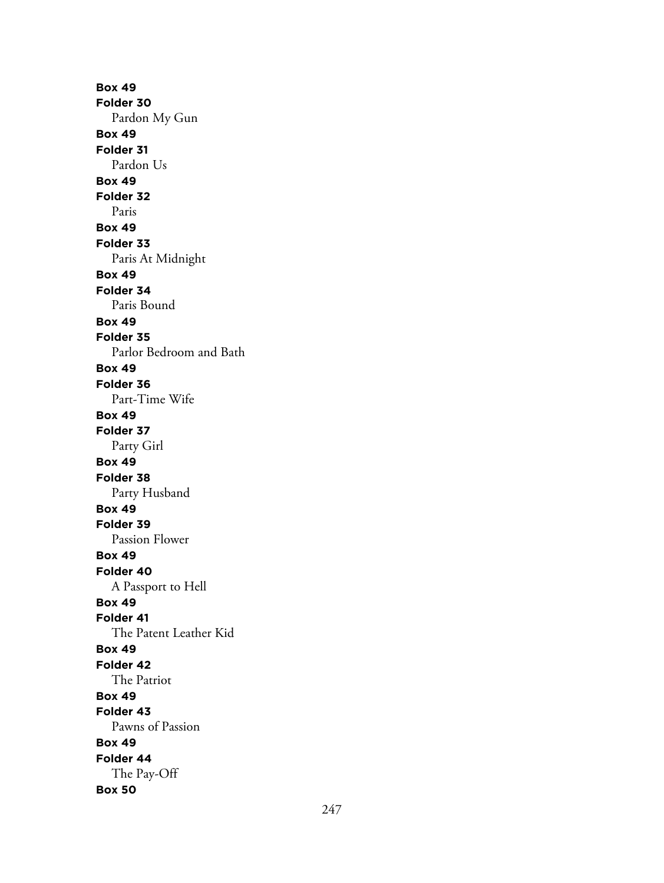**Box 49 Folder 30** Pardon My Gun **Box 49 Folder 31** Pardon Us **Box 49 Folder 32** Paris **Box 49 Folder 33** Paris At Midnight **Box 49 Folder 34** Paris Bound **Box 49 Folder 35** Parlor Bedroom and Bath **Box 49 Folder 36** Part-Time Wife **Box 49 Folder 37** Party Girl **Box 49 Folder 38** Party Husband **Box 49 Folder 39** Passion Flower **Box 49 Folder 40** A Passport to Hell **Box 49 Folder 41** The Patent Leather Kid **Box 49 Folder 42** The Patriot **Box 49 Folder 43** Pawns of Passion **Box 49 Folder 44** The Pay-Off **Box 50**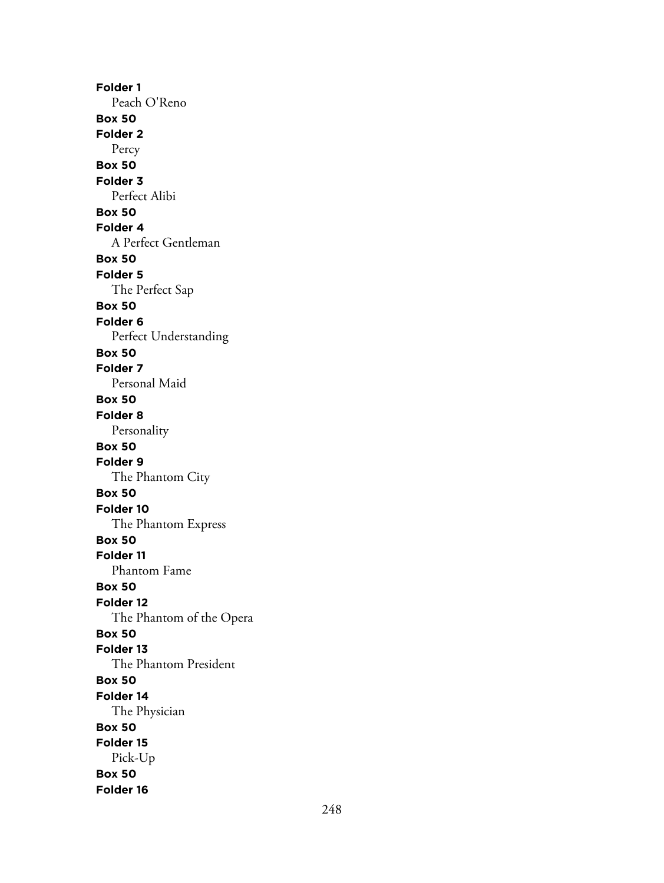**Folder 1** Peach O'Reno **Box 50 Folder 2** Percy **Box 50 Folder 3** Perfect Alibi **Box 50 Folder 4** A Perfect Gentleman **Box 50 Folder 5** The Perfect Sap **Box 50 Folder 6** Perfect Understanding **Box 50 Folder 7** Personal Maid **Box 50 Folder 8** Personality **Box 50 Folder 9** The Phantom City **Box 50 Folder 10** The Phantom Express **Box 50 Folder 11** Phantom Fame **Box 50 Folder 12** The Phantom of the Opera **Box 50 Folder 13** The Phantom President **Box 50 Folder 14** The Physician **Box 50 Folder 15** Pick-Up **Box 50 Folder 16**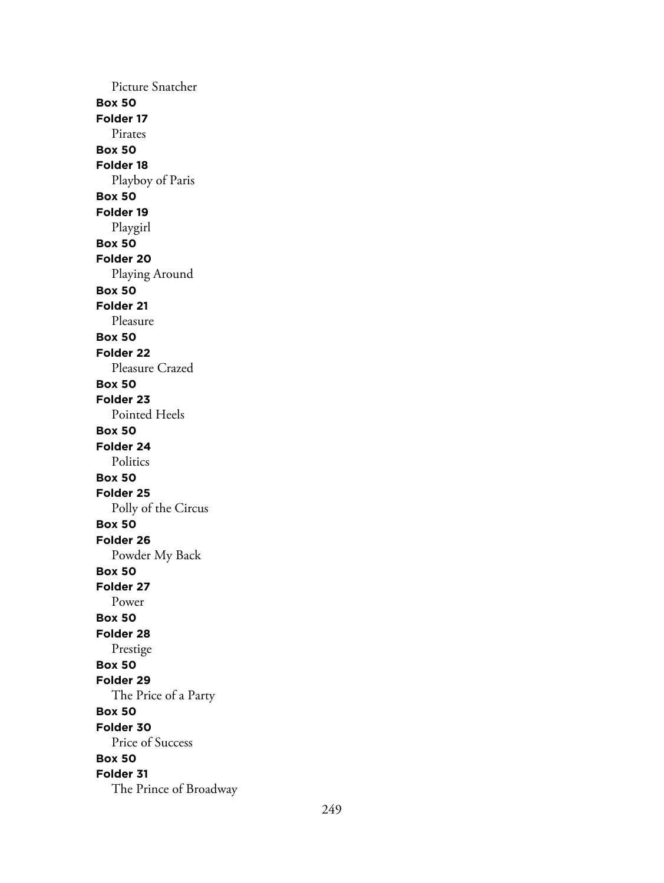Picture Snatcher **Box 50 Folder 17** Pirates **Box 50 Folder 18** Playboy of Paris **Box 50 Folder 19** Playgirl **Box 50 Folder 20** Playing Around **Box 50 Folder 21** Pleasure **Box 50 Folder 22** Pleasure Crazed **Box 50 Folder 23** Pointed Heels **Box 50 Folder 24** Politics **Box 50 Folder 25** Polly of the Circus **Box 50 Folder 26** Powder My Back **Box 50 Folder 27** Power **Box 50 Folder 28** Prestige **Box 50 Folder 29** The Price of a Party **Box 50 Folder 30** Price of Success **Box 50 Folder 31** The Prince of Broadway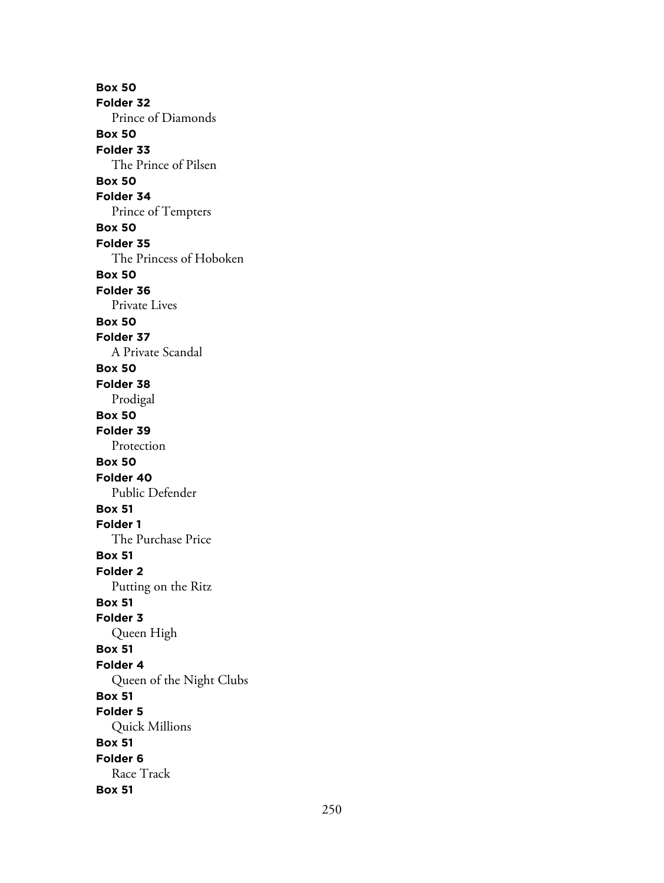**Box 50 Folder 32** Prince of Diamonds **Box 50 Folder 33** The Prince of Pilsen **Box 50 Folder 34** Prince of Tempters **Box 50 Folder 35** The Princess of Hoboken **Box 50 Folder 36** Private Lives **Box 50 Folder 37** A Private Scandal **Box 50 Folder 38** Prodigal **Box 50 Folder 39** Protection **Box 50 Folder 40** Public Defender **Box 51 Folder 1** The Purchase Price **Box 51 Folder 2** Putting on the Ritz **Box 51 Folder 3** Queen High **Box 51 Folder 4** Queen of the Night Clubs **Box 51 Folder 5** Quick Millions **Box 51 Folder 6** Race Track **Box 51**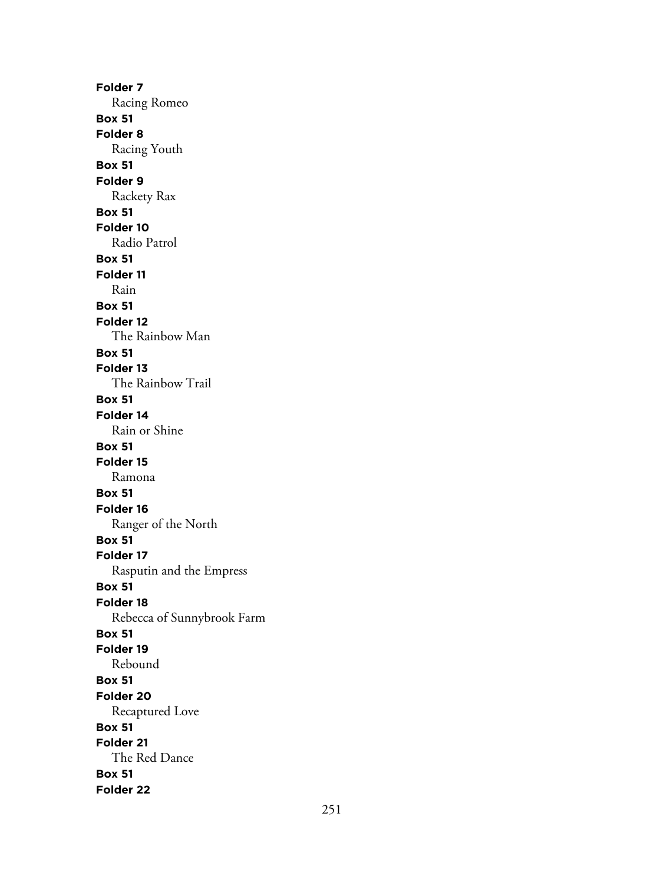**Folder 7** Racing Romeo **Box 51 Folder 8** Racing Youth **Box 51 Folder 9** Rackety Rax **Box 51 Folder 10** Radio Patrol **Box 51 Folder 11** Rain **Box 51 Folder 12** The Rainbow Man **Box 51 Folder 13** The Rainbow Trail **Box 51 Folder 14** Rain or Shine **Box 51 Folder 15** Ramona **Box 51 Folder 16** Ranger of the North **Box 51 Folder 17** Rasputin and the Empress **Box 51 Folder 18** Rebecca of Sunnybrook Farm **Box 51 Folder 19** Rebound **Box 51 Folder 20** Recaptured Love **Box 51 Folder 21** The Red Dance **Box 51 Folder 22**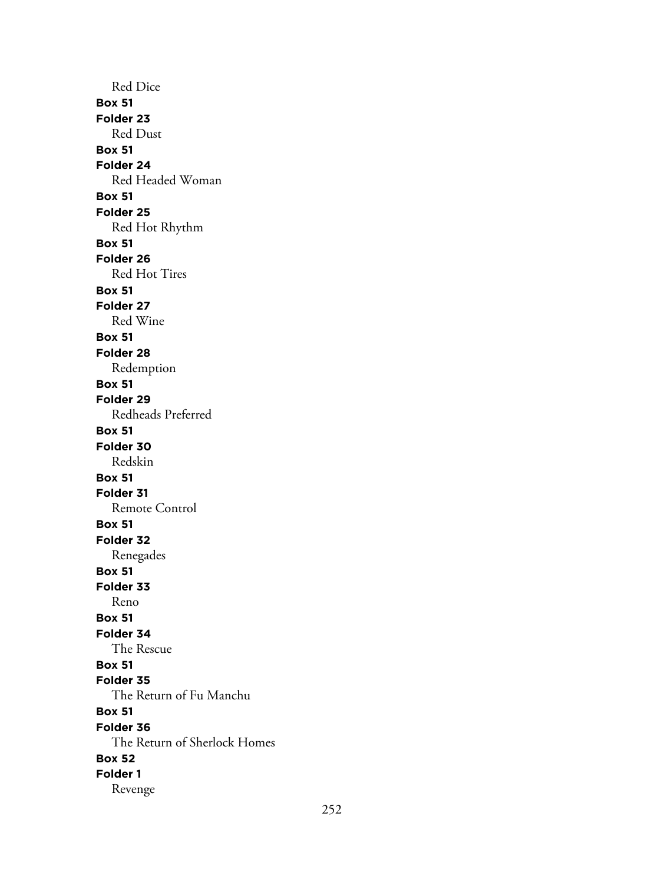Red Dice **Box 51 Folder 23** Red Dust **Box 51 Folder 24** Red Headed Woman **Box 51 Folder 25** Red Hot Rhythm **Box 51 Folder 26** Red Hot Tires **Box 51 Folder 27** Red Wine **Box 51 Folder 28** Redemption **Box 51 Folder 29** Redheads Preferred **Box 51 Folder 30** Redskin **Box 51 Folder 31** Remote Control **Box 51 Folder 32** Renegades **Box 51 Folder 33** Reno **Box 51 Folder 34** The Rescue **Box 51 Folder 35** The Return of Fu Manchu **Box 51 Folder 36** The Return of Sherlock Homes **Box 52 Folder 1** Revenge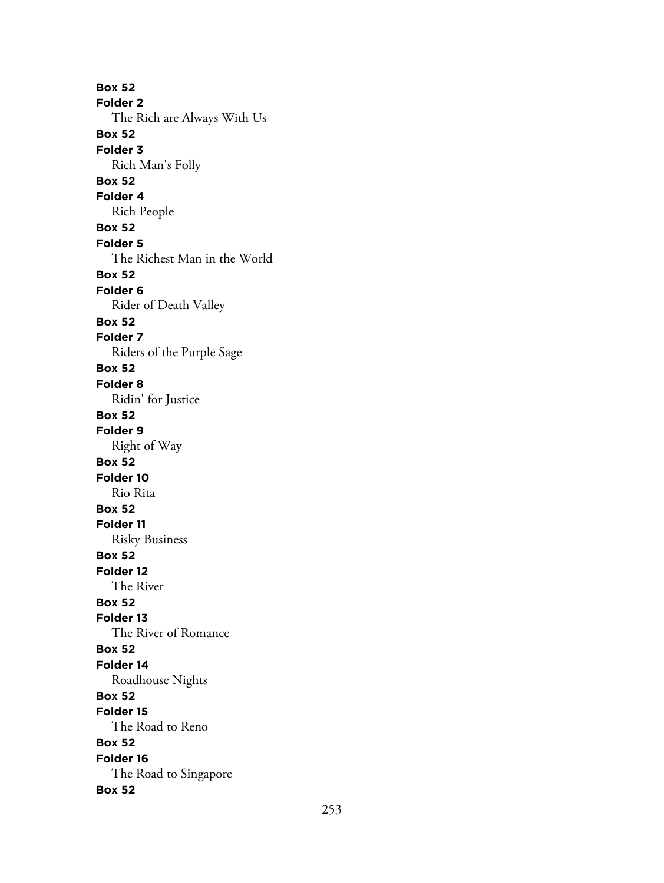**Box 52 Folder 2** The Rich are Always With Us **Box 52 Folder 3** Rich Man's Folly **Box 52 Folder 4** Rich People **Box 52 Folder 5** The Richest Man in the World **Box 52 Folder 6** Rider of Death Valley **Box 52 Folder 7** Riders of the Purple Sage **Box 52 Folder 8** Ridin' for Justice **Box 52 Folder 9** Right of Way **Box 52 Folder 10** Rio Rita **Box 52 Folder 11** Risky Business **Box 52 Folder 12** The River **Box 52 Folder 13** The River of Romance **Box 52 Folder 14** Roadhouse Nights **Box 52 Folder 15** The Road to Reno **Box 52 Folder 16** The Road to Singapore **Box 52**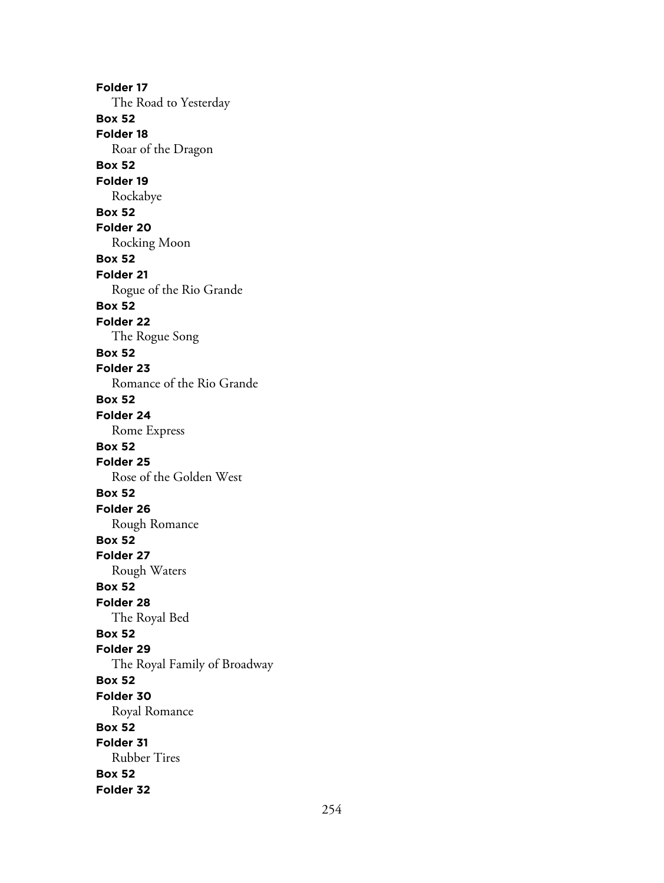**Folder 17** The Road to Yesterday **Box 52 Folder 18** Roar of the Dragon **Box 52 Folder 19** Rockabye **Box 52 Folder 20** Rocking Moon **Box 52 Folder 21** Rogue of the Rio Grande **Box 52 Folder 22** The Rogue Song **Box 52 Folder 23** Romance of the Rio Grande **Box 52 Folder 24** Rome Express **Box 52 Folder 25** Rose of the Golden West **Box 52 Folder 26** Rough Romance **Box 52 Folder 27** Rough Waters **Box 52 Folder 28** The Royal Bed **Box 52 Folder 29** The Royal Family of Broadway **Box 52 Folder 30** Royal Romance **Box 52 Folder 31** Rubber Tires **Box 52 Folder 32**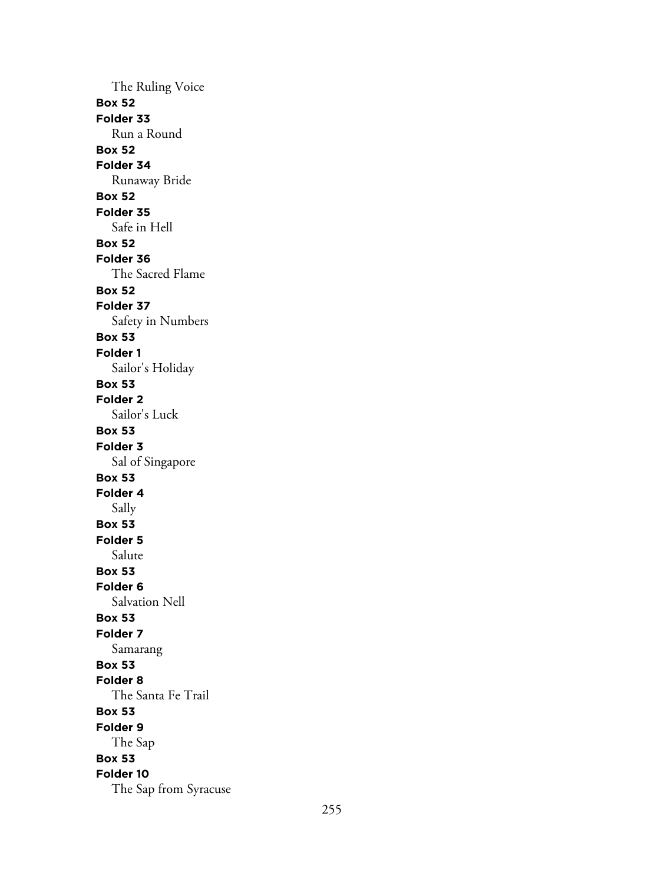The Ruling Voice **Box 52 Folder 33** Run a Round **Box 52 Folder 34** Runaway Bride **Box 52 Folder 35** Safe in Hell **Box 52 Folder 36** The Sacred Flame **Box 52 Folder 37** Safety in Numbers **Box 53 Folder 1** Sailor's Holiday **Box 53 Folder 2** Sailor's Luck **Box 53 Folder 3** Sal of Singapore **Box 53 Folder 4** Sally **Box 53 Folder 5** Salute **Box 53 Folder 6** Salvation Nell **Box 53 Folder 7** Samarang **Box 53 Folder 8** The Santa Fe Trail **Box 53 Folder 9** The Sap **Box 53 Folder 10** The Sap from Syracuse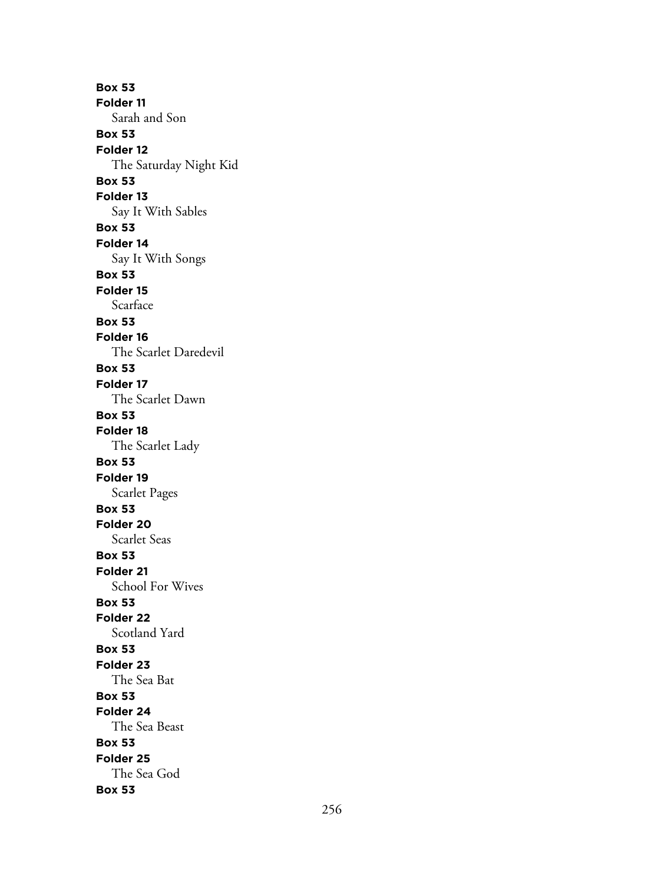**Box 53 Folder 11** Sarah and Son **Box 53 Folder 12** The Saturday Night Kid **Box 53 Folder 13** Say It With Sables **Box 53 Folder 14** Say It With Songs **Box 53 Folder 15** Scarface **Box 53 Folder 16** The Scarlet Daredevil **Box 53 Folder 17** The Scarlet Dawn **Box 53 Folder 18** The Scarlet Lady **Box 53 Folder 19** Scarlet Pages **Box 53 Folder 20** Scarlet Seas **Box 53 Folder 21** School For Wives **Box 53 Folder 22** Scotland Yard **Box 53 Folder 23** The Sea Bat **Box 53 Folder 24** The Sea Beast **Box 53 Folder 25** The Sea God **Box 53**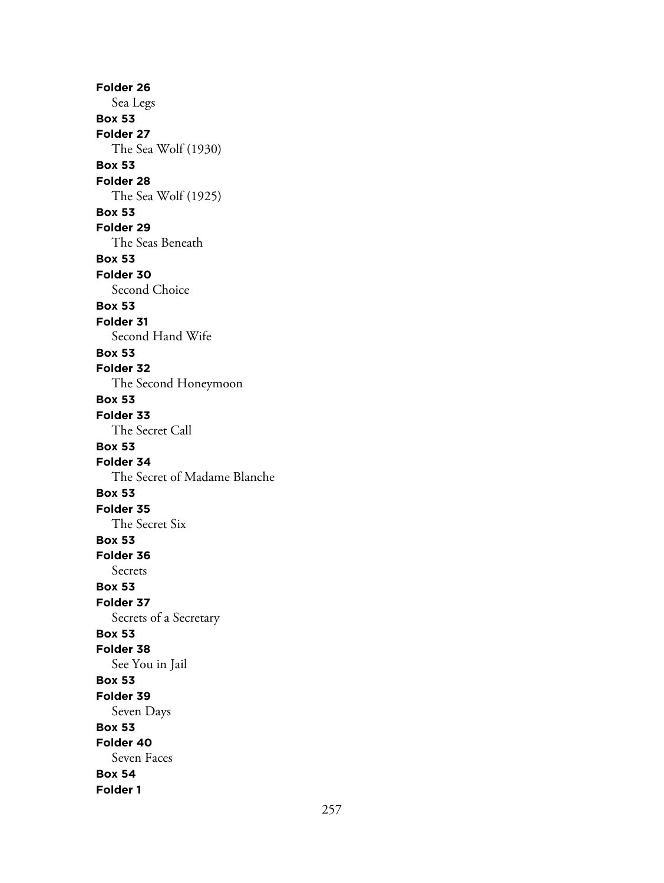**Folder 26** Sea Legs **Box 53 Folder 27** The Sea Wolf (1930) **Box 53 Folder 28** The Sea Wolf (1925) **Box 53 Folder 29** The Seas Beneath **Box 53 Folder 30** Second Choice **Box 53 Folder 31** Second Hand Wife **Box 53 Folder 32** The Second Honeymoon **Box 53 Folder 33** The Secret Call **Box 53 Folder 34** The Secret of Madame Blanche **Box 53 Folder 35** The Secret Six **Box 53 Folder 36** Secrets **Box 53 Folder 37** Secrets of a Secretary **Box 53 Folder 38** See You in Jail **Box 53 Folder 39** Seven Days **Box 53 Folder 40** Seven Faces **Box 54 Folder 1**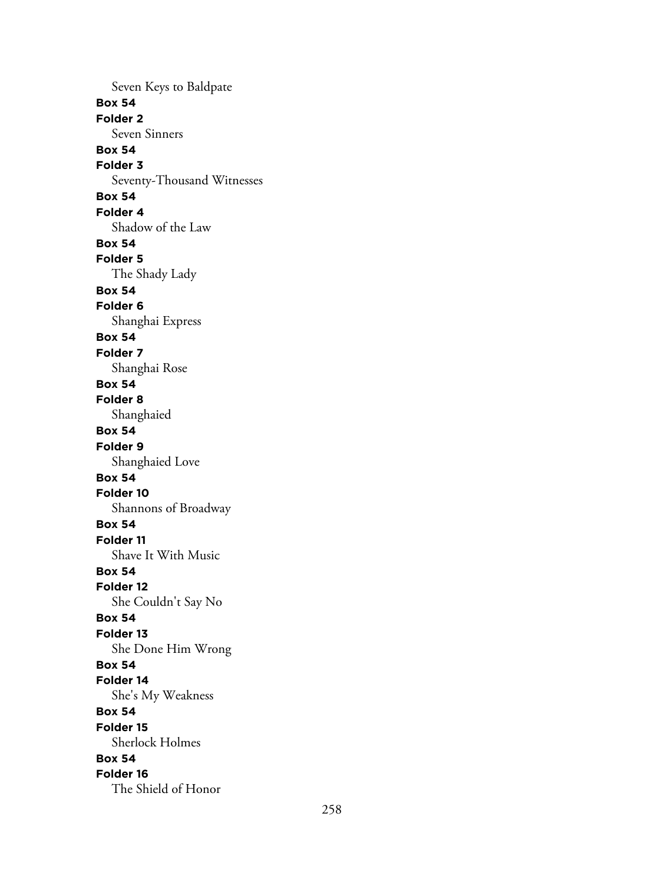Seven Keys to Baldpate **Box 54 Folder 2** Seven Sinners **Box 54 Folder 3** Seventy-Thousand Witnesses **Box 54 Folder 4** Shadow of the Law **Box 54 Folder 5** The Shady Lady **Box 54 Folder 6** Shanghai Express **Box 54 Folder 7** Shanghai Rose **Box 54 Folder 8** Shanghaied **Box 54 Folder 9** Shanghaied Love **Box 54 Folder 10** Shannons of Broadway **Box 54 Folder 11** Shave It With Music **Box 54 Folder 12** She Couldn't Say No **Box 54 Folder 13** She Done Him Wrong **Box 54 Folder 14** She's My Weakness **Box 54 Folder 15** Sherlock Holmes **Box 54 Folder 16** The Shield of Honor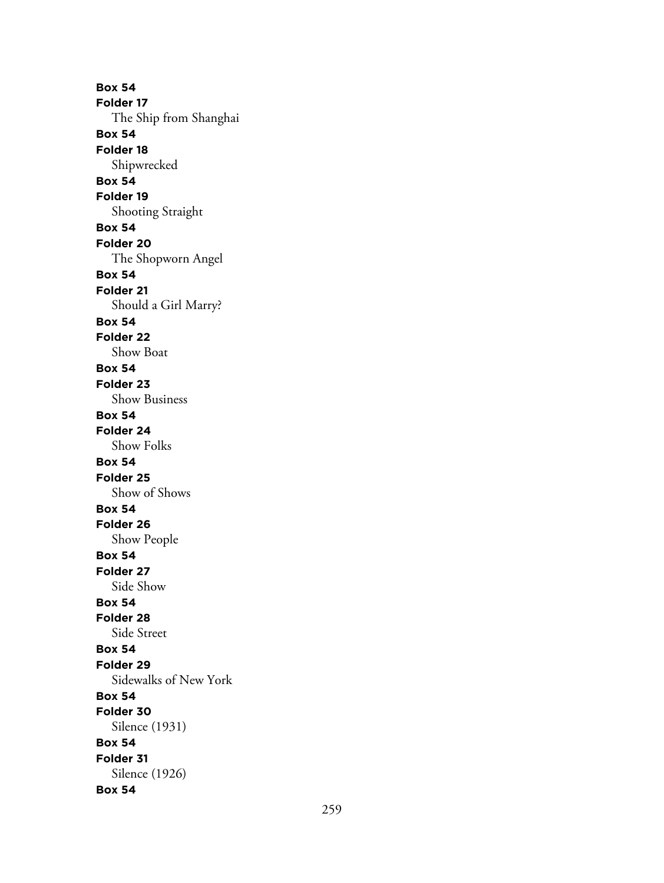**Box 54 Folder 17** The Ship from Shanghai **Box 54 Folder 18** Shipwrecked **Box 54 Folder 19** Shooting Straight **Box 54 Folder 20** The Shopworn Angel **Box 54 Folder 21** Should a Girl Marry? **Box 54 Folder 22** Show Boat **Box 54 Folder 23** Show Business **Box 54 Folder 24** Show Folks **Box 54 Folder 25** Show of Shows **Box 54 Folder 26** Show People **Box 54 Folder 27** Side Show **Box 54 Folder 28** Side Street **Box 54 Folder 29** Sidewalks of New York **Box 54 Folder 30** Silence (1931) **Box 54 Folder 31** Silence (1926) **Box 54**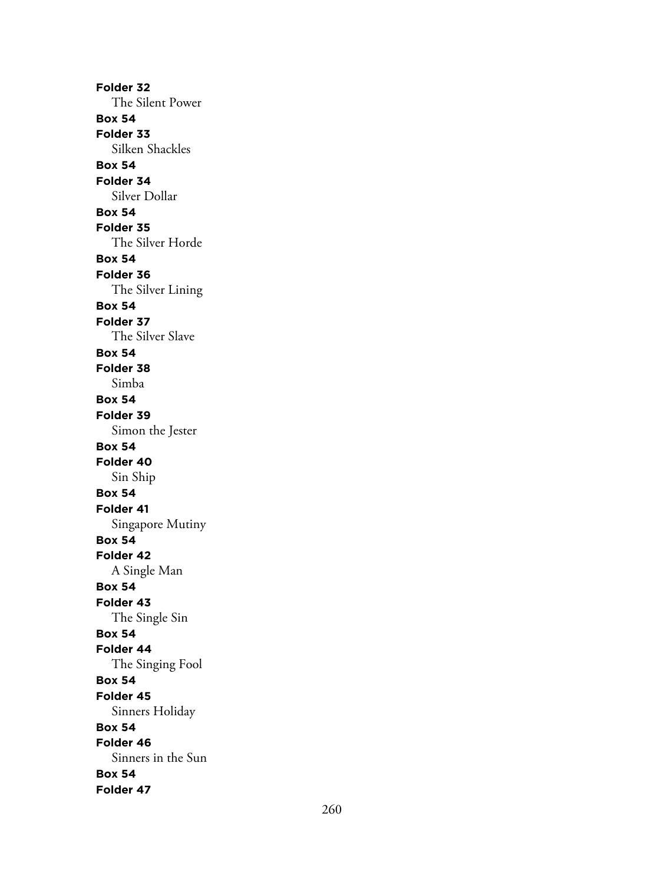**Folder 32** The Silent Power **Box 54 Folder 33** Silken Shackles **Box 54 Folder 34** Silver Dollar **Box 54 Folder 35** The Silver Horde **Box 54 Folder 36** The Silver Lining **Box 54 Folder 37** The Silver Slave **Box 54 Folder 38** Simba **Box 54 Folder 39** Simon the Jester **Box 54 Folder 40** Sin Ship **Box 54 Folder 41** Singapore Mutiny **Box 54 Folder 42** A Single Man **Box 54 Folder 43** The Single Sin **Box 54 Folder 44** The Singing Fool **Box 54 Folder 45** Sinners Holiday **Box 54 Folder 46** Sinners in the Sun **Box 54 Folder 47**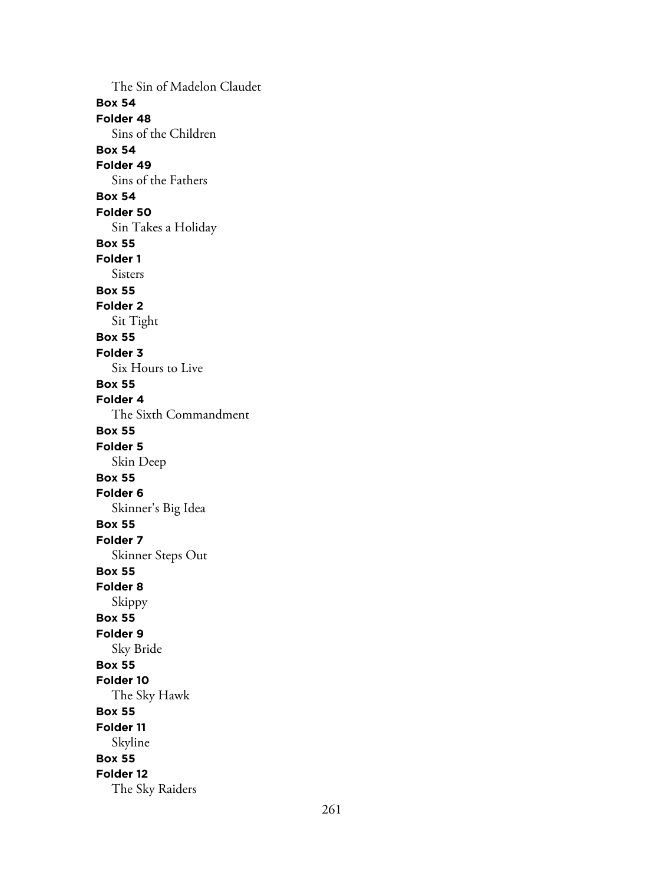The Sin of Madelon Claudet **Box 54 Folder 48** Sins of the Children **Box 54 Folder 49** Sins of the Fathers **Box 54 Folder 50** Sin Takes a Holiday **Box 55 Folder 1** Sisters **Box 55 Folder 2** Sit Tight **Box 55 Folder 3** Six Hours to Live **Box 55 Folder 4** The Sixth Commandment **Box 55 Folder 5** Skin Deep **Box 55 Folder 6** Skinner's Big Idea **Box 55 Folder 7** Skinner Steps Out **Box 55 Folder 8** Skippy **Box 55 Folder 9** Sky Bride **Box 55 Folder 10** The Sky Hawk **Box 55 Folder 11** Skyline **Box 55 Folder 12** The Sky Raiders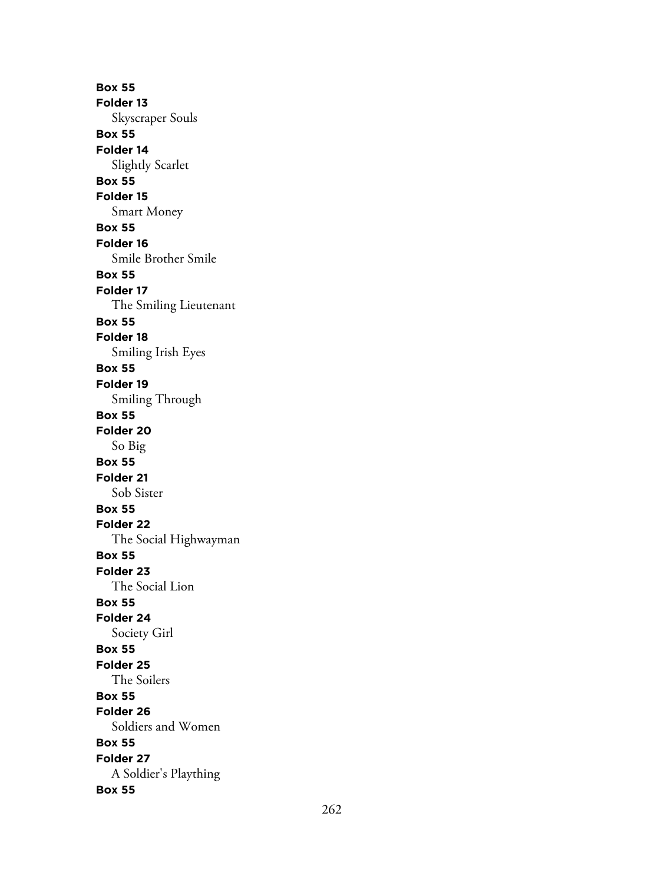**Box 55 Folder 13** Skyscraper Souls **Box 55 Folder 14** Slightly Scarlet **Box 55 Folder 15** Smart Money **Box 55 Folder 16** Smile Brother Smile **Box 55 Folder 17** The Smiling Lieutenant **Box 55 Folder 18** Smiling Irish Eyes **Box 55 Folder 19** Smiling Through **Box 55 Folder 20** So Big **Box 55 Folder 21** Sob Sister **Box 55 Folder 22** The Social Highwayman **Box 55 Folder 23** The Social Lion **Box 55 Folder 24** Society Girl **Box 55 Folder 25** The Soilers **Box 55 Folder 26** Soldiers and Women **Box 55 Folder 27** A Soldier's Plaything **Box 55**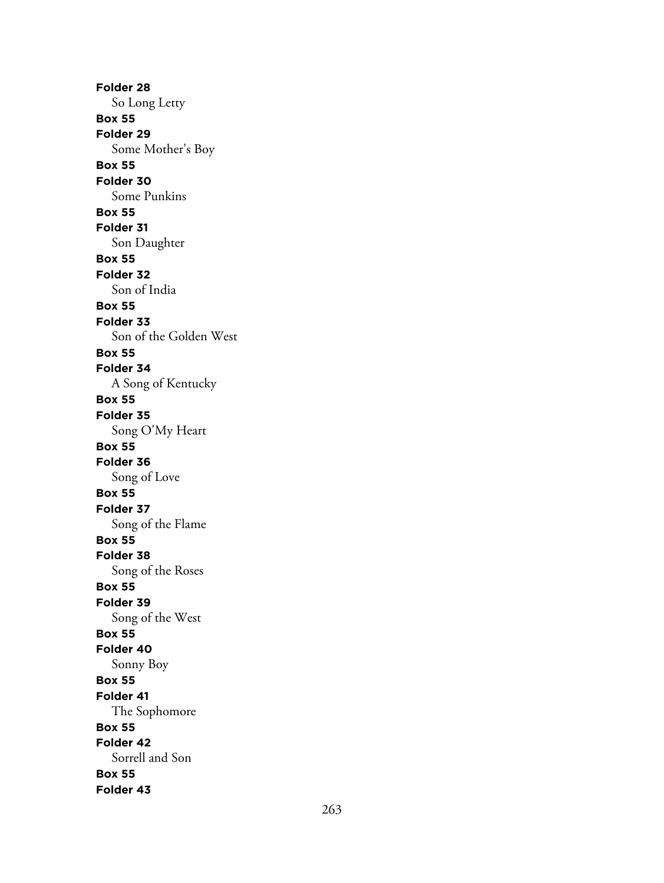**Folder 28** So Long Letty **Box 55 Folder 29** Some Mother's Boy **Box 55 Folder 30** Some Punkins **Box 55 Folder 31** Son Daughter **Box 55 Folder 32** Son of India **Box 55 Folder 33** Son of the Golden West **Box 55 Folder 34** A Song of Kentucky **Box 55 Folder 35** Song O'My Heart **Box 55 Folder 36** Song of Love **Box 55 Folder 37** Song of the Flame **Box 55 Folder 38** Song of the Roses **Box 55 Folder 39** Song of the West **Box 55 Folder 40** Sonny Boy **Box 55 Folder 41** The Sophomore **Box 55 Folder 42** Sorrell and Son **Box 55 Folder 43**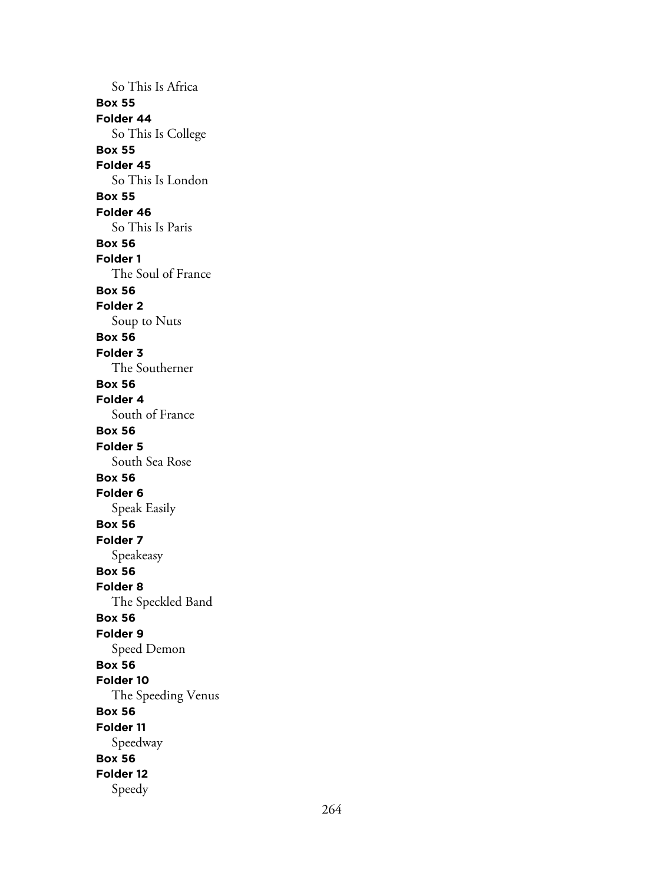So This Is Africa **Box 55 Folder 44** So This Is College **Box 55 Folder 45** So This Is London **Box 55 Folder 46** So This Is Paris **Box 56 Folder 1** The Soul of France **Box 56 Folder 2** Soup to Nuts **Box 56 Folder 3** The Southerner **Box 56 Folder 4** South of France **Box 56 Folder 5** South Sea Rose **Box 56 Folder 6** Speak Easily **Box 56 Folder 7** Speakeasy **Box 56 Folder 8** The Speckled Band **Box 56 Folder 9** Speed Demon **Box 56 Folder 10** The Speeding Venus **Box 56 Folder 11** Speedway **Box 56 Folder 12** Speedy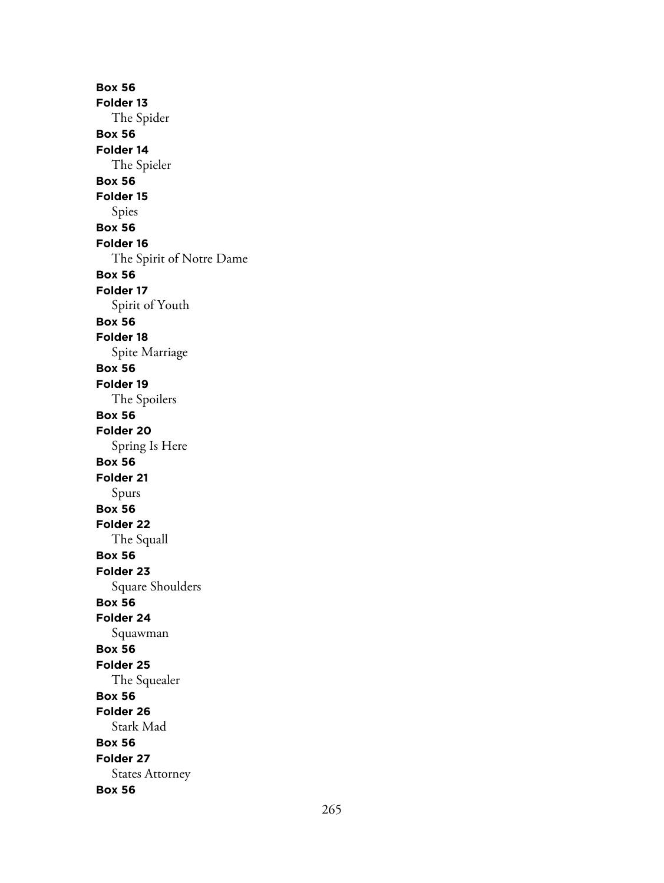**Box 56 Folder 13** The Spider **Box 56 Folder 14** The Spieler **Box 56 Folder 15** Spies **Box 56 Folder 16** The Spirit of Notre Dame **Box 56 Folder 17** Spirit of Youth **Box 56 Folder 18** Spite Marriage **Box 56 Folder 19** The Spoilers **Box 56 Folder 20** Spring Is Here **Box 56 Folder 21** Spurs **Box 56 Folder 22** The Squall **Box 56 Folder 23** Square Shoulders **Box 56 Folder 24** Squawman **Box 56 Folder 25** The Squealer **Box 56 Folder 26** Stark Mad **Box 56 Folder 27** States Attorney **Box 56**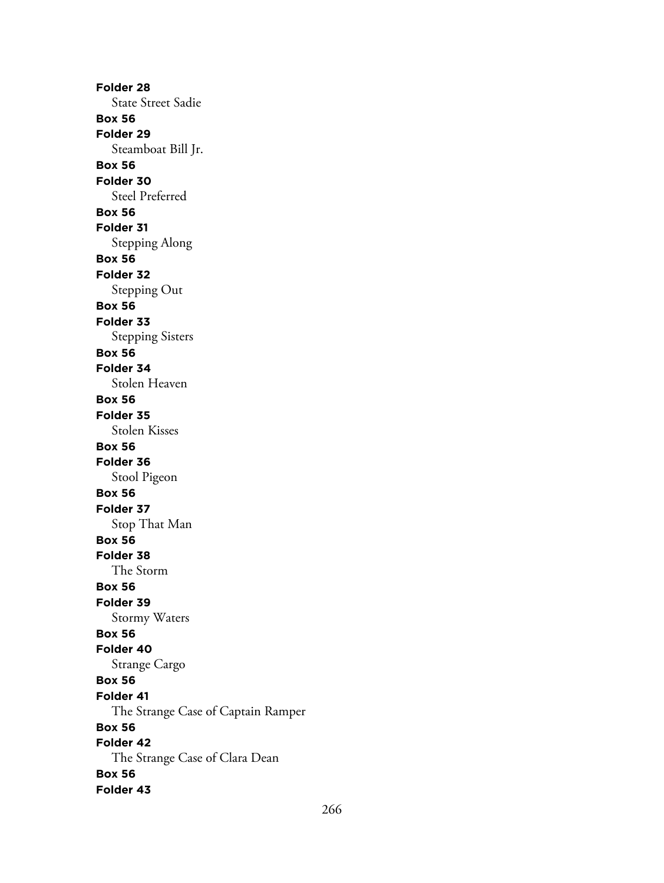**Folder 28** State Street Sadie **Box 56 Folder 29** Steamboat Bill Jr. **Box 56 Folder 30** Steel Preferred **Box 56 Folder 31** Stepping Along **Box 56 Folder 32** Stepping Out **Box 56 Folder 33** Stepping Sisters **Box 56 Folder 34** Stolen Heaven **Box 56 Folder 35** Stolen Kisses **Box 56 Folder 36** Stool Pigeon **Box 56 Folder 37** Stop That Man **Box 56 Folder 38** The Storm **Box 56 Folder 39** Stormy Waters **Box 56 Folder 40** Strange Cargo **Box 56 Folder 41** The Strange Case of Captain Ramper **Box 56 Folder 42** The Strange Case of Clara Dean **Box 56 Folder 43**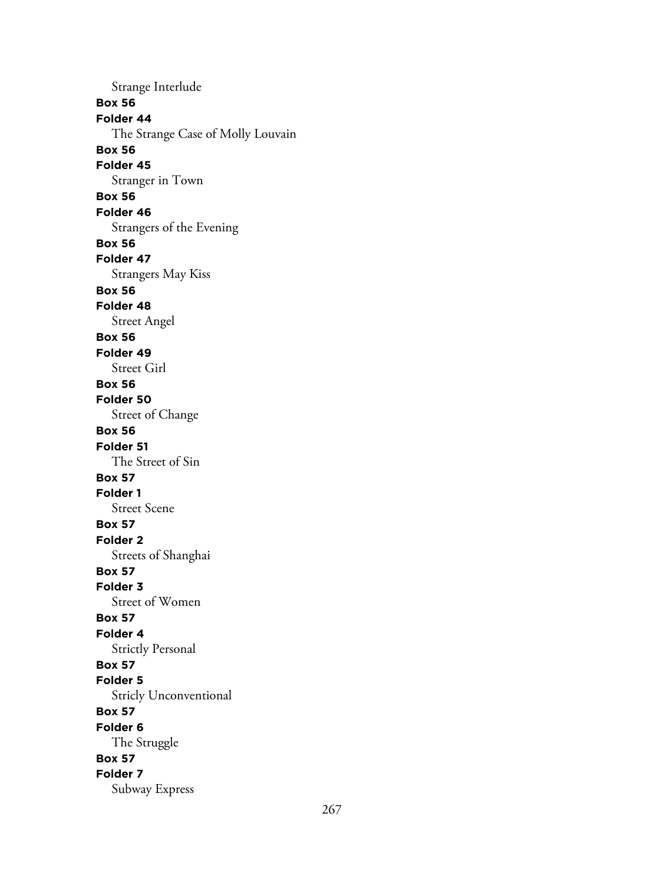Strange Interlude **Box 56 Folder 44** The Strange Case of Molly Louvain **Box 56 Folder 45** Stranger in Town **Box 56 Folder 46** Strangers of the Evening **Box 56 Folder 47** Strangers May Kiss **Box 56 Folder 48** Street Angel **Box 56 Folder 49** Street Girl **Box 56 Folder 50** Street of Change **Box 56 Folder 51** The Street of Sin **Box 57 Folder 1** Street Scene **Box 57 Folder 2** Streets of Shanghai **Box 57 Folder 3** Street of Women **Box 57 Folder 4** Strictly Personal **Box 57 Folder 5** Stricly Unconventional **Box 57 Folder 6** The Struggle **Box 57 Folder 7** Subway Express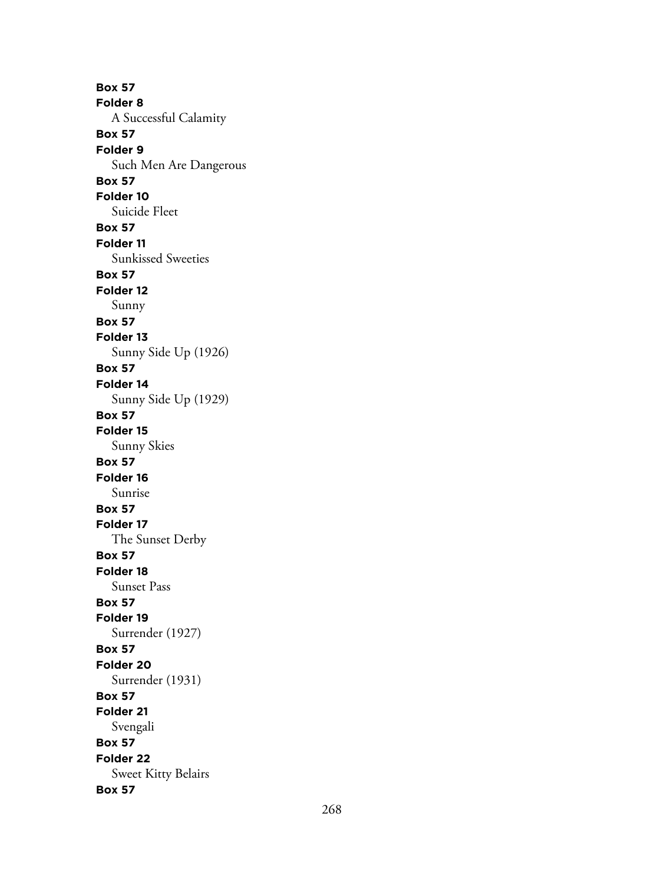**Box 57 Folder 8** A Successful Calamity **Box 57 Folder 9** Such Men Are Dangerous **Box 57 Folder 10** Suicide Fleet **Box 57 Folder 11** Sunkissed Sweeties **Box 57 Folder 12** Sunny **Box 57 Folder 13** Sunny Side Up (1926) **Box 57 Folder 14** Sunny Side Up (1929) **Box 57 Folder 15** Sunny Skies **Box 57 Folder 16** Sunrise **Box 57 Folder 17** The Sunset Derby **Box 57 Folder 18** Sunset Pass **Box 57 Folder 19** Surrender (1927) **Box 57 Folder 20** Surrender (1931) **Box 57 Folder 21** Svengali **Box 57 Folder 22** Sweet Kitty Belairs **Box 57**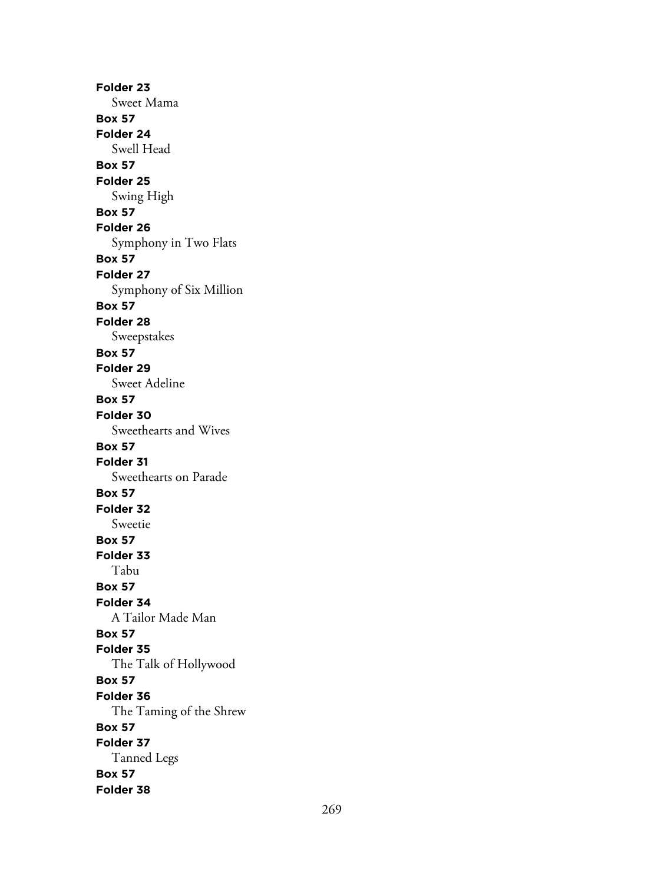**Folder 23** Sweet Mama **Box 57 Folder 24** Swell Head **Box 57 Folder 25** Swing High **Box 57 Folder 26** Symphony in Two Flats **Box 57 Folder 27** Symphony of Six Million **Box 57 Folder 28** Sweepstakes **Box 57 Folder 29** Sweet Adeline **Box 57 Folder 30** Sweethearts and Wives **Box 57 Folder 31** Sweethearts on Parade **Box 57 Folder 32** Sweetie **Box 57 Folder 33** Tabu **Box 57 Folder 34** A Tailor Made Man **Box 57 Folder 35** The Talk of Hollywood **Box 57 Folder 36** The Taming of the Shrew **Box 57 Folder 37** Tanned Legs **Box 57 Folder 38**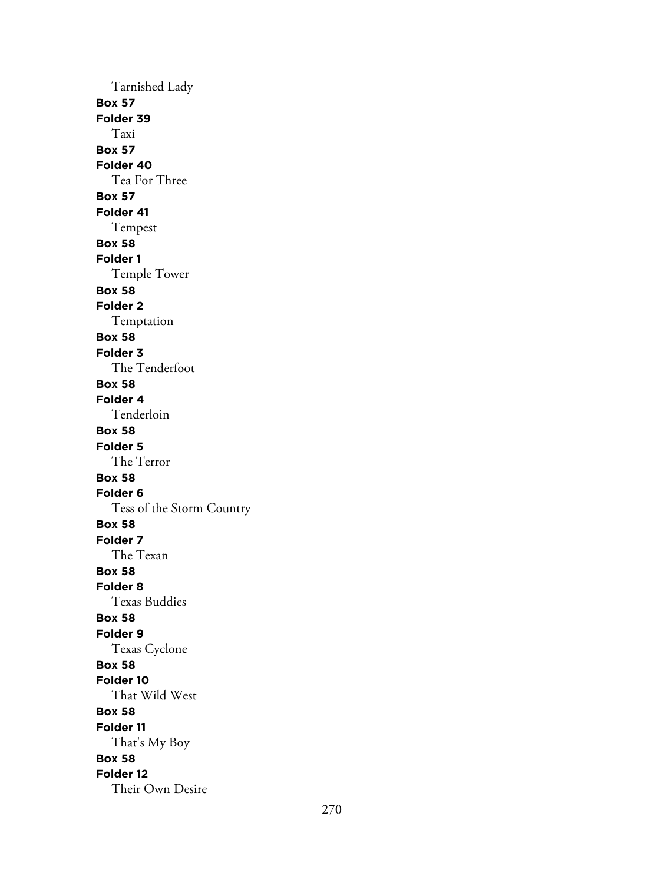Tarnished Lady **Box 57 Folder 39** Taxi **Box 57 Folder 40** Tea For Three **Box 57 Folder 41** Tempest **Box 58 Folder 1** Temple Tower **Box 58 Folder 2** Temptation **Box 58 Folder 3** The Tenderfoot **Box 58 Folder 4** Tenderloin **Box 58 Folder 5** The Terror **Box 58 Folder 6** Tess of the Storm Country **Box 58 Folder 7** The Texan **Box 58 Folder 8** Texas Buddies **Box 58 Folder 9** Texas Cyclone **Box 58 Folder 10** That Wild West **Box 58 Folder 11** That's My Boy **Box 58 Folder 12** Their Own Desire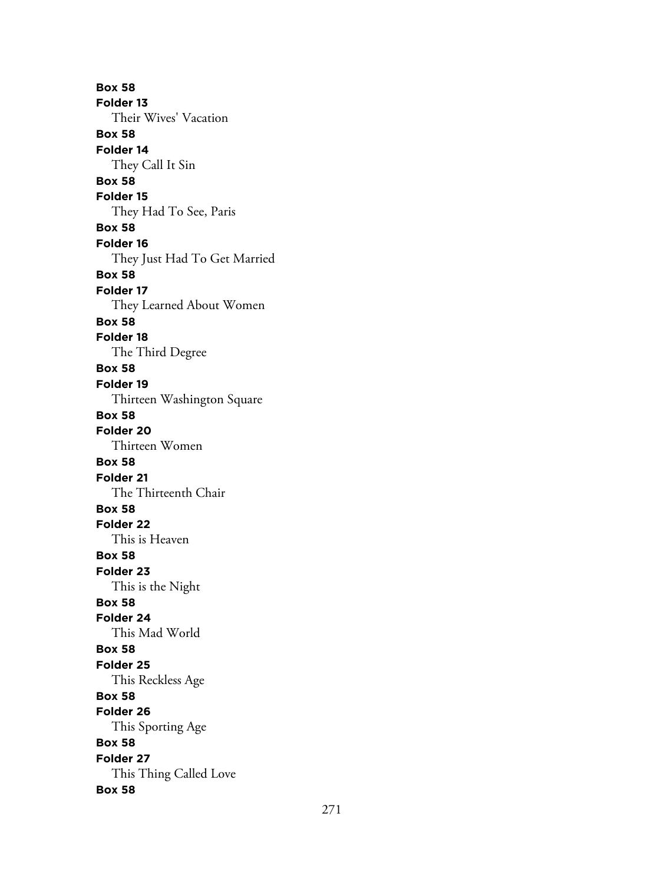**Box 58 Folder 13** Their Wives' Vacation **Box 58 Folder 14** They Call It Sin **Box 58 Folder 15** They Had To See, Paris **Box 58 Folder 16** They Just Had To Get Married **Box 58 Folder 17** They Learned About Women **Box 58 Folder 18** The Third Degree **Box 58 Folder 19** Thirteen Washington Square **Box 58 Folder 20** Thirteen Women **Box 58 Folder 21** The Thirteenth Chair **Box 58 Folder 22** This is Heaven **Box 58 Folder 23** This is the Night **Box 58 Folder 24** This Mad World **Box 58 Folder 25** This Reckless Age **Box 58 Folder 26** This Sporting Age **Box 58 Folder 27** This Thing Called Love **Box 58**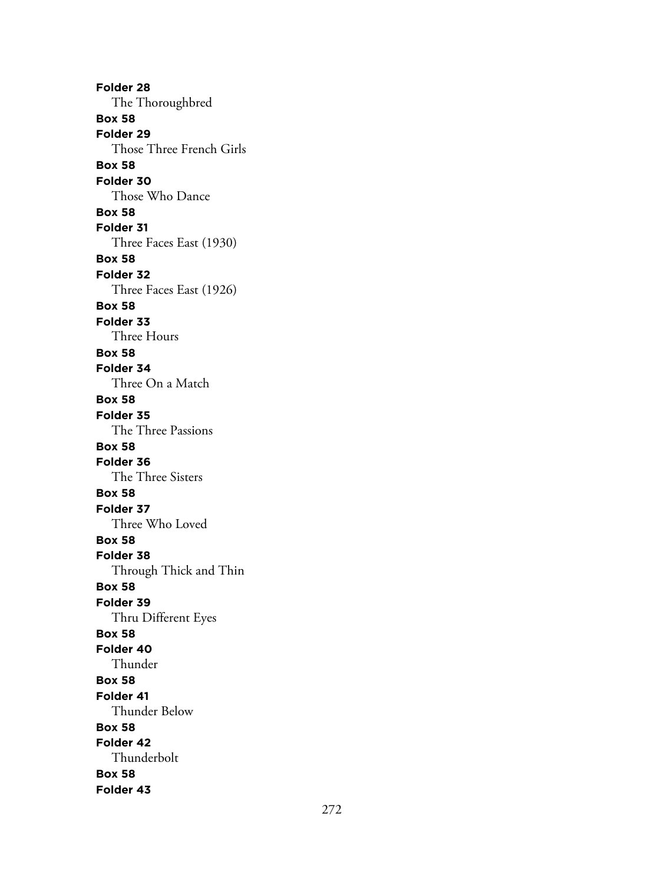**Folder 28** The Thoroughbred **Box 58 Folder 29** Those Three French Girls **Box 58 Folder 30** Those Who Dance **Box 58 Folder 31** Three Faces East (1930) **Box 58 Folder 32** Three Faces East (1926) **Box 58 Folder 33** Three Hours **Box 58 Folder 34** Three On a Match **Box 58 Folder 35** The Three Passions **Box 58 Folder 36** The Three Sisters **Box 58 Folder 37** Three Who Loved **Box 58 Folder 38** Through Thick and Thin **Box 58 Folder 39** Thru Different Eyes **Box 58 Folder 40** Thunder **Box 58 Folder 41** Thunder Below **Box 58 Folder 42** Thunderbolt **Box 58 Folder 43**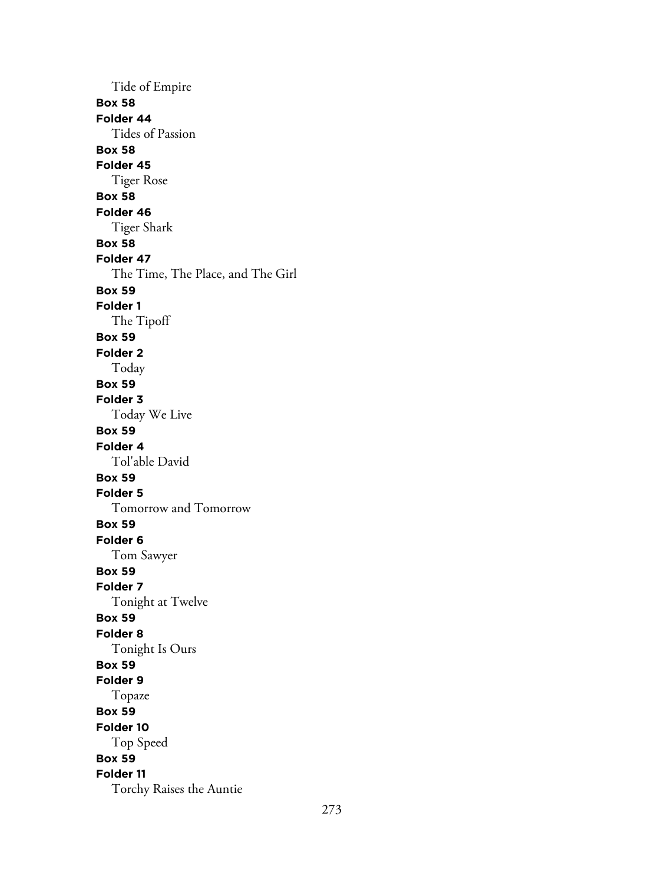Tide of Empire **Box 58 Folder 44** Tides of Passion **Box 58 Folder 45** Tiger Rose **Box 58 Folder 46** Tiger Shark **Box 58 Folder 47** The Time, The Place, and The Girl **Box 59 Folder 1** The Tipoff **Box 59 Folder 2** Today **Box 59 Folder 3** Today We Live **Box 59 Folder 4** Tol'able David **Box 59 Folder 5** Tomorrow and Tomorrow **Box 59 Folder 6** Tom Sawyer **Box 59 Folder 7** Tonight at Twelve **Box 59 Folder 8** Tonight Is Ours **Box 59 Folder 9** Topaze **Box 59 Folder 10** Top Speed **Box 59 Folder 11** Torchy Raises the Auntie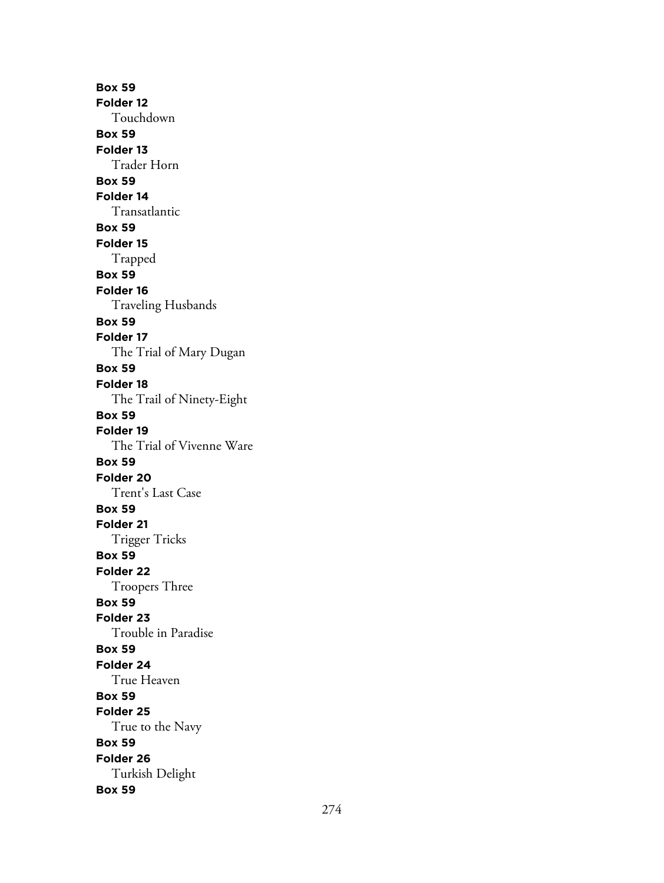**Box 59 Folder 12** Touchdown **Box 59 Folder 13** Trader Horn **Box 59 Folder 14** Transatlantic **Box 59 Folder 15** Trapped **Box 59 Folder 16** Traveling Husbands **Box 59 Folder 17** The Trial of Mary Dugan **Box 59 Folder 18** The Trail of Ninety-Eight **Box 59 Folder 19** The Trial of Vivenne Ware **Box 59 Folder 20** Trent's Last Case **Box 59 Folder 21** Trigger Tricks **Box 59 Folder 22** Troopers Three **Box 59 Folder 23** Trouble in Paradise **Box 59 Folder 24** True Heaven **Box 59 Folder 25** True to the Navy **Box 59 Folder 26** Turkish Delight **Box 59**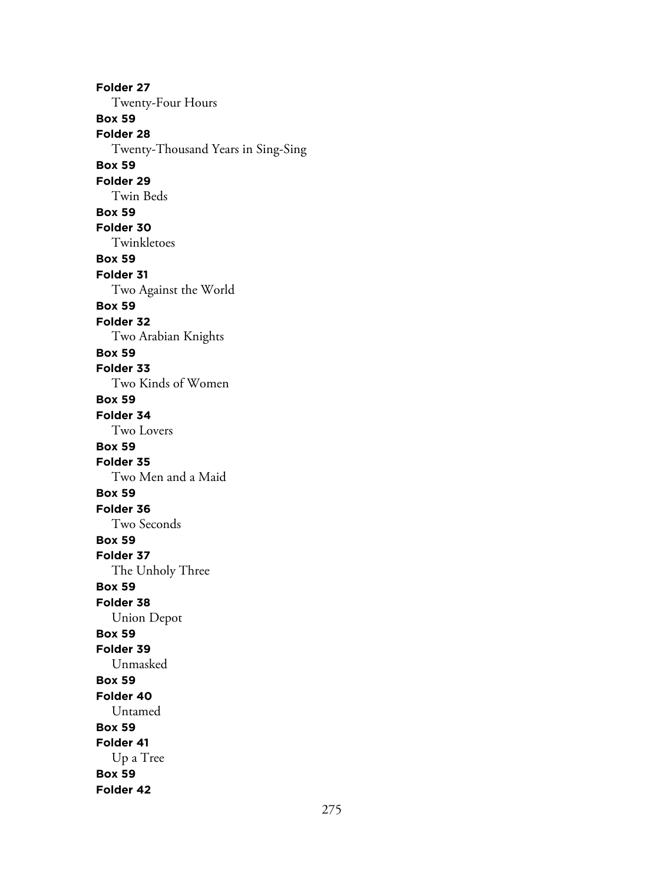**Folder 27** Twenty-Four Hours **Box 59 Folder 28** Twenty-Thousand Years in Sing-Sing **Box 59 Folder 29** Twin Beds **Box 59 Folder 30** Twinkletoes **Box 59 Folder 31** Two Against the World **Box 59 Folder 32** Two Arabian Knights **Box 59 Folder 33** Two Kinds of Women **Box 59 Folder 34** Two Lovers **Box 59 Folder 35** Two Men and a Maid **Box 59 Folder 36** Two Seconds **Box 59 Folder 37** The Unholy Three **Box 59 Folder 38** Union Depot **Box 59 Folder 39** Unmasked **Box 59 Folder 40** Untamed **Box 59 Folder 41** Up a Tree **Box 59 Folder 42**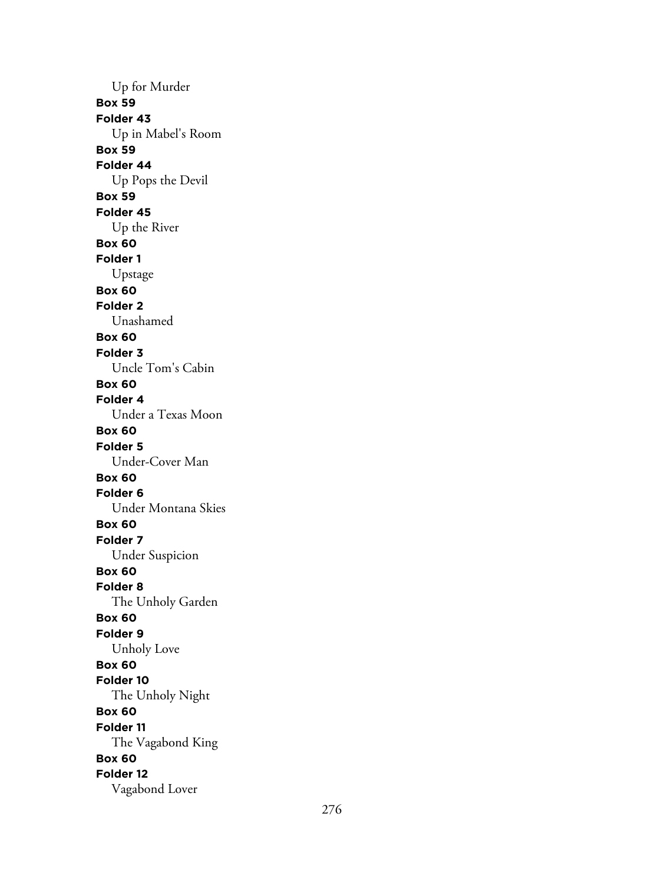Up for Murder **Box 59 Folder 43** Up in Mabel's Room **Box 59 Folder 44** Up Pops the Devil **Box 59 Folder 45** Up the River **Box 60 Folder 1** Upstage **Box 60 Folder 2** Unashamed **Box 60 Folder 3** Uncle Tom's Cabin **Box 60 Folder 4** Under a Texas Moon **Box 60 Folder 5** Under-Cover Man **Box 60 Folder 6** Under Montana Skies **Box 60 Folder 7** Under Suspicion **Box 60 Folder 8** The Unholy Garden **Box 60 Folder 9** Unholy Love **Box 60 Folder 10** The Unholy Night **Box 60 Folder 11** The Vagabond King **Box 60 Folder 12** Vagabond Lover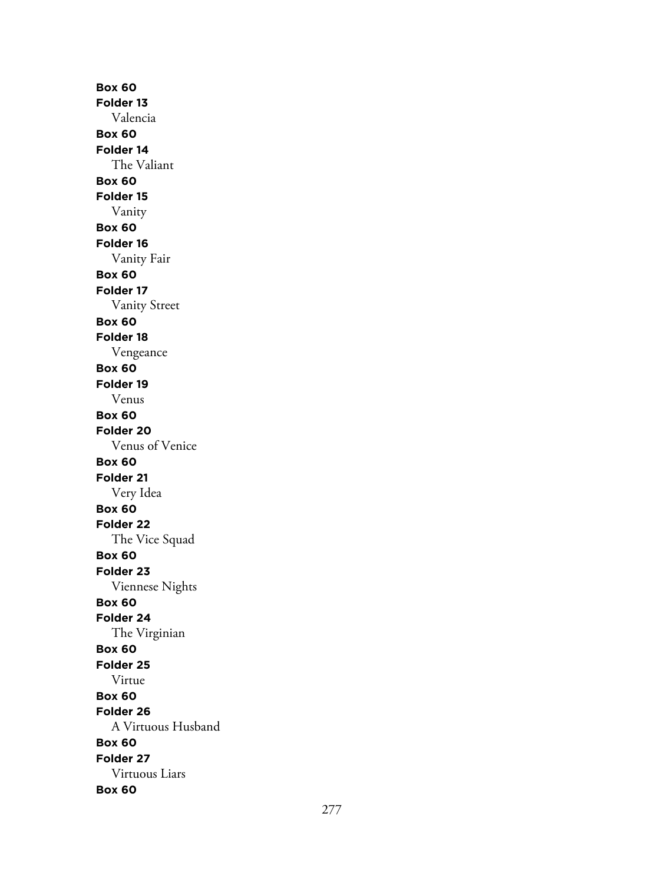**Box 60 Folder 13** Valencia **Box 60 Folder 14** The Valiant **Box 60 Folder 15** Vanity **Box 60 Folder 16** Vanity Fair **Box 60 Folder 17** Vanity Street **Box 60 Folder 18** Vengeance **Box 60 Folder 19** Venus **Box 60 Folder 20** Venus of Venice **Box 60 Folder 21** Very Idea **Box 60 Folder 22** The Vice Squad **Box 60 Folder 23** Viennese Nights **Box 60 Folder 24** The Virginian **Box 60 Folder 25** Virtue **Box 60 Folder 26** A Virtuous Husband **Box 60 Folder 27** Virtuous Liars **Box 60**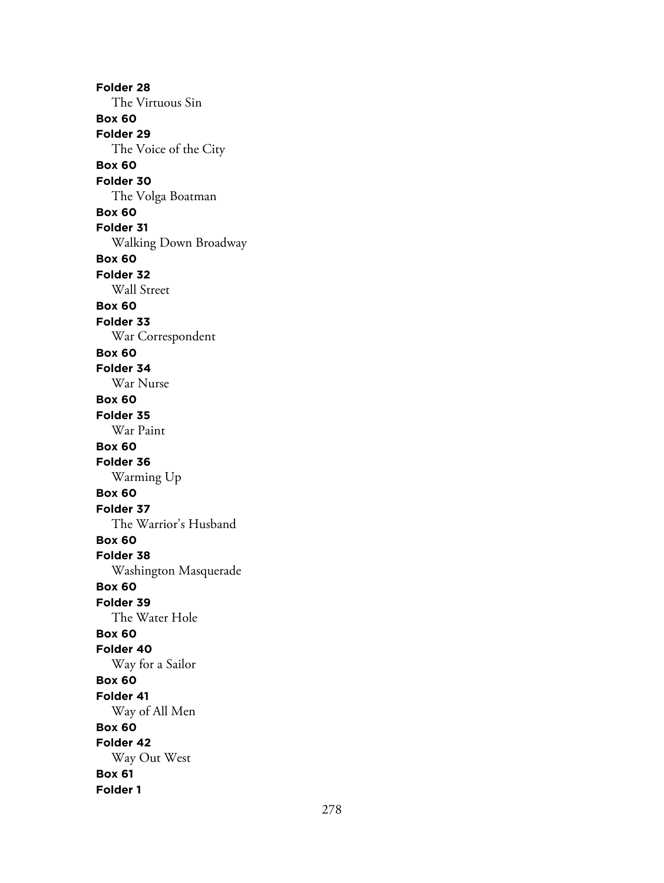**Folder 28** The Virtuous Sin **Box 60 Folder 29** The Voice of the City **Box 60 Folder 30** The Volga Boatman **Box 60 Folder 31** Walking Down Broadway **Box 60 Folder 32** Wall Street **Box 60 Folder 33** War Correspondent **Box 60 Folder 34** War Nurse **Box 60 Folder 35** War Paint **Box 60 Folder 36** Warming Up **Box 60 Folder 37** The Warrior's Husband **Box 60 Folder 38** Washington Masquerade **Box 60 Folder 39** The Water Hole **Box 60 Folder 40** Way for a Sailor **Box 60 Folder 41** Way of All Men **Box 60 Folder 42** Way Out West **Box 61 Folder 1**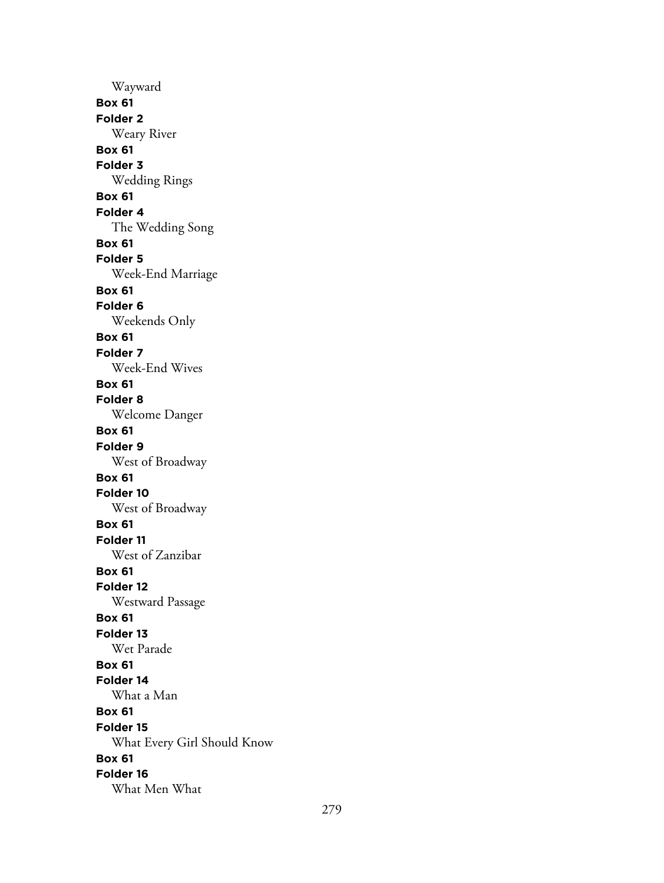Wayward **Box 61 Folder 2** Weary River **Box 61 Folder 3** Wedding Rings **Box 61 Folder 4** The Wedding Song **Box 61 Folder 5** Week-End Marriage **Box 61 Folder 6** Weekends Only **Box 61 Folder 7** Week-End Wives **Box 61 Folder 8** Welcome Danger **Box 61 Folder 9** West of Broadway **Box 61 Folder 10** West of Broadway **Box 61 Folder 11** West of Zanzibar **Box 61 Folder 12** Westward Passage **Box 61 Folder 13** Wet Parade **Box 61 Folder 14** What a Man **Box 61 Folder 15** What Every Girl Should Know **Box 61 Folder 16** What Men What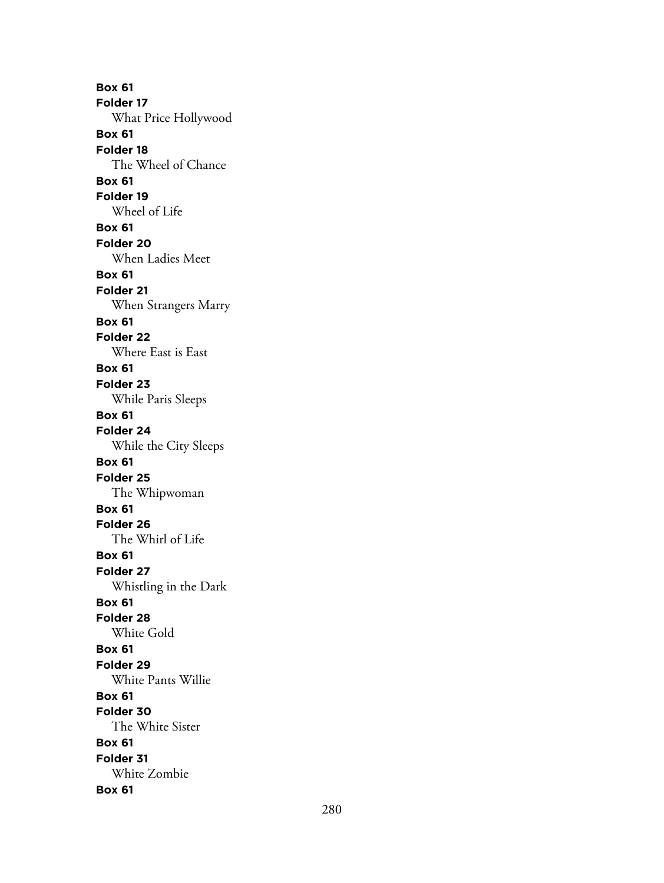**Box 61 Folder 17** What Price Hollywood **Box 61 Folder 18** The Wheel of Chance **Box 61 Folder 19** Wheel of Life **Box 61 Folder 20** When Ladies Meet **Box 61 Folder 21** When Strangers Marry **Box 61 Folder 22** Where East is East **Box 61 Folder 23** While Paris Sleeps **Box 61 Folder 24** While the City Sleeps **Box 61 Folder 25** The Whipwoman **Box 61 Folder 26** The Whirl of Life **Box 61 Folder 27** Whistling in the Dark **Box 61 Folder 28** White Gold **Box 61 Folder 29** White Pants Willie **Box 61 Folder 30** The White Sister **Box 61 Folder 31** White Zombie **Box 61**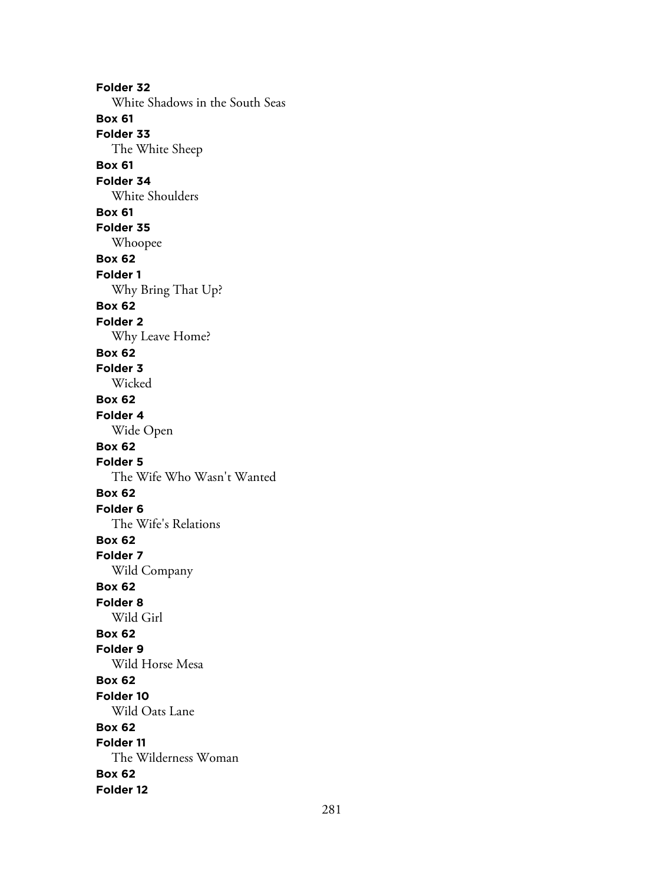**Folder 32** White Shadows in the South Seas **Box 61 Folder 33** The White Sheep **Box 61 Folder 34** White Shoulders **Box 61 Folder 35** Whoopee **Box 62 Folder 1** Why Bring That Up? **Box 62 Folder 2** Why Leave Home? **Box 62 Folder 3** Wicked **Box 62 Folder 4** Wide Open **Box 62 Folder 5** The Wife Who Wasn't Wanted **Box 62 Folder 6** The Wife's Relations **Box 62 Folder 7** Wild Company **Box 62 Folder 8** Wild Girl **Box 62 Folder 9** Wild Horse Mesa **Box 62 Folder 10** Wild Oats Lane **Box 62 Folder 11** The Wilderness Woman **Box 62 Folder 12**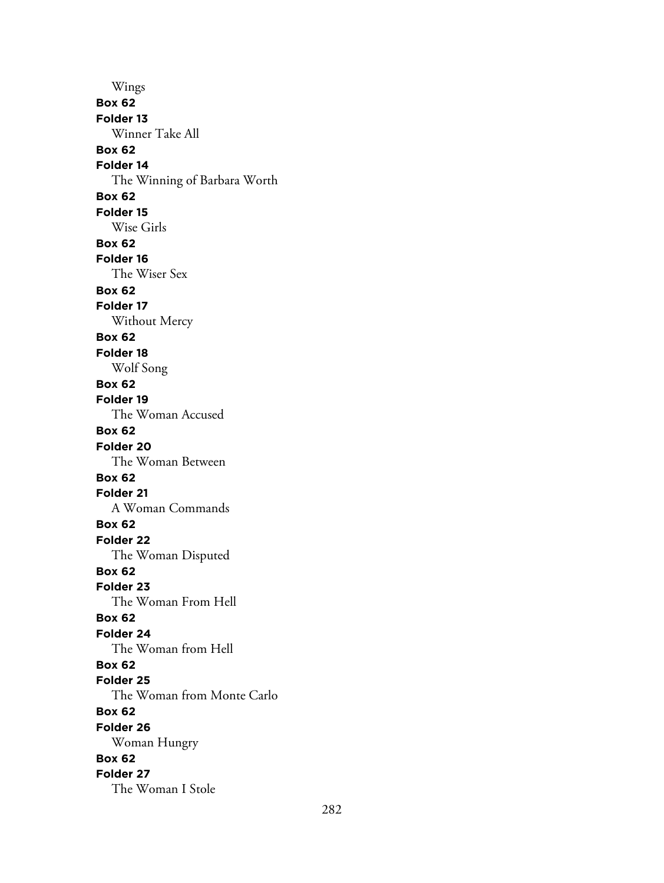Wings **Box 62 Folder 13** Winner Take All **Box 62 Folder 14** The Winning of Barbara Worth **Box 62 Folder 15** Wise Girls **Box 62 Folder 16** The Wiser Sex **Box 62 Folder 17** Without Mercy **Box 62 Folder 18** Wolf Song **Box 62 Folder 19** The Woman Accused **Box 62 Folder 20** The Woman Between **Box 62 Folder 21** A Woman Commands **Box 62 Folder 22** The Woman Disputed **Box 62 Folder 23** The Woman From Hell **Box 62 Folder 24** The Woman from Hell **Box 62 Folder 25** The Woman from Monte Carlo **Box 62 Folder 26** Woman Hungry **Box 62 Folder 27** The Woman I Stole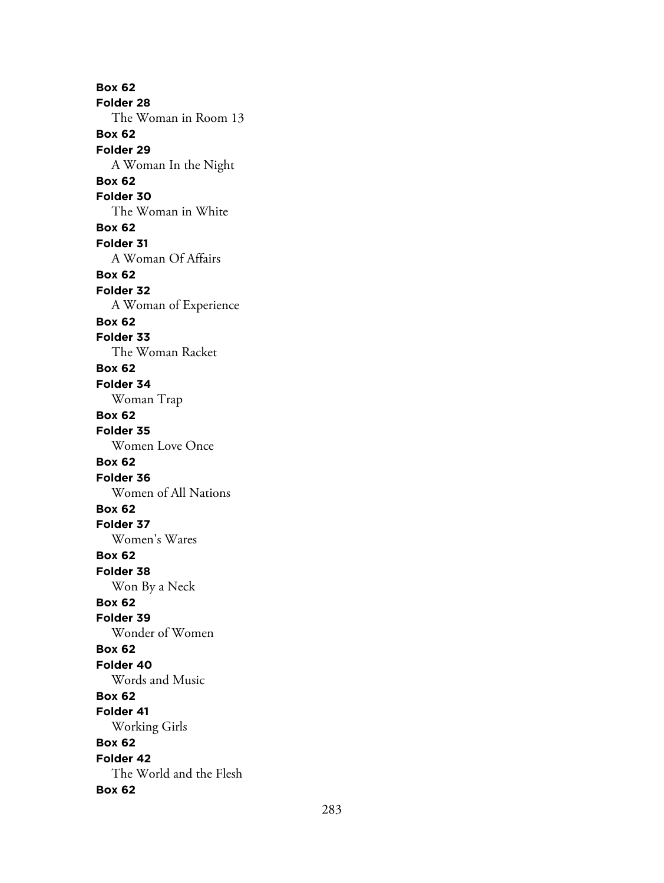**Box 62 Folder 28** The Woman in Room 13 **Box 62 Folder 29** A Woman In the Night **Box 62 Folder 30** The Woman in White **Box 62 Folder 31** A Woman Of Affairs **Box 62 Folder 32** A Woman of Experience **Box 62 Folder 33** The Woman Racket **Box 62 Folder 34** Woman Trap **Box 62 Folder 35** Women Love Once **Box 62 Folder 36** Women of All Nations **Box 62 Folder 37** Women's Wares **Box 62 Folder 38** Won By a Neck **Box 62 Folder 39** Wonder of Women **Box 62 Folder 40** Words and Music **Box 62 Folder 41** Working Girls **Box 62 Folder 42** The World and the Flesh **Box 62**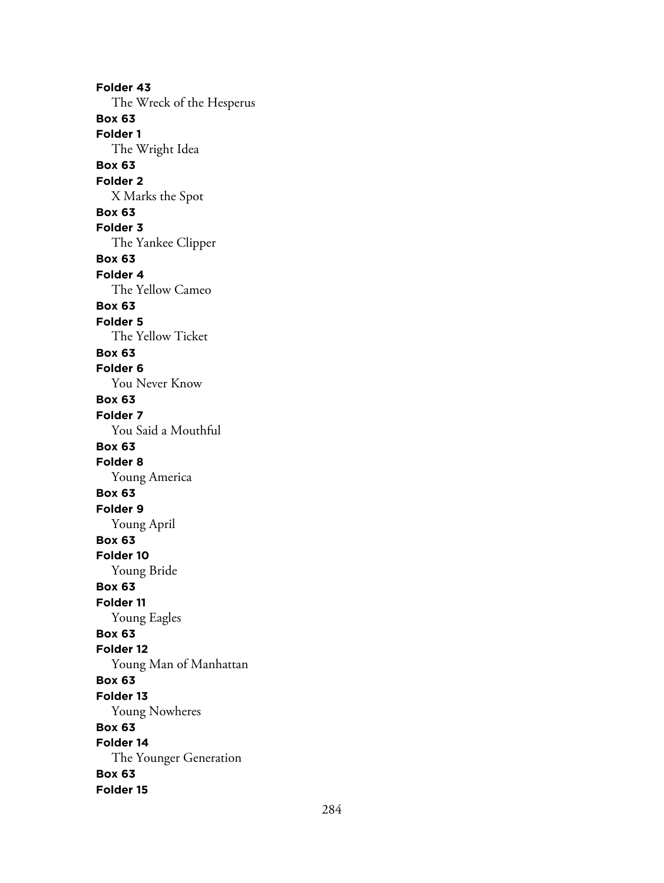**Folder 43** The Wreck of the Hesperus **Box 63 Folder 1** The Wright Idea **Box 63 Folder 2** X Marks the Spot **Box 63 Folder 3** The Yankee Clipper **Box 63 Folder 4** The Yellow Cameo **Box 63 Folder 5** The Yellow Ticket **Box 63 Folder 6** You Never Know **Box 63 Folder 7** You Said a Mouthful **Box 63 Folder 8** Young America **Box 63 Folder 9** Young April **Box 63 Folder 10** Young Bride **Box 63 Folder 11** Young Eagles **Box 63 Folder 12** Young Man of Manhattan **Box 63 Folder 13** Young Nowheres **Box 63 Folder 14** The Younger Generation **Box 63 Folder 15**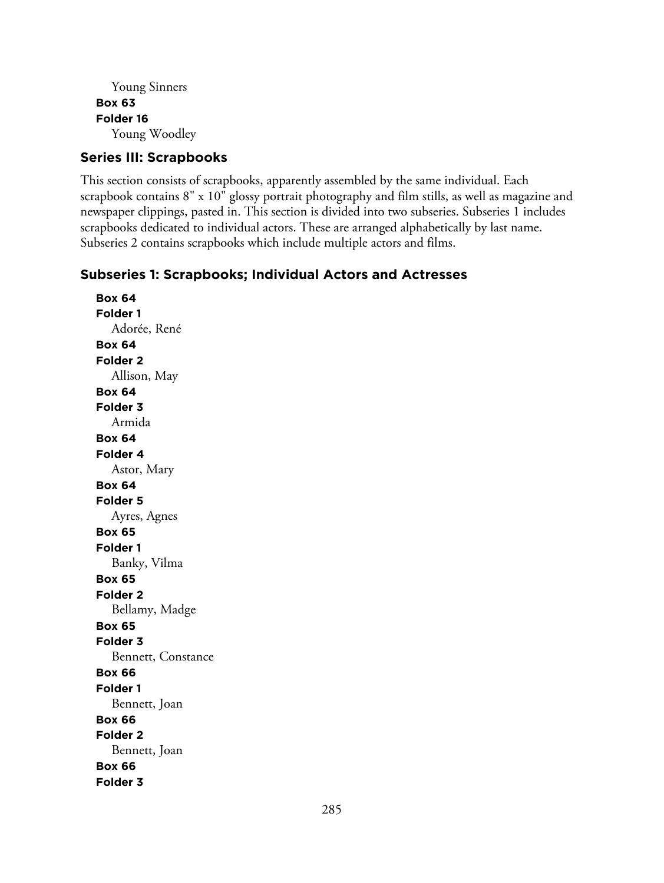```
Young Sinners
Box 63
Folder 16
  Young Woodley
```
## **Series III: Scrapbooks**

This section consists of scrapbooks, apparently assembled by the same individual. Each scrapbook contains 8" x 10" glossy portrait photography and film stills, as well as magazine and newspaper clippings, pasted in. This section is divided into two subseries. Subseries 1 includes scrapbooks dedicated to individual actors. These are arranged alphabetically by last name. Subseries 2 contains scrapbooks which include multiple actors and films.

## **Subseries 1: Scrapbooks; Individual Actors and Actresses**

**Box 64 Folder 1** Adorée, René **Box 64 Folder 2** Allison, May **Box 64 Folder 3** Armida **Box 64 Folder 4** Astor, Mary **Box 64 Folder 5** Ayres, Agnes **Box 65 Folder 1** Banky, Vilma **Box 65 Folder 2** Bellamy, Madge **Box 65 Folder 3** Bennett, Constance **Box 66 Folder 1** Bennett, Joan **Box 66 Folder 2** Bennett, Joan **Box 66 Folder 3**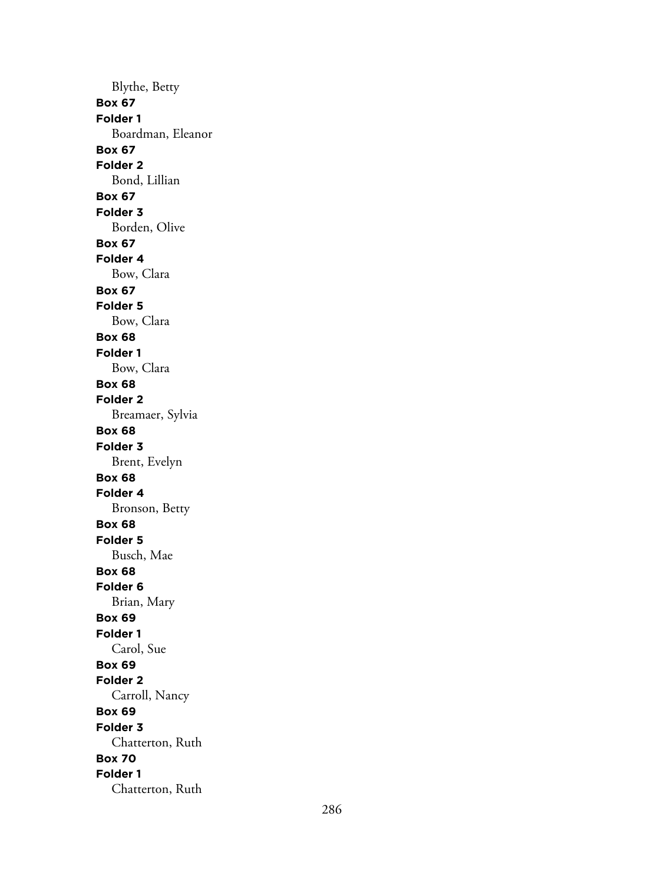Blythe, Betty **Box 67 Folder 1** Boardman, Eleanor **Box 67 Folder 2** Bond, Lillian **Box 67 Folder 3** Borden, Olive **Box 67 Folder 4** Bow, Clara **Box 67 Folder 5** Bow, Clara **Box 68 Folder 1** Bow, Clara **Box 68 Folder 2** Breamaer, Sylvia **Box 68 Folder 3** Brent, Evelyn **Box 68 Folder 4** Bronson, Betty **Box 68 Folder 5** Busch, Mae **Box 68 Folder 6** Brian, Mary **Box 69 Folder 1** Carol, Sue **Box 69 Folder 2** Carroll, Nancy **Box 69 Folder 3** Chatterton, Ruth **Box 70 Folder 1** Chatterton, Ruth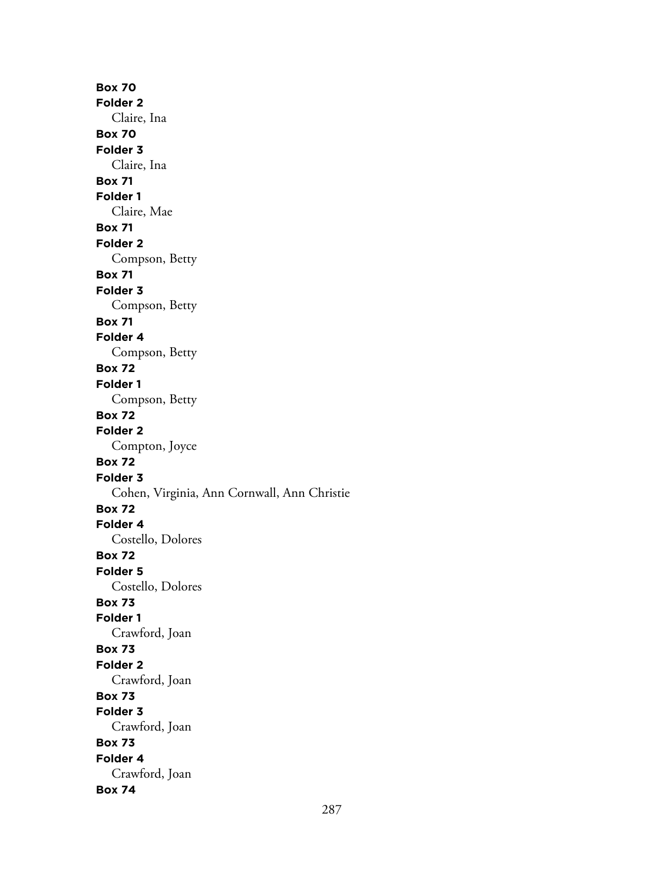**Box 70 Folder 2** Claire, Ina **Box 70 Folder 3** Claire, Ina **Box 71 Folder 1** Claire, Mae **Box 71 Folder 2** Compson, Betty **Box 71 Folder 3** Compson, Betty **Box 71 Folder 4** Compson, Betty **Box 72 Folder 1** Compson, Betty **Box 72 Folder 2** Compton, Joyce **Box 72 Folder 3** Cohen, Virginia, Ann Cornwall, Ann Christie **Box 72 Folder 4** Costello, Dolores **Box 72 Folder 5** Costello, Dolores **Box 73 Folder 1** Crawford, Joan **Box 73 Folder 2** Crawford, Joan **Box 73 Folder 3** Crawford, Joan **Box 73 Folder 4** Crawford, Joan **Box 74**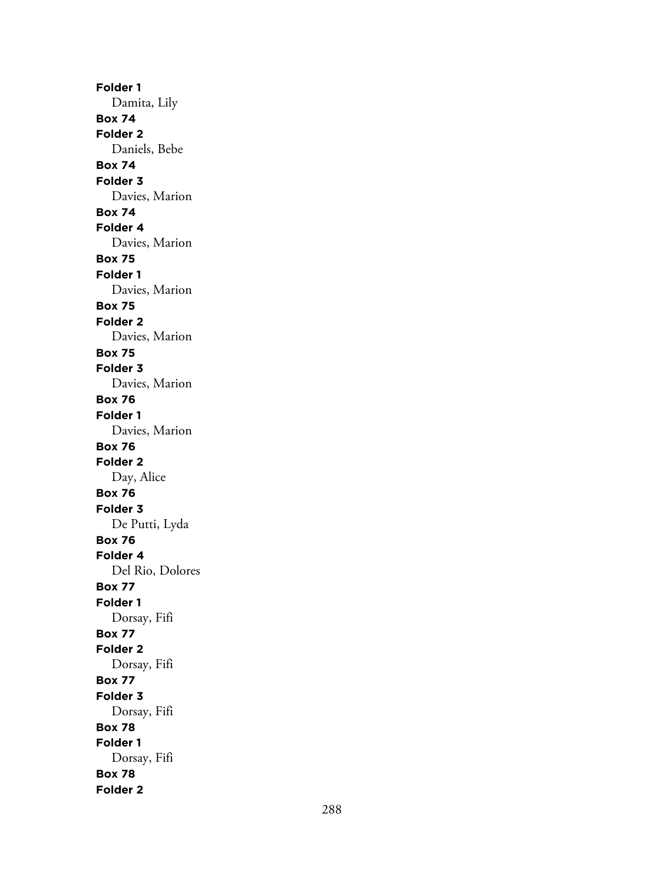**Folder 1** Damita, Lily **Box 74 Folder 2** Daniels, Bebe **Box 74 Folder 3** Davies, Marion **Box 74 Folder 4** Davies, Marion **Box 75 Folder 1** Davies, Marion **Box 75 Folder 2** Davies, Marion **Box 75 Folder 3** Davies, Marion **Box 76 Folder 1** Davies, Marion **Box 76 Folder 2** Day, Alice **Box 76 Folder 3** De Putti, Lyda **Box 76 Folder 4** Del Rio, Dolores **Box 77 Folder 1** Dorsay, Fifi **Box 77 Folder 2** Dorsay, Fifi **Box 77 Folder 3** Dorsay, Fifi **Box 78 Folder 1** Dorsay, Fifi **Box 78 Folder 2**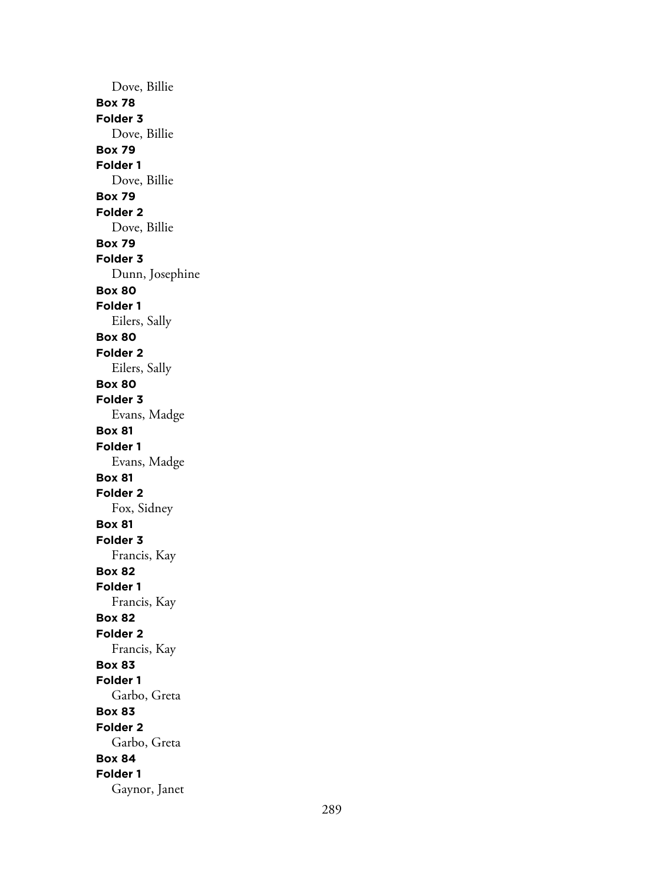Dove, Billie **Box 78 Folder 3** Dove, Billie **Box 79 Folder 1** Dove, Billie **Box 79 Folder 2** Dove, Billie **Box 79 Folder 3** Dunn, Josephine **Box 80 Folder 1** Eilers, Sally **Box 80 Folder 2** Eilers, Sally **Box 80 Folder 3** Evans, Madge **Box 81 Folder 1** Evans, Madge **Box 81 Folder 2** Fox, Sidney **Box 81 Folder 3** Francis, Kay **Box 82 Folder 1** Francis, Kay **Box 82 Folder 2** Francis, Kay **Box 83 Folder 1** Garbo, Greta **Box 83 Folder 2** Garbo, Greta **Box 84 Folder 1** Gaynor, Janet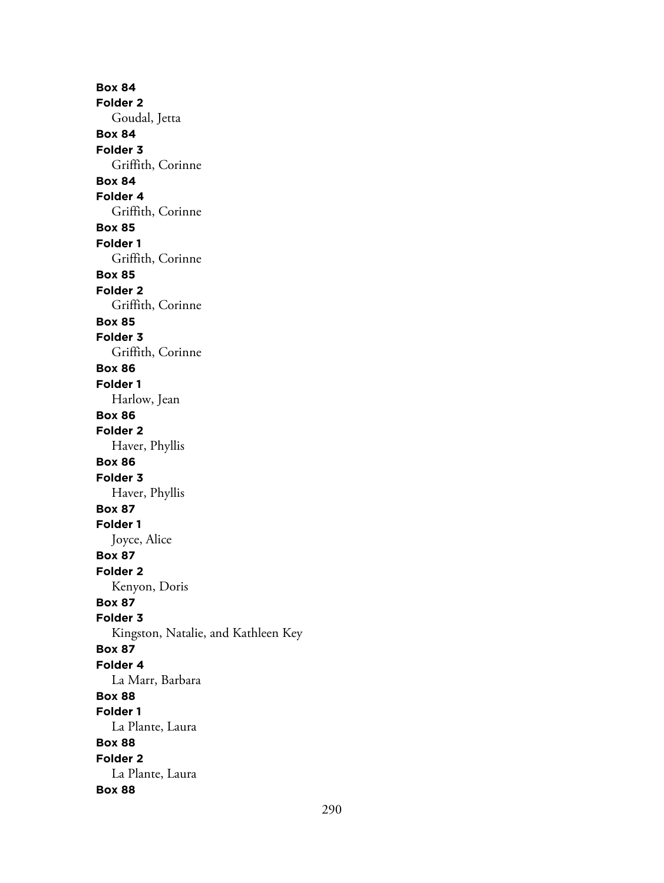**Box 84 Folder 2** Goudal, Jetta **Box 84 Folder 3** Griffith, Corinne **Box 84 Folder 4** Griffith, Corinne **Box 85 Folder 1** Griffith, Corinne **Box 85 Folder 2** Griffith, Corinne **Box 85 Folder 3** Griffith, Corinne **Box 86 Folder 1** Harlow, Jean **Box 86 Folder 2** Haver, Phyllis **Box 86 Folder 3** Haver, Phyllis **Box 87 Folder 1** Joyce, Alice **Box 87 Folder 2** Kenyon, Doris **Box 87 Folder 3** Kingston, Natalie, and Kathleen Key **Box 87 Folder 4** La Marr, Barbara **Box 88 Folder 1** La Plante, Laura **Box 88 Folder 2** La Plante, Laura **Box 88**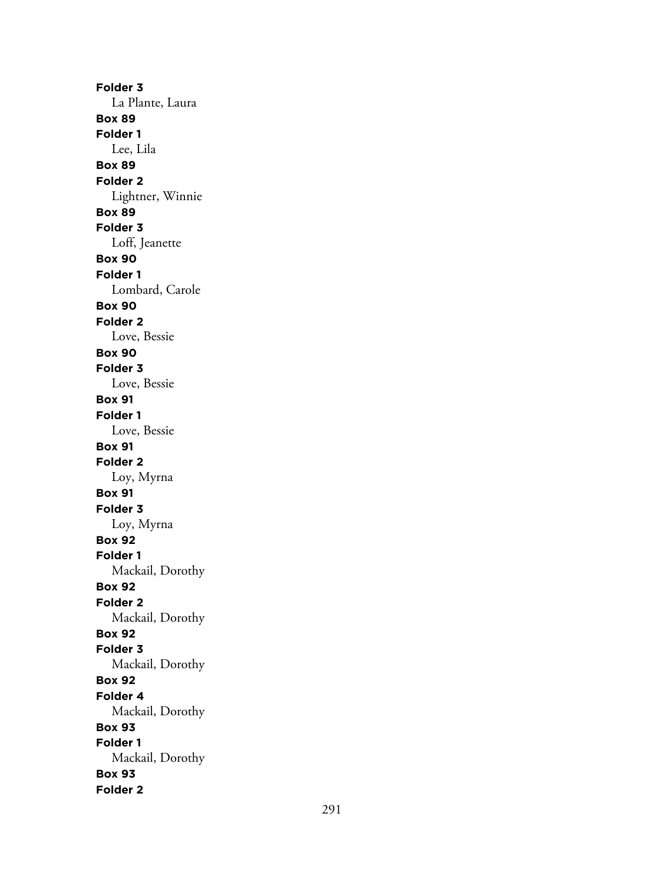**Folder 3** La Plante, Laura **Box 89 Folder 1** Lee, Lila **Box 89 Folder 2** Lightner, Winnie **Box 89 Folder 3** Loff, Jeanette **Box 90 Folder 1** Lombard, Carole **Box 90 Folder 2** Love, Bessie **Box 90 Folder 3** Love, Bessie **Box 91 Folder 1** Love, Bessie **Box 91 Folder 2** Loy, Myrna **Box 91 Folder 3** Loy, Myrna **Box 92 Folder 1** Mackail, Dorothy **Box 92 Folder 2** Mackail, Dorothy **Box 92 Folder 3** Mackail, Dorothy **Box 92 Folder 4** Mackail, Dorothy **Box 93 Folder 1** Mackail, Dorothy **Box 93 Folder 2**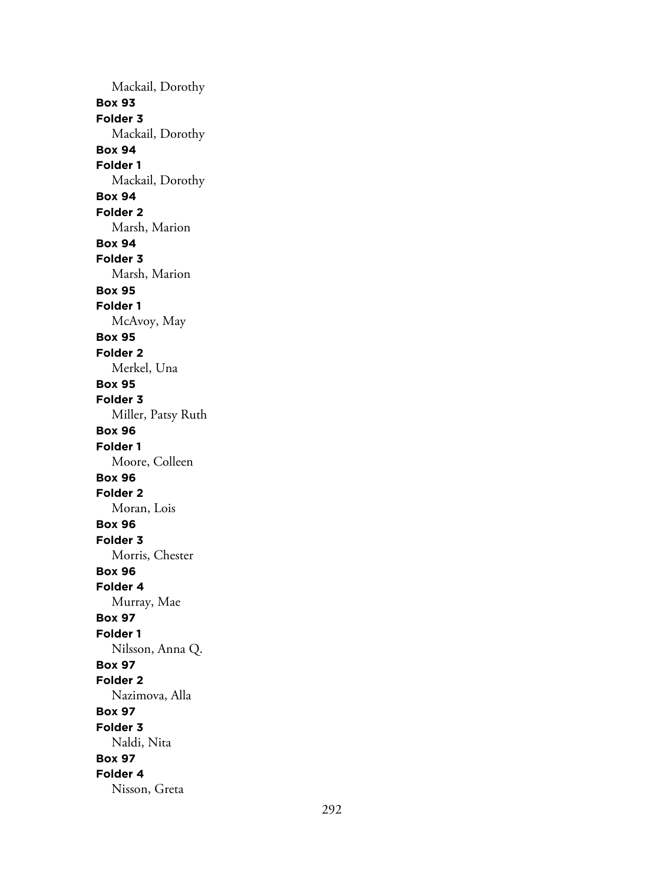Mackail, Dorothy **Box 93 Folder 3** Mackail, Dorothy **Box 94 Folder 1** Mackail, Dorothy **Box 94 Folder 2** Marsh, Marion **Box 94 Folder 3** Marsh, Marion **Box 95 Folder 1** McAvoy, May **Box 95 Folder 2** Merkel, Una **Box 95 Folder 3** Miller, Patsy Ruth **Box 96 Folder 1** Moore, Colleen **Box 96 Folder 2** Moran, Lois **Box 96 Folder 3** Morris, Chester **Box 96 Folder 4** Murray, Mae **Box 97 Folder 1** Nilsson, Anna Q. **Box 97 Folder 2** Nazimova, Alla **Box 97 Folder 3** Naldi, Nita **Box 97 Folder 4** Nisson, Greta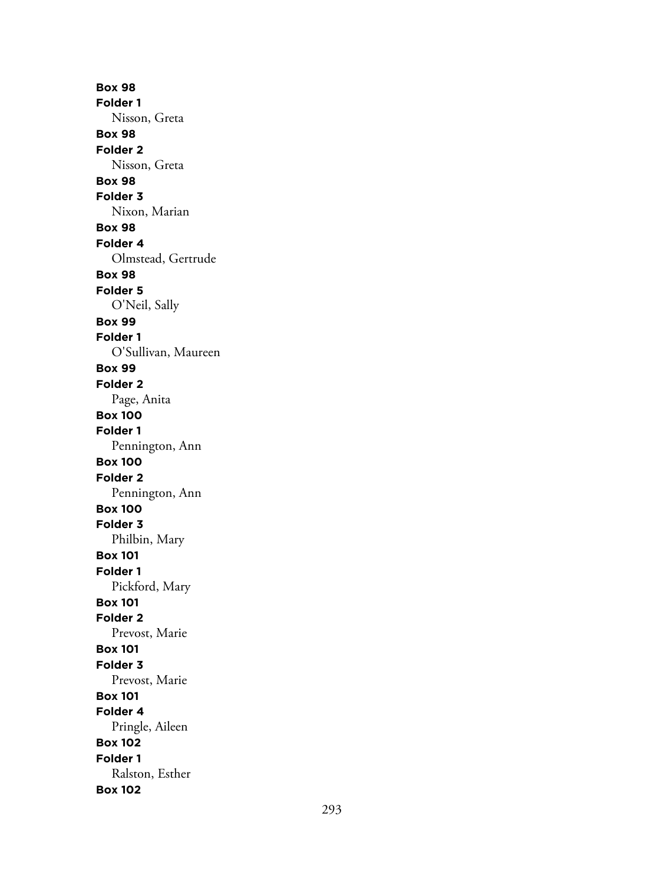**Box 98 Folder 1** Nisson, Greta **Box 98 Folder 2** Nisson, Greta **Box 98 Folder 3** Nixon, Marian **Box 98 Folder 4** Olmstead, Gertrude **Box 98 Folder 5** O'Neil, Sally **Box 99 Folder 1** O'Sullivan, Maureen **Box 99 Folder 2** Page, Anita **Box 100 Folder 1** Pennington, Ann **Box 100 Folder 2** Pennington, Ann **Box 100 Folder 3** Philbin, Mary **Box 101 Folder 1** Pickford, Mary **Box 101 Folder 2** Prevost, Marie **Box 101 Folder 3** Prevost, Marie **Box 101 Folder 4** Pringle, Aileen **Box 102 Folder 1** Ralston, Esther **Box 102**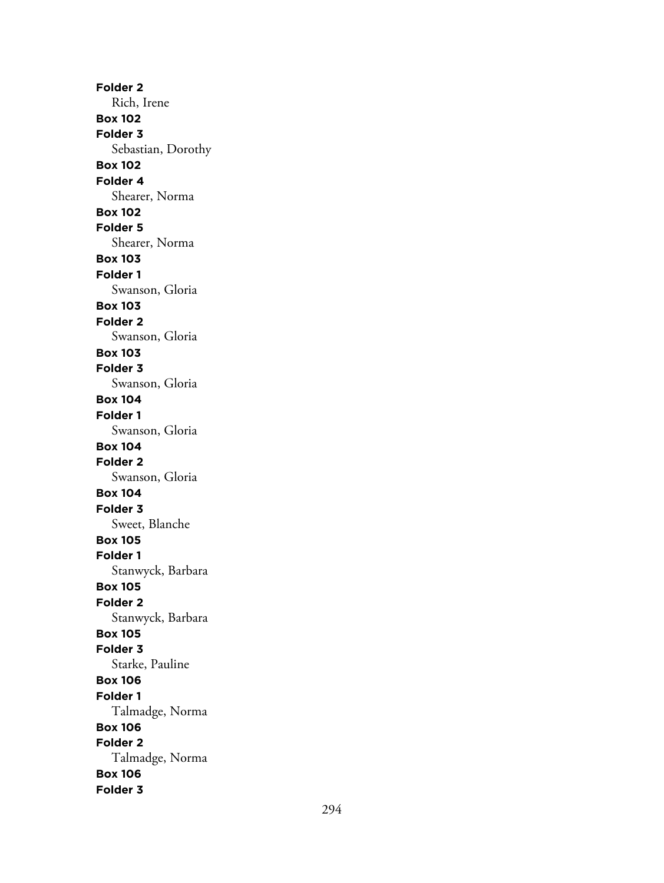**Folder 2** Rich, Irene **Box 102 Folder 3** Sebastian, Dorothy **Box 102 Folder 4** Shearer, Norma **Box 102 Folder 5** Shearer, Norma **Box 103 Folder 1** Swanson, Gloria **Box 103 Folder 2** Swanson, Gloria **Box 103 Folder 3** Swanson, Gloria **Box 104 Folder 1** Swanson, Gloria **Box 104 Folder 2** Swanson, Gloria **Box 104 Folder 3** Sweet, Blanche **Box 105 Folder 1** Stanwyck, Barbara **Box 105 Folder 2** Stanwyck, Barbara **Box 105 Folder 3** Starke, Pauline **Box 106 Folder 1** Talmadge, Norma **Box 106 Folder 2** Talmadge, Norma **Box 106 Folder 3**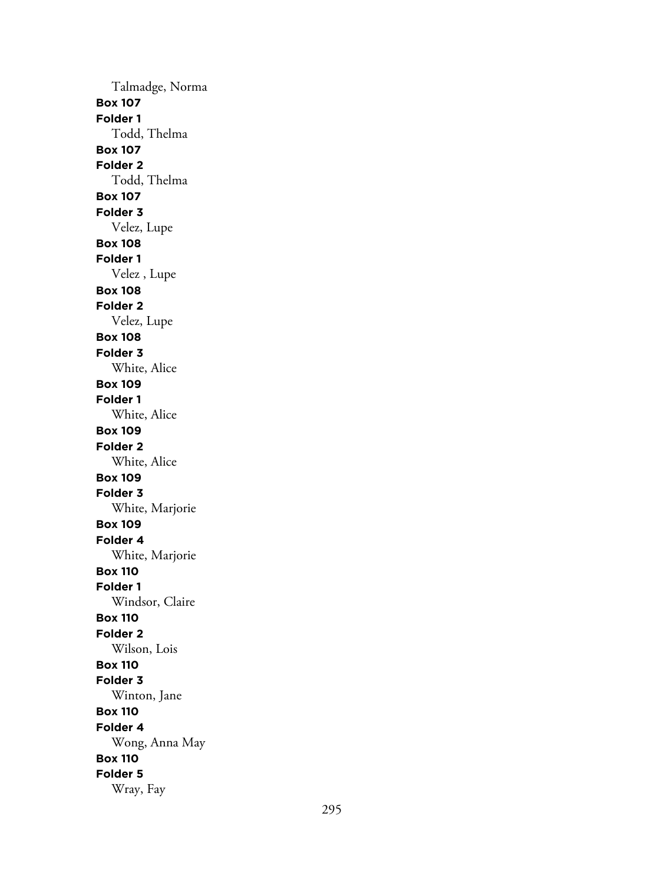Talmadge, Norma **Box 107 Folder 1** Todd, Thelma **Box 107 Folder 2** Todd, Thelma **Box 107 Folder 3** Velez, Lupe **Box 108 Folder 1** Velez , Lupe **Box 108 Folder 2** Velez, Lupe **Box 108 Folder 3** White, Alice **Box 109 Folder 1** White, Alice **Box 109 Folder 2** White, Alice **Box 109 Folder 3** White, Marjorie **Box 109 Folder 4** White, Marjorie **Box 110 Folder 1** Windsor, Claire **Box 110 Folder 2** Wilson, Lois **Box 110 Folder 3** Winton, Jane **Box 110 Folder 4** Wong, Anna May **Box 110 Folder 5** Wray, Fay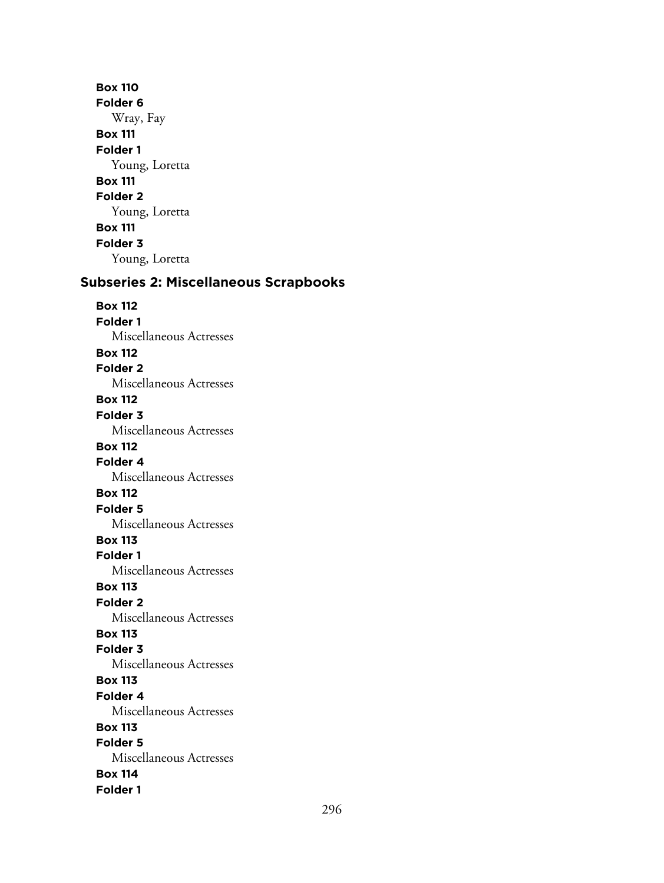**Box 110 Folder 6** Wray, Fay **Box 111 Folder 1** Young, Loretta **Box 111 Folder 2** Young, Loretta **Box 111 Folder 3** Young, Loretta

# **Subseries 2: Miscellaneous Scrapbooks**

**Box 112 Folder 1** Miscellaneous Actresses **Box 112 Folder 2** Miscellaneous Actresses **Box 112 Folder 3** Miscellaneous Actresses **Box 112 Folder 4** Miscellaneous Actresses **Box 112 Folder 5** Miscellaneous Actresses **Box 113 Folder 1** Miscellaneous Actresses **Box 113 Folder 2** Miscellaneous Actresses **Box 113 Folder 3** Miscellaneous Actresses **Box 113 Folder 4** Miscellaneous Actresses **Box 113 Folder 5** Miscellaneous Actresses **Box 114 Folder 1**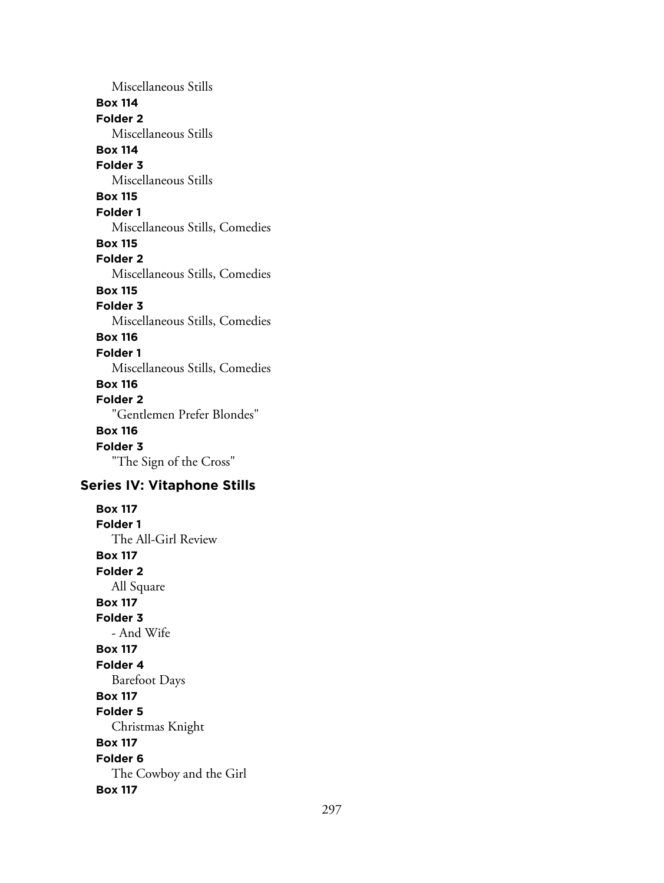Miscellaneous Stills **Box 114 Folder 2** Miscellaneous Stills **Box 114 Folder 3** Miscellaneous Stills **Box 115 Folder 1** Miscellaneous Stills, Comedies **Box 115 Folder 2** Miscellaneous Stills, Comedies **Box 115 Folder 3** Miscellaneous Stills, Comedies **Box 116 Folder 1** Miscellaneous Stills, Comedies **Box 116 Folder 2** "Gentlemen Prefer Blondes" **Box 116 Folder 3** "The Sign of the Cross" **Series IV: Vitaphone Stills Box 117 Folder 1** The All-Girl Review **Box 117 Folder 2** All Square **Box 117 Folder 3** - And Wife **Box 117 Folder 4** Barefoot Days **Box 117 Folder 5** Christmas Knight **Box 117 Folder 6** The Cowboy and the Girl **Box 117**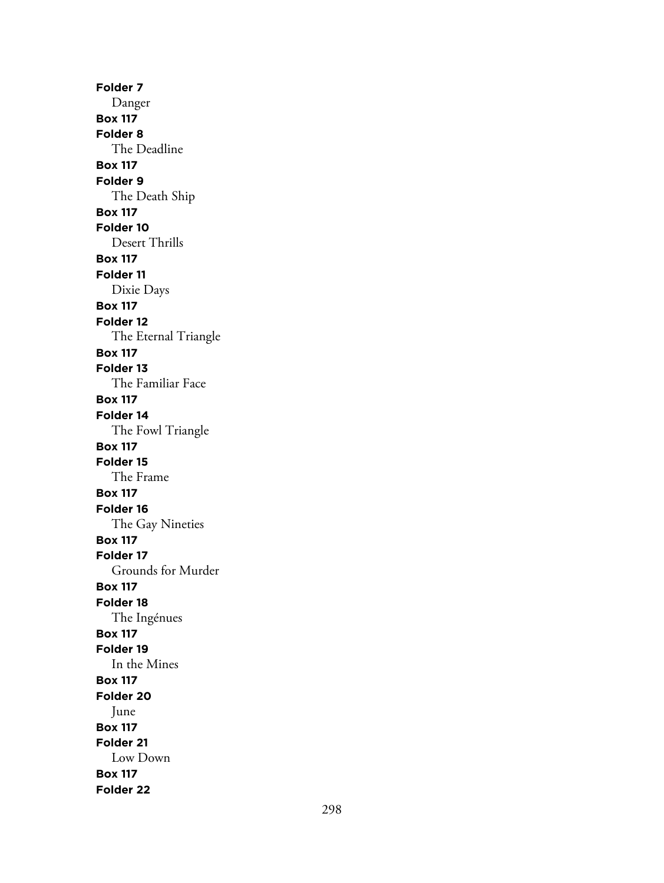**Folder 7** Danger **Box 117 Folder 8** The Deadline **Box 117 Folder 9** The Death Ship **Box 117 Folder 10** Desert Thrills **Box 117 Folder 11** Dixie Days **Box 117 Folder 12** The Eternal Triangle **Box 117 Folder 13** The Familiar Face **Box 117 Folder 14** The Fowl Triangle **Box 117 Folder 15** The Frame **Box 117 Folder 16** The Gay Nineties **Box 117 Folder 17** Grounds for Murder **Box 117 Folder 18** The Ingénues **Box 117 Folder 19** In the Mines **Box 117 Folder 20** June **Box 117 Folder 21** Low Down **Box 117 Folder 22**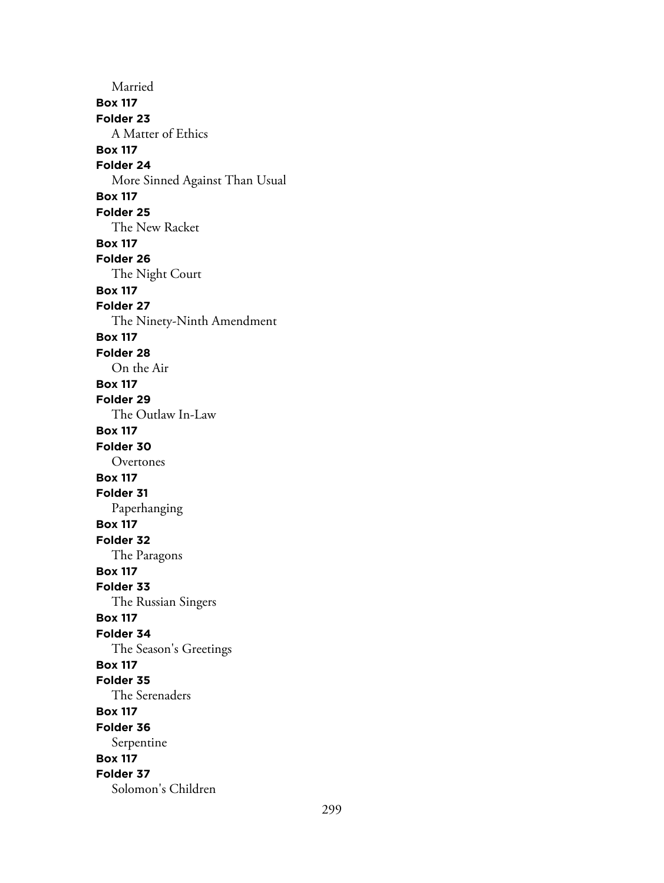Married **Box 117 Folder 23** A Matter of Ethics **Box 117 Folder 24** More Sinned Against Than Usual **Box 117 Folder 25** The New Racket **Box 117 Folder 26** The Night Court **Box 117 Folder 27** The Ninety-Ninth Amendment **Box 117 Folder 28** On the Air **Box 117 Folder 29** The Outlaw In-Law **Box 117 Folder 30** Overtones **Box 117 Folder 31** Paperhanging **Box 117 Folder 32** The Paragons **Box 117 Folder 33** The Russian Singers **Box 117 Folder 34** The Season's Greetings **Box 117 Folder 35** The Serenaders **Box 117 Folder 36** Serpentine **Box 117 Folder 37** Solomon's Children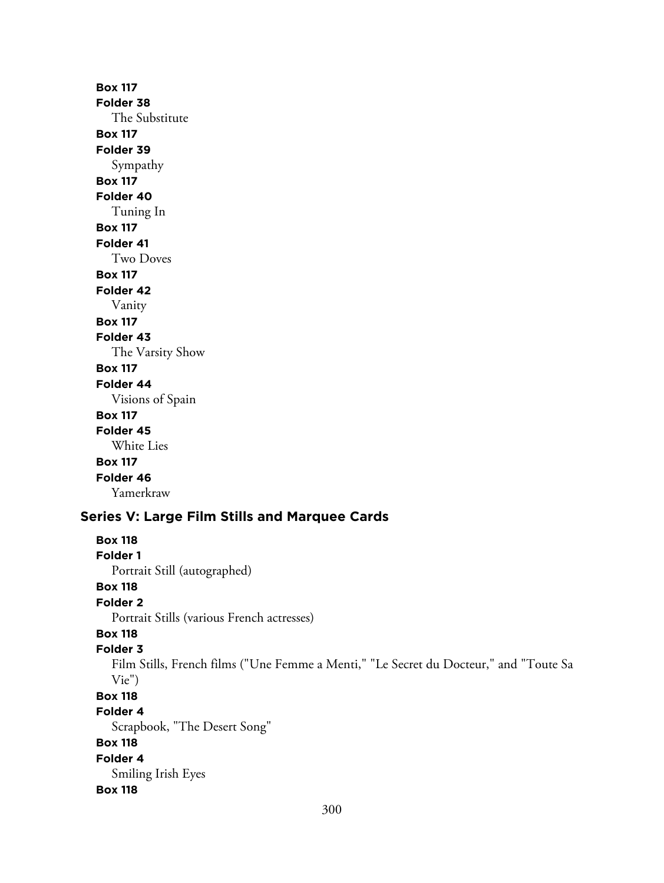**Box 117 Folder 38** The Substitute **Box 117 Folder 39** Sympathy **Box 117 Folder 40** Tuning In **Box 117 Folder 41** Two Doves **Box 117 Folder 42** Vanity **Box 117 Folder 43** The Varsity Show **Box 117 Folder 44** Visions of Spain **Box 117 Folder 45** White Lies **Box 117 Folder 46** Yamerkraw **Series V: Large Film Stills and Marquee Cards**

# 300 **Box 118 Folder 1** Portrait Still (autographed) **Box 118 Folder 2** Portrait Stills (various French actresses) **Box 118 Folder 3** Film Stills, French films ("Une Femme a Menti," "Le Secret du Docteur," and "Toute Sa Vie") **Box 118 Folder 4** Scrapbook, "The Desert Song" **Box 118 Folder 4** Smiling Irish Eyes **Box 118**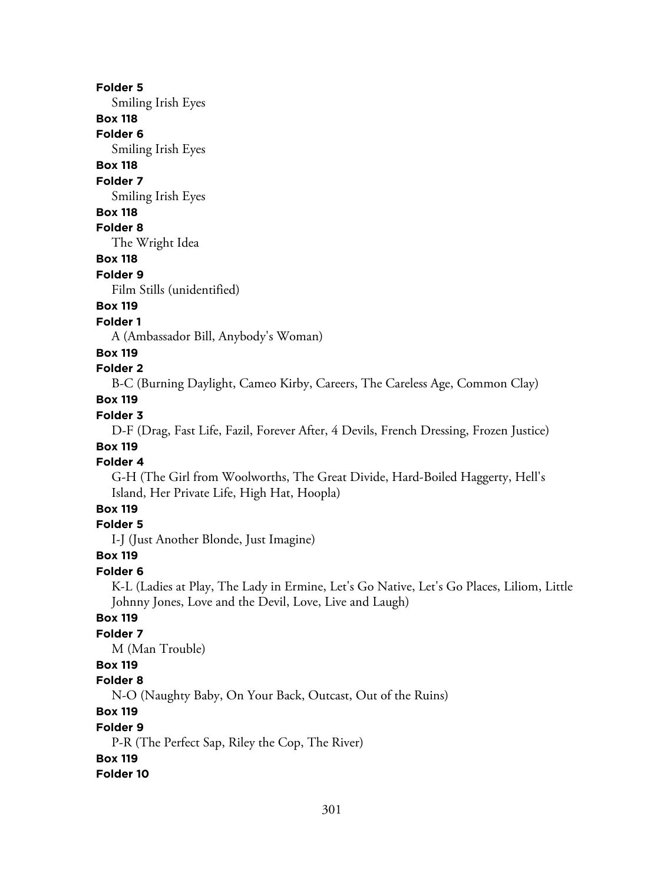#### **Folder 5**

Smiling Irish Eyes

## **Box 118**

**Folder 6**

Smiling Irish Eyes

# **Box 118**

**Folder 7**

Smiling Irish Eyes

#### **Box 118**

## **Folder 8**

The Wright Idea

# **Box 118**

#### **Folder 9**

Film Stills (unidentified)

## **Box 119**

#### **Folder 1**

A (Ambassador Bill, Anybody's Woman)

#### **Box 119**

## **Folder 2**

B-C (Burning Daylight, Cameo Kirby, Careers, The Careless Age, Common Clay)

# **Box 119**

## **Folder 3**

D-F (Drag, Fast Life, Fazil, Forever After, 4 Devils, French Dressing, Frozen Justice)

# **Box 119**

# **Folder 4**

G-H (The Girl from Woolworths, The Great Divide, Hard-Boiled Haggerty, Hell's Island, Her Private Life, High Hat, Hoopla)

## **Box 119**

## **Folder 5**

I-J (Just Another Blonde, Just Imagine)

#### **Box 119**

#### **Folder 6**

K-L (Ladies at Play, The Lady in Ermine, Let's Go Native, Let's Go Places, Liliom, Little Johnny Jones, Love and the Devil, Love, Live and Laugh)

## **Box 119**

## **Folder 7**

M (Man Trouble)

## **Box 119**

#### **Folder 8**

N-O (Naughty Baby, On Your Back, Outcast, Out of the Ruins)

# **Box 119**

#### **Folder 9**

P-R (The Perfect Sap, Riley the Cop, The River)

## **Box 119**

## **Folder 10**